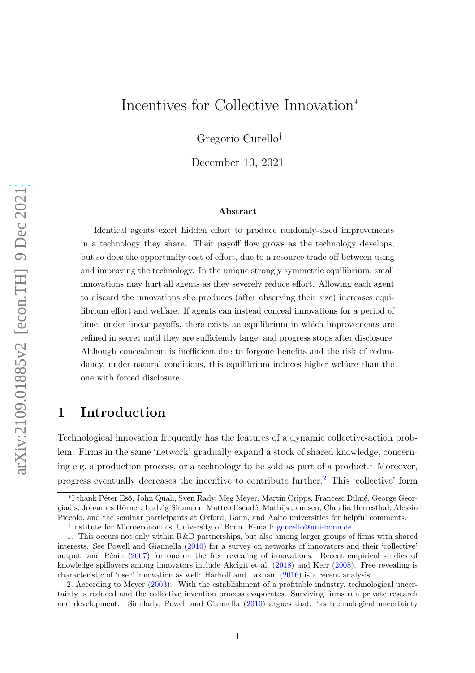# Incentives for Collective Innovation<sup>∗</sup>

Gregorio Curello†

December 10, 2021

#### Abstract

Identical agents exert hidden effort to produce randomly-sized improvements in a technology they share. Their payoff flow grows as the technology develops, but so does the opportunity cost of effort, due to a resource trade-off between using and improving the technology. In the unique strongly symmetric equilibrium, small innovations may hurt all agents as they severely reduce effort. Allowing each agent to discard the innovations she produces (after observing their size) increases equilibrium effort and welfare. If agents can instead conceal innovations for a period of time, under linear payoffs, there exists an equilibrium in which improvements are refined in secret until they are sufficiently large, and progress stops after disclosure. Although concealment is inefficient due to forgone benefits and the risk of redundancy, under natural conditions, this equilibrium induces higher welfare than the one with forced disclosure.

### 1 Introduction

Technological innovation frequently has the features of a dynamic collective-action problem. Firms in the same 'network' gradually expand a stock of shared knowledge, concern-ing e.g. a production process, or a technology to be sold as part of a product.<sup>[1](#page-0-0)</sup> Moreover, progress eventually decreases the incentive to contribute further.[2](#page-0-1) This 'collective' form

<sup>\*</sup>I thank Péter Eső, John Quah, Sven Rady, Meg Meyer, Martin Cripps, Francesc Dilmé, George Georgiadis, Johannes Hörner, Ludvig Sinander, Matteo Escudé, Mathijs Jannsen, Claudia Herresthal, Alessio Piccolo, and the seminar participants at Oxford, Bonn, and Aalto universities for helpful comments. † Institute for Microeconomics, University of Bonn. E-mail: [gcurello@uni-bonn.de.](mailto:gcurello@uni-bonn.de)

<span id="page-0-0"></span><sup>1.</sup> This occurs not only within R&D partnerships, but also among larger groups of firms with shared interests. See Powell and Giannella [\(2010\)](#page-34-0) for a survey on networks of innovators and their 'collective' output, and Pénin [\(2007\)](#page-33-0) for one on the free revealing of innovations. Recent empirical studies of knowledge spillovers among innovators include Akcigit et al. [\(2018\)](#page-30-0) and Kerr [\(2008\)](#page-33-1). Free revealing is characteristic of 'user' innovation as well: Harhoff and Lakhani [\(2016](#page-32-0)) is a recent analysis.

<span id="page-0-1"></span><sup>2.</sup> According to Meyer [\(2003](#page-33-2)): 'With the establishment of a profitable industry, technological uncertainty is reduced and the collective invention process evaporates. Surviving firms run private research and development.' Similarly, Powell and Giannella [\(2010\)](#page-34-0) argues that: 'as technological uncertainty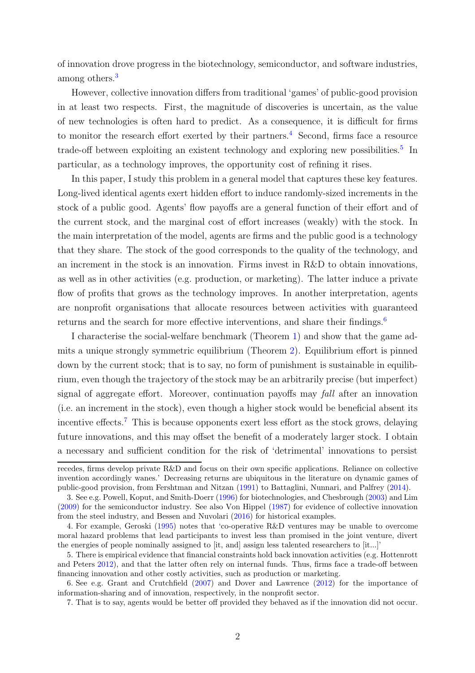of innovation drove progress in the biotechnology, semiconductor, and software industries, among others.[3](#page-1-0)

However, collective innovation differs from traditional 'games' of public-good provision in at least two respects. First, the magnitude of discoveries is uncertain, as the value of new technologies is often hard to predict. As a consequence, it is difficult for firms to monitor the research effort exerted by their partners.<sup>[4](#page-1-1)</sup> Second, firms face a resource trade-off between exploiting an existent technology and exploring new possibilities.<sup>[5](#page-1-2)</sup> In particular, as a technology improves, the opportunity cost of refining it rises.

In this paper, I study this problem in a general model that captures these key features. Long-lived identical agents exert hidden effort to induce randomly-sized increments in the stock of a public good. Agents' flow payoffs are a general function of their effort and of the current stock, and the marginal cost of effort increases (weakly) with the stock. In the main interpretation of the model, agents are firms and the public good is a technology that they share. The stock of the good corresponds to the quality of the technology, and an increment in the stock is an innovation. Firms invest in R&D to obtain innovations, as well as in other activities (e.g. production, or marketing). The latter induce a private flow of profits that grows as the technology improves. In another interpretation, agents are nonprofit organisations that allocate resources between activities with guaranteed returns and the search for more effective interventions, and share their findings.<sup>[6](#page-1-3)</sup>

I characterise the social-welfare benchmark (Theorem [1\)](#page-9-0) and show that the game admits a unique strongly symmetric equilibrium (Theorem [2\)](#page-12-0). Equilibrium effort is pinned down by the current stock; that is to say, no form of punishment is sustainable in equilibrium, even though the trajectory of the stock may be an arbitrarily precise (but imperfect) signal of aggregate effort. Moreover, continuation payoffs may fall after an innovation (i.e. an increment in the stock), even though a higher stock would be beneficial absent its incentive effects.<sup>[7](#page-1-4)</sup> This is because opponents exert less effort as the stock grows, delaying future innovations, and this may offset the benefit of a moderately larger stock. I obtain a necessary and sufficient condition for the risk of 'detrimental' innovations to persist

recedes, firms develop private R&D and focus on their own specific applications. Reliance on collective invention accordingly wanes.' Decreasing returns are ubiquitous in the literature on dynamic games of public-good provision, from Fershtman and Nitzan [\(1991](#page-32-1)) to Battaglini, Nunnari, and Palfrey [\(2014](#page-31-0)).

<span id="page-1-0"></span><sup>3.</sup> See e.g. Powell, Koput, and Smith-Doerr [\(1996](#page-34-1)) for biotechnologies, and Chesbrough [\(2003\)](#page-31-1) and Lim [\(2009\)](#page-33-3) for the semiconductor industry. See also Von Hippel [\(1987](#page-34-2)) for evidence of collective innovation from the steel industry, and Bessen and Nuvolari [\(2016\)](#page-31-2) for historical examples.

<span id="page-1-1"></span><sup>4.</sup> For example, Geroski [\(1995](#page-32-2)) notes that 'co-operative R&D ventures may be unable to overcome moral hazard problems that lead participants to invest less than promised in the joint venture, divert the energies of people nominally assigned to [it, and] assign less talented researchers to [it...]'

<span id="page-1-2"></span><sup>5.</sup> There is empirical evidence that financial constraints hold back innovation activities (e.g. Hottenrott and Peters [2012\)](#page-32-3), and that the latter often rely on internal funds. Thus, firms face a trade-off between financing innovation and other costly activities, such as production or marketing.

<sup>6.</sup> See e.g. Grant and Crutchfield [\(2007](#page-32-4)) and Dover and Lawrence [\(2012](#page-32-5)) for the importance of information-sharing and of innovation, respectively, in the nonprofit sector.

<span id="page-1-4"></span><span id="page-1-3"></span><sup>7.</sup> That is to say, agents would be better off provided they behaved as if the innovation did not occur.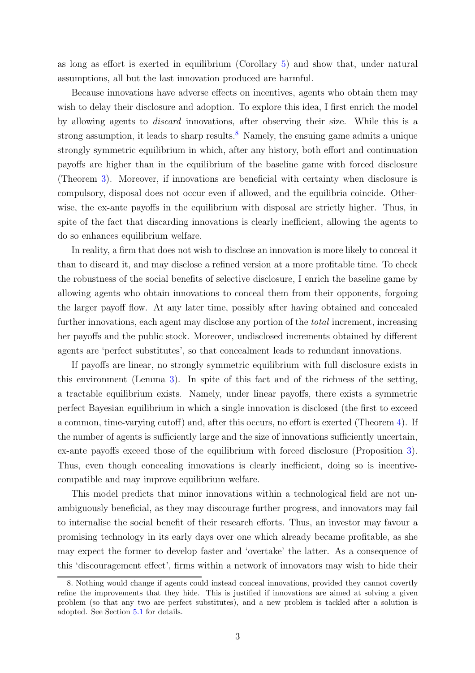as long as effort is exerted in equilibrium (Corollary [5\)](#page-15-0) and show that, under natural assumptions, all but the last innovation produced are harmful.

Because innovations have adverse effects on incentives, agents who obtain them may wish to delay their disclosure and adoption. To explore this idea, I first enrich the model by allowing agents to discard innovations, after observing their size. While this is a strong assumption, it leads to sharp results.<sup>[8](#page-2-0)</sup> Namely, the ensuing game admits a unique strongly symmetric equilibrium in which, after any history, both effort and continuation payoffs are higher than in the equilibrium of the baseline game with forced disclosure (Theorem [3\)](#page-21-0). Moreover, if innovations are beneficial with certainty when disclosure is compulsory, disposal does not occur even if allowed, and the equilibria coincide. Otherwise, the ex-ante payoffs in the equilibrium with disposal are strictly higher. Thus, in spite of the fact that discarding innovations is clearly inefficient, allowing the agents to do so enhances equilibrium welfare.

In reality, a firm that does not wish to disclose an innovation is more likely to conceal it than to discard it, and may disclose a refined version at a more profitable time. To check the robustness of the social benefits of selective disclosure, I enrich the baseline game by allowing agents who obtain innovations to conceal them from their opponents, forgoing the larger payoff flow. At any later time, possibly after having obtained and concealed further innovations, each agent may disclose any portion of the total increment, increasing her payoffs and the public stock. Moreover, undisclosed increments obtained by different agents are 'perfect substitutes', so that concealment leads to redundant innovations.

If payoffs are linear, no strongly symmetric equilibrium with full disclosure exists in this environment (Lemma [3\)](#page-27-0). In spite of this fact and of the richness of the setting, a tractable equilibrium exists. Namely, under linear payoffs, there exists a symmetric perfect Bayesian equilibrium in which a single innovation is disclosed (the first to exceed a common, time-varying cutoff) and, after this occurs, no effort is exerted (Theorem [4\)](#page-27-1). If the number of agents is sufficiently large and the size of innovations sufficiently uncertain, ex-ante payoffs exceed those of the equilibrium with forced disclosure (Proposition [3\)](#page-29-0). Thus, even though concealing innovations is clearly inefficient, doing so is incentivecompatible and may improve equilibrium welfare.

This model predicts that minor innovations within a technological field are not unambiguously beneficial, as they may discourage further progress, and innovators may fail to internalise the social benefit of their research efforts. Thus, an investor may favour a promising technology in its early days over one which already became profitable, as she may expect the former to develop faster and 'overtake' the latter. As a consequence of this 'discouragement effect', firms within a network of innovators may wish to hide their

<span id="page-2-0"></span><sup>8.</sup> Nothing would change if agents could instead conceal innovations, provided they cannot covertly refine the improvements that they hide. This is justified if innovations are aimed at solving a given problem (so that any two are perfect substitutes), and a new problem is tackled after a solution is adopted. See Section [5.1](#page-18-0) for details.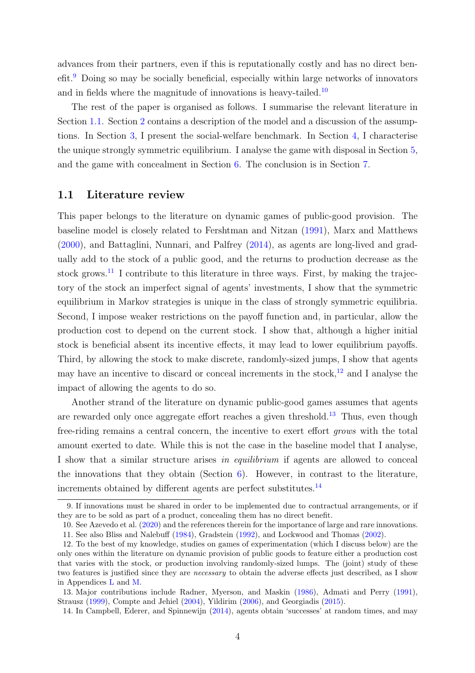advances from their partners, even if this is reputationally costly and has no direct benefit.[9](#page-3-0) Doing so may be socially beneficial, especially within large networks of innovators and in fields where the magnitude of innovations is heavy-tailed.[10](#page-3-1)

The rest of the paper is organised as follows. I summarise the relevant literature in Section [1.1.](#page-3-2) Section [2](#page-5-0) contains a description of the model and a discussion of the assumptions. In Section [3,](#page-8-0) I present the social-welfare benchmark. In Section [4,](#page-10-0) I characterise the unique strongly symmetric equilibrium. I analyse the game with disposal in Section [5,](#page-18-1) and the game with concealment in Section [6.](#page-23-0) The conclusion is in Section [7.](#page-30-1)

#### <span id="page-3-2"></span>1.1 Literature review

This paper belongs to the literature on dynamic games of public-good provision. The baseline model is closely related to Fershtman and Nitzan [\(1991](#page-32-1)), Marx and Matthews [\(2000\)](#page-33-4), and Battaglini, Nunnari, and Palfrey [\(2014\)](#page-31-0), as agents are long-lived and gradually add to the stock of a public good, and the returns to production decrease as the stock grows.<sup>[11](#page-3-3)</sup> I contribute to this literature in three ways. First, by making the trajectory of the stock an imperfect signal of agents' investments, I show that the symmetric equilibrium in Markov strategies is unique in the class of strongly symmetric equilibria. Second, I impose weaker restrictions on the payoff function and, in particular, allow the production cost to depend on the current stock. I show that, although a higher initial stock is beneficial absent its incentive effects, it may lead to lower equilibrium payoffs. Third, by allowing the stock to make discrete, randomly-sized jumps, I show that agents may have an incentive to discard or conceal increments in the stock, [12](#page-3-4) and I analyse the impact of allowing the agents to do so.

Another strand of the literature on dynamic public-good games assumes that agents are rewarded only once aggregate effort reaches a given threshold.<sup>[13](#page-3-5)</sup> Thus, even though free-riding remains a central concern, the incentive to exert effort grows with the total amount exerted to date. While this is not the case in the baseline model that I analyse, I show that a similar structure arises in equilibrium if agents are allowed to conceal the innovations that they obtain (Section [6\)](#page-23-0). However, in contrast to the literature, increments obtained by different agents are perfect substitutes.<sup>[14](#page-3-6)</sup>

<span id="page-3-6"></span><span id="page-3-5"></span>14. In Campbell, Ederer, and Spinnewijn [\(2014\)](#page-31-5), agents obtain 'successes' at random times, and may

<span id="page-3-0"></span><sup>9.</sup> If innovations must be shared in order to be implemented due to contractual arrangements, or if they are to be sold as part of a product, concealing them has no direct benefit.

<span id="page-3-1"></span><sup>10.</sup> See Azevedo et al. [\(2020](#page-30-2)) and the references therein for the importance of large and rare innovations. 11. See also Bliss and Nalebuff [\(1984\)](#page-31-3), Gradstein [\(1992](#page-32-6)), and Lockwood and Thomas [\(2002](#page-33-5)).

<span id="page-3-4"></span><span id="page-3-3"></span><sup>12.</sup> To the best of my knowledge, studies on games of experimentation (which I discuss below) are the only ones within the literature on dynamic provision of public goods to feature either a production cost that varies with the stock, or production involving randomly-sized lumps. The (joint) study of these two features is justified since they are *necessary* to obtain the adverse effects just described, as I show in Appendices [L](#page-81-0) and [M.](#page-83-0)

<sup>13.</sup> Major contributions include Radner, Myerson, and Maskin [\(1986](#page-34-3)), Admati and Perry [\(1991\)](#page-30-3), Strausz [\(1999\)](#page-34-4), Compte and Jehiel [\(2004\)](#page-31-4), Yildirim [\(2006\)](#page-34-5), and Georgiadis [\(2015\)](#page-32-7).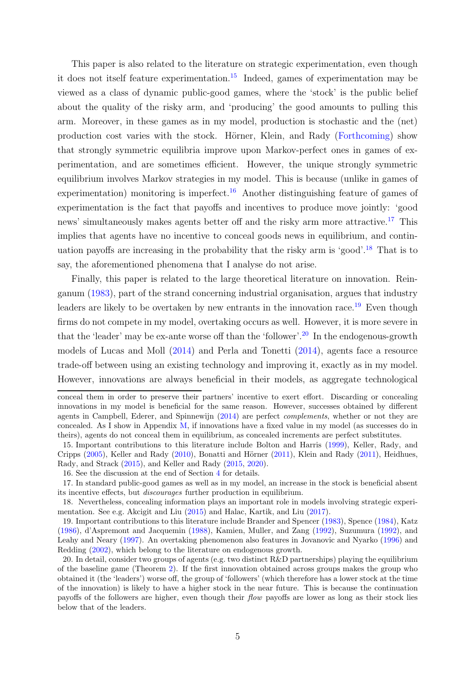This paper is also related to the literature on strategic experimentation, even though it does not itself feature experimentation.<sup>[15](#page-4-0)</sup> Indeed, games of experimentation may be viewed as a class of dynamic public-good games, where the 'stock' is the public belief about the quality of the risky arm, and 'producing' the good amounts to pulling this arm. Moreover, in these games as in my model, production is stochastic and the (net) production cost varies with the stock. Hörner, Klein, and Rady [\(Forthcoming](#page-32-8)) show that strongly symmetric equilibria improve upon Markov-perfect ones in games of experimentation, and are sometimes efficient. However, the unique strongly symmetric equilibrium involves Markov strategies in my model. This is because (unlike in games of experimentation) monitoring is imperfect.<sup>[16](#page-4-1)</sup> Another distinguishing feature of games of experimentation is the fact that payoffs and incentives to produce move jointly: 'good news' simultaneously makes agents better off and the risky arm more attractive.<sup>[17](#page-4-2)</sup> This implies that agents have no incentive to conceal goods news in equilibrium, and contin-uation payoffs are increasing in the probability that the risky arm is 'good'.<sup>[18](#page-4-3)</sup> That is to say, the aforementioned phenomena that I analyse do not arise.

Finally, this paper is related to the large theoretical literature on innovation. Reinganum [\(1983](#page-34-6)), part of the strand concerning industrial organisation, argues that industry leaders are likely to be overtaken by new entrants in the innovation race.<sup>[19](#page-4-4)</sup> Even though firms do not compete in my model, overtaking occurs as well. However, it is more severe in that the 'leader' may be ex-ante worse off than the 'follower'.[20](#page-4-5) In the endogenous-growth models of Lucas and Moll [\(2014\)](#page-33-6) and Perla and Tonetti [\(2014](#page-34-7)), agents face a resource trade-off between using an existing technology and improving it, exactly as in my model. However, innovations are always beneficial in their models, as aggregate technological

conceal them in order to preserve their partners' incentive to exert effort. Discarding or concealing innovations in my model is beneficial for the same reason. However, successes obtained by different agents in Campbell, Ederer, and Spinnewijn [\(2014\)](#page-31-5) are perfect complements, whether or not they are concealed. As I show in Appendix [M,](#page-83-0) if innovations have a fixed value in my model (as successes do in theirs), agents do not conceal them in equilibrium, as concealed increments are perfect substitutes.

<span id="page-4-0"></span><sup>15.</sup> Important contributions to this literature include Bolton and Harris [\(1999](#page-31-6)), Keller, Rady, and Cripps [\(2005\)](#page-33-7), Keller and Rady [\(2010\)](#page-33-8), Bonatti and Hörner [\(2011](#page-31-7)), Klein and Rady [\(2011\)](#page-33-9), Heidhues, Rady, and Strack [\(2015\)](#page-32-9), and Keller and Rady [\(2015,](#page-33-10) [2020\)](#page-33-11).

<span id="page-4-1"></span><sup>16.</sup> See the discussion at the end of Section [4](#page-10-0) for details.

<span id="page-4-2"></span><sup>17.</sup> In standard public-good games as well as in my model, an increase in the stock is beneficial absent its incentive effects, but discourages further production in equilibrium.

<span id="page-4-3"></span><sup>18.</sup> Nevertheless, concealing information plays an important role in models involving strategic experimentation. See e.g. Akcigit and Liu [\(2015\)](#page-30-4) and Halac, Kartik, and Liu [\(2017\)](#page-32-10).

<span id="page-4-4"></span><sup>19.</sup> Important contributions to this literature include Brander and Spencer [\(1983\)](#page-31-8), Spence [\(1984\)](#page-34-8), Katz [\(1986\)](#page-32-11), d'Aspremont and Jacquemin [\(1988\)](#page-31-9), Kamien, Muller, and Zang [\(1992](#page-32-12)), Suzumura [\(1992\)](#page-34-9), and Leahy and Neary [\(1997\)](#page-33-12). An overtaking phenomenon also features in Jovanovic and Nyarko [\(1996](#page-32-13)) and Redding [\(2002](#page-34-10)), which belong to the literature on endogenous growth.

<span id="page-4-5"></span><sup>20.</sup> In detail, consider two groups of agents (e.g. two distinct R&D partnerships) playing the equilibrium of the baseline game (Theorem [2\)](#page-12-0). If the first innovation obtained across groups makes the group who obtained it (the 'leaders') worse off, the group of 'followers' (which therefore has a lower stock at the time of the innovation) is likely to have a higher stock in the near future. This is because the continuation payoffs of the followers are higher, even though their flow payoffs are lower as long as their stock lies below that of the leaders.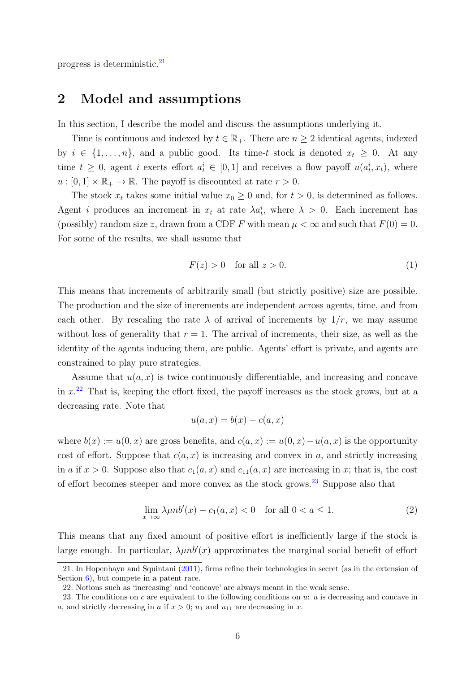<span id="page-5-0"></span>progress is deterministic.[21](#page-5-1)

### 2 Model and assumptions

In this section, I describe the model and discuss the assumptions underlying it.

Time is continuous and indexed by  $t \in \mathbb{R}_+$ . There are  $n \geq 2$  identical agents, indexed by  $i \in \{1, \ldots, n\}$ , and a public good. Its time-t stock is denoted  $x_t \geq 0$ . At any time  $t \geq 0$ , agent i exerts effort  $a_t^i \in [0,1]$  and receives a flow payoff  $u(a_t^i, x_t)$ , where  $u:[0,1]\times\mathbb{R}_+\to\mathbb{R}$ . The payoff is discounted at rate  $r>0$ .

The stock  $x_t$  takes some initial value  $x_0 \geq 0$  and, for  $t > 0$ , is determined as follows. Agent *i* produces an increment in  $x_t$  at rate  $\lambda a_t^i$ , where  $\lambda > 0$ . Each increment has (possibly) random size z, drawn from a CDF F with mean  $\mu < \infty$  and such that  $F(0) = 0$ . For some of the results, we shall assume that

<span id="page-5-5"></span>
$$
F(z) > 0 \quad \text{for all } z > 0. \tag{1}
$$

This means that increments of arbitrarily small (but strictly positive) size are possible. The production and the size of increments are independent across agents, time, and from each other. By rescaling the rate  $\lambda$  of arrival of increments by  $1/r$ , we may assume without loss of generality that  $r = 1$ . The arrival of increments, their size, as well as the identity of the agents inducing them, are public. Agents' effort is private, and agents are constrained to play pure strategies.

Assume that  $u(a, x)$  is twice continuously differentiable, and increasing and concave in  $x^{22}$  $x^{22}$  $x^{22}$  That is, keeping the effort fixed, the payoff increases as the stock grows, but at a decreasing rate. Note that

$$
u(a,x) = b(x) - c(a,x)
$$

where  $b(x) := u(0, x)$  are gross benefits, and  $c(a, x) := u(0, x) - u(a, x)$  is the opportunity cost of effort. Suppose that  $c(a, x)$  is increasing and convex in a, and strictly increasing in a if  $x > 0$ . Suppose also that  $c_1(a, x)$  and  $c_{11}(a, x)$  are increasing in x; that is, the cost of effort becomes steeper and more convex as the stock grows.[23](#page-5-3) Suppose also that

<span id="page-5-4"></span>
$$
\lim_{x \to \infty} \lambda \mu n b'(x) - c_1(a, x) < 0 \quad \text{for all } 0 < a \le 1. \tag{2}
$$

This means that any fixed amount of positive effort is inefficiently large if the stock is large enough. In particular,  $\lambda \mu n b'(x)$  approximates the marginal social benefit of effort

<sup>21.</sup> In Hopenhayn and Squintani [\(2011](#page-32-14)), firms refine their technologies in secret (as in the extension of Section  $6$ ), but compete in a patent race.

<span id="page-5-2"></span><span id="page-5-1"></span><sup>22.</sup> Notions such as 'increasing' and 'concave' are always meant in the weak sense.

<span id="page-5-3"></span><sup>23.</sup> The conditions on  $c$  are equivalent to the following conditions on  $u: u$  is decreasing and concave in a, and strictly decreasing in a if  $x > 0$ ;  $u_1$  and  $u_{11}$  are decreasing in x.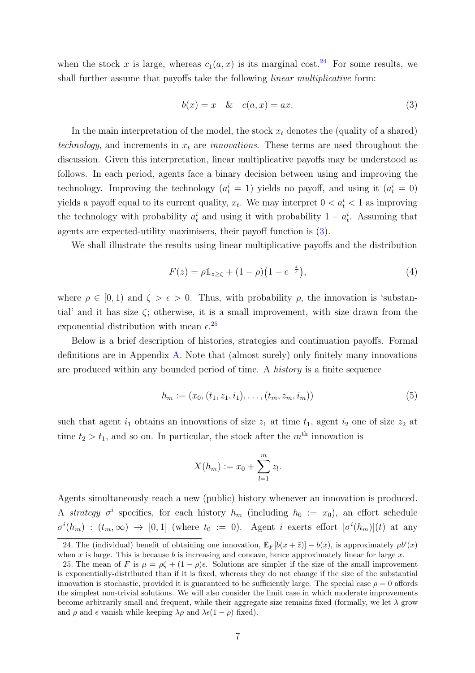when the stock x is large, whereas  $c_1(a, x)$  is its marginal cost.<sup>[24](#page-6-0)</sup> For some results, we shall further assume that payoffs take the following *linear multiplicative* form:

<span id="page-6-1"></span>
$$
b(x) = x \& c(a, x) = ax.
$$
\n
$$
(3)
$$

In the main interpretation of the model, the stock  $x_t$  denotes the (quality of a shared) technology, and increments in  $x_t$  are *innovations*. These terms are used throughout the discussion. Given this interpretation, linear multiplicative payoffs may be understood as follows. In each period, agents face a binary decision between using and improving the technology. Improving the technology  $(a_t^i = 1)$  yields no payoff, and using it  $(a_t^i = 0)$ yields a payoff equal to its current quality,  $x_t$ . We may interpret  $0 < a_t^i < 1$  as improving the technology with probability  $a_t^i$  and using it with probability  $1 - a_t^i$ . Assuming that agents are expected-utility maximisers, their payoff function is [\(3\)](#page-6-1).

We shall illustrate the results using linear multiplicative payoffs and the distribution

<span id="page-6-4"></span>
$$
F(z) = \rho \mathbb{1}_{z \ge \zeta} + (1 - \rho)(1 - e^{-\frac{z}{\epsilon}}),\tag{4}
$$

where  $\rho \in [0, 1)$  and  $\zeta > \epsilon > 0$ . Thus, with probability  $\rho$ , the innovation is 'substantial' and it has size  $\zeta$ ; otherwise, it is a small improvement, with size drawn from the exponential distribution with mean  $\epsilon$ <sup>[25](#page-6-2)</sup>

Below is a brief description of histories, strategies and continuation payoffs. Formal definitions are in Appendix [A.](#page-35-0) Note that (almost surely) only finitely many innovations are produced within any bounded period of time. A history is a finite sequence

<span id="page-6-3"></span>
$$
h_m := (x_0, (t_1, z_1, i_1), \dots, (t_m, z_m, i_m))
$$
\n<sup>(5)</sup>

such that agent  $i_1$  obtains an innovations of size  $z_1$  at time  $t_1$ , agent  $i_2$  one of size  $z_2$  at time  $t_2 > t_1$ , and so on. In particular, the stock after the  $m<sup>th</sup>$  innovation is

$$
X(h_m) := x_0 + \sum_{l=1}^m z_l.
$$

Agents simultaneously reach a new (public) history whenever an innovation is produced. A strategy  $\sigma^i$  specifies, for each history  $h_m$  (including  $h_0 := x_0$ ), an effort schedule  $\sigma^{i}(h_m)$  :  $(t_m,\infty) \to [0,1]$  (where  $t_0 := 0$ ). Agent i exerts effort  $[\sigma^{i}(h_m)](t)$  at any

<span id="page-6-0"></span><sup>24.</sup> The (individual) benefit of obtaining one innovation,  $\mathbb{E}_F[b(x+\tilde{z})] - b(x)$ , is approximately  $\mu b'(x)$ when  $x$  is large. This is because  $b$  is increasing and concave, hence approximately linear for large  $x$ .

<span id="page-6-2"></span><sup>25.</sup> The mean of F is  $\mu = \rho \zeta + (1 - \rho)\epsilon$ . Solutions are simpler if the size of the small improvement is exponentially-distributed than if it is fixed, whereas they do not change if the size of the substantial innovation is stochastic, provided it is guaranteed to be sufficiently large. The special case  $\rho = 0$  affords the simplest non-trivial solutions. We will also consider the limit case in which moderate improvements become arbitrarily small and frequent, while their aggregate size remains fixed (formally, we let  $\lambda$  grow and  $\rho$  and  $\epsilon$  vanish while keeping  $\lambda \rho$  and  $\lambda \epsilon (1 - \rho)$  fixed).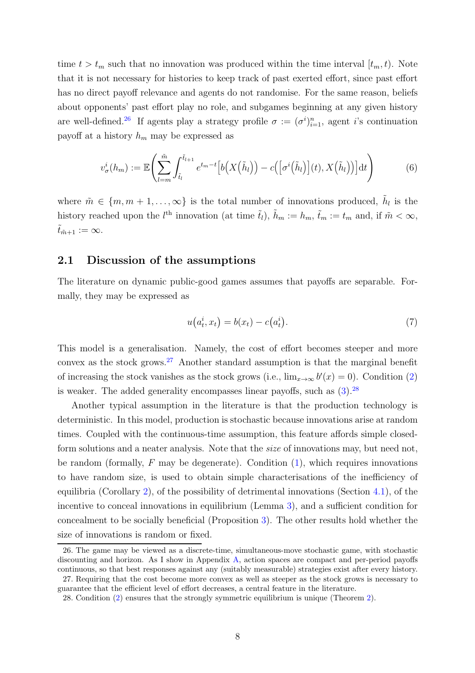time  $t > t_m$  such that no innovation was produced within the time interval  $[t_m, t)$ . Note that it is not necessary for histories to keep track of past exerted effort, since past effort has no direct payoff relevance and agents do not randomise. For the same reason, beliefs about opponents' past effort play no role, and subgames beginning at any given history are well-defined.<sup>[26](#page-7-0)</sup> If agents play a strategy profile  $\sigma := (\sigma^i)_{i=1}^n$ , agent i's continuation payoff at a history  $h_m$  may be expressed as

<span id="page-7-4"></span>
$$
v_{\sigma}^{i}(h_{m}) := \mathbb{E}\left(\sum_{l=m}^{\tilde{m}} \int_{\tilde{t}_{l}}^{\tilde{t}_{l+1}} e^{t_{m}-t} \left[b\big(X\big(\tilde{h}_{l}\big)\big)-c\big(\big[\sigma^{i}\big(\tilde{h}_{l}\big)\big](t),X\big(\tilde{h}_{l}\big)\big)\right]dt\right) \tag{6}
$$

where  $\tilde{m} \in \{m, m+1, \ldots, \infty\}$  is the total number of innovations produced,  $\tilde{h}_l$  is the history reached upon the  $l^{\text{th}}$  innovation (at time  $\tilde{t}_l$ ),  $\tilde{h}_m := h_m$ ,  $\tilde{t}_m := t_m$  and, if  $\tilde{m} < \infty$ ,  $\tilde{t}_{\tilde{m}+1} := \infty.$ 

#### 2.1 Discussion of the assumptions

The literature on dynamic public-good games assumes that payoffs are separable. Formally, they may be expressed as

<span id="page-7-3"></span>
$$
u(a_t^i, x_t) = b(x_t) - c(a_t^i). \tag{7}
$$

This model is a generalisation. Namely, the cost of effort becomes steeper and more convex as the stock grows.<sup>[27](#page-7-1)</sup> Another standard assumption is that the marginal benefit of increasing the stock vanishes as the stock grows (i.e.,  $\lim_{x\to\infty} b'(x) = 0$ ). Condition [\(2\)](#page-5-4) is weaker. The added generality encompasses linear payoffs, such as  $(3)$ .<sup>[28](#page-7-2)</sup>

Another typical assumption in the literature is that the production technology is deterministic. In this model, production is stochastic because innovations arise at random times. Coupled with the continuous-time assumption, this feature affords simple closedform solutions and a neater analysis. Note that the size of innovations may, but need not, be random (formally,  $F$  may be degenerate). Condition  $(1)$ , which requires innovations to have random size, is used to obtain simple characterisations of the inefficiency of equilibria (Corollary [2\)](#page-12-1), of the possibility of detrimental innovations (Section [4.1\)](#page-15-1), of the incentive to conceal innovations in equilibrium (Lemma [3\)](#page-27-0), and a sufficient condition for concealment to be socially beneficial (Proposition [3\)](#page-29-0). The other results hold whether the size of innovations is random or fixed.

<span id="page-7-0"></span><sup>26.</sup> The game may be viewed as a discrete-time, simultaneous-move stochastic game, with stochastic discounting and horizon. As I show in Appendix [A,](#page-35-0) action spaces are compact and per-period payoffs continuous, so that best responses against any (suitably measurable) strategies exist after every history. 27. Requiring that the cost become more convex as well as steeper as the stock grows is necessary to

<span id="page-7-1"></span>guarantee that the efficient level of effort decreases, a central feature in the literature.

<span id="page-7-2"></span><sup>28.</sup> Condition [\(2\)](#page-5-4) ensures that the strongly symmetric equilibrium is unique (Theorem [2\)](#page-12-0).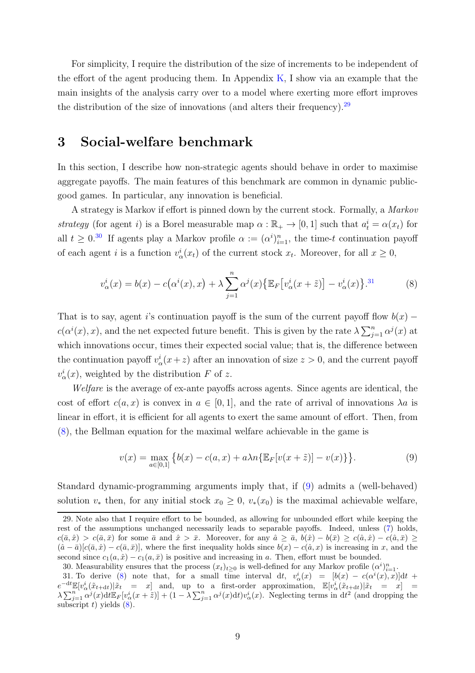For simplicity, I require the distribution of the size of increments to be independent of the effort of the agent producing them. In Appendix [K,](#page-79-0) I show via an example that the main insights of the analysis carry over to a model where exerting more effort improves the distribution of the size of innovations (and alters their frequency).<sup>[29](#page-8-1)</sup>

### <span id="page-8-0"></span>3 Social-welfare benchmark

In this section, I describe how non-strategic agents should behave in order to maximise aggregate payoffs. The main features of this benchmark are common in dynamic publicgood games. In particular, any innovation is beneficial.

A strategy is Markov if effort is pinned down by the current stock. Formally, a Markov strategy (for agent i) is a Borel measurable map  $\alpha : \mathbb{R}_+ \to [0,1]$  such that  $a_t^i = \alpha(x_t)$  for all  $t \geq 0.30$  $t \geq 0.30$  If agents play a Markov profile  $\alpha := (\alpha^i)_{i=1}^n$ , the time-t continuation payoff of each agent *i* is a function  $v^i_\alpha(x_t)$  of the current stock  $x_t$ . Moreover, for all  $x \geq 0$ ,

<span id="page-8-4"></span>
$$
v_{\alpha}^{i}(x) = b(x) - c(\alpha^{i}(x), x) + \lambda \sum_{j=1}^{n} \alpha^{j}(x) \{ \mathbb{E}_{F} \left[ v_{\alpha}^{i}(x + \tilde{z}) \right] - v_{\alpha}^{i}(x) \} .^{31}
$$
(8)

That is to say, agent i's continuation payoff is the sum of the current payoff flow  $b(x)$  –  $c(\alpha^i(x), x)$ , and the net expected future benefit. This is given by the rate  $\lambda \sum_{j=1}^n \alpha^j(x)$  at which innovations occur, times their expected social value; that is, the difference between the continuation payoff  $v^i_\alpha(x+z)$  after an innovation of size  $z > 0$ , and the current payoff  $v^i_\alpha(x)$ , weighted by the distribution F of z.

Welfare is the average of ex-ante payoffs across agents. Since agents are identical, the cost of effort  $c(a, x)$  is convex in  $a \in [0, 1]$ , and the rate of arrival of innovations  $\lambda a$  is linear in effort, it is efficient for all agents to exert the same amount of effort. Then, from [\(8\)](#page-8-4), the Bellman equation for the maximal welfare achievable in the game is

<span id="page-8-5"></span>
$$
v(x) = \max_{a \in [0,1]} \{b(x) - c(a,x) + a\lambda n \{\mathbb{E}_F[v(x+\tilde{z})] - v(x)\}\}.
$$
 (9)

Standard dynamic-programming arguments imply that, if [\(9\)](#page-8-5) admits a (well-behaved) solution  $v_*$  then, for any initial stock  $x_0 \geq 0$ ,  $v_*(x_0)$  is the maximal achievable welfare,

<span id="page-8-1"></span><sup>29.</sup> Note also that I require effort to be bounded, as allowing for unbounded effort while keeping the rest of the assumptions unchanged necessarily leads to separable payoffs. Indeed, unless [\(7\)](#page-7-3) holds,  $c(\bar{a}, \hat{x}) > c(\bar{a}, \bar{x})$  for some  $\bar{a}$  and  $\hat{x} > \bar{x}$ . Moreover, for any  $\hat{a} \geq \bar{a}$ ,  $b(\hat{x}) - b(\bar{x}) \geq c(\hat{a}, \hat{x}) - c(\hat{a}, \bar{x}) \geq$  $(\hat{a}-\bar{a})[c(\bar{a},\hat{x})-c(\bar{a},\bar{x})]$ , where the first inequality holds since  $b(x)-c(\hat{a},x)$  is increasing in x, and the second since  $c_1(a, \hat{x}) - c_1(a, \bar{x})$  is positive and increasing in a. Then, effort must be bounded.

<span id="page-8-2"></span><sup>30.</sup> Measurability ensures that the process  $(x_t)_{t\geq 0}$  is well-defined for any Markov profile  $(\alpha^i)_{i=1}^n$ .

<span id="page-8-3"></span><sup>31.</sup> To derive [\(8\)](#page-8-4) note that, for a small time interval dt,  $v^i_\alpha(x) = [b(x) - c(\alpha^i(x), x)]dt +$  $e^{-dt}\mathbb{E}[v^i_\alpha(\tilde{x}_{t+dt})|\tilde{x}_t = x]$  and, up to a first-order approximation,  $\mathbb{E}[v^i_\alpha(\tilde{x}_{t+dt})|\tilde{x}_t = x] = x$  $\lambda \sum_{j=1}^{n} \alpha^{j}(x) dt \mathbb{E}_{F} [v_{\alpha}^{i}(x+\tilde{z})] + (1-\lambda \sum_{j=1}^{n} \alpha^{j}(x) dt) v_{\alpha}^{i}(x)$ . Neglecting terms in dt<sup>2</sup> (and dropping the subscript t) yields  $(8)$ .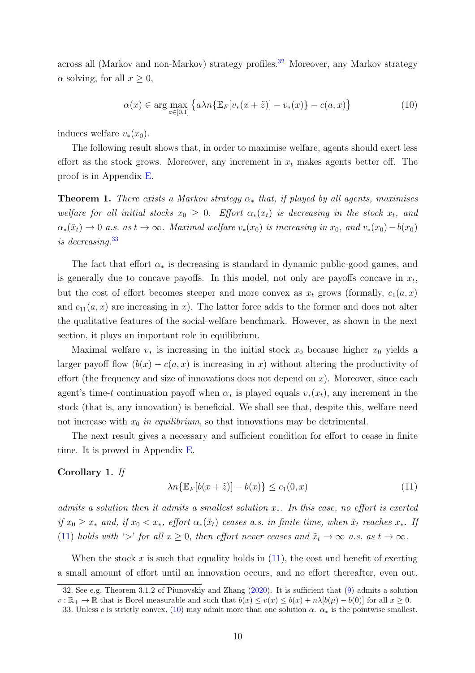across all (Markov and non-Markov) strategy profiles.<sup>[32](#page-9-1)</sup> Moreover, any Markov strategy  $\alpha$  solving, for all  $x \geq 0$ ,

<span id="page-9-4"></span>
$$
\alpha(x) \in \arg\max_{a \in [0,1]} \left\{ a\lambda n \{ \mathbb{E}_F[v_*(x+\tilde{z})] - v_*(x) \} - c(a,x) \right\} \tag{10}
$$

induces welfare  $v_*(x_0)$ .

<span id="page-9-0"></span>The following result shows that, in order to maximise welfare, agents should exert less effort as the stock grows. Moreover, any increment in  $x_t$  makes agents better off. The proof is in Appendix [E.](#page-47-0)

**Theorem 1.** There exists a Markov strategy  $\alpha_*$  that, if played by all agents, maximises welfare for all initial stocks  $x_0 \geq 0$ . Effort  $\alpha_*(x_t)$  is decreasing in the stock  $x_t$ , and  $\alpha_*(\tilde{x}_t) \to 0$  a.s. as  $t \to \infty$ . Maximal welfare  $v_*(x_0)$  is increasing in  $x_0$ , and  $v_*(x_0) - b(x_0)$ is decreasing.[33](#page-9-2)

The fact that effort  $\alpha_*$  is decreasing is standard in dynamic public-good games, and is generally due to concave payoffs. In this model, not only are payoffs concave in  $x_t$ , but the cost of effort becomes steeper and more convex as  $x_t$  grows (formally,  $c_1(a, x)$ ) and  $c_{11}(a, x)$  are increasing in x). The latter force adds to the former and does not alter the qualitative features of the social-welfare benchmark. However, as shown in the next section, it plays an important role in equilibrium.

Maximal welfare  $v_*$  is increasing in the initial stock  $x_0$  because higher  $x_0$  yields a larger payoff flow  $(b(x) - c(a, x)$  is increasing in x) without altering the productivity of effort (the frequency and size of innovations does not depend on x). Moreover, since each agent's time-t continuation payoff when  $\alpha_*$  is played equals  $v_*(x_t)$ , any increment in the stock (that is, any innovation) is beneficial. We shall see that, despite this, welfare need not increase with  $x_0$  in equilibrium, so that innovations may be detrimental.

<span id="page-9-5"></span>The next result gives a necessary and sufficient condition for effort to cease in finite time. It is proved in Appendix [E.](#page-47-0)

#### Corollary 1. If

<span id="page-9-3"></span>
$$
\lambda n \{\mathbb{E}_F[b(x+\tilde{z})] - b(x)\} \le c_1(0,x) \tag{11}
$$

admits a solution then it admits a smallest solution  $x_{*}$ . In this case, no effort is exerted if  $x_0 \geq x_*$  and, if  $x_0 < x_*$ , effort  $\alpha_*(\tilde{x}_t)$  ceases a.s. in finite time, when  $\tilde{x}_t$  reaches  $x_*$ . If [\(11\)](#page-9-3) holds with '>' for all  $x \geq 0$ , then effort never ceases and  $\tilde{x}_t \to \infty$  a.s. as  $t \to \infty$ .

When the stock x is such that equality holds in  $(11)$ , the cost and benefit of exerting a small amount of effort until an innovation occurs, and no effort thereafter, even out.

<sup>32.</sup> See e.g. Theorem 3.1.2 of Piunovskiy and Zhang [\(2020\)](#page-34-11). It is sufficient that [\(9\)](#page-8-5) admits a solution

<span id="page-9-2"></span><span id="page-9-1"></span> $v : \mathbb{R}_+ \to \mathbb{R}$  that is Borel measurable and such that  $b(x) \le v(x) \le b(x) + n\lambda[b(\mu) - b(0)]$  for all  $x \ge 0$ . 33. Unless c is strictly convex, [\(10\)](#page-9-4) may admit more than one solution  $\alpha$ .  $\alpha_*$  is the pointwise smallest.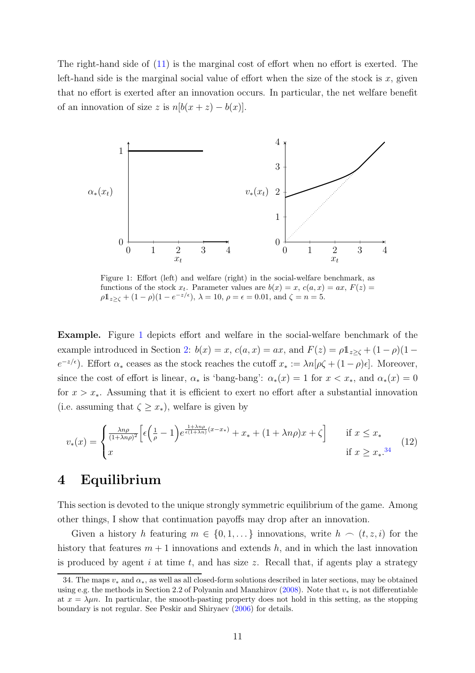The right-hand side of [\(11\)](#page-9-3) is the marginal cost of effort when no effort is exerted. The left-hand side is the marginal social value of effort when the size of the stock is  $x$ , given that no effort is exerted after an innovation occurs. In particular, the net welfare benefit of an innovation of size z is  $n[b(x + z) - b(x)].$ 

<span id="page-10-1"></span>

Figure 1: Effort (left) and welfare (right) in the social-welfare benchmark, as functions of the stock  $x_t$ . Parameter values are  $b(x) = x$ ,  $c(a, x) = ax$ ,  $F(z) =$  $\rho \mathbb{1}_{z \ge \zeta} + (1 - \rho)(1 - e^{-z/\epsilon}), \ \lambda = 10, \ \rho = \epsilon = 0.01, \text{ and } \zeta = n = 5.$ 

Example. Figure [1](#page-10-1) depicts effort and welfare in the social-welfare benchmark of the example introduced in Section [2:](#page-5-0)  $b(x) = x$ ,  $c(a, x) = ax$ , and  $F(z) = \rho \mathbb{1}_{z \geq \zeta} + (1 - \rho)(1 - \zeta)$  $e^{-z/\epsilon}$ ). Effort  $\alpha_*$  ceases as the stock reaches the cutoff  $x_* := \lambda n[\rho \zeta + (1-\rho)\epsilon]$ . Moreover, since the cost of effort is linear,  $\alpha_*$  is 'bang-bang':  $\alpha_*(x) = 1$  for  $x < x_*,$  and  $\alpha_*(x) = 0$ for  $x > x_*$ . Assuming that it is efficient to exert no effort after a substantial innovation (i.e. assuming that  $\zeta \geq x_*$ ), welfare is given by

$$
v_*(x) = \begin{cases} \frac{\lambda n \rho}{(1 + \lambda n \rho)^2} \left[ \epsilon \left( \frac{1}{\rho} - 1 \right) e^{\frac{1 + \lambda n \rho}{\epsilon (1 + \lambda n)} (x - x_*)} + x_* + (1 + \lambda n \rho) x + \zeta \right] & \text{if } x \le x_*\\ x & \text{if } x \ge x_* \end{cases} \tag{12}
$$

### <span id="page-10-0"></span>4 Equilibrium

This section is devoted to the unique strongly symmetric equilibrium of the game. Among other things, I show that continuation payoffs may drop after an innovation.

Given a history h featuring  $m \in \{0, 1, \ldots\}$  innovations, write  $h \sim (t, z, i)$  for the history that features  $m + 1$  innovations and extends h, and in which the last innovation is produced by agent  $i$  at time  $t$ , and has size  $z$ . Recall that, if agents play a strategy

<span id="page-10-2"></span><sup>34.</sup> The maps  $v_*$  and  $\alpha_*$ , as well as all closed-form solutions described in later sections, may be obtained using e.g. the methods in Section 2.2 of Polyanin and Manzhirov [\(2008\)](#page-34-12). Note that  $v_*$  is not differentiable at  $x = \lambda \mu n$ . In particular, the smooth-pasting property does not hold in this setting, as the stopping boundary is not regular. See Peskir and Shiryaev [\(2006](#page-34-13)) for details.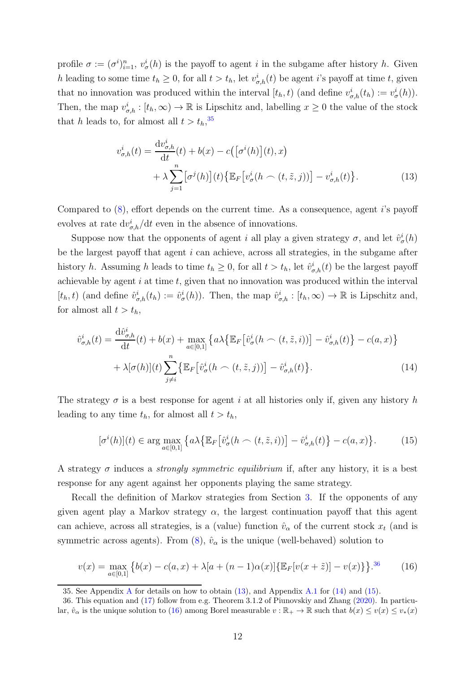profile  $\sigma := (\sigma^i)_{i=1}^n$ ,  $v^i_{\sigma}(h)$  is the payoff to agent i in the subgame after history h. Given h leading to some time  $t_h \geq 0$ , for all  $t > t_h$ , let  $v_{\sigma,h}^i(t)$  be agent i's payoff at time t, given that no innovation was produced within the interval  $[t_h, t)$  (and define  $v^i_{\sigma,h}(t_h) := v^i_{\sigma}(h)$ ). Then, the map  $v_{\sigma,h}^i : [t_h, \infty) \to \mathbb{R}$  is Lipschitz and, labelling  $x \geq 0$  the value of the stock that h leads to, for almost all  $t > t<sub>h</sub>,<sup>35</sup>$  $t > t<sub>h</sub>,<sup>35</sup>$  $t > t<sub>h</sub>,<sup>35</sup>$ 

<span id="page-11-2"></span>
$$
v_{\sigma,h}^{i}(t) = \frac{\mathrm{d}v_{\sigma,h}^{i}}{\mathrm{d}t}(t) + b(x) - c\big(\big[\sigma^{i}(h)\big](t), x\big) + \lambda \sum_{j=1}^{n} \big[\sigma^{j}(h)\big](t) \big\{ \mathbb{E}_{F}\big[v_{\sigma}^{i}(h \frown (t, \tilde{z}, j))\big] - v_{\sigma,h}^{i}(t) \big\}.
$$
 (13)

Compared to  $(8)$ , effort depends on the current time. As a consequence, agent is payoff evolves at rate  $dv_{\sigma,h}^i/dt$  even in the absence of innovations.

Suppose now that the opponents of agent i all play a given strategy  $\sigma$ , and let  $\hat{v}^i_{\sigma}(h)$ be the largest payoff that agent i can achieve, across all strategies, in the subgame after history h. Assuming h leads to time  $t_h \geq 0$ , for all  $t > t_h$ , let  $\hat{v}_{\sigma,h}^i(t)$  be the largest payoff achievable by agent  $i$  at time  $t$ , given that no innovation was produced within the interval  $[t_h, t)$  (and define  $\hat{v}_{\sigma,h}^i(t_h) := \hat{v}_{\sigma}^i(h)$ ). Then, the map  $\hat{v}_{\sigma,h}^i : [t_h, \infty) \to \mathbb{R}$  is Lipschitz and, for almost all  $t > t_h$ ,

$$
\hat{v}_{\sigma,h}^{i}(t) = \frac{\mathrm{d}\hat{v}_{\sigma,h}^{i}}{\mathrm{d}t}(t) + b(x) + \max_{a \in [0,1]} \left\{ a\lambda \left\{ \mathbb{E}_{F} \left[ \hat{v}_{\sigma}^{i}(h \frown (t,\tilde{z},i)) \right] - \hat{v}_{\sigma,h}^{i}(t) \right\} - c(a,x) \right\} + \lambda[\sigma(h)](t) \sum_{j \neq i}^{n} \left\{ \mathbb{E}_{F} \left[ \hat{v}_{\sigma}^{i}(h \frown (t,\tilde{z},j)) \right] - \hat{v}_{\sigma,h}^{i}(t) \right\}.
$$
\n(14)

The strategy  $\sigma$  is a best response for agent i at all histories only if, given any history h leading to any time  $t_h$ , for almost all  $t > t_h$ ,

<span id="page-11-4"></span><span id="page-11-3"></span>
$$
[\sigma^{i}(h)](t) \in \arg\max_{a\in[0,1]} \left\{ a\lambda \left\{ \mathbb{E}_{F} \left[ \hat{v}^{i}_{\sigma}(h-(t,\tilde{z},i)) \right] - \hat{v}^{i}_{\sigma,h}(t) \right\} - c(a,x) \right\}.
$$
 (15)

A strategy  $\sigma$  induces a *strongly symmetric equilibrium* if, after any history, it is a best response for any agent against her opponents playing the same strategy.

Recall the definition of Markov strategies from Section [3.](#page-8-0) If the opponents of any given agent play a Markov strategy  $\alpha$ , the largest continuation payoff that this agent can achieve, across all strategies, is a (value) function  $\hat{v}_{\alpha}$  of the current stock  $x_t$  (and is symmetric across agents). From [\(8\)](#page-8-4),  $\hat{v}_{\alpha}$  is the unique (well-behaved) solution to

<span id="page-11-5"></span>
$$
v(x) = \max_{a \in [0,1]} \left\{ b(x) - c(a,x) + \lambda [a + (n-1)\alpha(x)] \{ \mathbb{E}_F[v(x+\tilde{z})] - v(x) \} \right\}^{36}
$$
 (16)

<span id="page-11-0"></span><sup>35.</sup> See Appendix [A](#page-35-0) for details on how to obtain [\(13\)](#page-11-2), and Appendix [A.1](#page-37-0) for [\(14\)](#page-11-3) and [\(15\)](#page-11-4).

<span id="page-11-1"></span><sup>36.</sup> This equation and [\(17\)](#page-12-2) follow from e.g. Theorem 3.1.2 of Piunovskiy and Zhang [\(2020\)](#page-34-11). In particular,  $\hat{v}_{\alpha}$  is the unique solution to [\(16\)](#page-11-5) among Borel measurable  $v : \mathbb{R}_+ \to \mathbb{R}$  such that  $b(x) \le v(x) \le v_*(x)$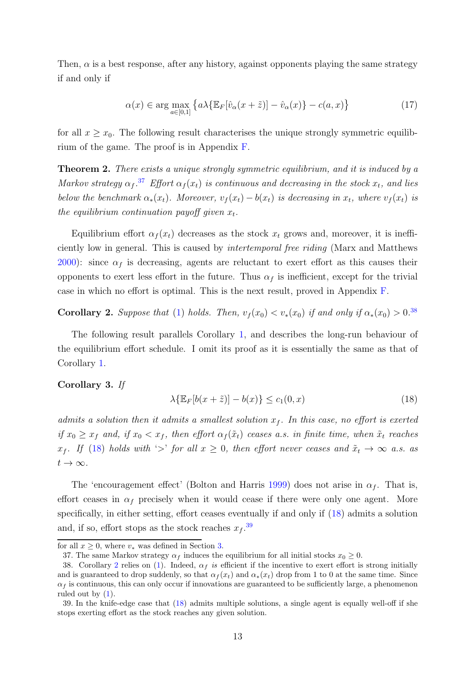Then,  $\alpha$  is a best response, after any history, against opponents playing the same strategy if and only if

<span id="page-12-2"></span>
$$
\alpha(x) \in \arg\max_{a \in [0,1]} \left\{ a\lambda \{ \mathbb{E}_F[\hat{v}_\alpha(x+\tilde{z})] - \hat{v}_\alpha(x) \} - c(a,x) \right\} \tag{17}
$$

<span id="page-12-0"></span>for all  $x \geq x_0$ . The following result characterises the unique strongly symmetric equilibrium of the game. The proof is in Appendix [F.](#page-49-0)

Theorem 2. There exists a unique strongly symmetric equilibrium, and it is induced by a Markov strategy  $\alpha_f$ .<sup>[37](#page-12-3)</sup> Effort  $\alpha_f(x_t)$  is continuous and decreasing in the stock  $x_t$ , and lies below the benchmark  $\alpha_*(x_t)$ . Moreover,  $v_f(x_t) - b(x_t)$  is decreasing in  $x_t$ , where  $v_f(x_t)$  is the equilibrium continuation payoff given  $x_t$ .

Equilibrium effort  $\alpha_f(x_t)$  decreases as the stock  $x_t$  grows and, moreover, it is inefficiently low in general. This is caused by intertemporal free riding (Marx and Matthews [2000\)](#page-33-4): since  $\alpha_f$  is decreasing, agents are reluctant to exert effort as this causes their opponents to exert less effort in the future. Thus  $\alpha_f$  is inefficient, except for the trivial case in which no effort is optimal. This is the next result, proved in Appendix [F.](#page-49-0)

<span id="page-12-1"></span>**Corollary 2.** Suppose that [\(1\)](#page-5-5) holds. Then,  $v_f(x_0) < v_*(x_0)$  if and only if  $\alpha_*(x_0) > 0.38$  $\alpha_*(x_0) > 0.38$ 

The following result parallels Corollary [1,](#page-9-5) and describes the long-run behaviour of the equilibrium effort schedule. I omit its proof as it is essentially the same as that of Corollary [1.](#page-9-5)

#### <span id="page-12-7"></span>Corollary 3. If

<span id="page-12-5"></span>
$$
\lambda \{\mathbb{E}_F[b(x+\tilde{z})] - b(x)\} \le c_1(0,x)
$$
\n(18)

admits a solution then it admits a smallest solution  $x_f$ . In this case, no effort is exerted if  $x_0 \geq x_f$  and, if  $x_0 < x_f$ , then effort  $\alpha_f(\tilde{x}_t)$  ceases a.s. in finite time, when  $\tilde{x}_t$  reaches  $x_f$ . If [\(18\)](#page-12-5) holds with '>' for all  $x \geq 0$ , then effort never ceases and  $\tilde{x}_t \to \infty$  a.s. as  $t\to\infty$ .

The 'encouragement effect' (Bolton and Harris [1999\)](#page-31-6) does not arise in  $\alpha_f$ . That is, effort ceases in  $\alpha_f$  precisely when it would cease if there were only one agent. More specifically, in either setting, effort ceases eventually if and only if [\(18\)](#page-12-5) admits a solution and, if so, effort stops as the stock reaches  $x_f$ .<sup>[39](#page-12-6)</sup>

for all  $x \geq 0$ , where  $v_*$  was defined in Section [3.](#page-8-0)

<sup>37.</sup> The same Markov strategy  $\alpha_f$  induces the equilibrium for all initial stocks  $x_0 \geq 0$ .

<span id="page-12-4"></span><span id="page-12-3"></span><sup>38.</sup> Corollary [2](#page-12-1) relies on [\(1\)](#page-5-5). Indeed,  $\alpha_f$  is efficient if the incentive to exert effort is strong initially and is guaranteed to drop suddenly, so that  $\alpha_f(x_t)$  and  $\alpha_*(x_t)$  drop from 1 to 0 at the same time. Since  $\alpha_f$  is continuous, this can only occur if innovations are guaranteed to be sufficiently large, a phenomenon ruled out by  $(1)$ .

<span id="page-12-6"></span><sup>39.</sup> In the knife-edge case that [\(18\)](#page-12-5) admits multiple solutions, a single agent is equally well-off if she stops exerting effort as the stock reaches any given solution.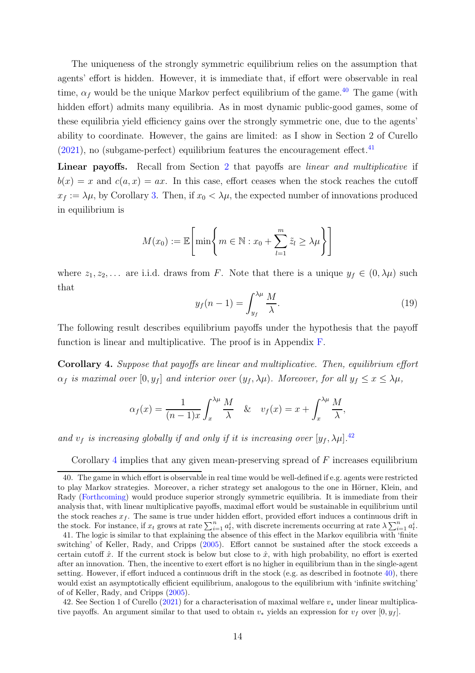The uniqueness of the strongly symmetric equilibrium relies on the assumption that agents' effort is hidden. However, it is immediate that, if effort were observable in real time,  $\alpha_f$  would be the unique Markov perfect equilibrium of the game.<sup>[40](#page-13-0)</sup> The game (with hidden effort) admits many equilibria. As in most dynamic public-good games, some of these equilibria yield efficiency gains over the strongly symmetric one, due to the agents' ability to coordinate. However, the gains are limited: as I show in Section 2 of Curello  $(2021)$ , no (subgame-perfect) equilibrium features the encouragement effect.<sup>[41](#page-13-1)</sup>

Linear payoffs. Recall from Section [2](#page-5-0) that payoffs are *linear and multiplicative* if  $b(x) = x$  and  $c(a, x) = ax$ . In this case, effort ceases when the stock reaches the cutoff  $x_f := \lambda \mu$ , by Corollary [3.](#page-12-7) Then, if  $x_0 < \lambda \mu$ , the expected number of innovations produced in equilibrium is

$$
M(x_0) := \mathbb{E}\left[\min\left\{m \in \mathbb{N} : x_0 + \sum_{l=1}^m \tilde{z}_l \ge \lambda \mu\right\}\right]
$$

where  $z_1, z_2, \ldots$  are i.i.d. draws from F. Note that there is a unique  $y_f \in (0, \lambda \mu)$  such that

<span id="page-13-4"></span>
$$
y_f(n-1) = \int_{y_f}^{\lambda \mu} \frac{M}{\lambda}.\tag{19}
$$

<span id="page-13-3"></span>The following result describes equilibrium payoffs under the hypothesis that the payoff function is linear and multiplicative. The proof is in Appendix [F.](#page-49-0)

Corollary 4. Suppose that payoffs are linear and multiplicative. Then, equilibrium effort  $\alpha_f$  is maximal over  $[0, y_f]$  and interior over  $(y_f, \lambda \mu)$ . Moreover, for all  $y_f \leq x \leq \lambda \mu$ ,

$$
\alpha_f(x) = \frac{1}{(n-1)x} \int_x^{\lambda \mu} \frac{M}{\lambda} \quad \& \quad v_f(x) = x + \int_x^{\lambda \mu} \frac{M}{\lambda},
$$

and  $v_f$  is increasing globally if and only if it is increasing over  $[y_f, \lambda \mu]$ .<sup>[42](#page-13-2)</sup>

Corollary  $4$  implies that any given mean-preserving spread of  $F$  increases equilibrium

<span id="page-13-0"></span><sup>40.</sup> The game in which effort is observable in real time would be well-defined if e.g. agents were restricted to play Markov strategies. Moreover, a richer strategy set analogous to the one in Hörner, Klein, and Rady [\(Forthcoming\)](#page-32-8) would produce superior strongly symmetric equilibria. It is immediate from their analysis that, with linear multiplicative payoffs, maximal effort would be sustainable in equilibrium until the stock reaches  $x_f$ . The same is true under hidden effort, provided effort induces a continuous drift in the stock. For instance, if  $x_t$  grows at rate  $\sum_{i=1}^n a_t^i$ , with discrete increments occurring at rate  $\lambda \sum_{i=1}^n a_t^i$ . 41. The logic is similar to that explaining the absence of this effect in the Markov equilibria with 'finite switching' of Keller, Rady, and Cripps [\(2005](#page-33-7)). Effort cannot be sustained after the stock exceeds a certain cutoff  $\hat{x}$ . If the current stock is below but close to  $\hat{x}$ , with high probability, no effort is exerted

<span id="page-13-1"></span>after an innovation. Then, the incentive to exert effort is no higher in equilibrium than in the single-agent setting. However, if effort induced a continuous drift in the stock (e.g. as described in footnote [40\)](#page-13-0), there would exist an asymptotically efficient equilibrium, analogous to the equilibrium with 'infinite switching' of of Keller, Rady, and Cripps [\(2005\)](#page-33-7).

<span id="page-13-2"></span><sup>42.</sup> See Section 1 of Curello [\(2021\)](#page-31-10) for a characterisation of maximal welfare  $v_*$  under linear multiplicative payoffs. An argument similar to that used to obtain  $v_*$  yields an expression for  $v_f$  over  $[0, y_f]$ .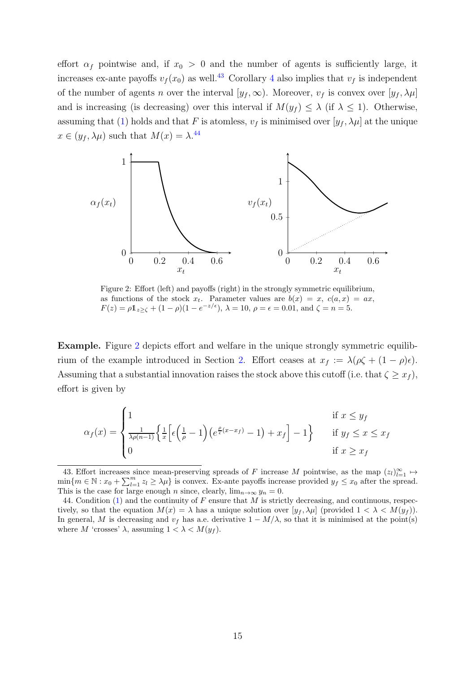effort  $\alpha_f$  pointwise and, if  $x_0 > 0$  and the number of agents is sufficiently large, it increases ex-ante payoffs  $v_f(x_0)$  as well.<sup>[43](#page-14-0)</sup> Corollary [4](#page-13-3) also implies that  $v_f$  is independent of the number of agents n over the interval  $[y_f, \infty)$ . Moreover,  $v_f$  is convex over  $[y_f, \lambda \mu]$ and is increasing (is decreasing) over this interval if  $M(y_f) \leq \lambda$  (if  $\lambda \leq 1$ ). Otherwise, assuming that [\(1\)](#page-5-5) holds and that F is atomless,  $v_f$  is minimised over  $[y_f, \lambda \mu]$  at the unique  $x \in (y_f, \lambda \mu)$  such that  $M(x) = \lambda^{44}$  $M(x) = \lambda^{44}$  $M(x) = \lambda^{44}$ 

<span id="page-14-2"></span>

Figure 2: Effort (left) and payoffs (right) in the strongly symmetric equilibrium, as functions of the stock  $x_t$ . Parameter values are  $b(x) = x$ ,  $c(a, x) = ax$ ,  $F(z) = \rho \mathbb{1}_{z \ge \zeta} + (1 - \rho)(1 - e^{-z/\epsilon}), \ \lambda = 10, \ \rho = \epsilon = 0.01, \text{ and } \zeta = n = 5.$ 

Example. Figure [2](#page-14-2) depicts effort and welfare in the unique strongly symmetric equilib-rium of the example introduced in Section [2.](#page-5-0) Effort ceases at  $x_f := \lambda(\rho \zeta + (1 - \rho)\epsilon)$ . Assuming that a substantial innovation raises the stock above this cutoff (i.e. that  $\zeta \geq x_f$ ), effort is given by

$$
\alpha_f(x) = \begin{cases} 1 & \text{if } x \le y_f \\ \frac{1}{\lambda \rho(n-1)} \left\{ \frac{1}{x} \left[ \epsilon \left( \frac{1}{\rho} - 1 \right) \left( e^{\frac{\rho}{\epsilon}(x - x_f)} - 1 \right) + x_f \right] - 1 \right\} & \text{if } y_f \le x \le x_f \\ 0 & \text{if } x \ge x_f \end{cases}
$$

<span id="page-14-0"></span><sup>43.</sup> Effort increases since mean-preserving spreads of F increase M pointwise, as the map  $(z_l)_{l=1}^{\infty} \mapsto$  $\min\{m \in \mathbb{N}: x_0 + \sum_{l=1}^m z_l \ge \lambda \mu\}$  is convex. Ex-ante payoffs increase provided  $y_f \le x_0$  after the spread. This is the case for large enough n since, clearly,  $\lim_{n\to\infty} y_n = 0$ .

<span id="page-14-1"></span><sup>44.</sup> Condition [\(1\)](#page-5-5) and the continuity of F ensure that M is strictly decreasing, and continuous, respectively, so that the equation  $M(x) = \lambda$  has a unique solution over  $[y_f, \lambda \mu]$  (provided  $1 < \lambda < M(y_f)$ ). In general, M is decreasing and  $v_f$  has a.e. derivative  $1 - M/\lambda$ , so that it is minimised at the point(s) where M 'crosses'  $\lambda$ , assuming  $1 < \lambda < M(y_f)$ .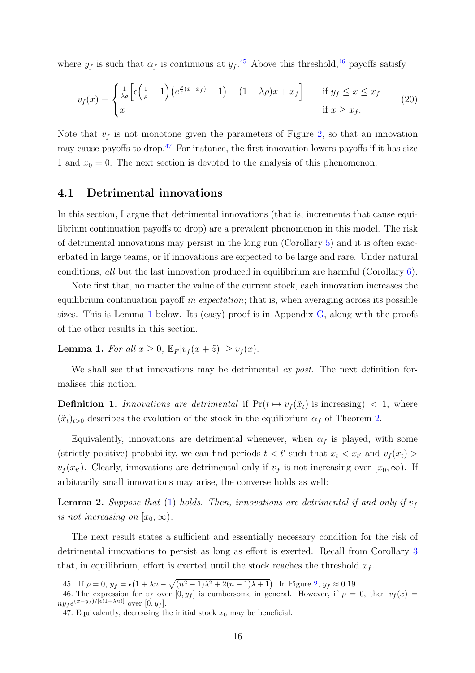where  $y_f$  is such that  $\alpha_f$  is continuous at  $y_f$ .<sup>[45](#page-15-2)</sup> Above this threshold,<sup>[46](#page-15-3)</sup> payoffs satisfy

<span id="page-15-6"></span>
$$
v_f(x) = \begin{cases} \frac{1}{\lambda \rho} \Big[ \epsilon \Big( \frac{1}{\rho} - 1 \Big) \Big( e^{\frac{\rho}{\epsilon} (x - x_f)} - 1 \Big) - (1 - \lambda \rho) x + x_f \Big] & \text{if } y_f \le x \le x_f\\ x & \text{if } x \ge x_f. \end{cases} \tag{20}
$$

Note that  $v_f$  is not monotone given the parameters of Figure [2,](#page-14-2) so that an innovation may cause payoffs to drop.<sup>[47](#page-15-4)</sup> For instance, the first innovation lowers payoffs if it has size 1 and  $x_0 = 0$ . The next section is devoted to the analysis of this phenomenon.

### <span id="page-15-1"></span>4.1 Detrimental innovations

In this section, I argue that detrimental innovations (that is, increments that cause equilibrium continuation payoffs to drop) are a prevalent phenomenon in this model. The risk of detrimental innovations may persist in the long run (Corollary [5\)](#page-15-0) and it is often exacerbated in large teams, or if innovations are expected to be large and rare. Under natural conditions, all but the last innovation produced in equilibrium are harmful (Corollary  $6$ ).

Note first that, no matter the value of the current stock, each innovation increases the equilibrium continuation payoff in expectation; that is, when averaging across its possible sizes. This is Lemma [1](#page-15-5) below. Its (easy) proof is in Appendix  $G$ , along with the proofs of the other results in this section.

<span id="page-15-5"></span>**Lemma 1.** For all  $x \geq 0$ ,  $\mathbb{E}_F[v_f(x+\tilde{z})] \geq v_f(x)$ .

We shall see that innovations may be detrimental ex post. The next definition formalises this notion.

**Definition 1.** Innovations are detrimental if  $Pr(t \mapsto v_f(\tilde{x}_t))$  is increasing)  $\langle 1, \text{ where } \rangle$  $(\tilde{x}_t)_{t>0}$  describes the evolution of the stock in the equilibrium  $\alpha_f$  of Theorem [2.](#page-12-0)

Equivalently, innovations are detrimental whenever, when  $\alpha_f$  is played, with some (strictly positive) probability, we can find periods  $t < t'$  such that  $x_t < x_{t'}$  and  $v_f(x_t) >$  $v_f(x_{t'})$ . Clearly, innovations are detrimental only if  $v_f$  is not increasing over  $[x_0, \infty)$ . If arbitrarily small innovations may arise, the converse holds as well:

**Lemma 2.** Suppose that [\(1\)](#page-5-5) holds. Then, innovations are detrimental if and only if  $v_f$ is not increasing on  $[x_0, \infty)$ .

The next result states a sufficient and essentially necessary condition for the risk of detrimental innovations to persist as long as effort is exerted. Recall from Corollary [3](#page-12-7) that, in equilibrium, effort is exerted until the stock reaches the threshold  $x_f$ .

<span id="page-15-0"></span><sup>45.</sup> If  $\rho = 0$ ,  $y_f = \epsilon \left(1 + \lambda n - \sqrt{(n^2 - 1)\lambda^2 + 2(n - 1)\lambda + 1}\right)$ . In Figure [2,](#page-14-2)  $y_f \approx 0.19$ .

<span id="page-15-2"></span><sup>46.</sup> The expression for  $v_f$  over  $[0, y_f]$  is cumbersome in general. However, if  $\rho = 0$ , then  $v_f(x) =$  $ny_f e^{(x-y_f)/[\epsilon(1+\lambda n)]}$  over  $[0, y_f]$ .

<span id="page-15-4"></span><span id="page-15-3"></span><sup>47.</sup> Equivalently, decreasing the initial stock  $x_0$  may be beneficial.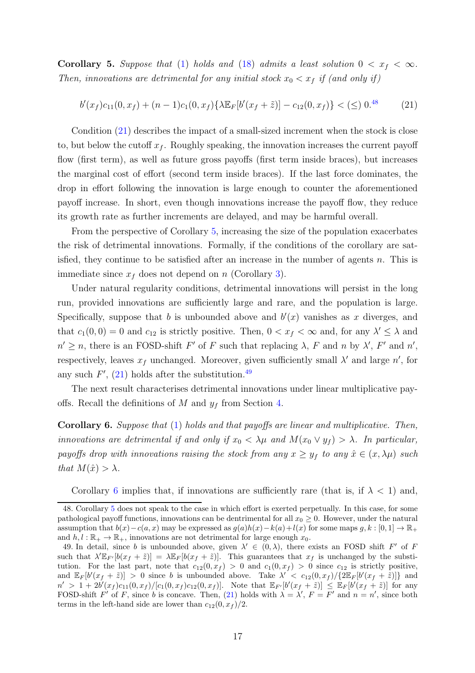**Corollary 5.** Suppose that [\(1\)](#page-5-5) holds and [\(18\)](#page-12-5) admits a least solution  $0 < x_f < \infty$ . Then, innovations are detrimental for any initial stock  $x_0 < x_f$  if (and only if)

<span id="page-16-2"></span> $b'(x_f)c_{11}(0, x_f) + (n-1)c_1(0, x_f)\{\lambda \mathbb{E}_F[b'(x_f + \tilde{z})] - c_{12}(0, x_f)\} < (\leq) 0.$  $(21)$ 

Condition [\(21\)](#page-16-2) describes the impact of a small-sized increment when the stock is close to, but below the cutoff  $x_f$ . Roughly speaking, the innovation increases the current payoff flow (first term), as well as future gross payoffs (first term inside braces), but increases the marginal cost of effort (second term inside braces). If the last force dominates, the drop in effort following the innovation is large enough to counter the aforementioned payoff increase. In short, even though innovations increase the payoff flow, they reduce its growth rate as further increments are delayed, and may be harmful overall.

From the perspective of Corollary [5,](#page-15-0) increasing the size of the population exacerbates the risk of detrimental innovations. Formally, if the conditions of the corollary are satisfied, they continue to be satisfied after an increase in the number of agents  $n$ . This is immediate since  $x_f$  does not depend on n (Corollary [3\)](#page-12-7).

Under natural regularity conditions, detrimental innovations will persist in the long run, provided innovations are sufficiently large and rare, and the population is large. Specifically, suppose that b is unbounded above and  $b'(x)$  vanishes as x diverges, and that  $c_1(0,0) = 0$  and  $c_{12}$  is strictly positive. Then,  $0 < x_f < \infty$  and, for any  $\lambda' \leq \lambda$  and  $n' \geq n$ , there is an FOSD-shift F' of F such that replacing  $\lambda$ , F and n by  $\lambda'$ , F' and n', respectively, leaves  $x_f$  unchanged. Moreover, given sufficiently small  $\lambda'$  and large  $n'$ , for any such  $F'$ ,  $(21)$  holds after the substitution.<sup>[49](#page-16-3)</sup>

<span id="page-16-0"></span>The next result characterises detrimental innovations under linear multiplicative payoffs. Recall the definitions of M and  $y_f$  from Section [4.](#page-10-0)

Corollary 6. Suppose that [\(1\)](#page-5-5) holds and that payoffs are linear and multiplicative. Then, innovations are detrimental if and only if  $x_0 < \lambda \mu$  and  $M(x_0 \vee y_f) > \lambda$ . In particular, payoffs drop with innovations raising the stock from any  $x \geq y_f$  to any  $\hat{x} \in (x, \lambda \mu)$  such that  $M(\hat{x}) > \lambda$ .

Corollary [6](#page-16-0) implies that, if innovations are sufficiently rare (that is, if  $\lambda < 1$ ) and,

<span id="page-16-1"></span><sup>48.</sup> Corollary [5](#page-15-0) does not speak to the case in which effort is exerted perpetually. In this case, for some pathological payoff functions, innovations can be dentrimental for all  $x_0 \geq 0$ . However, under the natural assumption that  $b(x)-c(a, x)$  may be expressed as  $g(a)h(x)-k(a)+l(x)$  for some maps  $g, k : [0, 1] \rightarrow \mathbb{R}_+$ and  $h, l : \mathbb{R}_+ \to \mathbb{R}_+$ , innovations are not detrimental for large enough  $x_0$ .

<span id="page-16-3"></span><sup>49.</sup> In detail, since b is unbounded above, given  $\lambda' \in (0, \lambda)$ , there exists an FOSD shift F' of F such that  $\lambda' \mathbb{E}_{F'}[b(x_f + \tilde{z})] = \lambda \mathbb{E}_F[b(x_f + \tilde{z})]$ . This guarantees that  $x_f$  is unchanged by the substitution. For the last part, note that  $c_{12}(0, x_f) > 0$  and  $c_1(0, x_f) > 0$  since  $c_{12}$  is strictly positive, and  $\mathbb{E}_F[b'(x_f + \tilde{z})] > 0$  since b is unbounded above. Take  $\lambda' < c_{12}(0, x_f)/\{2\mathbb{E}_F[b'(x_f + \tilde{z})]\}$  and  $n' > 1 + 2b'(x_f)c_{11}(0, x_f)/[c_1(0, x_f)c_{12}(0, x_f)].$  Note that  $\mathbb{E}_{F'}[b'(x_f + \tilde{z})] \leq \mathbb{E}_F[b'(x_f + \tilde{z})]$  for any FOSD-shift F' of F, since b is concave. Then, [\(21\)](#page-16-2) holds with  $\lambda = \lambda'$ ,  $F = F'$  and  $n = n'$ , since both terms in the left-hand side are lower than  $c_{12}(0, x_f)/2$ .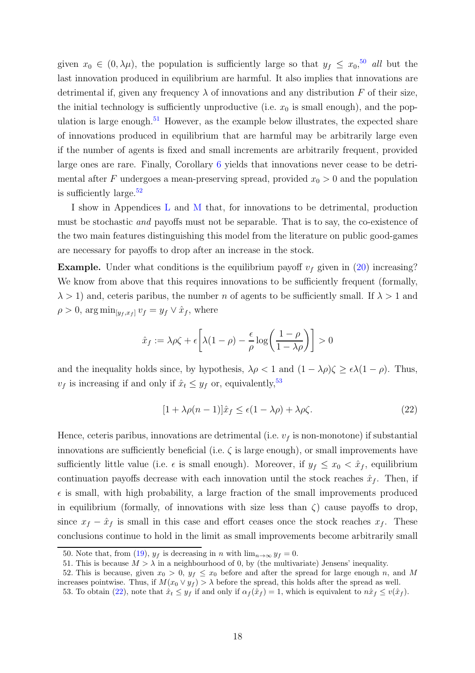given  $x_0 \in (0, \lambda \mu)$ , the population is sufficiently large so that  $y_f \leq x_0$ , <sup>[50](#page-17-0)</sup> all but the last innovation produced in equilibrium are harmful. It also implies that innovations are detrimental if, given any frequency  $\lambda$  of innovations and any distribution F of their size, the initial technology is sufficiently unproductive (i.e.  $x_0$  is small enough), and the pop-ulation is large enough.<sup>[51](#page-17-1)</sup> However, as the example below illustrates, the expected share of innovations produced in equilibrium that are harmful may be arbitrarily large even if the number of agents is fixed and small increments are arbitrarily frequent, provided large ones are rare. Finally, Corollary [6](#page-16-0) yields that innovations never cease to be detrimental after F undergoes a mean-preserving spread, provided  $x_0 > 0$  and the population is sufficiently large.[52](#page-17-2)

I show in Appendices [L](#page-81-0) and [M](#page-83-0) that, for innovations to be detrimental, production must be stochastic and payoffs must not be separable. That is to say, the co-existence of the two main features distinguishing this model from the literature on public good-games are necessary for payoffs to drop after an increase in the stock.

**Example.** Under what conditions is the equilibrium payoff  $v_f$  given in [\(20\)](#page-15-6) increasing? We know from above that this requires innovations to be sufficiently frequent (formally,  $\lambda > 1$ ) and, ceteris paribus, the number n of agents to be sufficiently small. If  $\lambda > 1$  and  $\rho > 0$ ,  $\arg \min_{[y_f, x_f]} v_f = y_f \vee \hat{x}_f$ , where

$$
\hat{x}_f := \lambda \rho \zeta + \epsilon \left[ \lambda (1 - \rho) - \frac{\epsilon}{\rho} \log \left( \frac{1 - \rho}{1 - \lambda \rho} \right) \right] > 0
$$

and the inequality holds since, by hypothesis,  $\lambda \rho < 1$  and  $(1 - \lambda \rho) \zeta \geq \epsilon \lambda (1 - \rho)$ . Thus,  $v_f$  is increasing if and only if  $\hat{x}_t \leq y_f$  or, equivalently,<sup>[53](#page-17-3)</sup>

<span id="page-17-4"></span> $[1 + \lambda \rho (n-1)]\hat{x}_f \leq \epsilon (1 - \lambda \rho) + \lambda \rho \zeta.$  (22)

Hence, ceteris paribus, innovations are detrimental (i.e.  $v_f$  is non-monotone) if substantial innovations are sufficiently beneficial (i.e.  $\zeta$  is large enough), or small improvements have sufficiently little value (i.e.  $\epsilon$  is small enough). Moreover, if  $y_f \le x_0 < \hat{x}_f$ , equilibrium continuation payoffs decrease with each innovation until the stock reaches  $\hat{x}_f$ . Then, if  $\epsilon$  is small, with high probability, a large fraction of the small improvements produced in equilibrium (formally, of innovations with size less than  $\zeta$ ) cause payoffs to drop, since  $x_f - \hat{x}_f$  is small in this case and effort ceases once the stock reaches  $x_f$ . These conclusions continue to hold in the limit as small improvements become arbitrarily small

<span id="page-17-0"></span><sup>50.</sup> Note that, from [\(19\)](#page-13-4),  $y_f$  is decreasing in n with  $\lim_{n\to\infty} y_f = 0$ .

<span id="page-17-1"></span><sup>51.</sup> This is because  $M > \lambda$  in a neighbourhood of 0, by (the multivariate) Jensens' inequality.

<sup>52.</sup> This is because, given  $x_0 > 0$ ,  $y_f \le x_0$  before and after the spread for large enough n, and M increases pointwise. Thus, if  $M(x_0 \vee y_f) > \lambda$  before the spread, this holds after the spread as well.

<span id="page-17-3"></span><span id="page-17-2"></span><sup>53.</sup> To obtain [\(22\)](#page-17-4), note that  $\hat{x}_t \leq y_f$  if and only if  $\alpha_f(\hat{x}_f) = 1$ , which is equivalent to  $n\hat{x}_f \leq v(\hat{x}_f)$ .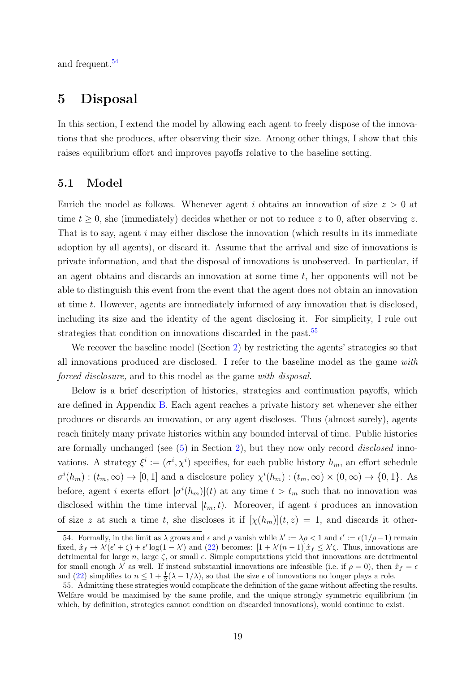<span id="page-18-1"></span>and frequent.<sup>[54](#page-18-2)</sup>

### 5 Disposal

In this section, I extend the model by allowing each agent to freely dispose of the innovations that she produces, after observing their size. Among other things, I show that this raises equilibrium effort and improves payoffs relative to the baseline setting.

#### <span id="page-18-0"></span>5.1 Model

Enrich the model as follows. Whenever agent i obtains an innovation of size  $z > 0$  at time  $t \geq 0$ , she (immediately) decides whether or not to reduce z to 0, after observing z. That is to say, agent i may either disclose the innovation (which results in its immediate adoption by all agents), or discard it. Assume that the arrival and size of innovations is private information, and that the disposal of innovations is unobserved. In particular, if an agent obtains and discards an innovation at some time t, her opponents will not be able to distinguish this event from the event that the agent does not obtain an innovation at time t. However, agents are immediately informed of any innovation that is disclosed, including its size and the identity of the agent disclosing it. For simplicity, I rule out strategies that condition on innovations discarded in the past.<sup>[55](#page-18-3)</sup>

We recover the baseline model (Section [2\)](#page-5-0) by restricting the agents' strategies so that all innovations produced are disclosed. I refer to the baseline model as the game with forced disclosure, and to this model as the game with disposal.

Below is a brief description of histories, strategies and continuation payoffs, which are defined in Appendix [B.](#page-39-0) Each agent reaches a private history set whenever she either produces or discards an innovation, or any agent discloses. Thus (almost surely), agents reach finitely many private histories within any bounded interval of time. Public histories are formally unchanged (see  $(5)$  in Section [2\)](#page-5-0), but they now only record *disclosed* innovations. A strategy  $\xi^i := (\sigma^i, \chi^i)$  specifies, for each public history  $h_m$ , an effort schedule  $\sigma^{i}(h_m) : (t_m, \infty) \to [0, 1]$  and a disclosure policy  $\chi^{i}(h_m) : (t_m, \infty) \times (0, \infty) \to \{0, 1\}$ . As before, agent i exerts effort  $[\sigma^i(h_m)](t)$  at any time  $t > t_m$  such that no innovation was disclosed within the time interval  $[t_m, t)$ . Moreover, if agent i produces an innovation of size z at such a time t, she discloses it if  $[\chi(h_m)](t, z) = 1$ , and discards it other-

<span id="page-18-2"></span><sup>54.</sup> Formally, in the limit as  $\lambda$  grows and  $\epsilon$  and  $\rho$  vanish while  $\lambda' := \lambda \rho < 1$  and  $\epsilon' := \epsilon(1/\rho - 1)$  remain fixed,  $\hat{x}_f \to \lambda'(\epsilon' + \zeta) + \epsilon' \log(1 - \lambda')$  and [\(22\)](#page-17-4) becomes:  $[1 + \lambda'(n-1)]\hat{x}_f \leq \lambda'\zeta$ . Thus, innovations are detrimental for large n, large  $\zeta$ , or small  $\epsilon$ . Simple computations yield that innovations are detrimental for small enough  $\lambda'$  as well. If instead substantial innovations are infeasible (i.e. if  $\rho = 0$ ), then  $\hat{x}_f = \epsilon$ and [\(22\)](#page-17-4) simplifies to  $n \leq 1 + \frac{1}{2}(\lambda - 1/\lambda)$ , so that the size  $\epsilon$  of innovations no longer plays a role.

<span id="page-18-3"></span><sup>55.</sup> Admitting these strategies would complicate the definition of the game without affecting the results. Welfare would be maximised by the same profile, and the unique strongly symmetric equilibrium (in which, by definition, strategies cannot condition on discarded innovations), would continue to exist.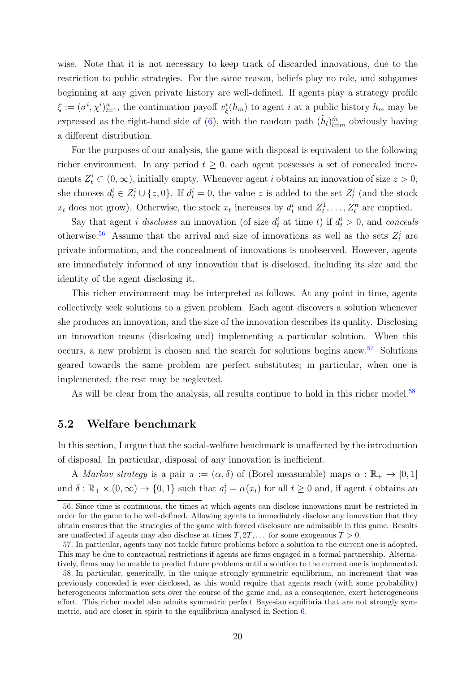wise. Note that it is not necessary to keep track of discarded innovations, due to the restriction to public strategies. For the same reason, beliefs play no role, and subgames beginning at any given private history are well-defined. If agents play a strategy profile  $\xi := (\sigma^i, \chi^i)_{i=1}^n$ , the continuation payoff  $v_{\xi}^i(h_m)$  to agent i at a public history  $h_m$  may be expressed as the right-hand side of [\(6\)](#page-7-4), with the random path  $(\tilde{h}_l)_{l=m}^{\tilde{m}}$  obviously having a different distribution.

For the purposes of our analysis, the game with disposal is equivalent to the following richer environment. In any period  $t \geq 0$ , each agent possesses a set of concealed increments  $Z_t^i \subset (0,\infty)$ , initially empty. Whenever agent i obtains an innovation of size  $z > 0$ , she chooses  $d_t^i \in Z_t^i \cup \{z,0\}$ . If  $d_t^i = 0$ , the value z is added to the set  $Z_t^i$  (and the stock  $x_t$  does not grow). Otherwise, the stock  $x_t$  increases by  $d_t^i$  and  $Z_t^1, \ldots, Z_t^n$  are emptied.

Say that agent *i* discloses an innovation (of size  $d_t^i$  at time t) if  $d_t^i > 0$ , and conceals otherwise.<sup>[56](#page-19-0)</sup> Assume that the arrival and size of innovations as well as the sets  $Z_t^i$  are private information, and the concealment of innovations is unobserved. However, agents are immediately informed of any innovation that is disclosed, including its size and the identity of the agent disclosing it.

This richer environment may be interpreted as follows. At any point in time, agents collectively seek solutions to a given problem. Each agent discovers a solution whenever she produces an innovation, and the size of the innovation describes its quality. Disclosing an innovation means (disclosing and) implementing a particular solution. When this occurs, a new problem is chosen and the search for solutions begins anew.[57](#page-19-1) Solutions geared towards the same problem are perfect substitutes; in particular, when one is implemented, the rest may be neglected.

<span id="page-19-3"></span>As will be clear from the analysis, all results continue to hold in this richer model.<sup>[58](#page-19-2)</sup>

### 5.2 Welfare benchmark

In this section, I argue that the social-welfare benchmark is unaffected by the introduction of disposal. In particular, disposal of any innovation is inefficient.

A Markov strategy is a pair  $\pi := (\alpha, \delta)$  of (Borel measurable) maps  $\alpha : \mathbb{R}_+ \to [0, 1]$ and  $\delta : \mathbb{R}_+ \times (0, \infty) \to \{0, 1\}$  such that  $a_t^i = \alpha(x_t)$  for all  $t \geq 0$  and, if agent i obtains an

<span id="page-19-0"></span><sup>56.</sup> Since time is continuous, the times at which agents can disclose innovations must be restricted in order for the game to be well-defined. Allowing agents to immediately disclose any innovation that they obtain ensures that the strategies of the game with forced disclosure are admissible in this game. Results are unaffected if agents may also disclose at times  $T, 2T, \ldots$  for some exogenous  $T > 0$ .

<span id="page-19-1"></span><sup>57.</sup> In particular, agents may not tackle future problems before a solution to the current one is adopted. This may be due to contractual restrictions if agents are firms engaged in a formal partnership. Alternatively, firms may be unable to predict future problems until a solution to the current one is implemented.

<span id="page-19-2"></span><sup>58.</sup> In particular, generically, in the unique strongly symmetric equilibrium, no increment that was previously concealed is ever disclosed, as this would require that agents reach (with some probability) heterogeneous information sets over the course of the game and, as a consequence, exert heterogeneous effort. This richer model also admits symmetric perfect Bayesian equilibria that are not strongly symmetric, and are closer in spirit to the equilibrium analysed in Section [6.](#page-23-0)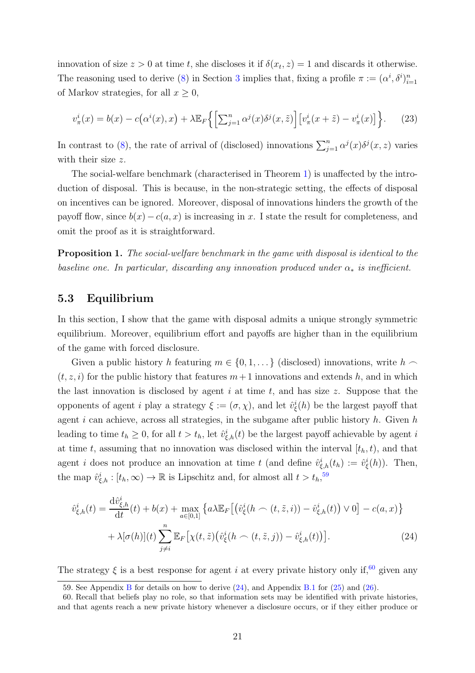innovation of size  $z > 0$  at time t, she discloses it if  $\delta(x_t, z) = 1$  and discards it otherwise. The reasoning used to derive [\(8\)](#page-8-4) in Section [3](#page-8-0) implies that, fixing a profile  $\pi := (\alpha^i, \delta^i)_{i=1}^n$ of Markov strategies, for all  $x \geq 0$ ,

$$
v^i_{\pi}(x) = b(x) - c(\alpha^i(x), x) + \lambda \mathbb{E}_F \left\{ \left[ \sum_{j=1}^n \alpha^j(x) \delta^j(x, \tilde{z}) \right] \left[ v^i_{\pi}(x + \tilde{z}) - v^i_{\pi}(x) \right] \right\}.
$$
 (23)

In contrast to [\(8\)](#page-8-4), the rate of arrival of (disclosed) innovations  $\sum_{j=1}^{n} \alpha^{j}(x) \delta^{j}(x, z)$  varies with their size z.

The social-welfare benchmark (characterised in Theorem [1\)](#page-9-0) is unaffected by the introduction of disposal. This is because, in the non-strategic setting, the effects of disposal on incentives can be ignored. Moreover, disposal of innovations hinders the growth of the payoff flow, since  $b(x) - c(a, x)$  is increasing in x. I state the result for completeness, and omit the proof as it is straightforward.

Proposition 1. The social-welfare benchmark in the game with disposal is identical to the baseline one. In particular, discarding any innovation produced under  $\alpha_*$  is inefficient.

### 5.3 Equilibrium

In this section, I show that the game with disposal admits a unique strongly symmetric equilibrium. Moreover, equilibrium effort and payoffs are higher than in the equilibrium of the game with forced disclosure.

Given a public history h featuring  $m \in \{0, 1, \ldots\}$  (disclosed) innovations, write  $h \sim$  $(t, z, i)$  for the public history that features  $m+1$  innovations and extends h, and in which the last innovation is disclosed by agent  $i$  at time  $t$ , and has size  $z$ . Suppose that the opponents of agent *i* play a strategy  $\xi := (\sigma, \chi)$ , and let  $\hat{v}^i_{\xi}(h)$  be the largest payoff that agent  $i$  can achieve, across all strategies, in the subgame after public history  $h$ . Given  $h$ leading to time  $t_h \geq 0$ , for all  $t > t_h$ , let  $\hat{v}_{\xi,h}^i(t)$  be the largest payoff achievable by agent i at time t, assuming that no innovation was disclosed within the interval  $[t_h, t)$ , and that agent *i* does not produce an innovation at time *t* (and define  $\hat{v}^i_{\xi,h}(t_h) := \hat{v}^i_{\xi}(h)$ ). Then, the map  $\hat{v}_{\xi,h}^i : [t_h, \infty) \to \mathbb{R}$  is Lipschitz and, for almost all  $t > t_h$ ,<sup>[59](#page-20-0)</sup>

<span id="page-20-2"></span>
$$
\hat{v}_{\xi,h}^{i}(t) = \frac{\mathrm{d}\hat{v}_{\xi,h}^{i}}{\mathrm{d}t}(t) + b(x) + \max_{a \in [0,1]} \left\{ a\lambda \mathbb{E}_{F} \left[ \left( \hat{v}_{\xi}^{i}(h \frown (t,\tilde{z},i)) - \hat{v}_{\xi,h}^{i}(t) \right) \vee 0 \right] - c(a,x) \right\} + \lambda[\sigma(h)](t) \sum_{j \neq i}^{n} \mathbb{E}_{F} \left[ \chi(t,\tilde{z}) \left( \hat{v}_{\xi}^{i}(h \frown (t,\tilde{z},j)) - \hat{v}_{\xi,h}^{i}(t) \right) \right].
$$
\n(24)

The strategy  $\xi$  is a best response for agent i at every private history only if,<sup>[60](#page-20-1)</sup> given any

<span id="page-20-0"></span><sup>59.</sup> See Appendix [B](#page-39-0) for details on how to derive [\(24\)](#page-20-2), and Appendix [B.1](#page-41-0) for [\(25\)](#page-21-1) and [\(26\)](#page-21-2).

<span id="page-20-1"></span><sup>60.</sup> Recall that beliefs play no role, so that information sets may be identified with private histories, and that agents reach a new private history whenever a disclosure occurs, or if they either produce or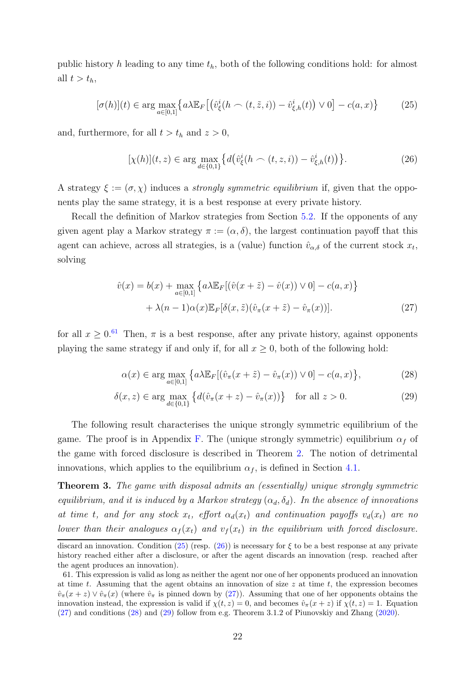public history h leading to any time  $t<sub>h</sub>$ , both of the following conditions hold: for almost all  $t > t_h$ ,

<span id="page-21-1"></span>
$$
[\sigma(h)](t) \in \arg\max_{a \in [0,1]} \{ a\lambda \mathbb{E}_F \big[ \big( \hat{v}_{\xi}^i(h \frown (t,\tilde{z},i)) - \hat{v}_{\xi,h}^i(t) \big) \vee 0 \big] - c(a,x) \} \tag{25}
$$

and, furthermore, for all  $t > t_h$  and  $z > 0$ ,

<span id="page-21-2"></span>
$$
[\chi(h)](t,z) \in \arg\max_{d \in \{0,1\}} \{ d(\hat{v}_{\xi}^i(h \frown (t,z,i)) - \hat{v}_{\xi,h}^i(t)) \}.
$$
 (26)

A strategy  $\xi := (\sigma, \chi)$  induces a *strongly symmetric equilibrium* if, given that the opponents play the same strategy, it is a best response at every private history.

Recall the definition of Markov strategies from Section [5.2.](#page-19-3) If the opponents of any given agent play a Markov strategy  $\pi := (\alpha, \delta)$ , the largest continuation payoff that this agent can achieve, across all strategies, is a (value) function  $\hat{v}_{\alpha,\delta}$  of the current stock  $x_t$ , solving

<span id="page-21-4"></span>
$$
\hat{v}(x) = b(x) + \max_{a \in [0,1]} \left\{ a\lambda \mathbb{E}_F[(\hat{v}(x + \tilde{z}) - \hat{v}(x)) \vee 0] - c(a, x) \right\} \n+ \lambda (n-1)\alpha(x)\mathbb{E}_F[\delta(x, \tilde{z})(\hat{v}_\pi(x + \tilde{z}) - \hat{v}_\pi(x))].
$$
\n(27)

for all  $x \geq 0.61$  $x \geq 0.61$  Then,  $\pi$  is a best response, after any private history, against opponents playing the same strategy if and only if, for all  $x \geq 0$ , both of the following hold:

<span id="page-21-6"></span><span id="page-21-5"></span>
$$
\alpha(x) \in \arg\max_{a \in [0,1]} \left\{ a\lambda \mathbb{E}_F[(\hat{v}_\pi(x+\tilde{z}) - \hat{v}_\pi(x)) \vee 0] - c(a,x) \right\},\tag{28}
$$

$$
\delta(x, z) \in \arg\max_{d \in \{0, 1\}} \left\{ d(\hat{v}_{\pi}(x + z) - \hat{v}_{\pi}(x)) \right\} \quad \text{for all } z > 0. \tag{29}
$$

The following result characterises the unique strongly symmetric equilibrium of the game. The proof is in Appendix [F.](#page-49-0) The (unique strongly symmetric) equilibrium  $\alpha_f$  of the game with forced disclosure is described in Theorem [2.](#page-12-0) The notion of detrimental innovations, which applies to the equilibrium  $\alpha_f$ , is defined in Section [4.1.](#page-15-1)

<span id="page-21-0"></span>Theorem 3. The game with disposal admits an (essentially) unique strongly symmetric equilibrium, and it is induced by a Markov strategy  $(\alpha_d, \delta_d)$ . In the absence of innovations at time t, and for any stock  $x_t$ , effort  $\alpha_d(x_t)$  and continuation payoffs  $v_d(x_t)$  are no lower than their analogues  $\alpha_f(x_t)$  and  $v_f(x_t)$  in the equilibrium with forced disclosure.

discard an innovation. Condition [\(25\)](#page-21-1) (resp. [\(26\)](#page-21-2)) is necessary for  $\xi$  to be a best response at any private history reached either after a disclosure, or after the agent discards an innovation (resp. reached after the agent produces an innovation).

<span id="page-21-3"></span><sup>61.</sup> This expression is valid as long as neither the agent nor one of her opponents produced an innovation at time t. Assuming that the agent obtains an innovation of size  $z$  at time t, the expression becomes  $\hat{v}_{\pi}(x + z) \vee \hat{v}_{\pi}(x)$  (where  $\hat{v}_{\pi}$  is pinned down by [\(27\)](#page-21-4)). Assuming that one of her opponents obtains the innovation instead, the expression is valid if  $\chi(t, z) = 0$ , and becomes  $\hat{v}_{\pi}(x + z)$  if  $\chi(t, z) = 1$ . Equation [\(27\)](#page-21-4) and conditions [\(28\)](#page-21-5) and [\(29\)](#page-21-6) follow from e.g. Theorem 3.1.2 of Piunovskiy and Zhang [\(2020](#page-34-11)).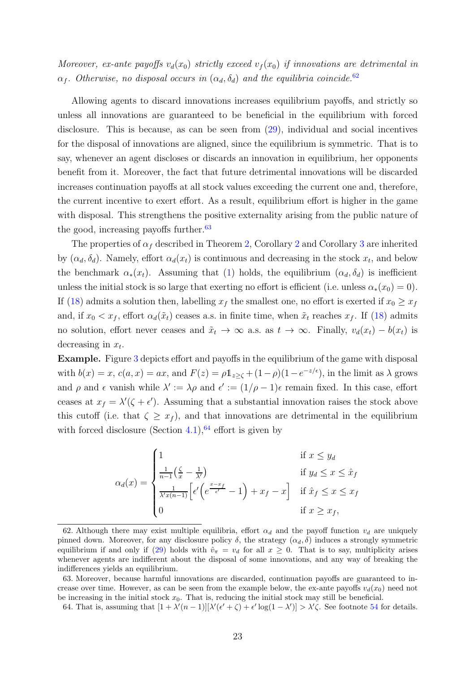Moreover, ex-ante payoffs  $v_d(x_0)$  strictly exceed  $v_f(x_0)$  if innovations are detrimental in  $\alpha_f$ . Otherwise, no disposal occurs in  $(\alpha_d, \delta_d)$  and the equilibria coincide.<sup>[62](#page-22-0)</sup>

Allowing agents to discard innovations increases equilibrium payoffs, and strictly so unless all innovations are guaranteed to be beneficial in the equilibrium with forced disclosure. This is because, as can be seen from [\(29\)](#page-21-6), individual and social incentives for the disposal of innovations are aligned, since the equilibrium is symmetric. That is to say, whenever an agent discloses or discards an innovation in equilibrium, her opponents benefit from it. Moreover, the fact that future detrimental innovations will be discarded increases continuation payoffs at all stock values exceeding the current one and, therefore, the current incentive to exert effort. As a result, equilibrium effort is higher in the game with disposal. This strengthens the positive externality arising from the public nature of the good, increasing payoffs further. $63$ 

The properties of  $\alpha_f$  described in Theorem [2,](#page-12-0) Corollary [2](#page-12-1) and Corollary [3](#page-12-7) are inherited by  $(\alpha_d, \delta_d)$ . Namely, effort  $\alpha_d(x_t)$  is continuous and decreasing in the stock  $x_t$ , and below the benchmark  $\alpha_*(x_t)$ . Assuming that [\(1\)](#page-5-5) holds, the equilibrium  $(\alpha_d, \delta_d)$  is inefficient unless the initial stock is so large that exerting no effort is efficient (i.e. unless  $\alpha_*(x_0) = 0$ ). If [\(18\)](#page-12-5) admits a solution then, labelling  $x_f$  the smallest one, no effort is exerted if  $x_0 \ge x_f$ and, if  $x_0 < x_f$ , effort  $\alpha_d(\tilde{x}_t)$  ceases a.s. in finite time, when  $\tilde{x}_t$  reaches  $x_f$ . If [\(18\)](#page-12-5) admits no solution, effort never ceases and  $\tilde{x}_t \to \infty$  a.s. as  $t \to \infty$ . Finally,  $v_d(x_t) - b(x_t)$  is decreasing in  $x_t$ .

Example. Figure [3](#page-23-1) depicts effort and payoffs in the equilibrium of the game with disposal with  $b(x) = x$ ,  $c(a, x) = ax$ , and  $F(z) = \rho \mathbb{1}_{z \ge \zeta} + (1 - \rho)(1 - e^{-z/\epsilon})$ , in the limit as  $\lambda$  grows and  $\rho$  and  $\epsilon$  vanish while  $\lambda' := \lambda \rho$  and  $\epsilon' := (1/\rho - 1)\epsilon$  remain fixed. In this case, effort ceases at  $x_f = \lambda'(\zeta + \epsilon')$ . Assuming that a substantial innovation raises the stock above this cutoff (i.e. that  $\zeta \geq x_f$ ), and that innovations are detrimental in the equilibrium with forced disclosure (Section [4.1\)](#page-15-1),  $64$  effort is given by

$$
\alpha_d(x) = \begin{cases}\n1 & \text{if } x \leq y_d \\
\frac{1}{n-1} \left( \frac{\zeta}{x} - \frac{1}{\lambda'} \right) & \text{if } y_d \leq x \leq \hat{x}_f \\
\frac{1}{\lambda' x (n-1)} \left[ \epsilon' \left( e^{\frac{x - x_f}{\epsilon'}} - 1 \right) + x_f - x \right] & \text{if } \hat{x}_f \leq x \leq x_f \\
0 & \text{if } x \geq x_f,\n\end{cases}
$$

<span id="page-22-0"></span><sup>62.</sup> Although there may exist multiple equilibria, effort  $\alpha_d$  and the payoff function  $v_d$  are uniquely pinned down. Moreover, for any disclosure policy  $\delta$ , the strategy  $(\alpha_d, \delta)$  induces a strongly symmetric equilibrium if and only if [\(29\)](#page-21-6) holds with  $\hat{v}_\pi = v_d$  for all  $x \geq 0$ . That is to say, multiplicity arises whenever agents are indifferent about the disposal of some innovations, and any way of breaking the indifferences yields an equilibrium.

<span id="page-22-1"></span><sup>63.</sup> Moreover, because harmful innovations are discarded, continuation payoffs are guaranteed to increase over time. However, as can be seen from the example below, the ex-ante payoffs  $v_d(x_0)$  need not be increasing in the initial stock  $x_0$ . That is, reducing the initial stock may still be beneficial.

<span id="page-22-2"></span><sup>64.</sup> That is, assuming that  $[1 + \lambda'(n-1)][\lambda'(\epsilon' + \zeta) + \epsilon' \log(1-\lambda')] > \lambda' \zeta$ . See footnote [54](#page-18-2) for details.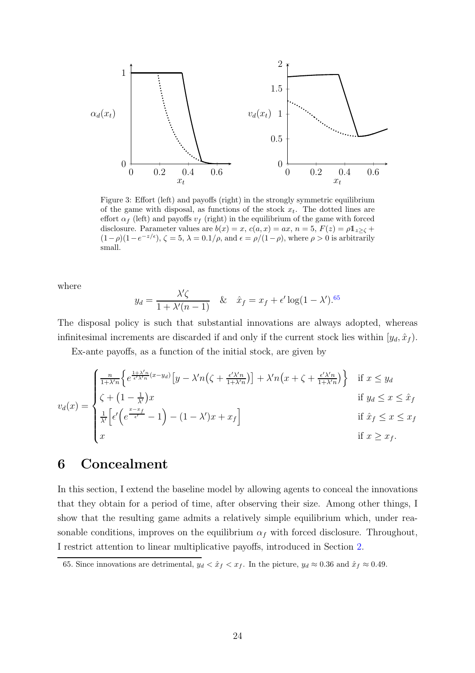<span id="page-23-1"></span>

Figure 3: Effort (left) and payoffs (right) in the strongly symmetric equilibrium of the game with disposal, as functions of the stock  $x_t$ . The dotted lines are effort  $\alpha_f$  (left) and payoffs  $v_f$  (right) in the equilibrium of the game with forced disclosure. Parameter values are  $b(x) = x$ ,  $c(a, x) = ax$ ,  $n = 5$ ,  $F(z) = \rho \mathbb{1}_{z > \zeta}$  +  $(1-\rho)(1-e^{-z/\epsilon}), \zeta = 5, \lambda = 0.1/\rho, \text{ and } \epsilon = \rho/(1-\rho), \text{ where } \rho > 0 \text{ is arbitrarily}$ small.

where

$$
y_d = \frac{\lambda'\zeta}{1 + \lambda'(n-1)} \quad \& \quad \hat{x}_f = x_f + \epsilon' \log(1-\lambda').^{65}
$$

The disposal policy is such that substantial innovations are always adopted, whereas infinitesimal increments are discarded if and only if the current stock lies within  $[y_d, \hat{x}_f]$ .

Ex-ante payoffs, as a function of the initial stock, are given by

$$
v_d(x) = \begin{cases} \frac{n}{1+\lambda'n} \Big\{ e^{\frac{1+\lambda'n}{\epsilon'\lambda'n}}(x-y_d) \Big[ y - \lambda'n\Big(\zeta + \frac{\epsilon'\lambda'n}{1+\lambda'n}\Big) \Big\} & \text{if } x \le y_d\\ \zeta + \Big(1 - \frac{1}{\lambda'}\Big)x & \text{if } y_d \le x \le \hat{x}_f\\ \frac{1}{\lambda'} \Big[ \epsilon' \Big( e^{\frac{x-x_f}{\epsilon'}}-1 \Big) - \Big(1-\lambda'\Big)x + x_f \Big] & \text{if } \hat{x}_f \le x \le x_f\\ x & \text{if } x \ge x_f. \end{cases}
$$

## <span id="page-23-0"></span>6 Concealment

In this section, I extend the baseline model by allowing agents to conceal the innovations that they obtain for a period of time, after observing their size. Among other things, I show that the resulting game admits a relatively simple equilibrium which, under reasonable conditions, improves on the equilibrium  $\alpha_f$  with forced disclosure. Throughout, I restrict attention to linear multiplicative payoffs, introduced in Section [2.](#page-5-0)

<span id="page-23-2"></span><sup>65.</sup> Since innovations are detrimental,  $y_d < \hat{x}_f < x_f$ . In the picture,  $y_d \approx 0.36$  and  $\hat{x}_f \approx 0.49$ .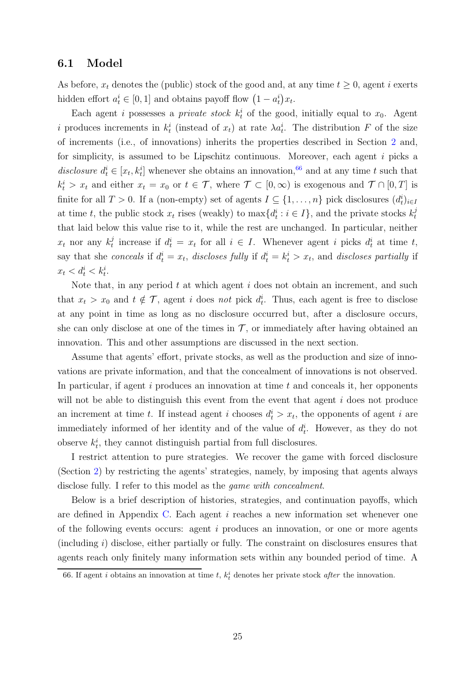### 6.1 Model

As before,  $x_t$  denotes the (public) stock of the good and, at any time  $t \geq 0$ , agent i exerts hidden effort  $a_t^i \in [0, 1]$  and obtains payoff flow  $(1 - a_t^i)x_t$ .

Each agent *i* possesses a *private stock*  $k_t^i$  of the good, initially equal to  $x_0$ . Agent i produces increments in  $k_t^i$  (instead of  $x_t$ ) at rate  $\lambda a_t^i$ . The distribution F of the size of increments (i.e., of innovations) inherits the properties described in Section [2](#page-5-0) and, for simplicity, is assumed to be Lipschitz continuous. Moreover, each agent i picks a disclosure  $d_t^i \in [x_t, k_t^i]$  whenever she obtains an innovation,<sup>[66](#page-24-0)</sup> and at any time t such that  $k_t^i > x_t$  and either  $x_t = x_0$  or  $t \in \mathcal{T}$ , where  $\mathcal{T} \subset [0,\infty)$  is exogenous and  $\mathcal{T} \cap [0,T]$  is finite for all  $T > 0$ . If a (non-empty) set of agents  $I \subseteq \{1, ..., n\}$  pick disclosures  $(d_t^i)_{i \in I}$ at time t, the public stock  $x_t$  rises (weakly) to  $\max\{d_t^i : i \in I\}$ , and the private stocks  $k_t^j$ t that laid below this value rise to it, while the rest are unchanged. In particular, neither  $x_t$  nor any  $k_t^j$ <sup>f</sup> increase if  $d_t^i = x_t$  for all  $i \in I$ . Whenever agent i picks  $d_t^i$  at time t, say that she conceals if  $d_t^i = x_t$ , discloses fully if  $d_t^i = k_t^i > x_t$ , and discloses partially if  $x_t < d_t^i < k_t^i$ .

Note that, in any period  $t$  at which agent  $i$  does not obtain an increment, and such that  $x_t > x_0$  and  $t \notin \mathcal{T}$ , agent i does not pick  $d_t^i$ . Thus, each agent is free to disclose at any point in time as long as no disclosure occurred but, after a disclosure occurs, she can only disclose at one of the times in  $\mathcal T$ , or immediately after having obtained an innovation. This and other assumptions are discussed in the next section.

Assume that agents' effort, private stocks, as well as the production and size of innovations are private information, and that the concealment of innovations is not observed. In particular, if agent  $i$  produces an innovation at time  $t$  and conceals it, her opponents will not be able to distinguish this event from the event that agent i does not produce an increment at time t. If instead agent i chooses  $d_t^i > x_t$ , the opponents of agent i are immediately informed of her identity and of the value of  $d_t^i$ . However, as they do not observe  $k_t^i$ , they cannot distinguish partial from full disclosures.

I restrict attention to pure strategies. We recover the game with forced disclosure (Section [2\)](#page-5-0) by restricting the agents' strategies, namely, by imposing that agents always disclose fully. I refer to this model as the *game with concealment*.

Below is a brief description of histories, strategies, and continuation payoffs, which are defined in Appendix [C.](#page-43-0) Each agent i reaches a new information set whenever one of the following events occurs: agent  $i$  produces an innovation, or one or more agents  $(including i)$  disclose, either partially or fully. The constraint on disclosures ensures that agents reach only finitely many information sets within any bounded period of time. A

<span id="page-24-0"></span><sup>66.</sup> If agent *i* obtains an innovation at time *t*,  $k_t^i$  denotes her private stock *after* the innovation.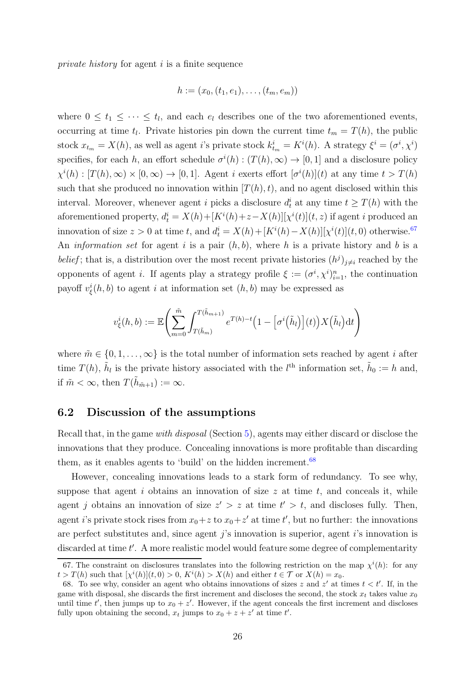private history for agent i is a finite sequence

$$
h := (x_0, (t_1, e_1), \dots, (t_m, e_m))
$$

where  $0 \leq t_1 \leq \cdots \leq t_l$ , and each  $e_l$  describes one of the two aforementioned events, occurring at time  $t_l$ . Private histories pin down the current time  $t_m = T(h)$ , the public stock  $x_{t_m} = X(h)$ , as well as agent *i*'s private stock  $k_{t_m}^i = K^i(h)$ . A strategy  $\xi^i = (\sigma^i, \chi^i)$ specifies, for each h, an effort schedule  $\sigma^{i}(h) : (T(h), \infty) \to [0, 1]$  and a disclosure policy  $\chi^{i}(h): [T(h), \infty) \times [0, \infty) \to [0, 1].$  Agent i exerts effort  $[\sigma^{i}(h)](t)$  at any time  $t > T(h)$ such that she produced no innovation within  $[T(h), t)$ , and no agent disclosed within this interval. Moreover, whenever agent *i* picks a disclosure  $d_t^i$  at any time  $t \geq T(h)$  with the aforementioned property,  $d_t^i = X(h) + [K^i(h) + z - X(h)][\chi^i(t)](t, z)$  if agent i produced an innovation of size  $z > 0$  at time t, and  $d_t^i = X(h) + [K^i(h) - X(h)][\chi^i(t)](t, 0)$  otherwise.<sup>[67](#page-25-0)</sup> An *information set* for agent i is a pair  $(h, b)$ , where h is a private history and b is a belief; that is, a distribution over the most recent private histories  $(h^j)_{j\neq i}$  reached by the opponents of agent *i*. If agents play a strategy profile  $\xi := (\sigma^i, \chi^i)_{i=1}^n$ , the continuation payoff  $v_{\xi}^{i}(h, b)$  to agent i at information set  $(h, b)$  may be expressed as

$$
v_{\xi}^{i}(h, b) := \mathbb{E}\left(\sum_{m=0}^{\tilde{m}} \int_{T(\tilde{h}_{m})}^{T(\tilde{h}_{m+1})} e^{T(h)-t} \left(1 - \left[\sigma^{i}(\tilde{h}_{l})\right](t)\right) X(\tilde{h}_{l}) dt\right)
$$

where  $\tilde{m} \in \{0, 1, \ldots, \infty\}$  is the total number of information sets reached by agent i after time  $T(h)$ ,  $\tilde{h}_l$  is the private history associated with the  $l^{\text{th}}$  information set,  $\tilde{h}_0 := h$  and, if  $\tilde{m} < \infty$ , then  $T(\tilde{h}_{\tilde{m}+1}) := \infty$ .

#### 6.2 Discussion of the assumptions

Recall that, in the game with disposal (Section [5\)](#page-18-1), agents may either discard or disclose the innovations that they produce. Concealing innovations is more profitable than discarding them, as it enables agents to 'build' on the hidden increment.<sup>[68](#page-25-1)</sup>

However, concealing innovations leads to a stark form of redundancy. To see why, suppose that agent i obtains an innovation of size  $z$  at time  $t$ , and conceals it, while agent *j* obtains an innovation of size  $z' > z$  at time  $t' > t$ , and discloses fully. Then, agent *i*'s private stock rises from  $x_0 + z$  to  $x_0 + z'$  at time *t'*, but no further: the innovations are perfect substitutes and, since agent  $j$ 's innovation is superior, agent  $i$ 's innovation is discarded at time t'. A more realistic model would feature some degree of complementarity

<span id="page-25-0"></span><sup>67.</sup> The constraint on disclosures translates into the following restriction on the map  $\chi^{i}(h)$ : for any  $t > T(h)$  such that  $[\chi^{i}(h)](t,0) > 0$ ,  $K^{i}(h) > X(h)$  and either  $t \in \mathcal{T}$  or  $X(h) = x_0$ .

<span id="page-25-1"></span><sup>68.</sup> To see why, consider an agent who obtains innovations of sizes z and z' at times  $t < t'$ . If, in the game with disposal, she discards the first increment and discloses the second, the stock  $x_t$  takes value  $x_0$ until time t', then jumps up to  $x_0 + z'$ . However, if the agent conceals the first increment and discloses fully upon obtaining the second,  $x_t$  jumps to  $x_0 + z + z'$  at time t'.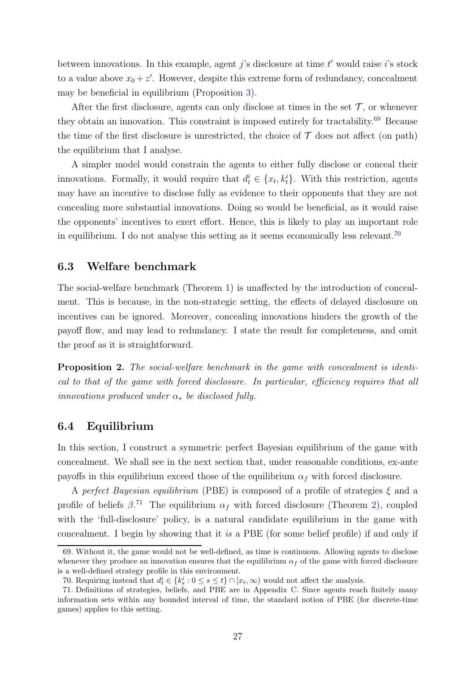between innovations. In this example, agent  $j$ 's disclosure at time  $t'$  would raise  $i$ 's stock to a value above  $x_0 + z'$ . However, despite this extreme form of redundancy, concealment may be beneficial in equilibrium (Proposition [3\)](#page-29-0).

After the first disclosure, agents can only disclose at times in the set  $\mathcal T$ , or whenever they obtain an innovation. This constraint is imposed entirely for tractability.<sup>[69](#page-26-0)</sup> Because the time of the first disclosure is unrestricted, the choice of  $\mathcal T$  does not affect (on path) the equilibrium that I analyse.

A simpler model would constrain the agents to either fully disclose or conceal their innovations. Formally, it would require that  $d_t^i \in \{x_t, k_t^i\}$ . With this restriction, agents may have an incentive to disclose fully as evidence to their opponents that they are not concealing more substantial innovations. Doing so would be beneficial, as it would raise the opponents' incentives to exert effort. Hence, this is likely to play an important role in equilibrium. I do not analyse this setting as it seems economically less relevant.<sup>[70](#page-26-1)</sup>

#### 6.3 Welfare benchmark

The social-welfare benchmark (Theorem [1\)](#page-9-0) is unaffected by the introduction of concealment. This is because, in the non-strategic setting, the effects of delayed disclosure on incentives can be ignored. Moreover, concealing innovations hinders the growth of the payoff flow, and may lead to redundancy. I state the result for completeness, and omit the proof as it is straightforward.

**Proposition 2.** The social-welfare benchmark in the game with concealment is identical to that of the game with forced disclosure. In particular, efficiency requires that all *innovations produced under*  $\alpha_*$  be disclosed fully.

### 6.4 Equilibrium

In this section, I construct a symmetric perfect Bayesian equilibrium of the game with concealment. We shall see in the next section that, under reasonable conditions, ex-ante payoffs in this equilibrium exceed those of the equilibrium  $\alpha_f$  with forced disclosure.

A perfect Bayesian equilibrium (PBE) is composed of a profile of strategies  $\xi$  and a profile of beliefs  $\beta$ <sup>[71](#page-26-2)</sup>. The equilibrium  $\alpha_f$  with forced disclosure (Theorem [2\)](#page-12-0), coupled with the 'full-disclosure' policy, is a natural candidate equilibrium in the game with concealment. I begin by showing that it is a PBE (for some belief profile) if and only if

<span id="page-26-0"></span><sup>69.</sup> Without it, the game would not be well-defined, as time is continuous. Allowing agents to disclose whenever they produce an innovation ensures that the equilibrium  $\alpha_f$  of the game with forced disclosure is a well-defined strategy profile in this environment.

<span id="page-26-1"></span><sup>70.</sup> Requiring instead that  $d_t^i \in \{k_s^i : 0 \le s \le t\} \cap [x_t, \infty)$  would not affect the analysis.

<span id="page-26-2"></span><sup>71.</sup> Definitions of strategies, beliefs, and PBE are in Appendix [C.](#page-43-0) Since agents reach finitely many information sets within any bounded interval of time, the standard notion of PBE (for discrete-time games) applies to this setting.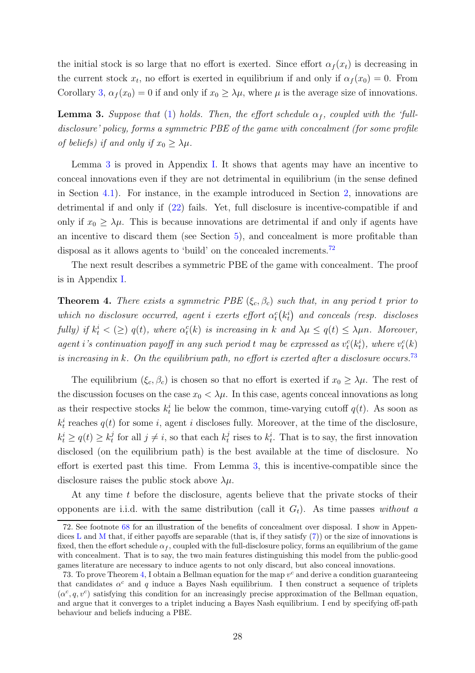the initial stock is so large that no effort is exerted. Since effort  $\alpha_f(x_t)$  is decreasing in the current stock  $x_t$ , no effort is exerted in equilibrium if and only if  $\alpha_f(x_0) = 0$ . From Corollary [3,](#page-12-7)  $\alpha_f(x_0) = 0$  if and only if  $x_0 \ge \lambda \mu$ , where  $\mu$  is the average size of innovations.

<span id="page-27-0"></span>**Lemma 3.** Suppose that [\(1\)](#page-5-5) holds. Then, the effort schedule  $\alpha_f$ , coupled with the 'fulldisclosure' policy, forms a symmetric PBE of the game with concealment (for some profile of beliefs) if and only if  $x_0 \geq \lambda \mu$ .

Lemma [3](#page-27-0) is proved in Appendix [I.](#page-63-0) It shows that agents may have an incentive to conceal innovations even if they are not detrimental in equilibrium (in the sense defined in Section [4.1\)](#page-15-1). For instance, in the example introduced in Section [2,](#page-5-0) innovations are detrimental if and only if [\(22\)](#page-17-4) fails. Yet, full disclosure is incentive-compatible if and only if  $x_0 \geq \lambda \mu$ . This is because innovations are detrimental if and only if agents have an incentive to discard them (see Section [5\)](#page-18-1), and concealment is more profitable than disposal as it allows agents to 'build' on the concealed increments.<sup>[72](#page-27-2)</sup>

<span id="page-27-1"></span>The next result describes a symmetric PBE of the game with concealment. The proof is in Appendix [I.](#page-63-0)

**Theorem 4.** There exists a symmetric PBE  $(\xi_c, \beta_c)$  such that, in any period t prior to which no disclosure occurred, agent i exerts effort  $\alpha_t^c(k_t^i)$  and conceals (resp. discloses fully) if  $k_t^i < (\geq)$   $q(t)$ , where  $\alpha_t^c(k)$  is increasing in k and  $\lambda \mu \leq q(t) \leq \lambda \mu n$ . Moreover, agent i's continuation payoff in any such period t may be expressed as  $v_t^c(k_t^i)$ , where  $v_t^c(k)$ is increasing in k. On the equilibrium path, no effort is exerted after a disclosure occurs.<sup>[73](#page-27-3)</sup>

The equilibrium  $(\xi_c, \beta_c)$  is chosen so that no effort is exerted if  $x_0 \geq \lambda \mu$ . The rest of the discussion focuses on the case  $x_0 < \lambda \mu$ . In this case, agents conceal innovations as long as their respective stocks  $k_t^i$  lie below the common, time-varying cutoff  $q(t)$ . As soon as  $k_t^i$  reaches  $q(t)$  for some i, agent i discloses fully. Moreover, at the time of the disclosure,  $k_t^i \geq q(t) \geq k_t^j$  $t_t^j$  for all  $j \neq i$ , so that each  $k_t^j$  $t_t^j$  rises to  $k_t^i$ . That is to say, the first innovation disclosed (on the equilibrium path) is the best available at the time of disclosure. No effort is exerted past this time. From Lemma [3,](#page-27-0) this is incentive-compatible since the disclosure raises the public stock above  $\lambda \mu$ .

At any time t before the disclosure, agents believe that the private stocks of their opponents are i.i.d. with the same distribution (call it  $G_t$ ). As time passes without a

<span id="page-27-2"></span><sup>72.</sup> See footnote [68](#page-25-1) for an illustration of the benefits of concealment over disposal. I show in Appen-dices [L](#page-81-0) and [M](#page-83-0) that, if either payoffs are separable (that is, if they satisfy  $(7)$ ) or the size of innovations is fixed, then the effort schedule  $\alpha_f$ , coupled with the full-disclosure policy, forms an equilibrium of the game with concealment. That is to say, the two main features distinguishing this model from the public-good games literature are necessary to induce agents to not only discard, but also conceal innovations.

<span id="page-27-3"></span><sup>73.</sup> To prove Theorem [4,](#page-27-1) I obtain a Bellman equation for the map  $v^c$  and derive a condition guaranteeing that candidates  $\alpha^c$  and q induce a Bayes Nash equilibrium. I then construct a sequence of triplets  $(\alpha^c, q, v^c)$  satisfying this condition for an increasingly precise approximation of the Bellman equation, and argue that it converges to a triplet inducing a Bayes Nash equilibrium. I end by specifying off-path behaviour and beliefs inducing a PBE.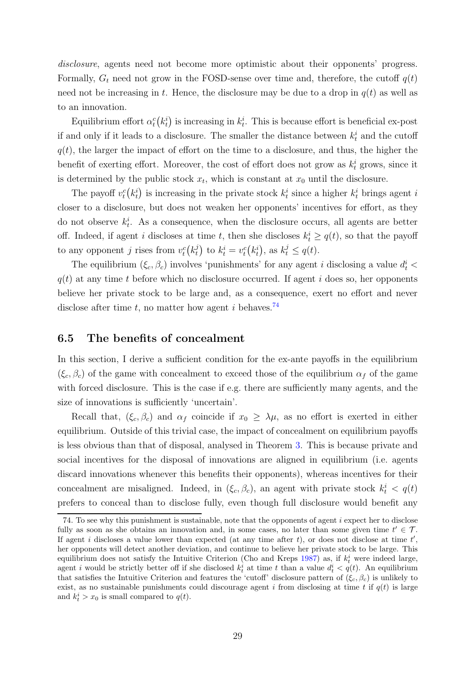disclosure, agents need not become more optimistic about their opponents' progress. Formally,  $G_t$  need not grow in the FOSD-sense over time and, therefore, the cutoff  $q(t)$ need not be increasing in t. Hence, the disclosure may be due to a drop in  $q(t)$  as well as to an innovation.

Equilibrium effort  $\alpha_t^c(k_t^i)$  is increasing in  $k_t^i$ . This is because effort is beneficial ex-post if and only if it leads to a disclosure. The smaller the distance between  $k_t^i$  and the cutoff  $q(t)$ , the larger the impact of effort on the time to a disclosure, and thus, the higher the benefit of exerting effort. Moreover, the cost of effort does not grow as  $k_t^i$  grows, since it is determined by the public stock  $x_t$ , which is constant at  $x_0$  until the disclosure.

The payoff  $v_t^c(k_t^i)$  is increasing in the private stock  $k_t^i$  since a higher  $k_t^i$  brings agent i closer to a disclosure, but does not weaken her opponents' incentives for effort, as they do not observe  $k_t^i$ . As a consequence, when the disclosure occurs, all agents are better off. Indeed, if agent i discloses at time t, then she discloses  $k_t^i \ge q(t)$ , so that the payoff to any opponent j rises from  $v_t^c(k_t^j)$  $t_t^j$ ) to  $k_t^i = v_t^c(k_t^i)$ , as  $k_t^j \leq q(t)$ .

The equilibrium  $(\xi_c, \beta_c)$  involves 'punishments' for any agent *i* disclosing a value  $d_t^i$  <  $q(t)$  at any time t before which no disclosure occurred. If agent i does so, her opponents believe her private stock to be large and, as a consequence, exert no effort and never disclose after time  $t$ , no matter how agent i behaves.<sup>[74](#page-28-0)</sup>

### 6.5 The benefits of concealment

In this section, I derive a sufficient condition for the ex-ante payoffs in the equilibrium  $(\xi_c, \beta_c)$  of the game with concealment to exceed those of the equilibrium  $\alpha_f$  of the game with forced disclosure. This is the case if e.g. there are sufficiently many agents, and the size of innovations is sufficiently 'uncertain'.

Recall that,  $(\xi_c, \beta_c)$  and  $\alpha_f$  coincide if  $x_0 \geq \lambda \mu$ , as no effort is exerted in either equilibrium. Outside of this trivial case, the impact of concealment on equilibrium payoffs is less obvious than that of disposal, analysed in Theorem [3.](#page-21-0) This is because private and social incentives for the disposal of innovations are aligned in equilibrium (i.e. agents discard innovations whenever this benefits their opponents), whereas incentives for their concealment are misaligned. Indeed, in  $(\xi_c, \beta_c)$ , an agent with private stock  $k_t^i < q(t)$ prefers to conceal than to disclose fully, even though full disclosure would benefit any

<span id="page-28-0"></span><sup>74.</sup> To see why this punishment is sustainable, note that the opponents of agent i expect her to disclose fully as soon as she obtains an innovation and, in some cases, no later than some given time  $t' \in \mathcal{T}$ . If agent i discloses a value lower than expected (at any time after  $t$ ), or does not disclose at time  $t'$ , her opponents will detect another deviation, and continue to believe her private stock to be large. This equilibrium does not satisfy the Intuitive Criterion (Cho and Kreps [1987\)](#page-31-11) as, if  $k_t^i$  were indeed large, agent i would be strictly better off if she disclosed  $k_t^i$  at time t than a value  $d_t^i < q(t)$ . An equilibrium that satisfies the Intuitive Criterion and features the 'cutoff' disclosure pattern of  $(\xi_c, \beta_c)$  is unlikely to exist, as no sustainable punishments could discourage agent i from disclosing at time t if  $q(t)$  is large and  $k_t^i > x_0$  is small compared to  $q(t)$ .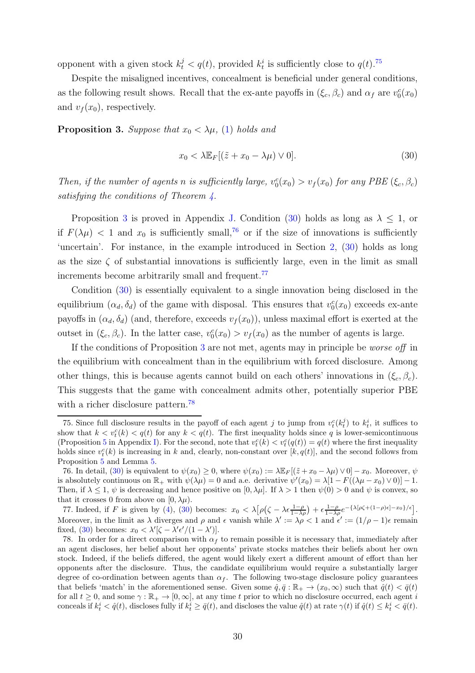opponent with a given stock  $k_t^j < q(t)$ , provided  $k_t^i$  is sufficiently close to  $q(t)$ .<sup>[75](#page-29-1)</sup>

Despite the misaligned incentives, concealment is beneficial under general conditions, as the following result shows. Recall that the ex-ante payoffs in  $(\xi_c, \beta_c)$  and  $\alpha_f$  are  $v_0^c(x_0)$ and  $v_f(x_0)$ , respectively.

<span id="page-29-0"></span>**Proposition 3.** Suppose that  $x_0 < \lambda \mu$ , [\(1\)](#page-5-5) holds and

<span id="page-29-2"></span>
$$
x_0 < \lambda \mathbb{E}_F[(\tilde{z} + x_0 - \lambda \mu) \vee 0].\tag{30}
$$

Then, if the number of agents n is sufficiently large,  $v_0^c(x_0) > v_f(x_0)$  for any PBE  $(\xi_c, \beta_c)$ satisfying the conditions of Theorem  $\frac{1}{4}$ .

Proposition [3](#page-29-0) is proved in Appendix [J.](#page-74-0) Condition [\(30\)](#page-29-2) holds as long as  $\lambda \leq 1$ , or if  $F(\lambda \mu) < 1$  and  $x_0$  is sufficiently small,<sup>[76](#page-29-3)</sup> or if the size of innovations is sufficiently 'uncertain'. For instance, in the example introduced in Section [2,](#page-5-0) [\(30\)](#page-29-2) holds as long as the size  $\zeta$  of substantial innovations is sufficiently large, even in the limit as small increments become arbitrarily small and frequent.<sup>[77](#page-29-4)</sup>

Condition [\(30\)](#page-29-2) is essentially equivalent to a single innovation being disclosed in the equilibrium  $(\alpha_d, \delta_d)$  of the game with disposal. This ensures that  $v_0^c(x_0)$  exceeds ex-ante payoffs in  $(\alpha_d, \delta_d)$  (and, therefore, exceeds  $v_f(x_0)$ ), unless maximal effort is exerted at the outset in  $(\xi_c, \beta_c)$ . In the latter case,  $v_0^c(x_0) > v_f(x_0)$  as the number of agents is large.

If the conditions of Proposition [3](#page-29-0) are not met, agents may in principle be worse off in the equilibrium with concealment than in the equilibrium with forced disclosure. Among other things, this is because agents cannot build on each others' innovations in  $(\xi_c, \beta_c)$ . This suggests that the game with concealment admits other, potentially superior PBE with a richer disclosure pattern.<sup>[78](#page-29-5)</sup>

<span id="page-29-4"></span>77. Indeed, if F is given by [\(4\)](#page-6-4), [\(30\)](#page-29-2) becomes:  $x_0 < \lambda \left[ \rho(\zeta - \lambda \epsilon \frac{1-\rho}{1-\lambda \rho}) + \epsilon \frac{1-\rho}{1-\lambda \rho} e^{-\{\lambda [\rho \zeta + (1-\rho)\epsilon]-x_0\}/\epsilon} \right]$ . Moreover, in the limit as  $\lambda$  diverges and  $\rho$  and  $\epsilon$  vanish while  $\lambda' := \lambda \rho < 1$  and  $\epsilon' := (1/\rho - 1)\epsilon$  remain fixed, [\(30\)](#page-29-2) becomes:  $x_0 < \lambda'[\zeta - \lambda' \epsilon'/(1 - \lambda')]$ .

<span id="page-29-1"></span><sup>75.</sup> Since full disclosure results in the payoff of each agent j to jump from  $v_t^c(k_t^j)$  to  $k_t^i$ , it suffices to show that  $k < v_t^c(k) < q(t)$  for any  $k < q(t)$ . The first inequality holds since q is lower-semicontinuous (Proposition [5](#page-64-0) in Appendix [I\)](#page-63-0). For the second, note that  $v_t^c(k) < v_t^c(q(t)) = q(t)$  where the first inequality holds since  $v_t^c(k)$  is increasing in k and, clearly, non-constant over  $[k, q(t)]$ , and the second follows from Proposition [5](#page-64-0) and Lemma [5.](#page-65-0)

<span id="page-29-3"></span><sup>76.</sup> In detail, [\(30\)](#page-29-2) is equivalent to  $\psi(x_0) \geq 0$ , where  $\psi(x_0) := \lambda \mathbb{E}_F[(\tilde{z} + x_0 - \lambda \mu) \vee 0] - x_0$ . Moreover,  $\psi$ is absolutely continuous on  $\mathbb{R}_+$  with  $\psi(\lambda\mu) = 0$  and a.e. derivative  $\psi'(x_0) = \lambda[1 - F((\lambda\mu - x_0) \vee 0)] - 1$ . Then, if  $\lambda \leq 1$ ,  $\psi$  is decreasing and hence positive on  $[0, \lambda \mu]$ . If  $\lambda > 1$  then  $\psi(0) > 0$  and  $\psi$  is convex, so that it crosses 0 from above on  $[0, \lambda \mu)$ .

<span id="page-29-5"></span><sup>78.</sup> In order for a direct comparison with  $\alpha_f$  to remain possible it is necessary that, immediately after an agent discloses, her belief about her opponents' private stocks matches their beliefs about her own stock. Indeed, if the beliefs differed, the agent would likely exert a different amount of effort than her opponents after the disclosure. Thus, the candidate equilibrium would require a substantially larger degree of co-ordination between agents than  $\alpha_f$ . The following two-stage disclosure policy guarantees that beliefs 'match' in the aforementioned sense. Given some  $\hat{q}, \bar{q}: \mathbb{R}_+ \to (x_0, \infty)$  such that  $\hat{q}(t) < \bar{q}(t)$ for all  $t \geq 0$ , and some  $\gamma : \mathbb{R}_+ \to [0, \infty]$ , at any time t prior to which no disclosure occurred, each agent i conceals if  $k_t^i < \hat{q}(t)$ , discloses fully if  $k_t^i \geq \bar{q}(t)$ , and discloses the value  $\hat{q}(t)$  at rate  $\gamma(t)$  if  $\hat{q}(t) \leq k_t^i < \bar{q}(t)$ .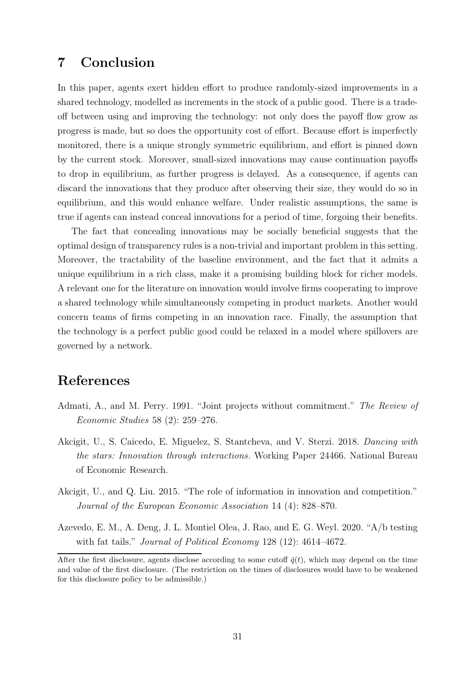## <span id="page-30-1"></span>7 Conclusion

In this paper, agents exert hidden effort to produce randomly-sized improvements in a shared technology, modelled as increments in the stock of a public good. There is a tradeoff between using and improving the technology: not only does the payoff flow grow as progress is made, but so does the opportunity cost of effort. Because effort is imperfectly monitored, there is a unique strongly symmetric equilibrium, and effort is pinned down by the current stock. Moreover, small-sized innovations may cause continuation payoffs to drop in equilibrium, as further progress is delayed. As a consequence, if agents can discard the innovations that they produce after observing their size, they would do so in equilibrium, and this would enhance welfare. Under realistic assumptions, the same is true if agents can instead conceal innovations for a period of time, forgoing their benefits.

The fact that concealing innovations may be socially beneficial suggests that the optimal design of transparency rules is a non-trivial and important problem in this setting. Moreover, the tractability of the baseline environment, and the fact that it admits a unique equilibrium in a rich class, make it a promising building block for richer models. A relevant one for the literature on innovation would involve firms cooperating to improve a shared technology while simultaneously competing in product markets. Another would concern teams of firms competing in an innovation race. Finally, the assumption that the technology is a perfect public good could be relaxed in a model where spillovers are governed by a network.

### <span id="page-30-3"></span>References

- Admati, A., and M. Perry. 1991. "Joint projects without commitment." The Review of Economic Studies 58 (2): 259–276.
- <span id="page-30-0"></span>Akcigit, U., S. Caicedo, E. Miguelez, S. Stantcheva, and V. Sterzi. 2018. Dancing with the stars: Innovation through interactions. Working Paper 24466. National Bureau of Economic Research.
- <span id="page-30-4"></span>Akcigit, U., and Q. Liu. 2015. "The role of information in innovation and competition." Journal of the European Economic Association 14 (4): 828–870.
- <span id="page-30-2"></span>Azevedo, E. M., A. Deng, J. L. Montiel Olea, J. Rao, and E. G. Weyl. 2020. "A/b testing with fat tails." *Journal of Political Economy* 128 (12): 4614–4672.

After the first disclosure, agents disclose according to some cutoff  $\check{q}(t)$ , which may depend on the time and value of the first disclosure. (The restriction on the times of disclosures would have to be weakened for this disclosure policy to be admissible.)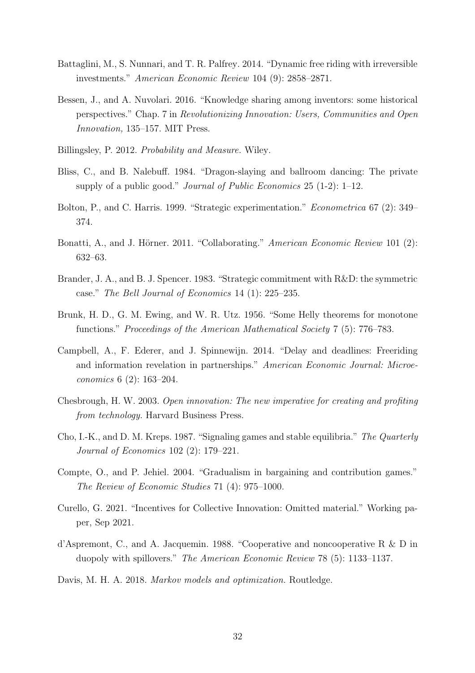- <span id="page-31-2"></span><span id="page-31-0"></span>Battaglini, M., S. Nunnari, and T. R. Palfrey. 2014. "Dynamic free riding with irreversible investments." American Economic Review 104 (9): 2858–2871.
- Bessen, J., and A. Nuvolari. 2016. "Knowledge sharing among inventors: some historical perspectives." Chap. 7 in Revolutionizing Innovation: Users, Communities and Open Innovation, 135–157. MIT Press.
- <span id="page-31-3"></span>Billingsley, P. 2012. Probability and Measure. Wiley.
- Bliss, C., and B. Nalebuff. 1984. "Dragon-slaying and ballroom dancing: The private supply of a public good." *Journal of Public Economics* 25  $(1-2)$ : 1–12.
- <span id="page-31-7"></span><span id="page-31-6"></span>Bolton, P., and C. Harris. 1999. "Strategic experimentation." Econometrica 67 (2): 349– 374.
- <span id="page-31-8"></span>Bonatti, A., and J. Hörner. 2011. "Collaborating." American Economic Review 101 (2): 632–63.
- Brander, J. A., and B. J. Spencer. 1983. "Strategic commitment with R&D: the symmetric case." The Bell Journal of Economics 14 (1): 225–235.
- Brunk, H. D., G. M. Ewing, and W. R. Utz. 1956. "Some Helly theorems for monotone functions." Proceedings of the American Mathematical Society 7 (5): 776–783.
- <span id="page-31-5"></span>Campbell, A., F. Ederer, and J. Spinnewijn. 2014. "Delay and deadlines: Freeriding and information revelation in partnerships." American Economic Journal: Microeconomics 6 (2): 163–204.
- <span id="page-31-1"></span>Chesbrough, H. W. 2003. Open innovation: The new imperative for creating and profiting from technology. Harvard Business Press.
- <span id="page-31-11"></span>Cho, I.-K., and D. M. Kreps. 1987. "Signaling games and stable equilibria." The Quarterly Journal of Economics 102 (2): 179–221.
- <span id="page-31-4"></span>Compte, O., and P. Jehiel. 2004. "Gradualism in bargaining and contribution games." The Review of Economic Studies 71 (4): 975–1000.
- <span id="page-31-10"></span>Curello, G. 2021. "Incentives for Collective Innovation: Omitted material." Working paper, Sep 2021.
- <span id="page-31-9"></span>d'Aspremont, C., and A. Jacquemin. 1988. "Cooperative and noncooperative R & D in duopoly with spillovers." The American Economic Review 78 (5): 1133–1137.
- Davis, M. H. A. 2018. Markov models and optimization. Routledge.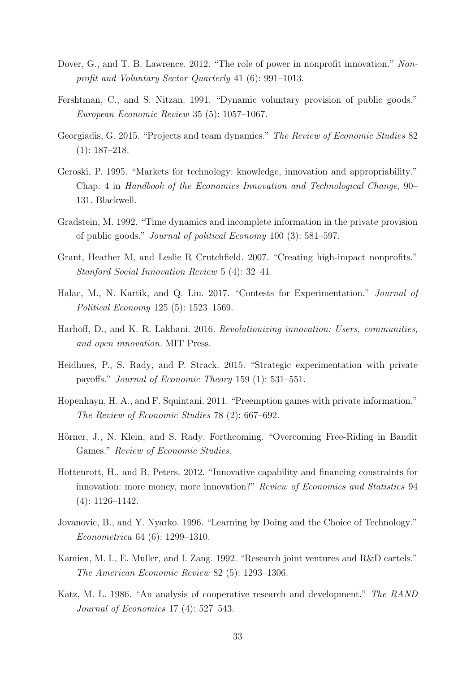- <span id="page-32-5"></span><span id="page-32-1"></span>Dover, G., and T. B. Lawrence. 2012. "The role of power in nonprofit innovation." Nonprofit and Voluntary Sector Quarterly 41 (6): 991–1013.
- <span id="page-32-7"></span>Fershtman, C., and S. Nitzan. 1991. "Dynamic voluntary provision of public goods." European Economic Review 35 (5): 1057–1067.
- Georgiadis, G. 2015. "Projects and team dynamics." The Review of Economic Studies 82  $(1): 187 - 218.$
- <span id="page-32-2"></span>Geroski, P. 1995. "Markets for technology: knowledge, innovation and appropriability." Chap. 4 in Handbook of the Economics Innovation and Technological Change, 90– 131. Blackwell.
- <span id="page-32-6"></span>Gradstein, M. 1992. "Time dynamics and incomplete information in the private provision of public goods." Journal of political Economy 100 (3): 581–597.
- <span id="page-32-4"></span>Grant, Heather M, and Leslie R Crutchfield. 2007. "Creating high-impact nonprofits." Stanford Social Innovation Review 5 (4): 32–41.
- <span id="page-32-10"></span>Halac, M., N. Kartik, and Q. Liu. 2017. "Contests for Experimentation." Journal of Political Economy 125 (5): 1523–1569.
- <span id="page-32-0"></span>Harhoff, D., and K. R. Lakhani. 2016. Revolutionizing innovation: Users, communities, and open innovation. MIT Press.
- <span id="page-32-9"></span>Heidhues, P., S. Rady, and P. Strack. 2015. "Strategic experimentation with private payoffs." Journal of Economic Theory 159 (1): 531–551.
- <span id="page-32-14"></span>Hopenhayn, H. A., and F. Squintani. 2011. "Preemption games with private information." The Review of Economic Studies 78 (2): 667–692.
- <span id="page-32-8"></span>Hörner, J., N. Klein, and S. Rady. Forthcoming. "Overcoming Free-Riding in Bandit Games." Review of Economic Studies.
- <span id="page-32-3"></span>Hottenrott, H., and B. Peters. 2012. "Innovative capability and financing constraints for innovation: more money, more innovation?" Review of Economics and Statistics 94 (4): 1126–1142.
- <span id="page-32-13"></span>Jovanovic, B., and Y. Nyarko. 1996. "Learning by Doing and the Choice of Technology." Econometrica 64 (6): 1299–1310.
- <span id="page-32-12"></span>Kamien, M. I., E. Muller, and I. Zang. 1992. "Research joint ventures and R&D cartels." The American Economic Review 82 (5): 1293–1306.
- <span id="page-32-11"></span>Katz, M. L. 1986. "An analysis of cooperative research and development." The RAND Journal of Economics 17 (4): 527–543.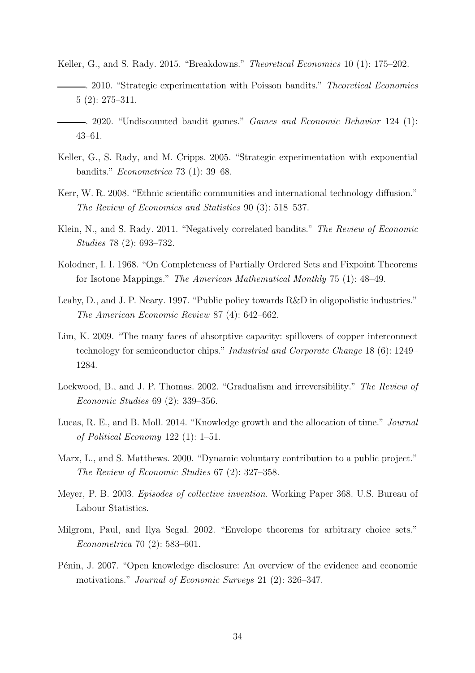- <span id="page-33-11"></span><span id="page-33-10"></span><span id="page-33-8"></span>Keller, G., and S. Rady. 2015. "Breakdowns." Theoretical Economics 10 (1): 175–202.
	- . 2010. "Strategic experimentation with Poisson bandits." Theoretical Economics 5 (2): 275–311.
	- . 2020. "Undiscounted bandit games." Games and Economic Behavior 124 (1): 43–61.
- <span id="page-33-7"></span>Keller, G., S. Rady, and M. Cripps. 2005. "Strategic experimentation with exponential bandits." Econometrica 73 (1): 39–68.
- <span id="page-33-1"></span>Kerr, W. R. 2008. "Ethnic scientific communities and international technology diffusion." The Review of Economics and Statistics 90 (3): 518–537.
- <span id="page-33-9"></span>Klein, N., and S. Rady. 2011. "Negatively correlated bandits." The Review of Economic Studies 78 (2): 693–732.
- Kolodner, I. I. 1968. "On Completeness of Partially Ordered Sets and Fixpoint Theorems for Isotone Mappings." The American Mathematical Monthly 75 (1): 48–49.
- <span id="page-33-12"></span>Leahy, D., and J. P. Neary. 1997. "Public policy towards R&D in oligopolistic industries." The American Economic Review 87 (4): 642–662.
- <span id="page-33-3"></span>Lim, K. 2009. "The many faces of absorptive capacity: spillovers of copper interconnect technology for semiconductor chips." Industrial and Corporate Change 18 (6): 1249– 1284.
- <span id="page-33-5"></span>Lockwood, B., and J. P. Thomas. 2002. "Gradualism and irreversibility." The Review of Economic Studies 69 (2): 339–356.
- <span id="page-33-6"></span>Lucas, R. E., and B. Moll. 2014. "Knowledge growth and the allocation of time." Journal of Political Economy 122  $(1)$ : 1–51.
- <span id="page-33-4"></span>Marx, L., and S. Matthews. 2000. "Dynamic voluntary contribution to a public project." The Review of Economic Studies 67 (2): 327–358.
- <span id="page-33-2"></span>Meyer, P. B. 2003. Episodes of collective invention. Working Paper 368. U.S. Bureau of Labour Statistics.
- Milgrom, Paul, and Ilya Segal. 2002. "Envelope theorems for arbitrary choice sets." Econometrica 70 (2): 583–601.
- <span id="page-33-0"></span>Pénin, J. 2007. "Open knowledge disclosure: An overview of the evidence and economic motivations." Journal of Economic Surveys 21 (2): 326–347.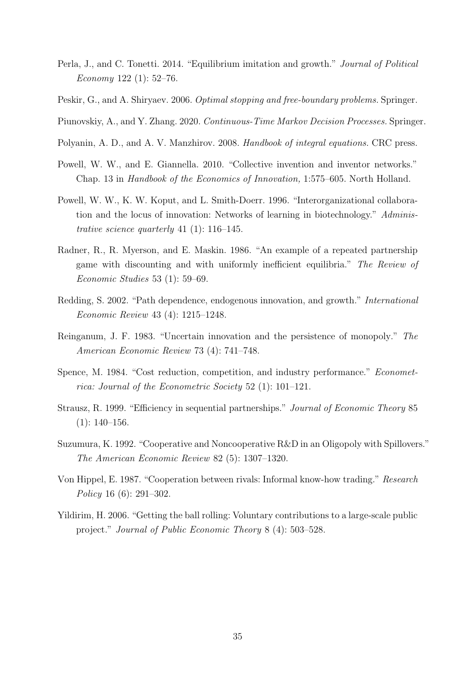- <span id="page-34-13"></span><span id="page-34-7"></span>Perla, J., and C. Tonetti. 2014. "Equilibrium imitation and growth." Journal of Political Economy 122  $(1)$ : 52–76.
- <span id="page-34-11"></span>Peskir, G., and A. Shiryaev. 2006. Optimal stopping and free-boundary problems. Springer.
- <span id="page-34-12"></span>Piunovskiy, A., and Y. Zhang. 2020. Continuous-Time Markov Decision Processes. Springer.
- <span id="page-34-0"></span>Polyanin, A. D., and A. V. Manzhirov. 2008. Handbook of integral equations. CRC press.
- Powell, W. W., and E. Giannella. 2010. "Collective invention and inventor networks." Chap. 13 in Handbook of the Economics of Innovation, 1:575–605. North Holland.
- <span id="page-34-1"></span>Powell, W. W., K. W. Koput, and L. Smith-Doerr. 1996. "Interorganizational collaboration and the locus of innovation: Networks of learning in biotechnology." Administrative science quarterly 41 (1): 116–145.
- <span id="page-34-3"></span>Radner, R., R. Myerson, and E. Maskin. 1986. "An example of a repeated partnership game with discounting and with uniformly inefficient equilibria." The Review of Economic Studies 53 (1): 59–69.
- <span id="page-34-10"></span>Redding, S. 2002. "Path dependence, endogenous innovation, and growth." International Economic Review 43 (4): 1215–1248.
- <span id="page-34-6"></span>Reinganum, J. F. 1983. "Uncertain innovation and the persistence of monopoly." The American Economic Review 73 (4): 741–748.
- <span id="page-34-8"></span>Spence, M. 1984. "Cost reduction, competition, and industry performance." Econometrica: Journal of the Econometric Society 52 (1): 101–121.
- <span id="page-34-4"></span>Strausz, R. 1999. "Efficiency in sequential partnerships." Journal of Economic Theory 85  $(1): 140-156.$
- <span id="page-34-9"></span>Suzumura, K. 1992. "Cooperative and Noncooperative R&D in an Oligopoly with Spillovers." The American Economic Review 82 (5): 1307–1320.
- <span id="page-34-2"></span>Von Hippel, E. 1987. "Cooperation between rivals: Informal know-how trading." Research Policy 16 (6): 291–302.
- <span id="page-34-5"></span>Yildirim, H. 2006. "Getting the ball rolling: Voluntary contributions to a large-scale public project." Journal of Public Economic Theory 8 (4): 503–528.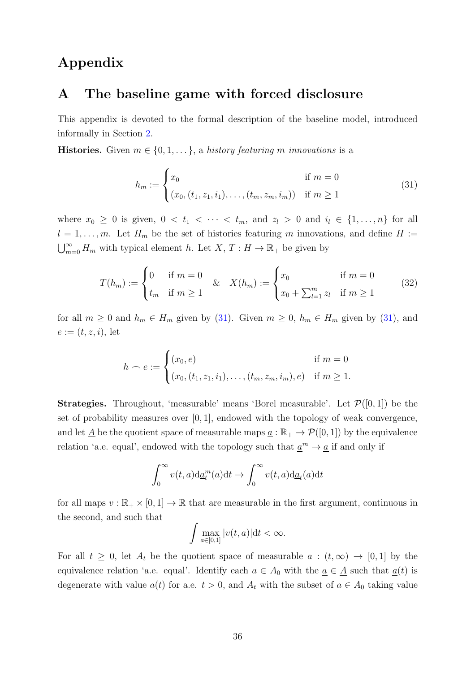## <span id="page-35-0"></span>Appendix

### A The baseline game with forced disclosure

This appendix is devoted to the formal description of the baseline model, introduced informally in Section [2.](#page-5-0)

**Histories.** Given  $m \in \{0, 1, \ldots\}$ , a history featuring m innovations is a

<span id="page-35-1"></span>
$$
h_m := \begin{cases} x_0 & \text{if } m = 0\\ (x_0, (t_1, z_1, i_1), \dots, (t_m, z_m, i_m)) & \text{if } m \ge 1 \end{cases}
$$
(31)

where  $x_0 \geq 0$  is given,  $0 < t_1 < \cdots < t_m$ , and  $z_l > 0$  and  $i_l \in \{1, \ldots, n\}$  for all  $l = 1, \ldots, m$ . Let  $H_m$  be the set of histories featuring m innovations, and define  $H :=$  $\bigcup_{m=0}^{\infty} H_m$  with typical element h. Let  $X, T : H \to \mathbb{R}_+$  be given by

$$
T(h_m) := \begin{cases} 0 & \text{if } m = 0 \\ t_m & \text{if } m \ge 1 \end{cases} \quad \& \quad X(h_m) := \begin{cases} x_0 & \text{if } m = 0 \\ x_0 + \sum_{l=1}^m z_l & \text{if } m \ge 1 \end{cases}
$$
 (32)

for all  $m \geq 0$  and  $h_m \in H_m$  given by [\(31\)](#page-35-1). Given  $m \geq 0$ ,  $h_m \in H_m$  given by (31), and  $e := (t, z, i)$ , let

$$
h \frown e := \begin{cases} (x_0, e) & \text{if } m = 0\\ (x_0, (t_1, z_1, i_1), \dots, (t_m, z_m, i_m), e) & \text{if } m \ge 1. \end{cases}
$$

**Strategies.** Throughout, 'measurable' means 'Borel measurable'. Let  $\mathcal{P}([0,1])$  be the set of probability measures over [0, 1], endowed with the topology of weak convergence, and let  $\underline{A}$  be the quotient space of measurable maps  $\underline{a} : \mathbb{R}_+ \to \mathcal{P}([0,1])$  by the equivalence relation 'a.e. equal', endowed with the topology such that  $\underline{a}^m \to \underline{a}$  if and only if

$$
\int_0^\infty v(t,a)\mathrm{d}\underline{a}_t^m(a)\mathrm{d}t \to \int_0^\infty v(t,a)\mathrm{d}\underline{a}_t(a)\mathrm{d}t
$$

for all maps  $v : \mathbb{R}_+ \times [0,1] \to \mathbb{R}$  that are measurable in the first argument, continuous in the second, and such that

$$
\int \max_{a \in [0,1]} |v(t,a)| \mathrm{d}t < \infty.
$$

For all  $t \geq 0$ , let  $A_t$  be the quotient space of measurable  $a : (t, \infty) \to [0, 1]$  by the equivalence relation 'a.e. equal'. Identify each  $a \in A_0$  with the  $\underline{a} \in \underline{A}$  such that  $\underline{a}(t)$  is degenerate with value  $a(t)$  for a.e.  $t > 0$ , and  $A_t$  with the subset of  $a \in A_0$  taking value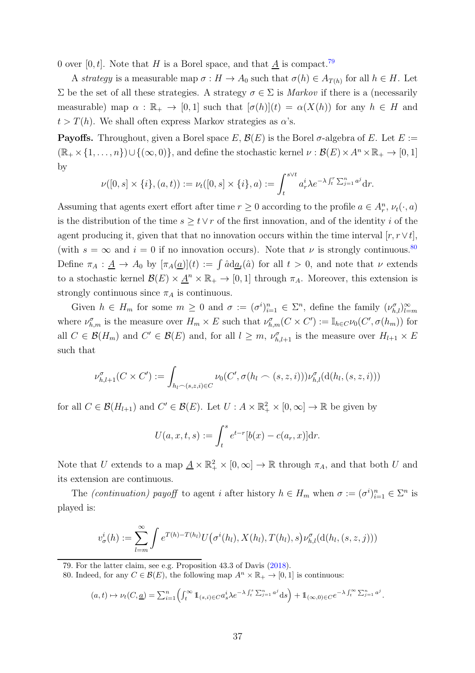0 over [0, t]. Note that H is a Borel space, and that  $\underline{A}$  is compact.<sup>[79](#page-36-0)</sup>

A strategy is a measurable map  $\sigma: H \to A_0$  such that  $\sigma(h) \in A_{T(h)}$  for all  $h \in H$ . Let Σ be the set of all these strategies. A strategy  $σ ∈ Σ$  is *Markov* if there is a (necessarily measurable) map  $\alpha : \mathbb{R}_+ \to [0,1]$  such that  $[\sigma(h)](t) = \alpha(X(h))$  for any  $h \in H$  and  $t > T(h)$ . We shall often express Markov strategies as  $\alpha$ 's.

**Payoffs.** Throughout, given a Borel space E,  $\mathcal{B}(E)$  is the Borel  $\sigma$ -algebra of E. Let  $E :=$  $(\mathbb{R}_+ \times \{1, \ldots, n\}) \cup \{(\infty, 0)\},$  and define the stochastic kernel  $\nu : \mathcal{B}(E) \times A^n \times \mathbb{R}_+ \to [0, 1]$ by

$$
\nu([0,s] \times \{i\}, (a,t)) := \nu_t([0,s] \times \{i\}, a) := \int_t^{s \vee t} a_r^i \lambda e^{-\lambda \int_t^r \sum_{j=1}^n a_j^j} dr.
$$

Assuming that agents exert effort after time  $r \geq 0$  according to the profile  $a \in A_r^n$ ,  $\nu_t(\cdot, a)$ is the distribution of the time  $s \geq t \vee r$  of the first innovation, and of the identity i of the agent producing it, given that that no innovation occurs within the time interval [r,  $r \vee t$ ], (with  $s = \infty$  and  $i = 0$  if no innovation occurs). Note that  $\nu$  is strongly continuous.<sup>[80](#page-36-1)</sup> Define  $\pi_A: \underline{A} \to A_0$  by  $[\pi_A(\underline{a})](t) := \int \hat{a} d\underline{a}_t(\hat{a})$  for all  $t > 0$ , and note that  $\nu$  extends to a stochastic kernel  $\mathcal{B}(E) \times \underline{A}^n \times \mathbb{R}_+ \to [0,1]$  through  $\pi_A$ . Moreover, this extension is strongly continuous since  $\pi_A$  is continuous.

Given  $h \in H_m$  for some  $m \geq 0$  and  $\sigma := (\sigma^i)_{i=1}^n \in \Sigma^n$ , define the family  $(\nu_{h,l}^{\sigma})_{l=m}^{\infty}$ where  $\nu_{h,m}^{\sigma}$  is the measure over  $H_m \times E$  such that  $\nu_{h,m}^{\sigma}(C \times C') := \mathbb{I}_{h \in C} \nu_0(C', \sigma(h_m))$  for all  $C \in \mathcal{B}(H_m)$  and  $C' \in \mathcal{B}(E)$  and, for all  $l \geq m$ ,  $\nu_{h,l+1}^{\sigma}$  is the measure over  $H_{l+1} \times E$ such that

$$
\nu_{h,l+1}^{\sigma}(C \times C') := \int_{h_l \cap (s,z,i) \in C} \nu_0(C', \sigma(h_l \cap (s,z,i))) \nu_{h,l}^{\sigma}(\mathrm{d}(h_l, (s,z,i)))
$$

for all  $C \in \mathcal{B}(H_{l+1})$  and  $C' \in \mathcal{B}(E)$ . Let  $U : A \times \mathbb{R}^2_+ \times [0, \infty] \to \mathbb{R}$  be given by

$$
U(a, x, t, s) := \int_{t}^{s} e^{t-r} [b(x) - c(a_r, x)] dr.
$$

Note that U extends to a map  $\underline{A} \times \mathbb{R}^2_+ \times [0, \infty] \to \mathbb{R}$  through  $\pi_A$ , and that both U and its extension are continuous.

The *(continuation)* payoff to agent *i* after history  $h \in H_m$  when  $\sigma := (\sigma^i)_{i=1}^n \in \Sigma^n$  is played is:

$$
v^i_{\sigma}(h) := \sum_{l=m}^{\infty} \int e^{T(h)-T(h_l)} U(\sigma^i(h_l), X(h_l), T(h_l), s) \nu^{\sigma}_{h,l}(d(h_l, (s, z, j)))
$$

79. For the latter claim, see e.g. Proposition 43.3 of Davis [\(2018](#page-31-0)).

<span id="page-36-1"></span><span id="page-36-0"></span>80. Indeed, for any  $C \in \mathcal{B}(E)$ , the following map  $A^n \times \mathbb{R}_+ \to [0, 1]$  is continuous:

$$
(a,t) \mapsto \nu_t(C, \underline{a}) = \sum_{i=1}^n \left( \int_t^\infty \mathbb{1}_{(s,i) \in C} a_s^i \lambda e^{-\lambda \int_t^s \sum_{j=1}^n a_j^j} ds \right) + \mathbb{1}_{(\infty,0) \in C} e^{-\lambda \int_t^\infty \sum_{j=1}^n a_j^j}.
$$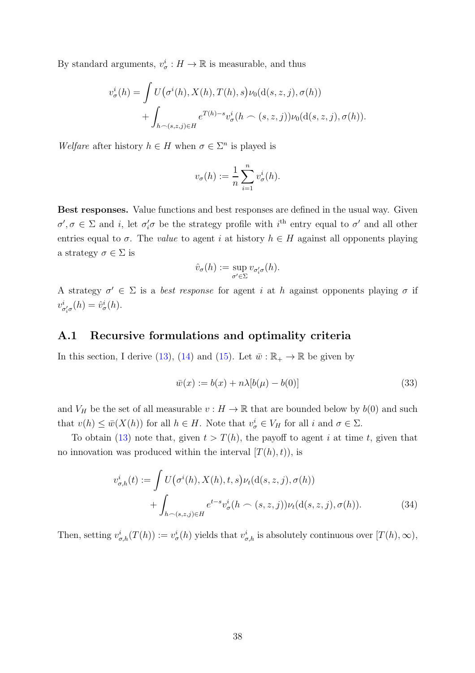By standard arguments,  $v^i_{\sigma}: H \to \mathbb{R}$  is measurable, and thus

$$
v_{\sigma}^{i}(h) = \int U(\sigma^{i}(h), X(h), T(h), s) \nu_{0}(d(s, z, j), \sigma(h))
$$

$$
+ \int_{h \cap (s, z, j) \in H} e^{T(h) - s} v_{\sigma}^{i}(h \cap (s, z, j)) \nu_{0}(d(s, z, j), \sigma(h)).
$$

Welfare after history  $h \in H$  when  $\sigma \in \Sigma^n$  is played is

$$
v_{\sigma}(h) := \frac{1}{n} \sum_{i=1}^{n} v_{\sigma}^{i}(h).
$$

Best responses. Value functions and best responses are defined in the usual way. Given  $\sigma', \sigma \in \Sigma$  and i, let  $\sigma'_i \sigma$  be the strategy profile with i<sup>th</sup> entry equal to  $\sigma'$  and all other entries equal to  $\sigma$ . The *value* to agent i at history  $h \in H$  against all opponents playing a strategy  $\sigma \in \Sigma$  is

$$
\hat{v}_\sigma(h):=\sup_{\sigma'\in\Sigma}v_{\sigma_i'\sigma}(h).
$$

A strategy  $\sigma' \in \Sigma$  is a *best response* for agent i at h against opponents playing  $\sigma$  if  $v_{\sigma'_i\sigma}^i(h) = \hat{v}_{\sigma}^i(h).$ 

#### <span id="page-37-1"></span>A.1 Recursive formulations and optimality criteria

In this section, I derive [\(13\)](#page-11-0), [\(14\)](#page-11-1) and [\(15\)](#page-11-2). Let  $\bar{w} : \mathbb{R}_+ \to \mathbb{R}$  be given by

<span id="page-37-0"></span>
$$
\bar{w}(x) := b(x) + n\lambda[b(\mu) - b(0)]
$$
\n(33)

and  $V_H$  be the set of all measurable  $v : H \to \mathbb{R}$  that are bounded below by  $b(0)$  and such that  $v(h) \leq \overline{w}(X(h))$  for all  $h \in H$ . Note that  $v^i_{\sigma} \in V_H$  for all i and  $\sigma \in \Sigma$ .

To obtain [\(13\)](#page-11-0) note that, given  $t > T(h)$ , the payoff to agent i at time t, given that no innovation was produced within the interval  $[T(h), t)$ , is

$$
v_{\sigma,h}^i(t) := \int U(\sigma^i(h), X(h), t, s) \nu_t(\mathrm{d}(s, z, j), \sigma(h))
$$

$$
+ \int_{h \frown (s, z, j) \in H} e^{t - s} v_{\sigma}^i(h \frown (s, z, j)) \nu_t(\mathrm{d}(s, z, j), \sigma(h)). \tag{34}
$$

Then, setting  $v^i_{\sigma,h}(T(h)) := v^i_{\sigma}(h)$  yields that  $v^i_{\sigma,h}$  is absolutely continuous over  $[T(h), \infty)$ ,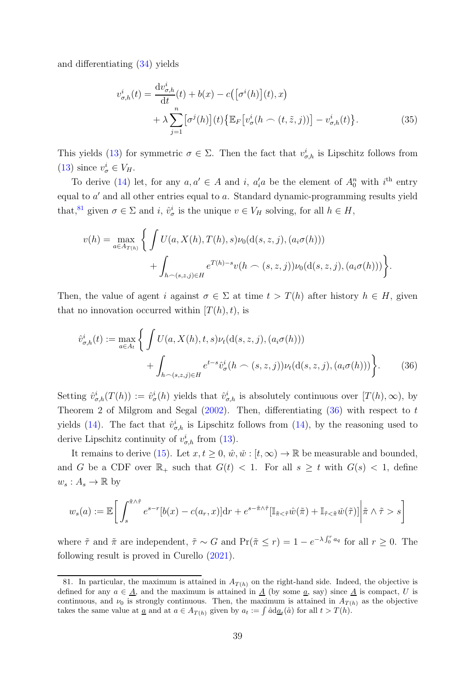and differentiating [\(34\)](#page-37-0) yields

<span id="page-38-3"></span>
$$
v_{\sigma,h}^i(t) = \frac{\mathrm{d}v_{\sigma,h}^i}{\mathrm{d}t}(t) + b(x) - c(\left[\sigma^i(h)\right](t), x) + \lambda \sum_{j=1}^n \left[\sigma^j(h)\right](t) \left\{\mathbb{E}_F\left[v_{\sigma}^i(h \frown (t,\tilde{z},j))\right] - v_{\sigma,h}^i(t)\right\}.
$$
 (35)

This yields [\(13\)](#page-11-0) for symmetric  $\sigma \in \Sigma$ . Then the fact that  $v_{\sigma,h}^i$  is Lipschitz follows from [\(13\)](#page-11-0) since  $v^i_\sigma \in V_H$ .

To derive [\(14\)](#page-11-1) let, for any  $a, a' \in A$  and i,  $a_i' a$  be the element of  $A_0^n$  with i<sup>th</sup> entry equal to a' and all other entries equal to a. Standard dynamic-programming results yield that,<sup>[81](#page-38-0)</sup> given  $\sigma \in \Sigma$  and i,  $\hat{v}^i_{\sigma}$  is the unique  $v \in V_H$  solving, for all  $h \in H$ ,

$$
v(h) = \max_{a \in A_{T(h)}} \left\{ \int U(a, X(h), T(h), s) \nu_0(d(s, z, j), (a_i \sigma(h))) + \int_{h \frown (s, z, j) \in H} e^{T(h) - s} v(h \frown (s, z, j)) \nu_0(d(s, z, j), (a_i \sigma(h))) \right\}.
$$

Then, the value of agent i against  $\sigma \in \Sigma$  at time  $t > T(h)$  after history  $h \in H$ , given that no innovation occurred within  $[T(h), t)$ , is

<span id="page-38-1"></span>
$$
\hat{v}_{\sigma,h}^{i}(t) := \max_{a \in A_t} \left\{ \int U(a, X(h), t, s) \nu_t(\mathrm{d}(s, z, j), (a_i \sigma(h))) + \int_{h \cap (s, z, j) \in H} e^{t - s} \hat{v}_{\sigma}^{i}(h \cap (s, z, j)) \nu_t(\mathrm{d}(s, z, j), (a_i \sigma(h))) \right\}.
$$
 (36)

Setting  $\hat{v}_{\sigma,h}^i(T(h)) := \hat{v}_{\sigma}^i(h)$  yields that  $\hat{v}_{\sigma,h}^i$  is absolutely continuous over  $[T(h),\infty)$ , by Theorem 2 of Milgrom and Segal  $(2002)$ . Then, differentiating  $(36)$  with respect to t yields [\(14\)](#page-11-1). The fact that  $\hat{v}_{\sigma,h}^i$  is Lipschitz follows from (14), by the reasoning used to derive Lipschitz continuity of  $v_{\sigma,h}^i$  from [\(13\)](#page-11-0).

It remains to derive [\(15\)](#page-11-2). Let  $x, t \geq 0$ ,  $\hat{w}, \check{w}: [t, \infty) \to \mathbb{R}$  be measurable and bounded, and G be a CDF over  $\mathbb{R}_+$  such that  $G(t) < 1$ . For all  $s \geq t$  with  $G(s) < 1$ , define  $w_s: A_s \to \mathbb{R}$  by

$$
w_s(a) := \mathbb{E}\bigg[\int_s^{\tilde{\pi}\wedge\tilde{\tau}} e^{s-r}[b(x) - c(a_r, x)]\mathrm{d}r + e^{s-\tilde{\pi}\wedge\tilde{\tau}}[\mathbb{I}_{\tilde{\pi}<\tilde{\tau}}\hat{w}(\tilde{\pi}) + \mathbb{I}_{\tilde{\tau}<\tilde{\pi}}\check{w}(\tilde{\tau})]\bigg|\tilde{\pi}\wedge\tilde{\tau} > s\bigg]
$$

<span id="page-38-2"></span>where  $\tilde{\tau}$  and  $\tilde{\pi}$  are independent,  $\tilde{\tau} \sim G$  and  $\Pr(\tilde{\pi} \leq r) = 1 - e^{-\lambda \int_0^r a_q}$  for all  $r \geq 0$ . The following result is proved in Curello [\(2021\)](#page-31-1).

<span id="page-38-0"></span><sup>81.</sup> In particular, the maximum is attained in  $A_{T(h)}$  on the right-hand side. Indeed, the objective is defined for any  $a \in \underline{A}$ , and the maximum is attained in  $\underline{A}$  (by some  $\underline{a}$ , say) since  $\underline{A}$  is compact, U is continuous, and  $\nu_0$  is strongly continuous. Then, the maximum is attained in  $A_{T(h)}$  as the objective takes the same value at  $\underline{a}$  and at  $a \in A_{T(h)}$  given by  $a_t := \int \hat{a} d\underline{a}_t(\hat{a})$  for all  $t > T(h)$ .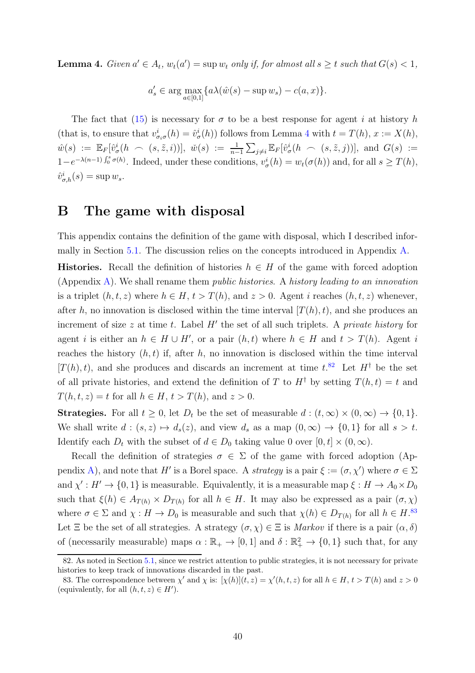**Lemma 4.** Given  $a' \in A_t$ ,  $w_t(a') = \sup w_t$  only if, for almost all  $s \ge t$  such that  $G(s) < 1$ ,

$$
a_s' \in \arg\max_{a \in [0,1]} \{ a\lambda(\hat{w}(s) - \sup w_s) - c(a, x) \}.
$$

The fact that [\(15\)](#page-11-2) is necessary for  $\sigma$  to be a best response for agent i at history h (that is, to ensure that  $v^i_{\sigma_i\sigma}(h) = \hat{v}^i_{\sigma}(h)$ ) follows from Lemma [4](#page-38-2) with  $t = T(h)$ ,  $x := X(h)$ ,  $\hat{w}(s) := \mathbb{E}_{F}[\hat{v}^i_{\sigma}(h \sim (s, \tilde{z}, i))], \ \check{w}(s) := \frac{1}{n-1} \sum_{j \neq i} \mathbb{E}_{F}[\hat{v}^i_{\sigma}(h \sim (s, \tilde{z}, j))], \text{ and } G(s) :=$  $1-e^{-\lambda(n-1)\int_0^s \sigma(h)}$ . Indeed, under these conditions,  $v^i_\sigma(h) = w_t(\sigma(h))$  and, for all  $s \geq T(h)$ ,  $\hat{v}_{\sigma,h}^i(s) = \sup w_s.$ 

#### <span id="page-39-2"></span>B The game with disposal

This appendix contains the definition of the game with disposal, which I described informally in Section [5.1.](#page-18-0) The discussion relies on the concepts introduced in Appendix [A.](#page-35-0)

**Histories.** Recall the definition of histories  $h \in H$  of the game with forced adoption (Appendix [A\)](#page-35-0). We shall rename them *public histories*. A history leading to an innovation is a triplet  $(h, t, z)$  where  $h \in H$ ,  $t > T(h)$ , and  $z > 0$ . Agent i reaches  $(h, t, z)$  whenever, after h, no innovation is disclosed within the time interval  $[T(h), t)$ , and she produces an increment of size  $z$  at time  $t$ . Label  $H'$  the set of all such triplets. A *private history* for agent *i* is either an  $h \in H \cup H'$ , or a pair  $(h, t)$  where  $h \in H$  and  $t > T(h)$ . Agent *i* reaches the history  $(h, t)$  if, after h, no innovation is disclosed within the time interval  $[T(h), t)$ , and she produces and discards an increment at time  $t^{82}$  $t^{82}$  $t^{82}$ . Let  $H^{\dagger}$  be the set of all private histories, and extend the definition of T to  $H^{\dagger}$  by setting  $T(h, t) = t$  and  $T(h, t, z) = t$  for all  $h \in H$ ,  $t > T(h)$ , and  $z > 0$ .

**Strategies.** For all  $t \geq 0$ , let  $D_t$  be the set of measurable  $d : (t, \infty) \times (0, \infty) \to \{0, 1\}$ . We shall write  $d : (s, z) \mapsto d_s(z)$ , and view  $d_s$  as a map  $(0, \infty) \to \{0, 1\}$  for all  $s > t$ . Identify each  $D_t$  with the subset of  $d \in D_0$  taking value 0 over  $[0, t] \times (0, \infty)$ .

Recall the definition of strategies  $\sigma \in \Sigma$  of the game with forced adoption (Ap-pendix [A\)](#page-35-0), and note that H' is a Borel space. A *strategy* is a pair  $\xi := (\sigma, \chi')$  where  $\sigma \in \Sigma$ and  $\chi': H' \to \{0, 1\}$  is measurable. Equivalently, it is a measurable map  $\xi: H \to A_0 \times D_0$ such that  $\xi(h) \in A_{T(h)} \times D_{T(h)}$  for all  $h \in H$ . It may also be expressed as a pair  $(\sigma, \chi)$ where  $\sigma \in \Sigma$  and  $\chi : H \to D_0$  is measurable and such that  $\chi(h) \in D_{T(h)}$  for all  $h \in H$ .<sup>[83](#page-39-1)</sup> Let  $\Xi$  be the set of all strategies. A strategy  $(\sigma, \chi) \in \Xi$  is *Markov* if there is a pair  $(\alpha, \delta)$ of (necessarily measurable) maps  $\alpha : \mathbb{R}_+ \to [0,1]$  and  $\delta : \mathbb{R}_+^2 \to \{0,1\}$  such that, for any

<span id="page-39-0"></span><sup>82.</sup> As noted in Section [5.1,](#page-18-0) since we restrict attention to public strategies, it is not necessary for private histories to keep track of innovations discarded in the past.

<span id="page-39-1"></span><sup>83.</sup> The correspondence between  $\chi'$  and  $\chi$  is:  $[\chi(h)](t, z) = \chi'(h, t, z)$  for all  $h \in H$ ,  $t > T(h)$  and  $z > 0$ (equivalently, for all  $(h, t, z) \in H'$ ).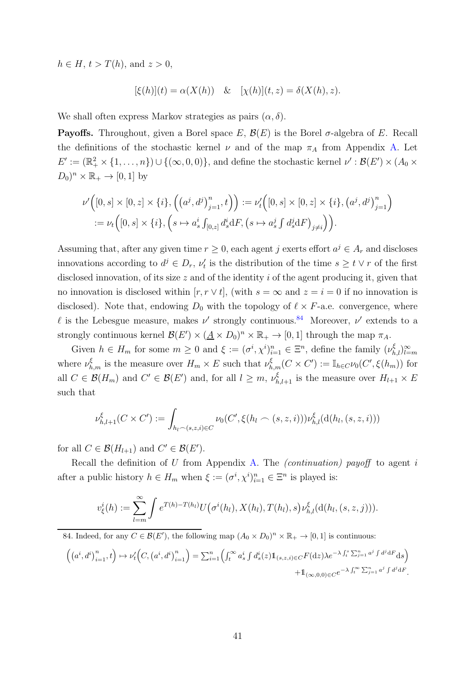$h \in H$ ,  $t > T(h)$ , and  $z > 0$ ,

$$
[\xi(h)](t) = \alpha(X(h)) \& \quad [\chi(h)](t, z) = \delta(X(h), z).
$$

We shall often express Markov strategies as pairs  $(\alpha, \delta)$ .

**Payoffs.** Throughout, given a Borel space E,  $\mathcal{B}(E)$  is the Borel  $\sigma$ -algebra of E. Recall the definitions of the stochastic kernel  $\nu$  and of the map  $\pi_A$  from Appendix [A.](#page-35-0) Let  $E' := (\mathbb{R}^2_+ \times \{1, \ldots, n\}) \cup \{(\infty, 0, 0)\},\$ and define the stochastic kernel  $\nu' : \mathcal{B}(E') \times (A_0 \times$  $D_0)^n \times \mathbb{R}_+ \to [0,1]$  by

$$
\nu'\Big([0,s] \times [0,z] \times \{i\}, \Big((a^j, d^j)_{j=1}^n, t\Big)\Big) := \nu'_t\Big([0,s] \times [0,z] \times \{i\}, \big(a^j, d^j\big)_{j=1}^n\Big) := \nu_t\Big([0,s] \times \{i\}, \Big(s \mapsto a_s^i \int_{[0,z]} d_s^i \mathrm{d}F, \big(s \mapsto a_s^j \int d_s^j \mathrm{d}F\big)_{j \neq i}\Big)\Big).
$$

Assuming that, after any given time  $r \geq 0$ , each agent j exerts effort  $a^j \in A_r$  and discloses innovations according to  $d^j \in D_r$ ,  $\nu'_t$  is the distribution of the time  $s \geq t \vee r$  of the first disclosed innovation, of its size  $z$  and of the identity  $i$  of the agent producing it, given that no innovation is disclosed within  $[r, r \vee t]$ , (with  $s = \infty$  and  $z = i = 0$  if no innovation is disclosed). Note that, endowing  $D_0$  with the topology of  $\ell \times F$ -a.e. convergence, where l is the Lebesgue measure, makes  $\nu'$  strongly continuous.<sup>[84](#page-40-0)</sup> Moreover,  $\nu'$  extends to a strongly continuous kernel  $\mathcal{B}(E') \times (\underline{A} \times D_0)^n \times \mathbb{R}_+ \to [0, 1]$  through the map  $\pi_A$ .

Given  $h \in H_m$  for some  $m \geq 0$  and  $\xi := (\sigma^i, \chi^i)_{i=1}^n \in \Xi^n$ , define the family  $(\nu_{h,l}^{\xi})_{l=m}^{\infty}$ where  $\nu_{h,m}^{\xi}$  is the measure over  $H_m \times E$  such that  $\nu_{h,m}^{\xi}(C \times C') := \mathbb{I}_{h \in C} \nu_0(C', \xi(h_m))$  for all  $C \in \mathcal{B}(H_m)$  and  $C' \in \mathcal{B}(E')$  and, for all  $l \geq m$ ,  $\nu_{h,l+1}^{\xi}$  is the measure over  $H_{l+1} \times E$ such that

$$
\nu_{h,l+1}^{\xi}(C \times C') := \int_{h_l \cap (s,z,i) \in C} \nu_0(C', \xi(h_l \cap (s,z,i))) \nu_{h,l}^{\xi}(\mathrm{d}(h_l, (s,z,i)))
$$

for all  $C \in \mathcal{B}(H_{l+1})$  and  $C' \in \mathcal{B}(E')$ .

Recall the definition of U from Appendix [A.](#page-35-0) The *(continuation)* payoff to agent i after a public history  $h \in H_m$  when  $\xi := (\sigma^i, \chi^i)_{i=1}^n \in \Xi^n$  is played is:

$$
v_{\xi}^{i}(h) := \sum_{l=m}^{\infty} \int e^{T(h)-T(h_l)} U(\sigma^{i}(h_l), X(h_l), T(h_l), s) \nu_{h,l}^{\xi}(\mathrm{d}(h_l, (s, z, j))).
$$

84. Indeed, for any  $C \in \mathcal{B}(E')$ , the following map  $(A_0 \times D_0)^n \times \mathbb{R}_+ \to [0,1]$  is continuous:

<span id="page-40-0"></span>
$$
\left(\left(a^i,d^i\right)_{i=1}^n,t\right)\mapsto\nu'_t\left(C,\left(a^i,d^i\right)_{i=1}^n\right)=\sum_{i=1}^n\left(\int_t^\infty a^i_s\int d^i_s(z)\mathbb{1}_{(s,z,i)\in C}F(\mathrm{d}z)\lambda e^{-\lambda\int_t^s\sum_{j=1}^n a^j\int d^j\mathrm{d}F}\mathrm{d}s\right)
$$
\n
$$
+\mathbb{1}_{(\infty,0,0)\in C}e^{-\lambda\int_t^\infty\sum_{j=1}^n a^j\int d^j\mathrm{d}F}.
$$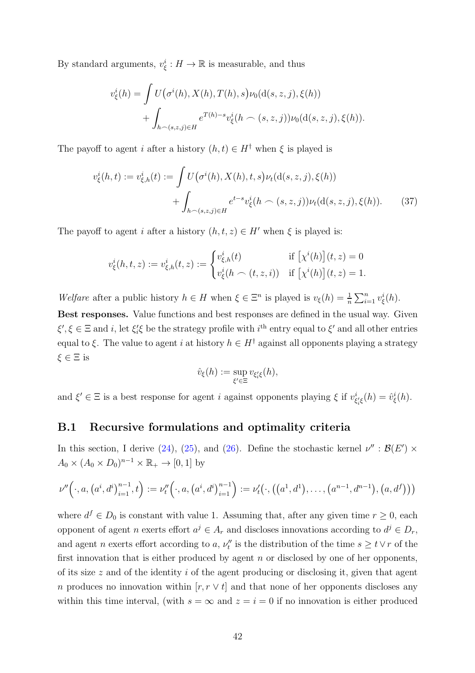By standard arguments,  $v_{\xi}^{i}: H \to \mathbb{R}$  is measurable, and thus

$$
v_{\xi}^{i}(h) = \int U(\sigma^{i}(h), X(h), T(h), s) \nu_{0}(d(s, z, j), \xi(h)) + \int_{h \cap (s, z, j) \in H} e^{T(h) - s} v_{\xi}^{i}(h \cap (s, z, j)) \nu_{0}(d(s, z, j), \xi(h)).
$$

The payoff to agent i after a history  $(h, t) \in H^{\dagger}$  when  $\xi$  is played is

$$
v_{\xi}^{i}(h,t) := v_{\xi,h}^{i}(t) := \int U(\sigma^{i}(h), X(h), t, s) \nu_t(\mathrm{d}(s, z, j), \xi(h)) + \int_{h \cap (s, z, j) \in H} e^{t - s} v_{\xi}^{i}(h \cap (s, z, j)) \nu_t(\mathrm{d}(s, z, j), \xi(h)). \tag{37}
$$

The payoff to agent i after a history  $(h, t, z) \in H'$  when  $\xi$  is played is:

$$
v_{\xi}^{i}(h, t, z) := v_{\xi, h}^{i}(t, z) := \begin{cases} v_{\xi, h}^{i}(t) & \text{if } [\chi^{i}(h)](t, z) = 0 \\ v_{\xi}^{i}(h \frown (t, z, i)) & \text{if } [\chi^{i}(h)](t, z) = 1. \end{cases}
$$

Welfare after a public history  $h \in H$  when  $\xi \in \Xi^n$  is played is  $v_{\xi}(h) = \frac{1}{n} \sum_{i=1}^n v_{\xi}^i(h)$ .

Best responses. Value functions and best responses are defined in the usual way. Given  $\xi', \xi \in \Xi$  and i, let  $\xi'_i \xi$  be the strategy profile with i<sup>th</sup> entry equal to  $\xi'$  and all other entries equal to  $\xi$ . The value to agent i at history  $h \in H^{\dagger}$  against all opponents playing a strategy  $\xi \in \Xi$  is

$$
\hat{v}_{\xi}(h) := \sup_{\xi' \in \Xi} v_{\xi'_{i}\xi}(h),
$$

and  $\xi' \in \Xi$  is a best response for agent *i* against opponents playing  $\xi$  if  $v_{\xi'_i\xi}^i(h) = \hat{v}_\xi^i(h)$ .

#### B.1 Recursive formulations and optimality criteria

In this section, I derive [\(24\)](#page-20-0), [\(25\)](#page-21-0), and [\(26\)](#page-21-1). Define the stochastic kernel  $\nu'' : \mathcal{B}(E') \times$  $A_0 \times (A_0 \times D_0)^{n-1} \times \mathbb{R}_+ \to [0,1]$  by

$$
\nu''\Big(\cdot,a,(a^i,d^i)_{i=1}^{n-1},t\Big):=\nu''_t\Big(\cdot,a,(a^i,d^i)_{i=1}^{n-1}\Big):=\nu'_t\big(\cdot,\big(\big(a^1,d^1\big),\ldots,\big(a^{n-1},d^{n-1}\big),\big(a,d^f\big)\big)\big)
$$

where  $d^f \in D_0$  is constant with value 1. Assuming that, after any given time  $r \geq 0$ , each opponent of agent n exerts effort  $a^j \in A_r$  and discloses innovations according to  $d^j \in D_r$ , and agent *n* exerts effort according to *a*,  $\nu''_t$  is the distribution of the time  $s \geq t \vee r$  of the first innovation that is either produced by agent  $n$  or disclosed by one of her opponents, of its size  $z$  and of the identity i of the agent producing or disclosing it, given that agent n produces no innovation within  $[r, r \vee t]$  and that none of her opponents discloses any within this time interval, (with  $s = \infty$  and  $z = i = 0$  if no innovation is either produced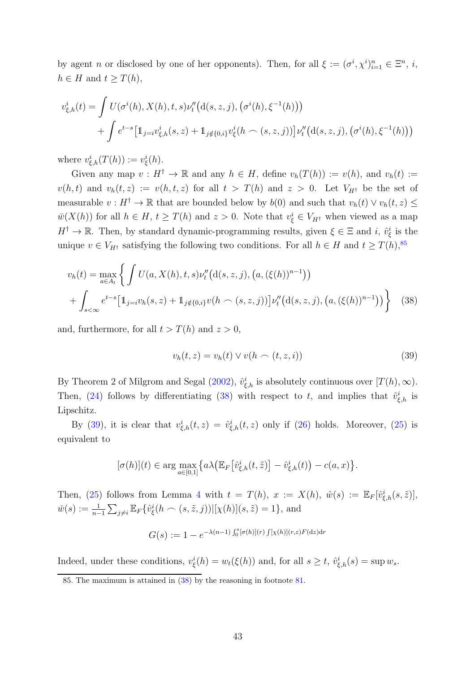by agent *n* or disclosed by one of her opponents). Then, for all  $\xi := (\sigma^i, \chi^i)_{i=1}^n \in \Xi^n$ , *i*,  $h \in H$  and  $t \geq T(h)$ ,

$$
v_{\xi,h}^{i}(t) = \int U(\sigma^{i}(h), X(h), t, s) \nu_{t}''(d(s, z, j), (\sigma^{i}(h), \xi^{-1}(h)))
$$
  
+ 
$$
\int e^{t-s} \left[ 1_{j=i} v_{\xi,h}^{i}(s, z) + 1_{j \notin \{0, i\}} v_{\xi}^{i}(h - (s, z, j)) \right] \nu_{t}''(d(s, z, j), (\sigma^{i}(h), \xi^{-1}(h)))
$$

where  $v_{\xi,h}^i(T(h)) := v_{\xi}^i(h)$ .

Given any map  $v : H^{\dagger} \to \mathbb{R}$  and any  $h \in H$ , define  $v_h(T(h)) := v(h)$ , and  $v_h(t) :=$  $v(h, t)$  and  $v_h(t, z) := v(h, t, z)$  for all  $t > T(h)$  and  $z > 0$ . Let  $V_{H<sup>†</sup>}$  be the set of measurable  $v : H^{\dagger} \to \mathbb{R}$  that are bounded below by  $b(0)$  and such that  $v_h(t) \vee v_h(t, z) \leq$  $\bar{w}(X(h))$  for all  $h \in H$ ,  $t \geq T(h)$  and  $z > 0$ . Note that  $v_{\xi}^{i} \in V_{H^{\dagger}}$  when viewed as a map  $H^{\dagger} \to \mathbb{R}$ . Then, by standard dynamic-programming results, given  $\xi \in \Xi$  and i,  $\hat{v}_{\xi}^{i}$  is the unique  $v \in V_{H^{\dagger}}$  satisfying the following two conditions. For all  $h \in H$  and  $t \geq T(h)$ ,<sup>[85](#page-42-0)</sup>

$$
v_h(t) = \max_{a \in A_t} \left\{ \int U(a, X(h), t, s) \nu_t''\big(d(s, z, j), (a, (\xi(h))^{n-1})\big) + \int_{s < \infty} e^{t-s} \big[\mathbb{1}_{j=i} v_h(s, z) + \mathbb{1}_{j \notin \{0, i\}} v(h \frown (s, z, j))\big] \nu_t''\big(d(s, z, j), (a, (\xi(h))^{n-1})\big) \right\}
$$
(38)

and, furthermore, for all  $t > T(h)$  and  $z > 0$ ,

<span id="page-42-2"></span><span id="page-42-1"></span>
$$
v_h(t, z) = v_h(t) \vee v(h \frown (t, z, i))
$$
\n
$$
(39)
$$

By Theorem 2 of Milgrom and Segal [\(2002\)](#page-33-0),  $\hat{v}_{\xi,h}^i$  is absolutely continuous over  $[T(h), \infty)$ . Then, [\(24\)](#page-20-0) follows by differentiating [\(38\)](#page-42-1) with respect to t, and implies that  $\hat{v}_{\xi,h}^{i}$  is Lipschitz.

By [\(39\)](#page-42-2), it is clear that  $v_{\xi,h}^i(t,z) = \hat{v}_{\xi,h}^i(t,z)$  only if [\(26\)](#page-21-1) holds. Moreover, [\(25\)](#page-21-0) is equivalent to

$$
[\sigma(h)](t) \in \arg\max_{a \in [0,1]} \left\{ a\lambda \big( \mathbb{E}_F \big[ \hat{v}_{\xi,h}^i(t,\tilde{z}) \big] - \hat{v}_{\xi,h}^i(t) \big) - c(a,x) \right\}.
$$

Then, [\(25\)](#page-21-0) follows from Lemma [4](#page-38-2) with  $t = T(h)$ ,  $x := X(h)$ ,  $\hat{w}(s) := \mathbb{E}_F[\hat{v}_{\xi,h}^i(s,\tilde{z})]$ ,  $\tilde{w}(s) := \frac{1}{n-1} \sum_{j \neq i} \mathbb{E}_{F} \{ \hat{v}_{\xi}^{i}(h \frown (s, \tilde{z}, j)) | [\chi(h)](s, \tilde{z}) = 1 \},$  and

$$
G(s) := 1 - e^{-\lambda(n-1) \int_0^s [\sigma(h)](r) \int [\chi(h)](r,z) F(\mathrm{d}z) \mathrm{d}r}
$$

Indeed, under these conditions,  $v_{\xi}^{i}(h) = w_{t}(\xi(h))$  and, for all  $s \geq t$ ,  $\hat{v}_{\xi,h}^{i}(s) = \sup w_{s}$ .

<span id="page-42-0"></span><sup>85.</sup> The maximum is attained in [\(38\)](#page-42-1) by the reasoning in footnote [81.](#page-38-0)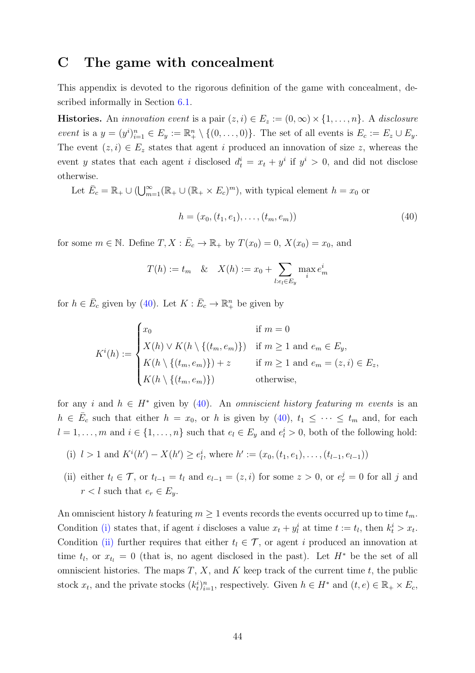# <span id="page-43-3"></span>C The game with concealment

This appendix is devoted to the rigorous definition of the game with concealment, described informally in Section [6.1.](#page-24-0)

**Histories.** An *innovation event* is a pair  $(z, i) \in E_z := (0, \infty) \times \{1, \ldots, n\}$ . A *disclosure* event is a  $y = (y^i)_{i=1}^n \in E_y := \mathbb{R}^n_+ \setminus \{(0, \ldots, 0)\}.$  The set of all events is  $E_c := E_z \cup E_y$ . The event  $(z, i) \in E_z$  states that agent i produced an innovation of size z, whereas the event y states that each agent i disclosed  $d_t^i = x_t + y^i$  if  $y^i > 0$ , and did not disclose otherwise.

Let  $\bar{E}_c = \mathbb{R}_+ \cup (\bigcup_{m=1}^{\infty} (\mathbb{R}_+ \cup (\mathbb{R}_+ \times E_c)^m)$ , with typical element  $h = x_0$  or

<span id="page-43-0"></span>
$$
h = (x_0, (t_1, e_1), \dots, (t_m, e_m))
$$
\n(40)

for some  $m \in \mathbb{N}$ . Define  $T, X : \overline{E}_c \to \mathbb{R}_+$  by  $T(x_0) = 0, X(x_0) = x_0$ , and

$$
T(h) := t_m \quad \& \quad X(h) := x_0 + \sum_{l:e_l \in E_y} \max_i e_m^i
$$

for  $h \in \overline{E}_c$  given by [\(40\)](#page-43-0). Let  $K : \overline{E}_c \to \mathbb{R}^n_+$  be given by

$$
K^{i}(h) := \begin{cases} x_{0} & \text{if } m = 0 \\ X(h) \vee K(h \setminus \{(t_{m}, e_{m})\}) & \text{if } m \ge 1 \text{ and } e_{m} \in E_{y}, \\ K(h \setminus \{(t_{m}, e_{m})\}) + z & \text{if } m \ge 1 \text{ and } e_{m} = (z, i) \in E_{z}, \\ K(h \setminus \{(t_{m}, e_{m})\}) & \text{otherwise}, \end{cases}
$$

for any i and  $h \in H^*$  given by [\(40\)](#page-43-0). An *omniscient history featuring m events* is an  $h \in \bar{E}_c$  such that either  $h = x_0$ , or h is given by [\(40\)](#page-43-0),  $t_1 \leq \cdots \leq t_m$  and, for each  $l = 1, \ldots, m$  and  $i \in \{1, \ldots, n\}$  such that  $e_l \in E_y$  and  $e_l^i > 0$ , both of the following hold:

- <span id="page-43-2"></span><span id="page-43-1"></span>(i)  $l > 1$  and  $K^{i}(h') - X(h') \geq e_l^{i}$ , where  $h' := (x_0, (t_1, e_1), \ldots, (t_{l-1}, e_{l-1}))$
- (ii) either  $t_l \in \mathcal{T}$ , or  $t_{l-1} = t_l$  and  $e_{l-1} = (z, i)$  for some  $z > 0$ , or  $e_r^j = 0$  for all j and  $r < l$  such that  $e_r \in E_y$ .

An omniscient history h featuring  $m \geq 1$  events records the events occurred up to time  $t_m$ . Condition [\(i\)](#page-43-1) states that, if agent i discloses a value  $x_t + y_t^i$  at time  $t := t_l$ , then  $k_t^i > x_t$ . Condition [\(ii\)](#page-43-2) further requires that either  $t_i \in \mathcal{T}$ , or agent i produced an innovation at time  $t_l$ , or  $x_{t_l} = 0$  (that is, no agent disclosed in the past). Let  $H^*$  be the set of all omniscient histories. The maps  $T, X$ , and  $K$  keep track of the current time  $t$ , the public stock  $x_t$ , and the private stocks  $(k_t^i)_{i=1}^n$ , respectively. Given  $h \in H^*$  and  $(t, e) \in \mathbb{R}_+ \times E_c$ ,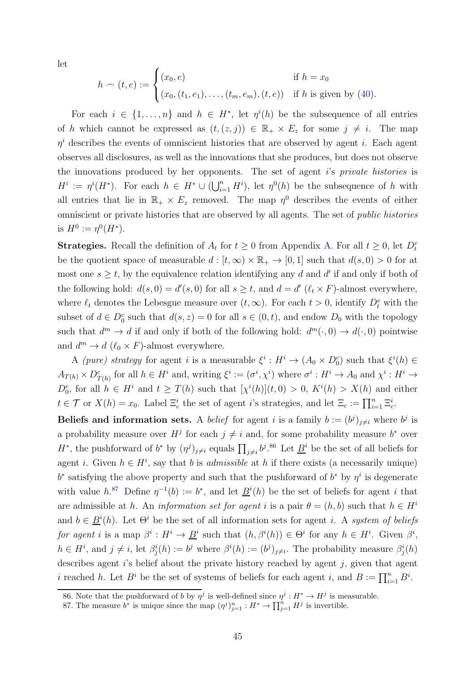let

$$
h \frown (t, e) := \begin{cases} (x_0, e) & \text{if } h = x_0 \\ (x_0, (t_1, e_1), \dots, (t_m, e_m), (t, e)) & \text{if } h \text{ is given by (40).} \end{cases}
$$

For each  $i \in \{1, \ldots, n\}$  and  $h \in H^*$ , let  $\eta^i(h)$  be the subsequence of all entries of h which cannot be expressed as  $(t,(z, j)) \in \mathbb{R}_+ \times E_z$  for some  $j \neq i$ . The map  $\eta^i$  describes the events of omniscient histories that are observed by agent *i*. Each agent observes all disclosures, as well as the innovations that she produces, but does not observe the innovations produced by her opponents. The set of agent i's private histories is  $H^i := \eta^i(H^*)$ . For each  $h \in H^* \cup (\bigcup_{i=1}^n H^i)$ , let  $\eta^0(h)$  be the subsequence of h with all entries that lie in  $\mathbb{R}_+ \times E_z$  removed. The map  $\eta^0$  describes the events of either omniscient or private histories that are observed by all agents. The set of public histories is  $H^0 := \eta^0(H^*).$ 

**Strategies.** Recall the definition of  $A_t$  for  $t \geq 0$  from Appendix [A.](#page-35-0) For all  $t \geq 0$ , let  $D_t^c$ be the quotient space of measurable  $d : [t, \infty) \times \mathbb{R}_+ \to [0, 1]$  such that  $d(s, 0) > 0$  for at most one  $s \geq t$ , by the equivalence relation identifying any d and d' if and only if both of the following hold:  $d(s, 0) = d'(s, 0)$  for all  $s \ge t$ , and  $d = d'(\ell_t \times F)$ -almost everywhere, where  $\ell_t$  denotes the Lebesgue measure over  $(t, \infty)$ . For each  $t > 0$ , identify  $D_t^c$  with the subset of  $d \in D_0^c$  such that  $d(s, z) = 0$  for all  $s \in (0, t)$ , and endow  $D_0$  with the topology such that  $d^m \to d$  if and only if both of the following hold:  $d^m(\cdot, 0) \to d(\cdot, 0)$  pointwise and  $d^m \to d \ (\ell_0 \times F)$ -almost everywhere.

A (pure) strategy for agent i is a measurable  $\xi^i$ :  $H^i \to (A_0 \times D_0^c)$  such that  $\xi^i(h) \in$  $A_{T(h)} \times D_{T(h)}^c$  for all  $h \in H^i$  and, writing  $\xi^i := (\sigma^i, \chi^i)$  where  $\sigma^i : H^i \to A_0$  and  $\chi^i : H^i \to$  $D_0^c$ , for all  $h \in H^i$  and  $t \geq T(h)$  such that  $[\chi^i(h)](t,0) > 0$ ,  $K^i(h) > X(h)$  and either  $t \in \mathcal{T}$  or  $X(h) = x_0$ . Label  $\Xi_c^i$  the set of agent *i*'s strategies, and let  $\Xi_c := \prod_{i=1}^n \Xi_c^i$ .

Beliefs and information sets. A *belief* for agent i is a family  $b := (b^j)_{j \neq i}$  where  $b^j$  is a probability measure over  $H^j$  for each  $j \neq i$  and, for some probability measure  $b^*$  over  $H^*$ , the pushforward of  $b^*$  by  $(\eta^j)_{j\neq i}$  equals  $\prod_{j\neq i} b^j$ .<sup>[86](#page-44-0)</sup> Let  $\underline{B}^i$  be the set of all beliefs for agent *i*. Given  $h \in H^i$ , say that *b* is *admissible* at *h* if there exists (a necessarily unique)  $b^*$  satisfying the above property and such that the pushforward of  $b^*$  by  $\eta^i$  is degenerate with value  $h^{87}$  $h^{87}$  $h^{87}$  Define  $\eta^{-1}(b) := b^*$ , and let  $\underline{B}^i(h)$  be the set of beliefs for agent i that are admissible at h. An *information set for agent i* is a pair  $\theta = (h, b)$  such that  $h \in H^i$ and  $b \in \underline{B}^i(h)$ . Let  $\Theta^i$  be the set of all information sets for agent *i*. A system of beliefs for agent i is a map  $\beta^i: H^i \to \underline{B}^i$  such that  $(h, \beta^i(h)) \in \Theta^i$  for any  $h \in H^i$ . Given  $\beta^i$ ,  $h \in H^i$ , and  $j \neq i$ , let  $\beta^i_j(h) := b^j$  where  $\beta^i(h) := (b^j)_{j \neq i}$ . The probability measure  $\beta^i_j(h)$ describes agent  $i$ 's belief about the private history reached by agent  $j$ , given that agent i reached h. Let  $B^i$  be the set of systems of beliefs for each agent i, and  $B := \prod_{i=1}^n B^i$ .

<sup>86.</sup> Note that the pushforward of b by  $\eta^j$  is well-defined since  $\eta^j: H^* \to H^j$  is measurable.

<span id="page-44-1"></span><span id="page-44-0"></span><sup>87.</sup> The measure  $b^*$  is unique since the map  $(\eta^j)_{j=1}^n : H^* \to \prod_{j=1}^n H^j$  is invertible.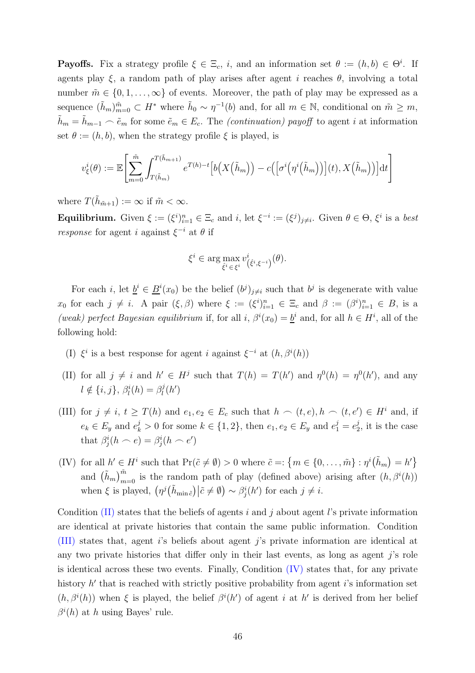**Payoffs.** Fix a strategy profile  $\xi \in \Xi_c$ , i, and an information set  $\theta := (h, b) \in \Theta^i$ . If agents play  $\xi$ , a random path of play arises after agent i reaches  $\theta$ , involving a total number  $\tilde{m} \in \{0, 1, \ldots, \infty\}$  of events. Moreover, the path of play may be expressed as a sequence  $(\tilde{h}_m)_{m=0}^{\tilde{m}} \subset H^*$  where  $\tilde{h}_0 \sim \eta^{-1}(b)$  and, for all  $m \in \mathbb{N}$ , conditional on  $\tilde{m} \ge m$ ,  $\tilde{h}_m = \tilde{h}_{m-1} \frown \tilde{e}_m$  for some  $\tilde{e}_m \in E_c$ . The *(continuation) payoff* to agent *i* at information set  $\theta := (h, b)$ , when the strategy profile  $\xi$  is played, is

$$
v_{\xi}^{i}(\theta) := \mathbb{E}\left[\sum_{m=0}^{\tilde{m}} \int_{T(\tilde{h}_{m})}^{T(\tilde{h}_{m+1})} e^{T(h)-t} \Big[b\big(X(\tilde{h}_{m})\big) - c\big(\big[\sigma^{i}\big(\eta^{i}(\tilde{h}_{m}\big)\big)\big](t), X(\tilde{h}_{m})\big)\big]dt\right]
$$

where  $T(\tilde{h}_{\tilde{m}+1}) := \infty$  if  $\tilde{m} < \infty$ .

**Equilibrium.** Given  $\xi := (\xi^i)_{i=1}^n \in \Xi_c$  and i, let  $\xi^{-i} := (\xi^j)_{j \neq i}$ . Given  $\theta \in \Theta$ ,  $\xi^i$  is a best *response* for agent *i* against  $\xi^{-i}$  at  $\theta$  if

$$
\xi^i \in \arg\max_{\hat{\xi}^i \in \xi^i} v^i_{(\hat{\xi}^i, \xi^{-i})}(\theta).
$$

For each *i*, let  $\underline{b}^i \in \underline{B}^i(x_0)$  be the belief  $(b^j)_{j \neq i}$  such that  $b^j$  is degenerate with value  $x_0$  for each  $j \neq i$ . A pair  $(\xi, \beta)$  where  $\xi := (\xi^i)_{i=1}^n \in \Xi_c$  and  $\beta := (\beta^i)_{i=1}^n \in B$ , is a (weak) perfect Bayesian equilibrium if, for all i,  $\beta^{i}(x_0) = \underline{b}^{i}$  and, for all  $h \in H^{i}$ , all of the following hold:

- <span id="page-45-0"></span>(I)  $\xi^i$  is a best response for agent i against  $\xi^{-i}$  at  $(h, \beta^i(h))$
- <span id="page-45-1"></span>(II) for all  $j \neq i$  and  $h' \in H^j$  such that  $T(h) = T(h')$  and  $\eta^0(h) = \eta^0(h')$ , and any  $l \notin \{i, j\}, \beta_l^i(h) = \beta_l^j$  $\frac{j}{l}(h')$
- (III) for  $j \neq i$ ,  $t \geq T(h)$  and  $e_1, e_2 \in E_c$  such that  $h \frown (t, e), h \frown (t, e') \in H^i$  and, if  $e_k \in E_y$  and  $e_k^j > 0$  for some  $k \in \{1, 2\}$ , then  $e_1, e_2 \in E_y$  and  $e_1^j = e_2^j$  $2<sub>2</sub>$ , it is the case that  $\beta_j^i(h \frown e) = \beta_j^i(h \frown e')$
- <span id="page-45-2"></span>(IV) for all  $h' \in H^i$  such that  $Pr(\tilde{c} \neq \emptyset) > 0$  where  $\tilde{c} =: \{m \in \{0, \ldots, \tilde{m}\} : \eta^i(\tilde{h}_m) = h'\}$ and  $(\tilde{h}_m)_{m=0}^{\tilde{m}}$  is the random path of play (defined above) arising after  $(h, \beta^i(h))$ when  $\xi$  is played,  $(\eta^j(\tilde{h}_{\min\tilde{c}})|\tilde{c} \neq \emptyset) \sim \beta_j^i(h')$  for each  $j \neq i$ .

Condition  $(II)$  states that the beliefs of agents i and j about agent l's private information are identical at private histories that contain the same public information. Condition [\(III\)](#page-45-1) states that, agent is beliefs about agent j's private information are identical at any two private histories that differ only in their last events, as long as agent  $i$ 's role is identical across these two events. Finally, Condition [\(IV\)](#page-45-2) states that, for any private history h' that is reached with strictly positive probability from agent i's information set  $(h, \beta^{i}(h))$  when  $\xi$  is played, the belief  $\beta^{i}(h')$  of agent i at h' is derived from her belief  $\beta^{i}(h)$  at h using Bayes' rule.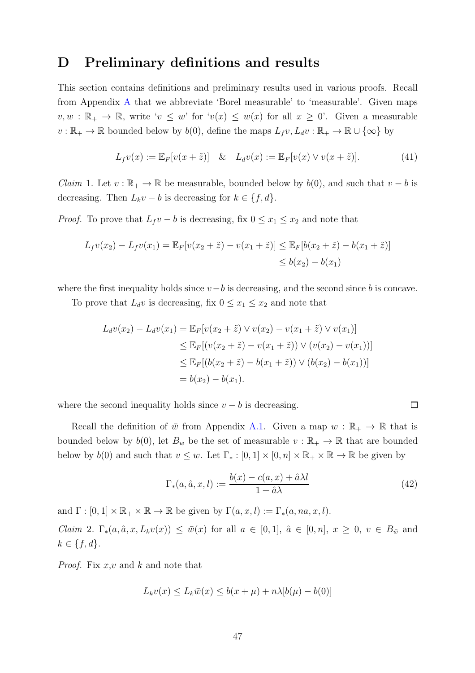# <span id="page-46-0"></span>D Preliminary definitions and results

This section contains definitions and preliminary results used in various proofs. Recall from Appendix [A](#page-35-0) that we abbreviate 'Borel measurable' to 'measurable'. Given maps  $v, w : \mathbb{R}_+ \to \mathbb{R}$ , write ' $v \leq w$ ' for ' $v(x) \leq w(x)$  for all  $x \geq 0$ '. Given a measurable  $v : \mathbb{R}_+ \to \mathbb{R}$  bounded below by  $b(0)$ , define the maps  $L_f v, L_d v : \mathbb{R}_+ \to \mathbb{R} \cup \{\infty\}$  by

$$
L_f v(x) := \mathbb{E}_F[v(x + \tilde{z})] \quad \& \quad L_d v(x) := \mathbb{E}_F[v(x) \lor v(x + \tilde{z})]. \tag{41}
$$

<span id="page-46-2"></span>*Claim* 1. Let  $v : \mathbb{R}_+ \to \mathbb{R}$  be measurable, bounded below by  $b(0)$ , and such that  $v - b$  is decreasing. Then  $L_k v - b$  is decreasing for  $k \in \{f, d\}.$ 

*Proof.* To prove that  $L_f v - b$  is decreasing, fix  $0 \le x_1 \le x_2$  and note that

$$
L_f v(x_2) - L_f v(x_1) = \mathbb{E}_F[v(x_2 + \tilde{z}) - v(x_1 + \tilde{z})] \le \mathbb{E}_F[b(x_2 + \tilde{z}) - b(x_1 + \tilde{z})] \le b(x_2) - b(x_1)
$$

where the first inequality holds since  $v-b$  is decreasing, and the second since b is concave.

To prove that  $L_d v$  is decreasing, fix  $0 \le x_1 \le x_2$  and note that

$$
L_d v(x_2) - L_d v(x_1) = \mathbb{E}_F[v(x_2 + \tilde{z}) \vee v(x_2) - v(x_1 + \tilde{z}) \vee v(x_1)]
$$
  
\n
$$
\leq \mathbb{E}_F[(v(x_2 + \tilde{z}) - v(x_1 + \tilde{z})) \vee (v(x_2) - v(x_1))]
$$
  
\n
$$
\leq \mathbb{E}_F[(b(x_2 + \tilde{z}) - b(x_1 + \tilde{z})) \vee (b(x_2) - b(x_1))]
$$
  
\n
$$
= b(x_2) - b(x_1).
$$

where the second inequality holds since  $v - b$  is decreasing.

Recall the definition of  $\bar{w}$  from Appendix [A.1.](#page-37-1) Given a map  $w : \mathbb{R}_+ \to \mathbb{R}$  that is bounded below by  $b(0)$ , let  $B_w$  be the set of measurable  $v : \mathbb{R}_+ \to \mathbb{R}$  that are bounded below by  $b(0)$  and such that  $v \leq w$ . Let  $\Gamma_* : [0,1] \times [0,n] \times \mathbb{R}_+ \times \mathbb{R} \to \mathbb{R}$  be given by

$$
\Gamma_*(a, \hat{a}, x, l) := \frac{b(x) - c(a, x) + \hat{a}\lambda l}{1 + \hat{a}\lambda}
$$
\n(42)

<span id="page-46-1"></span>and  $\Gamma : [0, 1] \times \mathbb{R}_+ \times \mathbb{R} \to \mathbb{R}$  be given by  $\Gamma(a, x, l) := \Gamma_*(a, na, x, l)$ . *Claim* 2.  $\Gamma_*(a, \hat{a}, x, L_k v(x)) \leq \bar{w}(x)$  for all  $a \in [0,1], \hat{a} \in [0,n], x \geq 0, v \in B_{\bar{w}}$  and  $k \in \{f, d\}.$ 

*Proof.* Fix  $x, y$  and  $k$  and note that

$$
L_k v(x) \le L_k \bar{w}(x) \le b(x + \mu) + n\lambda[b(\mu) - b(0)]
$$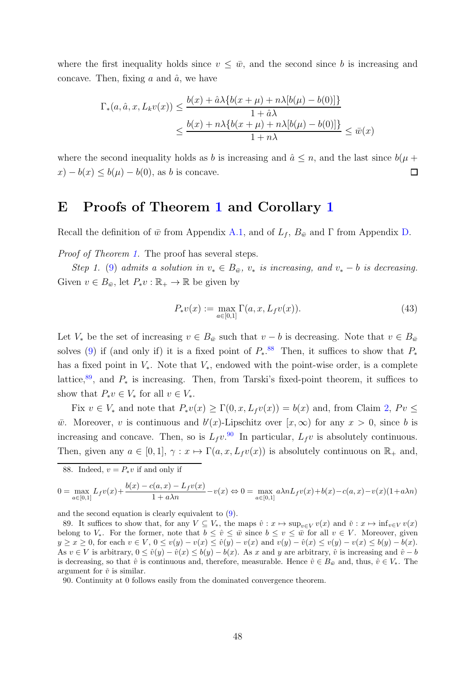where the first inequality holds since  $v \leq \bar{w}$ , and the second since b is increasing and concave. Then, fixing  $a$  and  $\hat{a}$ , we have

$$
\Gamma_*(a, \hat{a}, x, L_k v(x)) \le \frac{b(x) + \hat{a}\lambda \{b(x + \mu) + n\lambda [b(\mu) - b(0)]\}}{1 + \hat{a}\lambda}
$$

$$
\le \frac{b(x) + n\lambda \{b(x + \mu) + n\lambda [b(\mu) - b(0)]\}}{1 + n\lambda} \le \bar{w}(x)
$$

where the second inequality holds as b is increasing and  $\hat{a} \leq n$ , and the last since  $b(\mu +$  $(x) - b(x) \leq b(\mu) - b(0)$ , as b is concave.  $\Box$ 

# <span id="page-47-3"></span>E Proofs of Theorem [1](#page-9-0) and Corollary [1](#page-9-1)

Recall the definition of  $\bar{w}$  from Appendix [A.1,](#page-37-1) and of  $L_f$ ,  $B_{\bar{w}}$  and Γ from Appendix [D.](#page-46-0)

Proof of Theorem [1.](#page-9-0) The proof has several steps.

Step 1. [\(9\)](#page-8-0) admits a solution in  $v_* \in B_{\bar{w}}, v_*$  is increasing, and  $v_* - b$  is decreasing. Given  $v \in B_{\bar{w}}$ , let  $P_*v : \mathbb{R}_+ \to \mathbb{R}$  be given by

<span id="page-47-4"></span>
$$
P_*v(x) := \max_{a \in [0,1]} \Gamma(a, x, L_f v(x)).
$$
\n(43)

Let  $V_*$  be the set of increasing  $v \in B_{\bar{w}}$  such that  $v - b$  is decreasing. Note that  $v \in B_{\bar{w}}$ solves [\(9\)](#page-8-0) if (and only if) it is a fixed point of  $P_*$ .<sup>[88](#page-47-0)</sup> Then, it suffices to show that  $P_*$ has a fixed point in  $V_*$ . Note that  $V_*$ , endowed with the point-wise order, is a complete lattice,<sup>[89](#page-47-1)</sup>, and  $P_*$  is increasing. Then, from Tarski's fixed-point theorem, it suffices to show that  $P_*v \in V_*$  for all  $v \in V_*$ .

Fix  $v \in V_*$  and note that  $P_*v(x) \geq \Gamma(0, x, L_f v(x)) = b(x)$  and, from Claim [2,](#page-46-1)  $Pv \leq$  $\overline{w}$ . Moreover, v is continuous and  $b'(x)$ -Lipschitz over  $[x,\infty)$  for any  $x > 0$ , since b is increasing and concave. Then, so is  $L_f v^{.90}$  $L_f v^{.90}$  $L_f v^{.90}$  In particular,  $L_f v$  is absolutely continuous. Then, given any  $a \in [0,1], \gamma : x \mapsto \Gamma(a, x, L_f v(x))$  is absolutely continuous on  $\mathbb{R}_+$  and,

$$
0 = \max_{a \in [0,1]} L_f v(x) + \frac{b(x) - c(a,x) - L_f v(x)}{1 + a\lambda n} - v(x) \Leftrightarrow 0 = \max_{a \in [0,1]} a\lambda n L_f v(x) + b(x) - c(a,x) - v(x)(1 + a\lambda n)
$$

and the second equation is clearly equivalent to [\(9\)](#page-8-0).

<span id="page-47-1"></span>89. It suffices to show that, for any  $V \subseteq V_*$ , the maps  $\hat{v} : x \mapsto \sup_{v \in V} v(x)$  and  $\check{v} : x \mapsto \inf_{v \in V} v(x)$ belong to  $V_*$ . For the former, note that  $b \leq \hat{v} \leq \bar{w}$  since  $b \leq v \leq \bar{w}$  for all  $v \in V$ . Moreover, given  $y \ge x \ge 0$ , for each  $v \in V$ ,  $0 \le v(y) - v(x) \le \hat{v}(y) - v(x)$  and  $v(y) - \hat{v}(x) \le v(y) - v(x) \le b(y) - b(x)$ . As  $v \in V$  is arbitrary,  $0 \leq \hat{v}(y) - \hat{v}(x) \leq b(y) - b(x)$ . As x and y are arbitrary,  $\hat{v}$  is increasing and  $\hat{v} - b$ is decreasing, so that  $\hat{v}$  is continuous and, therefore, measurable. Hence  $\hat{v} \in B_{\bar{w}}$  and, thus,  $\hat{v} \in V_*$ . The argument for  $\check{v}$  is similar.

<span id="page-47-2"></span>90. Continuity at 0 follows easily from the dominated convergence theorem.

<span id="page-47-0"></span><sup>88.</sup> Indeed,  $v = P_*v$  if and only if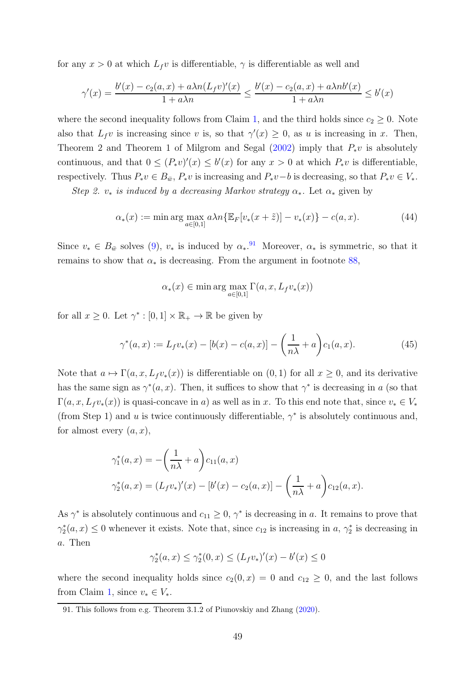for any  $x > 0$  at which  $L_f v$  is differentiable,  $\gamma$  is differentiable as well and

$$
\gamma'(x) = \frac{b'(x) - c_2(a, x) + a\lambda n (L_f v)'(x)}{1 + a\lambda n} \le \frac{b'(x) - c_2(a, x) + a\lambda n b'(x)}{1 + a\lambda n} \le b'(x)
$$

where the second inequality follows from Claim [1,](#page-46-2) and the third holds since  $c_2 \geq 0$ . Note also that  $L_f v$  is increasing since v is, so that  $\gamma'(x) \geq 0$ , as u is increasing in x. Then, Theorem 2 and Theorem 1 of Milgrom and Segal  $(2002)$  imply that  $P_*v$  is absolutely continuous, and that  $0 \leq (P_*v)'(x) \leq b'(x)$  for any  $x > 0$  at which  $P_*v$  is differentiable, respectively. Thus  $P_*v \in B_{\bar{w}}, P_*v$  is increasing and  $P_*v-b$  is decreasing, so that  $P_*v \in V_*$ .

Step 2.  $v_*$  is induced by a decreasing Markov strategy  $\alpha_*$ . Let  $\alpha_*$  given by

<span id="page-48-1"></span>
$$
\alpha_*(x) := \min \arg \max_{a \in [0,1]} a\lambda n \{ \mathbb{E}_F[v_*(x + \tilde{z})] - v_*(x) \} - c(a, x). \tag{44}
$$

Since  $v_* \in B_{\bar{w}}$  solves [\(9\)](#page-8-0),  $v_*$  is induced by  $\alpha_*$ .<sup>[91](#page-48-0)</sup> Moreover,  $\alpha_*$  is symmetric, so that it remains to show that  $\alpha_*$  is decreasing. From the argument in footnote [88,](#page-47-0)

$$
\alpha_*(x) \in \min \arg \max_{a \in [0,1]} \Gamma(a, x, L_f v_*(x))
$$

for all  $x \geq 0$ . Let  $\gamma^* : [0,1] \times \mathbb{R}_+ \to \mathbb{R}$  be given by

<span id="page-48-2"></span>
$$
\gamma^*(a, x) := L_f v_*(x) - [b(x) - c(a, x)] - \left(\frac{1}{n\lambda} + a\right) c_1(a, x). \tag{45}
$$

Note that  $a \mapsto \Gamma(a, x, L_f v_*(x))$  is differentiable on  $(0, 1)$  for all  $x \ge 0$ , and its derivative has the same sign as  $\gamma^*(a, x)$ . Then, it suffices to show that  $\gamma^*$  is decreasing in a (so that  $\Gamma(a, x, L_f v_*(x))$  is quasi-concave in a) as well as in x. To this end note that, since  $v_* \in V_*$ (from Step 1) and u is twice continuously differentiable,  $\gamma^*$  is absolutely continuous and, for almost every  $(a, x)$ ,

$$
\gamma_1^*(a, x) = -\left(\frac{1}{n\lambda} + a\right) c_{11}(a, x)
$$
  

$$
\gamma_2^*(a, x) = (L_f v_*)'(x) - [b'(x) - c_2(a, x)] - \left(\frac{1}{n\lambda} + a\right) c_{12}(a, x).
$$

As  $\gamma^*$  is absolutely continuous and  $c_{11} \geq 0$ ,  $\gamma^*$  is decreasing in a. It remains to prove that  $\gamma_2^*(a, x) \leq 0$  whenever it exists. Note that, since  $c_{12}$  is increasing in a,  $\gamma_2^*$  is decreasing in a. Then

$$
\gamma_2^*(a, x) \le \gamma_2^*(0, x) \le (L_f v_*)'(x) - b'(x) \le 0
$$

where the second inequality holds since  $c_2(0, x) = 0$  and  $c_{12} \geq 0$ , and the last follows from Claim [1,](#page-46-2) since  $v_* \in V_*$ .

<span id="page-48-0"></span><sup>91.</sup> This follows from e.g. Theorem 3.1.2 of Piunovskiy and Zhang [\(2020](#page-34-0)).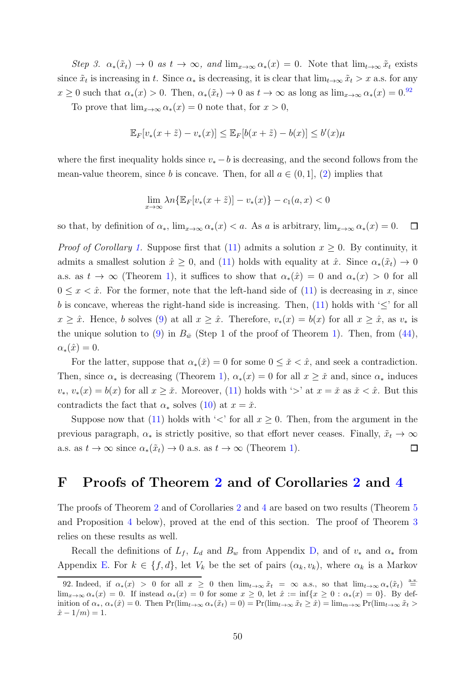Step 3.  $\alpha_*(\tilde{x}_t) \to 0$  as  $t \to \infty$ , and  $\lim_{x \to \infty} \alpha_*(x) = 0$ . Note that  $\lim_{t \to \infty} \tilde{x}_t$  exists since  $\tilde{x}_t$  is increasing in t. Since  $\alpha_*$  is decreasing, it is clear that  $\lim_{t\to\infty} \tilde{x}_t > x$  a.s. for any  $x \geq 0$  such that  $\alpha_*(x) > 0$ . Then,  $\alpha_*(\tilde{x}_t) \to 0$  as  $t \to \infty$  as long as  $\lim_{x \to \infty} \alpha_*(x) = 0$ .

To prove that  $\lim_{x\to\infty} \alpha_*(x) = 0$  note that, for  $x > 0$ ,

$$
\mathbb{E}_F[v_*(x+\tilde{z})-v_*(x)] \le \mathbb{E}_F[b(x+\tilde{z})-b(x)] \le b'(x)\mu
$$

where the first inequality holds since  $v_* - b$  is decreasing, and the second follows from the mean-value theorem, since b is concave. Then, for all  $a \in (0,1]$ , [\(2\)](#page-5-0) implies that

$$
\lim_{x \to \infty} \lambda n \{ \mathbb{E}_F[v_*(x + \tilde{z})] - v_*(x) \} - c_1(a, x) < 0
$$

so that, by definition of  $\alpha_*, \lim_{x\to\infty} \alpha_*(x) < a$ . As a is arbitrary,  $\lim_{x\to\infty} \alpha_*(x) = 0$ .  $\Box$ 

*Proof of Corollary [1.](#page-9-1)* Suppose first that [\(11\)](#page-9-2) admits a solution  $x \geq 0$ . By continuity, it admits a smallest solution  $\hat{x} \geq 0$ , and [\(11\)](#page-9-2) holds with equality at  $\hat{x}$ . Since  $\alpha_*(\tilde{x}_t) \to 0$ a.s. as  $t \to \infty$  (Theorem [1\)](#page-9-0), it suffices to show that  $\alpha_*(\hat{x}) = 0$  and  $\alpha_*(x) > 0$  for all  $0 \leq x < \hat{x}$ . For the former, note that the left-hand side of [\(11\)](#page-9-2) is decreasing in x, since b is concave, whereas the right-hand side is increasing. Then,  $(11)$  holds with ' $\leq$ ' for all  $x \geq \hat{x}$ . Hence, b solves [\(9\)](#page-8-0) at all  $x \geq \hat{x}$ . Therefore,  $v_*(x) = b(x)$  for all  $x \geq \hat{x}$ , as  $v_*$  is the unique solution to [\(9\)](#page-8-0) in  $B_{\bar{w}}$  (Step 1 of the proof of Theorem [1\)](#page-9-0). Then, from [\(44\)](#page-48-1),  $\alpha_*(\hat{x})=0.$ 

For the latter, suppose that  $\alpha_*(\check{x}) = 0$  for some  $0 \le \check{x} < \hat{x}$ , and seek a contradiction. Then, since  $\alpha_*$  is decreasing (Theorem [1\)](#page-9-0),  $\alpha_*(x) = 0$  for all  $x \geq \tilde{x}$  and, since  $\alpha_*$  induces  $v_*, v_*(x) = b(x)$  for all  $x \geq \tilde{x}$ . Moreover, [\(11\)](#page-9-2) holds with '>' at  $x = \tilde{x}$  as  $\tilde{x} < \hat{x}$ . But this contradicts the fact that  $\alpha_*$  solves [\(10\)](#page-9-3) at  $x = \check{x}$ .

Suppose now that [\(11\)](#page-9-2) holds with ' $\lt'$  for all  $x \geq 0$ . Then, from the argument in the previous paragraph,  $\alpha_*$  is strictly positive, so that effort never ceases. Finally,  $\tilde{x}_t \to \infty$ a.s. as  $t \to \infty$  since  $\alpha_*(\tilde{x}_t) \to 0$  a.s. as  $t \to \infty$  (Theorem [1\)](#page-9-0).  $\Box$ 

#### <span id="page-49-1"></span>F Proofs of Theorem [2](#page-12-0) and of Corollaries [2](#page-12-1) and [4](#page-13-0)

The proofs of Theorem [2](#page-12-0) and of Corollaries [2](#page-12-1) and [4](#page-13-0) are based on two results (Theorem [5](#page-50-0) and Proposition [4](#page-50-1) below), proved at the end of this section. The proof of Theorem [3](#page-21-2) relies on these results as well.

Recall the definitions of  $L_f$ ,  $L_d$  and  $B_w$  from Appendix [D,](#page-46-0) and of  $v_*$  and  $\alpha_*$  from Appendix [E.](#page-47-3) For  $k \in \{f, d\}$ , let  $V_k$  be the set of pairs  $(\alpha_k, v_k)$ , where  $\alpha_k$  is a Markov

<span id="page-49-0"></span><sup>92.</sup> Indeed, if  $\alpha_*(x) > 0$  for all  $x \geq 0$  then  $\lim_{t \to \infty} \tilde{x}_t = \infty$  a.s., so that  $\lim_{t \to \infty} \alpha_*(\tilde{x}_t) \stackrel{\text{a.s.}}{=}$  $\lim_{x\to\infty} \alpha_*(x) = 0$ . If instead  $\alpha_*(x) = 0$  for some  $x \ge 0$ , let  $\hat{x} := \inf\{x \ge 0 : \alpha_*(x) = 0\}$ . By definition of  $\alpha_*$ ,  $\alpha_*(\hat{x}) = 0$ . Then  $\Pr(\lim_{t\to\infty} \alpha_*(\tilde{x}_t) = 0) = \Pr(\lim_{t\to\infty} \tilde{x}_t \ge \hat{x}) = \lim_{m\to\infty} \Pr(\lim_{t\to\infty} \tilde{x}_t > 0)$  $\hat{x} - 1/m = 1.$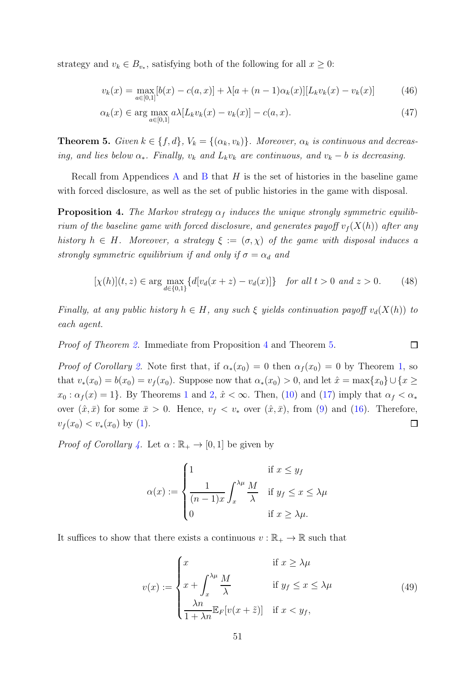strategy and  $v_k \in B_{v_*}$ , satisfying both of the following for all  $x \geq 0$ :

$$
v_k(x) = \max_{a \in [0,1]} [b(x) - c(a,x)] + \lambda [a + (n-1)\alpha_k(x)][L_k v_k(x) - v_k(x)] \tag{46}
$$

$$
\alpha_k(x) \in \arg\max_{a \in [0,1]} a\lambda [L_k v_k(x) - v_k(x)] - c(a,x). \tag{47}
$$

<span id="page-50-0"></span>**Theorem 5.** Given  $k \in \{f, d\}$ ,  $V_k = \{(\alpha_k, v_k)\}$ . Moreover,  $\alpha_k$  is continuous and decreasing, and lies below  $\alpha_*$ . Finally,  $v_k$  and  $L_kv_k$  are continuous, and  $v_k - b$  is decreasing.

<span id="page-50-1"></span>Recall from [A](#page-35-0)ppendices A and [B](#page-39-2) that  $H$  is the set of histories in the baseline game with forced disclosure, as well as the set of public histories in the game with disposal.

**Proposition 4.** The Markov strategy  $\alpha_f$  induces the unique strongly symmetric equilibrium of the baseline game with forced disclosure, and generates payoff  $v_f(X(h))$  after any history  $h \in H$ . Moreover, a strategy  $\xi := (\sigma, \chi)$  of the game with disposal induces a strongly symmetric equilibrium if and only if  $\sigma = \alpha_d$  and

<span id="page-50-5"></span>
$$
[\chi(h)](t,z) \in \arg\max_{d \in \{0,1\}} \{d[v_d(x+z) - v_d(x)]\} \quad \text{for all } t > 0 \text{ and } z > 0. \tag{48}
$$

Finally, at any public history  $h \in H$ , any such  $\xi$  yields continuation payoff  $v_d(X(h))$  to each agent.

Proof of Theorem [2.](#page-12-0) Immediate from Proposition [4](#page-50-1) and Theorem [5.](#page-50-0)

*Proof of Corollary [2.](#page-12-1)* Note first that, if  $\alpha_*(x_0) = 0$  then  $\alpha_f(x_0) = 0$  by Theorem [1,](#page-9-0) so that  $v_*(x_0) = b(x_0) = v_f(x_0)$ . Suppose now that  $\alpha_*(x_0) > 0$ , and let  $\hat{x} = \max\{x_0\} \cup \{x \ge 0\}$  $x_0 : \alpha_f(x) = 1$  $x_0 : \alpha_f(x) = 1$ . By Theorems 1 and [2,](#page-12-0)  $\hat{x} < \infty$ . Then, [\(10\)](#page-9-3) and [\(17\)](#page-12-2) imply that  $\alpha_f < \alpha_*$ over  $(\hat{x}, \bar{x})$  for some  $\bar{x} > 0$ . Hence,  $v_f < v_*$  over  $(\hat{x}, \bar{x})$ , from [\(9\)](#page-8-0) and [\(16\)](#page-11-3). Therefore,  $v_f(x_0) < v_*(x_0)$  by [\(1\)](#page-5-1).  $\Box$ 

*Proof of Corollary [4.](#page-13-0)* Let  $\alpha : \mathbb{R}_+ \to [0, 1]$  be given by

$$
\alpha(x) := \begin{cases} 1 & \text{if } x \le y_f \\ \frac{1}{(n-1)x} \int_x^{\lambda \mu} \frac{M}{\lambda} & \text{if } y_f \le x \le \lambda \mu \\ 0 & \text{if } x \ge \lambda \mu. \end{cases}
$$

It suffices to show that there exists a continuous  $v : \mathbb{R}_+ \to \mathbb{R}$  such that

<span id="page-50-2"></span>
$$
v(x) := \begin{cases} x & \text{if } x \ge \lambda \mu \\ x + \int_x^{\lambda \mu} \frac{M}{\lambda} & \text{if } y_f \le x \le \lambda \mu \\ \frac{\lambda n}{1 + \lambda n} \mathbb{E}_F[v(x + \tilde{z})] & \text{if } x < y_f, \end{cases}
$$
(49)

<span id="page-50-4"></span><span id="page-50-3"></span> $\Box$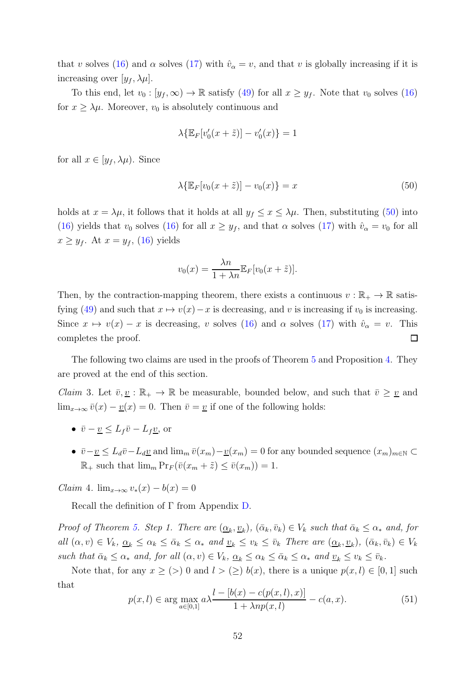that v solves [\(16\)](#page-11-3) and  $\alpha$  solves [\(17\)](#page-12-2) with  $\hat{v}_{\alpha} = v$ , and that v is globally increasing if it is increasing over  $[y_f, \lambda \mu]$ .

To this end, let  $v_0 : [y_f, \infty) \to \mathbb{R}$  satisfy [\(49\)](#page-50-2) for all  $x \geq y_f$ . Note that  $v_0$  solves [\(16\)](#page-11-3) for  $x \geq \lambda \mu$ . Moreover,  $v_0$  is absolutely continuous and

$$
\lambda \{\mathbb{E}_{F}[v_0'(x+\tilde{z})] - v_0'(x)\} = 1
$$

for all  $x \in [y_f, \lambda \mu)$ . Since

<span id="page-51-0"></span>
$$
\lambda \{\mathbb{E}_F[v_0(x+\tilde{z})] - v_0(x)\} = x \tag{50}
$$

holds at  $x = \lambda \mu$ , it follows that it holds at all  $y_f \leq x \leq \lambda \mu$ . Then, substituting [\(50\)](#page-51-0) into [\(16\)](#page-11-3) yields that  $v_0$  solves [\(16\)](#page-11-3) for all  $x \geq y_f$ , and that  $\alpha$  solves [\(17\)](#page-12-2) with  $\hat{v}_\alpha = v_0$  for all  $x \geq y_f$ . At  $x = y_f$ , [\(16\)](#page-11-3) yields

$$
v_0(x) = \frac{\lambda n}{1 + \lambda n} \mathbb{E}_F[v_0(x + \tilde{z})].
$$

Then, by the contraction-mapping theorem, there exists a continuous  $v : \mathbb{R}_+ \to \mathbb{R}$  satis-fying [\(49\)](#page-50-2) and such that  $x \mapsto v(x)-x$  is decreasing, and v is increasing if  $v_0$  is increasing. Since  $x \mapsto v(x) - x$  is decreasing, v solves [\(16\)](#page-11-3) and  $\alpha$  solves [\(17\)](#page-12-2) with  $\hat{v}_{\alpha} = v$ . This completes the proof.  $\Box$ 

<span id="page-51-2"></span>The following two claims are used in the proofs of Theorem [5](#page-50-0) and Proposition [4.](#page-50-1) They are proved at the end of this section.

*Claim* 3. Let  $\bar{v}, \underline{v} : \mathbb{R}_+ \to \mathbb{R}$  be measurable, bounded below, and such that  $\bar{v} \geq \underline{v}$  and  $\lim_{x\to\infty} \bar{v}(x) - v(x) = 0$ . Then  $\bar{v} = v$  if one of the following holds:

- $\bar{v} v \leq L_f \bar{v} L_f v$ , or
- $\bar{v}-\underline{v} \leq L_d\bar{v}-L_d\underline{v}$  and  $\lim_m \bar{v}(x_m)-\underline{v}(x_m)=0$  for any bounded sequence  $(x_m)_{m\in\mathbb{N}}\subset$  $\mathbb{R}_+$  such that  $\lim_m \Pr_F(\bar{v}(x_m + \tilde{z}) \leq \bar{v}(x_m)) = 1.$

<span id="page-51-1"></span>Claim 4.  $\lim_{x\to\infty} v_*(x) - b(x) = 0$ 

Recall the definition of Γ from Appendix [D.](#page-46-0)

Proof of Theorem [5.](#page-50-0) Step 1. There are  $(\underline{\alpha}_k, \underline{v}_k)$ ,  $(\bar{\alpha}_k, \bar{v}_k) \in V_k$  such that  $\bar{\alpha}_k \leq \alpha_*$  and, for all  $(\alpha, v) \in V_k$ ,  $\underline{\alpha}_k \leq \alpha_k \leq \overline{\alpha}_k \leq \alpha_*$  and  $\underline{v}_k \leq v_k \leq \overline{v}_k$  There are  $(\underline{\alpha}_k, \underline{v}_k)$ ,  $(\overline{\alpha}_k, \overline{v}_k) \in V_k$ such that  $\bar{\alpha}_k \leq \alpha_*$  and, for all  $(\alpha, v) \in V_k$ ,  $\underline{\alpha}_k \leq \alpha_k \leq \bar{\alpha}_k \leq \alpha_*$  and  $\underline{v}_k \leq v_k \leq \bar{v}_k$ .

Note that, for any  $x \geq (>) 0$  and  $l > (\geq) b(x)$ , there is a unique  $p(x, l) \in [0, 1]$  such that

<span id="page-51-3"></span>
$$
p(x,l) \in \arg\max_{a \in [0,1]} a\lambda \frac{l - [b(x) - c(p(x,l),x)]}{1 + \lambda np(x,l)} - c(a,x). \tag{51}
$$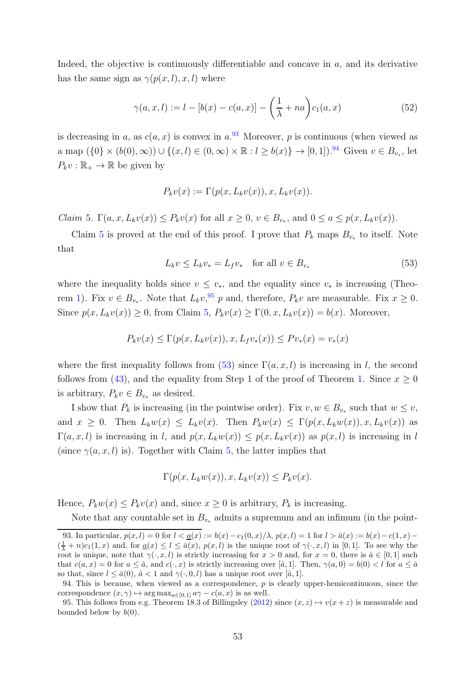Indeed, the objective is continuously differentiable and concave in  $a$ , and its derivative has the same sign as  $\gamma(p(x,l), x, l)$  where

<span id="page-52-5"></span>
$$
\gamma(a, x, l) := l - [b(x) - c(a, x)] - \left(\frac{1}{\lambda} + na\right)c_1(a, x) \tag{52}
$$

is decreasing in a, as  $c(a, x)$  is convex in  $a^{.93}$  $a^{.93}$  $a^{.93}$  Moreover, p is continuous (when viewed as a map  $(\{0\} \times (b(0), \infty)) \cup \{(x, l) \in (0, \infty) \times \mathbb{R} : l \ge b(x)\} \to [0, 1])$ .<sup>[94](#page-52-1)</sup> Given  $v \in B_{v_*}$ , let  $P_k v : \mathbb{R}_+ \to \mathbb{R}$  be given by

$$
P_k v(x) := \Gamma(p(x, L_k v(x)), x, L_k v(x)).
$$

<span id="page-52-2"></span>*Claim* 5.  $\Gamma(a, x, L_k v(x)) \leq P_k v(x)$  for all  $x \geq 0, v \in B_{v_*}$ , and  $0 \leq a \leq p(x, L_k v(x))$ .

Claim [5](#page-52-2) is proved at the end of this proof. I prove that  $P_k$  maps  $B_{v_*}$  to itself. Note that

<span id="page-52-4"></span>
$$
L_k v \le L_k v_* = L_f v_* \quad \text{for all } v \in B_{v_*}
$$
\n
$$
(53)
$$

where the inequality holds since  $v \leq v_*$ , and the equality since  $v_*$  is increasing (Theo-rem [1\)](#page-9-0). Fix  $v \in B_{v_*}$ . Note that  $L_k v_*^{95} p$  $L_k v_*^{95} p$  $L_k v_*^{95} p$  and, therefore,  $P_k v$  are measurable. Fix  $x \ge 0$ . Since  $p(x, L_kv(x)) \ge 0$ , from Claim [5,](#page-52-2)  $P_kv(x) \ge \Gamma(0, x, L_kv(x)) = b(x)$ . Moreover,

$$
P_k v(x) \le \Gamma(p(x, L_k v(x)), x, L_f v_*(x)) \le P v_*(x) = v_*(x)
$$

where the first inequality follows from [\(53\)](#page-52-4) since  $\Gamma(a, x, l)$  is increasing in l, the second follows from [\(43\)](#page-47-4), and the equality from Step 1 of the proof of Theorem [1.](#page-9-0) Since  $x \geq 0$ is arbitrary,  $P_k v \in B_{v_*}$  as desired.

I show that  $P_k$  is increasing (in the pointwise order). Fix  $v, w \in B_{v_*}$  such that  $w \leq v$ , and  $x \geq 0$ . Then  $L_k w(x) \leq L_k v(x)$ . Then  $P_k w(x) \leq \Gamma(p(x, L_k w(x)), x, L_k v(x))$  as  $\Gamma(a, x, l)$  is increasing in l, and  $p(x, L_kw(x)) \leq p(x, L_kv(x))$  as  $p(x, l)$  is increasing in l (since  $\gamma(a, x, l)$  is). Together with Claim [5,](#page-52-2) the latter implies that

$$
\Gamma(p(x, L_k w(x)), x, L_k v(x)) \le P_k v(x).
$$

Hence,  $P_k w(x) \leq P_k v(x)$  and, since  $x \geq 0$  is arbitrary,  $P_k$  is increasing.

Note that any countable set in  $B_{v_*}$  admits a supremum and an infimum (in the point-

<span id="page-52-0"></span><sup>93.</sup> In particular,  $p(x, l) = 0$  for  $l < a(x) := b(x) - c_1(0, x)/\lambda$ ,  $p(x, l) = 1$  for  $l > \bar{a}(x) := b(x) - c(1, x) - c(1, x) - c(1, x)$  $(\frac{1}{\lambda}+n)c_1(1,x)$  and, for  $\underline{a}(x) \leq l \leq \overline{a}(x)$ ,  $p(x,l)$  is the unique root of  $\gamma(\cdot,x,l)$  in [0,1]. To see why the root is unique, note that  $\gamma(\cdot, x, l)$  is strictly increasing for  $x > 0$  and, for  $x = 0$ , there is  $\hat{a} \in [0, 1]$  such that  $c(a, x) = 0$  for  $a \leq \hat{a}$ , and  $c(\cdot, x)$  is strictly increasing over  $[\hat{a}, 1]$ . Then,  $\gamma(a, 0) = b(0) < l$  for  $a \leq \hat{a}$ so that, since  $l \leq \bar{a}(0)$ ,  $\hat{a} < 1$  and  $\gamma(\cdot, 0, l)$  has a unique root over  $[\hat{a}, 1]$ .

<span id="page-52-1"></span><sup>94.</sup> This is because, when viewed as a correspondence,  $p$  is clearly upper-hemicontinuous, since the correspondence  $(x, \gamma) \mapsto \arg \max_{a \in [0,1]} a\gamma - c(a, x)$  is as well.

<span id="page-52-3"></span><sup>95.</sup> This follows from e.g. Theorem 18.3 of Billingsley [\(2012\)](#page-31-2) since  $(x, z) \mapsto v(x + z)$  is measurable and bounded below by  $b(0)$ .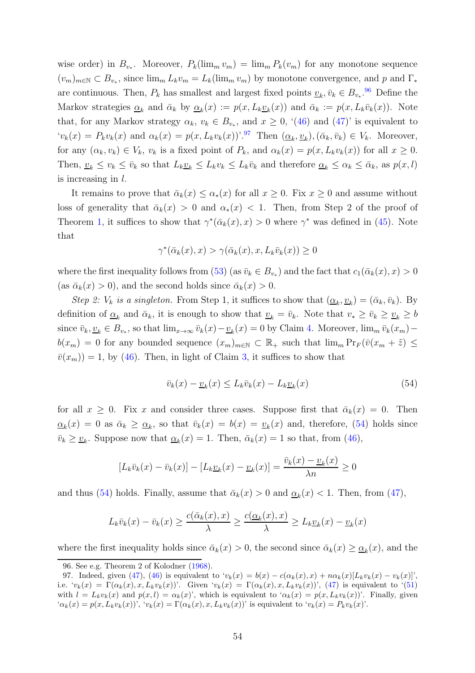wise order) in  $B_{v_*}$ . Moreover,  $P_k(\lim_m v_m) = \lim_m P_k(v_m)$  for any monotone sequence  $(v_m)_{m\in\mathbb{N}}\subset B_{v_*}$ , since  $\lim_m L_k v_m=L_k(\lim_m v_m)$  by monotone convergence, and p and  $\Gamma_*$ are continuous. Then,  $P_k$  has smallest and largest fixed points  $\underline{v}_k, \overline{v}_k \in B_{v_*}$ .<sup>[96](#page-53-0)</sup> Define the Markov strategies  $\underline{\alpha}_k$  and  $\overline{\alpha}_k$  by  $\underline{\alpha}_k(x) := p(x, L_k \underline{v}_k(x))$  and  $\overline{\alpha}_k := p(x, L_k \overline{v}_k(x))$ . Note that,for any Markov strategy  $\alpha_k, v_k \in B_{v_*}$ , and  $x \geq 0$ , '[\(46\)](#page-50-3) and [\(47\)](#page-50-4)' is equivalent to  $v_k(x) = P_k v_k(x)$  and  $\alpha_k(x) = p(x, L_k v_k(x))$ '.<sup>[97](#page-53-1)</sup> Then  $(\underline{\alpha}_k, \underline{v}_k), (\overline{\alpha}_k, \overline{v}_k) \in V_k$ . Moreover, for any  $(\alpha_k, v_k) \in V_k$ ,  $v_k$  is a fixed point of  $P_k$ , and  $\alpha_k(x) = p(x, L_k v_k(x))$  for all  $x \ge 0$ . Then,  $v_k \le v_k \le \bar{v}_k$  so that  $L_k v_k \le L_k v_k \le L_k \bar{v}_k$  and therefore  $\underline{\alpha}_k \le \alpha_k \le \bar{\alpha}_k$ , as  $p(x, l)$ is increasing in l.

It remains to prove that  $\bar{\alpha}_k(x) \leq \alpha_*(x)$  for all  $x \geq 0$ . Fix  $x \geq 0$  and assume without loss of generality that  $\bar{\alpha}_k(x) > 0$  and  $\alpha_*(x) < 1$ . Then, from Step 2 of the proof of Theorem [1,](#page-9-0) it suffices to show that  $\gamma^*(\bar{\alpha}_k(x), x) > 0$  where  $\gamma^*$  was defined in [\(45\)](#page-48-2). Note that

$$
\gamma^*(\bar{\alpha}_k(x),x) > \gamma(\bar{\alpha}_k(x),x,L_k\bar{v}_k(x)) \ge 0
$$

where the first inequality follows from [\(53\)](#page-52-4) (as  $\bar{v}_k \in B_{v_*}$ ) and the fact that  $c_1(\bar{\alpha}_k(x), x) > 0$ (as  $\bar{\alpha}_k(x) > 0$ ), and the second holds since  $\bar{\alpha}_k(x) > 0$ .

Step 2:  $V_k$  is a singleton. From Step 1, it suffices to show that  $(\underline{\alpha}_k, \underline{v}_k) = (\bar{\alpha}_k, \bar{v}_k)$ . By definition of  $\underline{\alpha}_k$  and  $\overline{\alpha}_k$ , it is enough to show that  $\underline{v}_k = \overline{v}_k$ . Note that  $v_* \ge \overline{v}_k \ge \underline{v}_k \ge b$ since  $\bar{v}_k, \underline{v}_k \in B_{v_*}$ , so that  $\lim_{x\to\infty} \bar{v}_k(x) - \underline{v}_k(x) = 0$  by Claim [4.](#page-51-1) Moreover,  $\lim_{m} \bar{v}_k(x_m)$  $b(x_m) = 0$  for any bounded sequence  $(x_m)_{m \in \mathbb{N}} \subset \mathbb{R}_+$  such that  $\lim_m \Pr_F(\bar{v}(x_m + \tilde{z}) \leq$  $\bar{v}(x_m) = 1$ , by [\(46\)](#page-50-3). Then, in light of Claim [3,](#page-51-2) it suffices to show that

<span id="page-53-2"></span>
$$
\bar{v}_k(x) - \underline{v}_k(x) \le L_k \bar{v}_k(x) - L_k \underline{v}_k(x) \tag{54}
$$

for all  $x \geq 0$ . Fix x and consider three cases. Suppose first that  $\bar{\alpha}_k(x) = 0$ . Then  $\alpha_k(x) = 0$  as  $\bar{\alpha}_k \ge \underline{\alpha}_k$ , so that  $\bar{v}_k(x) = b(x) = \underline{v}_k(x)$  and, therefore, [\(54\)](#page-53-2) holds since  $\bar{v}_k \geq \underline{v}_k$ . Suppose now that  $\underline{\alpha}_k(x) = 1$ . Then,  $\bar{\alpha}_k(x) = 1$  so that, from [\(46\)](#page-50-3),

$$
[L_k \bar{v}_k(x) - \bar{v}_k(x)] - [L_k \underline{v}_k(x) - \underline{v}_k(x)] = \frac{\bar{v}_k(x) - \underline{v}_k(x)}{\lambda n} \ge 0
$$

and thus [\(54\)](#page-53-2) holds. Finally, assume that  $\bar{\alpha}_k(x) > 0$  and  $\underline{\alpha}_k(x) < 1$ . Then, from [\(47\)](#page-50-4),

$$
L_k \bar{v}_k(x) - \bar{v}_k(x) \ge \frac{c(\bar{\alpha}_k(x), x)}{\lambda} \ge \frac{c(\underline{\alpha}_k(x), x)}{\lambda} \ge L_k \underline{v}_k(x) - \underline{v}_k(x)
$$

where the first inequality holds since  $\bar{\alpha}_k(x) > 0$ , the second since  $\bar{\alpha}_k(x) \geq \underline{\alpha}_k(x)$ , and the

<span id="page-53-0"></span><sup>96.</sup> See e.g. Theorem 2 of Kolodner [\(1968\)](#page-33-1).

<span id="page-53-1"></span><sup>97.</sup> Indeed, given [\(47\)](#page-50-4), [\(46\)](#page-50-3) is equivalent to  $v_k(x) = b(x) - c(\alpha_k(x), x) + n\alpha_k(x)[L_kv_k(x) - v_k(x)]'$ , i.e. $v_k(x) = \Gamma(\alpha_k(x), x, L_k v_k(x))$ . Given  $v_k(x) = \Gamma(\alpha_k(x), x, L_k v_k(x))$ , [\(47\)](#page-50-4) is equivalent to '[\(51\)](#page-51-3) with  $l = L_k v_k(x)$  and  $p(x, l) = \alpha_k(x)$ , which is equivalent to  $\alpha_k(x) = p(x, L_k v_k(x))$ . Finally, given  $(a_k(x) = p(x, L_k v_k(x))'$ ,  $v_k(x) = \Gamma(\alpha_k(x), x, L_k v_k(x))'$  is equivalent to  $v_k(x) = P_k v_k(x)'$ .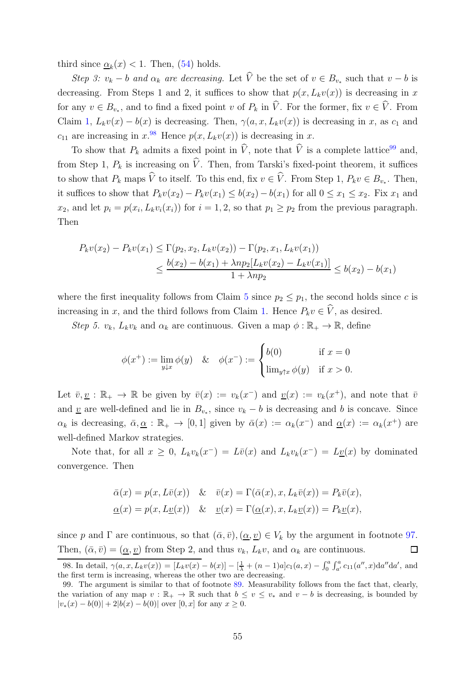third since  $\underline{\alpha}_k(x) < 1$ . Then, [\(54\)](#page-53-2) holds.

Step 3:  $v_k - b$  and  $\alpha_k$  are decreasing. Let V be the set of  $v \in B_{v_*}$  such that  $v - b$  is decreasing. From Steps 1 and 2, it suffices to show that  $p(x, L_kv(x))$  is decreasing in x for any  $v \in B_{v_*}$ , and to find a fixed point v of  $P_k$  in V. For the former, fix  $v \in V$ . From Claim [1,](#page-46-2)  $L_kv(x) - b(x)$  is decreasing. Then,  $\gamma(a, x, L_kv(x))$  is decreasing in x, as  $c_1$  and  $c_{11}$  are increasing in  $x^{.98}$  $x^{.98}$  $x^{.98}$  Hence  $p(x, L_k v(x))$  is decreasing in x.

To show that  $P_k$  admits a fixed point in  $\hat{V}$ , note that  $\hat{V}$  is a complete lattice<sup>[99](#page-54-1)</sup> and, from Step 1,  $P_k$  is increasing on  $\hat{V}$ . Then, from Tarski's fixed-point theorem, it suffices to show that  $P_k$  maps V to itself. To this end, fix  $v \in V$ . From Step 1,  $P_k v \in B_{v_*}$ . Then, it suffices to show that  $P_kv(x_2) - P_kv(x_1) \leq b(x_2) - b(x_1)$  for all  $0 \leq x_1 \leq x_2$ . Fix  $x_1$  and  $x_2$ , and let  $p_i = p(x_i, L_k v_i(x_i))$  for  $i = 1, 2$ , so that  $p_1 \geq p_2$  from the previous paragraph. Then

$$
P_k v(x_2) - P_k v(x_1) \le \Gamma(p_2, x_2, L_k v(x_2)) - \Gamma(p_2, x_1, L_k v(x_1))
$$
  

$$
\le \frac{b(x_2) - b(x_1) + \lambda np_2[L_k v(x_2) - L_k v(x_1)]}{1 + \lambda np_2} \le b(x_2) - b(x_1)
$$

where the first inequality follows from Claim [5](#page-52-2) since  $p_2 \leq p_1$ , the second holds since c is increasing in x, and the third follows from Claim [1.](#page-46-2) Hence  $P_k v \in \hat{V}$ , as desired.

Step 5.  $v_k$ ,  $L_k v_k$  and  $\alpha_k$  are continuous. Given a map  $\phi : \mathbb{R}_+ \to \mathbb{R}$ , define

$$
\phi(x^+) := \lim_{y \downarrow x} \phi(y) \quad \& \quad \phi(x^-) := \begin{cases} b(0) & \text{if } x = 0 \\ \lim_{y \uparrow x} \phi(y) & \text{if } x > 0. \end{cases}
$$

Let  $\bar{v}, \underline{v} : \mathbb{R}_+ \to \mathbb{R}$  be given by  $\bar{v}(x) := v_k(x^-)$  and  $\underline{v}(x) := v_k(x^+)$ , and note that  $\bar{v}$ and <u>v</u> are well-defined and lie in  $B_{v_*}$ , since  $v_k - b$  is decreasing and b is concave. Since  $\alpha_k$  is decreasing,  $\bar{\alpha}, \underline{\alpha} : \mathbb{R}_+ \to [0, 1]$  given by  $\bar{\alpha}(x) := \alpha_k(x^{-})$  and  $\underline{\alpha}(x) := \alpha_k(x^{+})$  are well-defined Markov strategies.

Note that, for all  $x \geq 0$ ,  $L_k v_k(x^-) = L\overline{v}(x)$  and  $L_k v_k(x^-) = L\underline{v}(x)$  by dominated convergence. Then

$$
\bar{\alpha}(x) = p(x, L\bar{v}(x)) \& \bar{v}(x) = \Gamma(\bar{\alpha}(x), x, L_k\bar{v}(x)) = P_k\bar{v}(x),
$$
  

$$
\underline{\alpha}(x) = p(x, L\underline{v}(x)) \& \underline{v}(x) = \Gamma(\underline{\alpha}(x), x, L_k\underline{v}(x)) = P_k\underline{v}(x),
$$

since p and  $\Gamma$  are continuous, so that  $(\bar{\alpha}, \bar{v}), (\underline{\alpha}, \underline{v}) \in V_k$  by the argument in footnote [97.](#page-53-1) Then,  $(\bar{\alpha}, \bar{v}) = (\underline{\alpha}, \underline{v})$  from Step 2, and thus  $v_k$ ,  $L_k v$ , and  $\alpha_k$  are continuous.  $\Box$ 

<span id="page-54-0"></span><sup>98.</sup> In detail,  $\gamma(a, x, L_k v(x)) = [L_k v(x) - b(x)] - [\frac{1}{\lambda} + (n-1)a]c_1(a, x) - \int_0^a \int_{a'}^a c_{11}(a'', x) da'' da',$  and the first term is increasing, whereas the other two are decreasing.

<span id="page-54-1"></span><sup>99.</sup> The argument is similar to that of footnote [89.](#page-47-1) Measurability follows from the fact that, clearly, the variation of any map  $v : \mathbb{R}_+ \to \mathbb{R}$  such that  $b \le v \le v_*$  and  $v - b$  is decreasing, is bounded by  $|v_*(x) - b(0)| + 2|b(x) - b(0)|$  over  $[0, x]$  for any  $x \ge 0$ .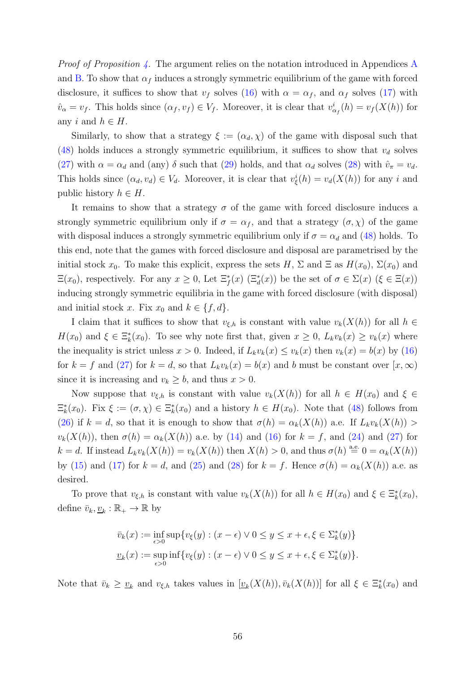*Proof of Proposition [4.](#page-50-1)* The argument relies on the notation introduced in [A](#page-35-0)ppendices A and [B.](#page-39-2) To show that  $\alpha_f$  induces a strongly symmetric equilibrium of the game with forced disclosure, it suffices to show that  $v_f$  solves [\(16\)](#page-11-3) with  $\alpha = \alpha_f$ , and  $\alpha_f$  solves [\(17\)](#page-12-2) with  $\hat{v}_{\alpha} = v_f$ . This holds since  $(\alpha_f, v_f) \in V_f$ . Moreover, it is clear that  $v_{\alpha_f}^i(h) = v_f(X(h))$  for any i and  $h \in H$ .

Similarly, to show that a strategy  $\xi := (\alpha_d, \chi)$  of the game with disposal such that [\(48\)](#page-50-5) holds induces a strongly symmetric equilibrium, it suffices to show that  $v_d$  solves [\(27\)](#page-21-3) with  $\alpha = \alpha_d$  and (any)  $\delta$  such that [\(29\)](#page-21-4) holds, and that  $\alpha_d$  solves [\(28\)](#page-21-5) with  $\hat{v}_{\pi} = v_d$ . This holds since  $(\alpha_d, v_d) \in V_d$ . Moreover, it is clear that  $v_{\xi}^i(h) = v_d(X(h))$  for any i and public history  $h \in H$ .

It remains to show that a strategy  $\sigma$  of the game with forced disclosure induces a strongly symmetric equilibrium only if  $\sigma = \alpha_f$ , and that a strategy  $(\sigma, \chi)$  of the game with disposal induces a strongly symmetric equilibrium only if  $\sigma = \alpha_d$  and [\(48\)](#page-50-5) holds. To this end, note that the games with forced disclosure and disposal are parametrised by the initial stock  $x_0$ . To make this explicit, express the sets  $H$ ,  $\Sigma$  and  $\Xi$  as  $H(x_0)$ ,  $\Sigma(x_0)$  and  $\Xi(x_0)$ , respectively. For any  $x \geq 0$ , Let  $\Xi_f^*(x)$   $(\Xi_d^*(x))$  be the set of  $\sigma \in \Sigma(x)$   $(\xi \in \Xi(x))$ inducing strongly symmetric equilibria in the game with forced disclosure (with disposal) and initial stock x. Fix  $x_0$  and  $k \in \{f, d\}.$ 

I claim that it suffices to show that  $v_{\xi,h}$  is constant with value  $v_k(X(h))$  for all  $h \in$  $H(x_0)$  and  $\xi \in \Xi_k^*(x_0)$ . To see why note first that, given  $x \geq 0$ ,  $L_k v_k(x) \geq v_k(x)$  where the inequality is strict unless  $x > 0$ . Indeed, if  $L_k v_k(x) \le v_k(x)$  then  $v_k(x) = b(x)$  by [\(16\)](#page-11-3) for  $k = f$  and [\(27\)](#page-21-3) for  $k = d$ , so that  $L_k v_k(x) = b(x)$  and b must be constant over  $[x, \infty)$ since it is increasing and  $v_k \geq b$ , and thus  $x > 0$ .

Now suppose that  $v_{\xi,h}$  is constant with value  $v_k(X(h))$  for all  $h \in H(x_0)$  and  $\xi \in$  $\Xi_k^*(x_0)$ . Fix  $\xi := (\sigma, \chi) \in \Xi_k^*(x_0)$  and a history  $h \in H(x_0)$ . Note that [\(48\)](#page-50-5) follows from [\(26\)](#page-21-1) if  $k = d$ , so that it is enough to show that  $\sigma(h) = \alpha_k(X(h))$  a.e. If  $L_k v_k(X(h)) >$  $v_k(X(h))$ , then  $\sigma(h) = \alpha_k(X(h))$  a.e. by [\(14\)](#page-11-1) and [\(16\)](#page-11-3) for  $k = f$ , and [\(24\)](#page-20-0) and [\(27\)](#page-21-3) for k = d. If instead  $L_k v_k(X(h)) = v_k(X(h))$  then  $X(h) > 0$ , and thus  $\sigma(h) \stackrel{\text{a.e.}}{=} 0 = \alpha_k(X(h))$ by [\(15\)](#page-11-2) and [\(17\)](#page-12-2) for  $k = d$ , and [\(25\)](#page-21-0) and [\(28\)](#page-21-5) for  $k = f$ . Hence  $\sigma(h) = \alpha_k(X(h))$  a.e. as desired.

To prove that  $v_{\xi,h}$  is constant with value  $v_k(X(h))$  for all  $h \in H(x_0)$  and  $\xi \in \Xi_k^*(x_0)$ , define  $\bar{v}_k, \underline{v}_k : \mathbb{R}_+ \to \mathbb{R}$  by

$$
\bar{v}_k(x) := \inf_{\epsilon > 0} \sup \{ v_\xi(y) : (x - \epsilon) \lor 0 \le y \le x + \epsilon, \xi \in \Sigma_k^*(y) \}
$$
  

$$
\underline{v}_k(x) := \sup_{\epsilon > 0} \inf \{ v_\xi(y) : (x - \epsilon) \lor 0 \le y \le x + \epsilon, \xi \in \Sigma_k^*(y) \}.
$$

Note that  $\bar{v}_k \geq \underline{v}_k$  and  $v_{\xi,h}$  takes values in  $[\underline{v}_k(X(h)), \bar{v}_k(X(h))]$  for all  $\xi \in \Xi_k^*(x_0)$  and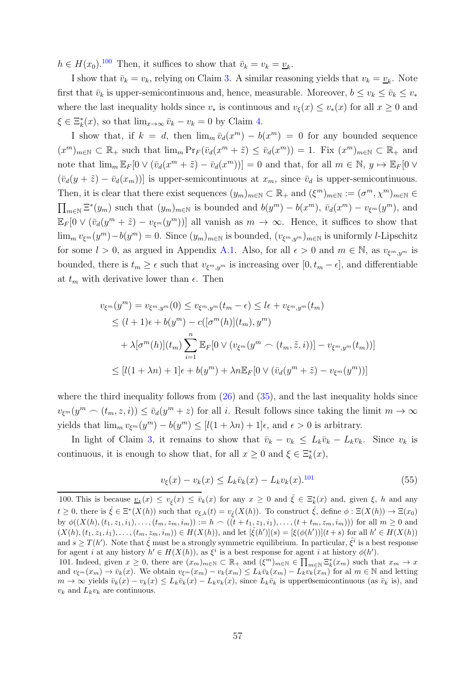$h \in H(x_0).$ <sup>[100](#page-56-0)</sup> Then, it suffices to show that  $\bar{v}_k = v_k = \underline{v}_k$ .

I show that  $\bar{v}_k = v_k$ , relying on Claim [3.](#page-51-2) A similar reasoning yields that  $v_k = \underline{v}_k$ . Note first that  $\bar{v}_k$  is upper-semicontinuous and, hence, measurable. Moreover,  $b \le v_k \le \bar{v}_k \le v_*$ where the last inequality holds since  $v_*$  is continuous and  $v_{\xi}(x) \le v_*(x)$  for all  $x \ge 0$  and  $\xi \in \Xi_k^*(x)$ , so that  $\lim_{x \to \infty} \overline{v}_k - v_k = 0$  by Claim [4.](#page-51-1)

I show that, if  $k = d$ , then  $\lim_{m \bar{v}_d}(x^m) - b(x^m) = 0$  for any bounded sequence  $(x^m)_{m\in\mathbb{N}}\subset\mathbb{R}_+$  such that  $\lim_m\Pr_F(\bar{v}_d(x^m+\tilde{z})\leq\bar{v}_d(x^m))=1$ . Fix  $(x^m)_{m\in\mathbb{N}}\subset\mathbb{R}_+$  and note that  $\lim_{m} \mathbb{E}_{F} [0 \vee (\bar{v}_d(x^m + \tilde{z}) - \bar{v}_d(x^m))] = 0$  and that, for all  $m \in \mathbb{N}, y \mapsto \mathbb{E}_{F} [0 \vee \bar{v}_d(x^m + \tilde{z}) - \bar{v}_d(x^m)]$  $(\bar{v}_d(y + \tilde{z}) - \bar{v}_d(x_m))]$  is upper-semicontinuous at  $x_m$ , since  $\bar{v}_d$  is upper-semicontinuous. Then, it is clear that there exist sequences  $(y_m)_{m\in\mathbb{N}}\subset\mathbb{R}_+$  and  $(\xi^m)_{m\in\mathbb{N}}:=(\sigma^m,\chi^m)_{m\in\mathbb{N}}\in$  $\prod_{m\in\mathbb{N}} \Xi^*(y_m)$  such that  $(y_m)_{m\in\mathbb{N}}$  is bounded and  $b(y^m) - b(x^m)$ ,  $\bar{v}_d(x^m) - v_{\xi^m}(y^m)$ , and  $\mathbb{E}_F[0 \vee (\bar{v}_d(y^m + \tilde{z}) - v_{\xi^m}(y^m))]$  all vanish as  $m \to \infty$ . Hence, it suffices to show that  $\lim_m v_{\xi^m}(y^m) - b(y^m) = 0.$  Since  $(y_m)_{m \in \mathbb{N}}$  is bounded,  $(v_{\xi^m, y^m})_{m \in \mathbb{N}}$  is uniformly *l*-Lipschitz for some  $l > 0$ , as argued in Appendix [A.1.](#page-37-1) Also, for all  $\epsilon > 0$  and  $m \in \mathbb{N}$ , as  $v_{\xi m}$  is bounded, there is  $t_m \geq \epsilon$  such that  $v_{\xi^m,y^m}$  is increasing over  $[0, t_m - \epsilon]$ , and differentiable at  $t_m$  with derivative lower than  $\epsilon$ . Then

$$
v_{\xi^m}(y^m) = v_{\xi^m, y^m}(0) \le v_{\xi^m, y^m}(t_m - \epsilon) \le l\epsilon + v_{\xi^m, y^m}(t_m)
$$
  
\n
$$
\le (l+1)\epsilon + b(y^m) - c([\sigma^m(h)](t_m), y^m)
$$
  
\n
$$
+ \lambda[\sigma^m(h)](t_m) \sum_{i=1}^n \mathbb{E}_F[0 \vee (v_{\xi^m}(y^m \frown (t_m, \tilde{z}, i))] - v_{\xi^m, y^m}(t_m))]
$$
  
\n
$$
\le [l(1+\lambda n) + 1]\epsilon + b(y^m) + \lambda n \mathbb{E}_F[0 \vee (\bar{v}_d(y^m + \tilde{z}) - v_{\xi^m}(y^m))]
$$

where the third inequality follows from  $(26)$  and  $(35)$ , and the last inequality holds since  $v_{\xi^m}(y^m \frown (t_m, z, i)) \le \bar{v}_d(y^m + z)$  for all i. Result follows since taking the limit  $m \to \infty$ yields that  $\lim_{m} v_{\xi^{m}}(y^{m}) - b(y^{m}) \leq [l(1 + \lambda n) + 1]\epsilon$ , and  $\epsilon > 0$  is arbitrary.

In light of Claim [3,](#page-51-2) it remains to show that  $\bar{v}_k - v_k \leq L_k \bar{v}_k - L_k v_k$ . Since  $v_k$  is continuous, it is enough to show that, for all  $x \ge 0$  and  $\xi \in \Xi_k^*(x)$ ,

<span id="page-56-2"></span>
$$
v_{\xi}(x) - v_{k}(x) \le L_{k} \bar{v}_{k}(x) - L_{k} v_{k}(x).^{101}
$$
\n(55)

<span id="page-56-0"></span><sup>100.</sup> This is because  $v_k(x) \leq v_{\hat{\xi}}(x) \leq \bar{v}_k(x)$  for any  $x \geq 0$  and  $\hat{\xi} \in \Xi_k^*(x)$  and, given  $\xi$ , h and any  $t \geq 0$ , there is  $\hat{\xi} \in \Xi^*(X(h))$  such that  $v_{\xi,h}(t) = v_{\hat{\xi}}(X(h))$ . To construct  $\hat{\xi}$ , define  $\phi : \Xi(X(h)) \to \Xi(x_0)$ by  $\phi((X(h),(t_1,z_1,i_1),\ldots,(t_m,z_m,i_m)) := h \wedge ((t+t_1,z_1,i_1),\ldots,(t+t_m,z_m,i_m)))$  for all  $m \geq 0$  and  $(X(h), (t_1, z_1, i_1), \ldots, (t_m, z_m, i_m)) \in H(X(h))$ , and let  $[\hat{\xi}(h')](s) = [\xi(\phi(h'))](t + s)$  for all  $h' \in H(X(h))$ and  $s \geq T(h')$ . Note that  $\hat{\xi}$  must be a strongly symmetric equilibrium. In particular,  $\hat{\xi}^i$  is a best response for agent *i* at any history  $h' \in H(X(h))$ , as  $\xi^i$  is a best response for agent *i* at history  $\phi(h')$ .

<span id="page-56-1"></span><sup>101.</sup> Indeed, given  $x \geq 0$ , there are  $(x_m)_{m \in \mathbb{N}} \subset \mathbb{R}_+$  and  $(\xi^m)_{m \in \mathbb{N}} \in \prod_{m \in \mathbb{N}} \Xi_k^*(x_m)$  such that  $x_m \to x$ and  $v_{\xi^m}(x_m) \to \bar{v}_k(x)$ . We obtain  $v_{\xi^m}(x_m) - v_k(x_m) \leq L_k\bar{v}_k(x_m) - L_kv_k(x_m)$  for al  $m \in \mathbb{N}$  and letting  $m \to \infty$  yields  $\bar{v}_k(x) - v_k(x) \leq L_k \bar{v}_k(x) - L_k v_k(x)$ , since  $L_k \bar{v}_k$  is upper0semicontinuous (as  $\bar{v}_k$  is), and  $v_k$  and  $L_k v_k$  are continuous.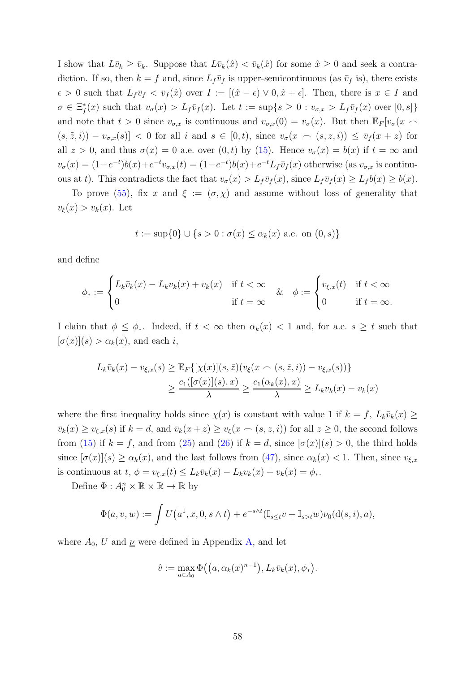I show that  $L\bar{v}_k \geq \bar{v}_k$ . Suppose that  $L\bar{v}_k(\hat{x}) < \bar{v}_k(\hat{x})$  for some  $\hat{x} \geq 0$  and seek a contradiction. If so, then  $k = f$  and, since  $L_f \bar{v}_f$  is upper-semicontinuous (as  $\bar{v}_f$  is), there exists  $\epsilon > 0$  such that  $L_f \bar{v}_f < \bar{v}_f(\hat{x})$  over  $I := [(\hat{x} - \epsilon) \vee 0, \hat{x} + \epsilon]$ . Then, there is  $x \in I$  and  $\sigma \in \Xi_f^*(x)$  such that  $v_{\sigma}(x) > L_f \bar{v}_f(x)$ . Let  $t := \sup\{s \geq 0 : v_{\sigma,x} > L_f \bar{v}_f(x)$  over  $[0, s]\}$ and note that  $t > 0$  since  $v_{\sigma,x}$  is continuous and  $v_{\sigma,x}(0) = v_{\sigma}(x)$ . But then  $\mathbb{E}_F[v_{\sigma}(x)$  $(s, \tilde{z}, i)$   $- v_{\sigma,x}(s)$   $<$  0 for all i and  $s \in [0, t)$ , since  $v_{\sigma}(x \cap (s, z, i)) \leq \overline{v}_f(x + z)$  for all  $z > 0$ , and thus  $\sigma(x) = 0$  a.e. over  $(0, t)$  by  $(15)$ . Hence  $v_{\sigma}(x) = b(x)$  if  $t = \infty$  and  $v_{\sigma}(x) = (1 - e^{-t})b(x) + e^{-t}v_{\sigma,x}(t) = (1 - e^{-t})b(x) + e^{-t}L_f\bar{v}_f(x)$  otherwise (as  $v_{\sigma,x}$  is continuous at t). This contradicts the fact that  $v_{\sigma}(x) > L_f \bar{v}_f(x)$ , since  $L_f \bar{v}_f(x) \geq L_f b(x) \geq b(x)$ .

To prove [\(55\)](#page-56-2), fix x and  $\xi := (\sigma, \chi)$  and assume without loss of generality that  $v_{\xi}(x) > v_k(x)$ . Let

$$
t := \sup\{0\} \cup \{s > 0 : \sigma(x) \le \alpha_k(x) \text{ a.e. on } (0, s)\}\
$$

and define

$$
\phi_* := \begin{cases} L_k \bar{v}_k(x) - L_k v_k(x) + v_k(x) & \text{if } t < \infty \\ 0 & \text{if } t = \infty \end{cases} \quad \& \quad \phi := \begin{cases} v_{\xi,x}(t) & \text{if } t < \infty \\ 0 & \text{if } t = \infty. \end{cases}
$$

I claim that  $\phi \leq \phi_*$ . Indeed, if  $t < \infty$  then  $\alpha_k(x) < 1$  and, for a.e.  $s \geq t$  such that  $[\sigma(x)](s) > \alpha_k(x)$ , and each i,

$$
L_k \bar{v}_k(x) - v_{\xi,x}(s) \ge \mathbb{E}_F\{[\chi(x)](s,\tilde{z})(v_{\xi}(x \frown (s,\tilde{z},i)) - v_{\xi,x}(s))\}
$$
  

$$
\ge \frac{c_1([\sigma(x)](s),x)}{\lambda} \ge \frac{c_1(\alpha_k(x),x)}{\lambda} \ge L_k v_k(x) - v_k(x)
$$

where the first inequality holds since  $\chi(x)$  is constant with value 1 if  $k = f, L_k\bar{v}_k(x) \ge$  $\bar{v}_k(x) \ge v_{\xi,x}(s)$  if  $k = d$ , and  $\bar{v}_k(x+z) \ge v_{\xi}(x \frown (s, z, i))$  for all  $z \ge 0$ , the second follows from [\(15\)](#page-11-2) if  $k = f$ , and from [\(25\)](#page-21-0) and [\(26\)](#page-21-1) if  $k = d$ , since  $[\sigma(x)](s) > 0$ , the third holds since  $[\sigma(x)](s) \ge \alpha_k(x)$ , and the last follows from [\(47\)](#page-50-4), since  $\alpha_k(x) < 1$ . Then, since  $v_{\xi,x}$ is continuous at  $t, \phi = v_{\xi,x}(t) \leq L_k \bar{v}_k(x) - L_k v_k(x) + v_k(x) = \phi_*$ .

Define  $\Phi: A_0^n \times \mathbb{R} \times \mathbb{R} \to \mathbb{R}$  by

$$
\Phi(a, v, w) := \int U(a^1, x, 0, s \wedge t) + e^{-s \wedge t} (\mathbb{I}_{s \leq t} v + \mathbb{I}_{s > t} w) \nu_0(\mathrm{d}(s, i), a),
$$

where  $A_0$ , U and  $\nu$  were defined in Appendix [A,](#page-35-0) and let

$$
\hat{v} := \max_{a \in A_0} \Phi((a, \alpha_k(x)^{n-1}), L_k \bar{v}_k(x), \phi_*).
$$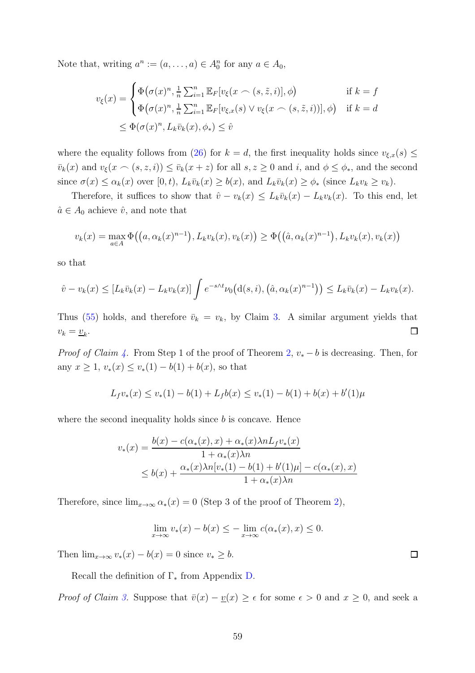Note that, writing  $a^n := (a, \ldots, a) \in A_0^n$  for any  $a \in A_0$ ,

$$
v_{\xi}(x) = \begin{cases} \Phi(\sigma(x)^n, \frac{1}{n} \sum_{i=1}^n \mathbb{E}_F[v_{\xi}(x \frown (s, \tilde{z}, i)], \phi) & \text{if } k = f \\ \Phi(\sigma(x)^n, \frac{1}{n} \sum_{i=1}^n \mathbb{E}_F[v_{\xi, x}(s) \lor v_{\xi}(x \frown (s, \tilde{z}, i))], \phi) & \text{if } k = d \end{cases}
$$
  

$$
\leq \Phi(\sigma(x)^n, L_k \bar{v}_k(x), \phi_*) \leq \hat{v}
$$

where the equality follows from [\(26\)](#page-21-1) for  $k = d$ , the first inequality holds since  $v_{\xi,x}(s) \leq$  $\bar{v}_k(x)$  and  $v_{\xi}(x \frown (s, z, i)) \leq \bar{v}_k(x + z)$  for all  $s, z \geq 0$  and i, and  $\phi \leq \phi_*$ , and the second since  $\sigma(x) \leq \alpha_k(x)$  over  $[0, t)$ ,  $L_k\bar{v}_k(x) \geq b(x)$ , and  $L_k\bar{v}_k(x) \geq \phi_*$  (since  $L_kv_k \geq v_k$ ).

Therefore, it suffices to show that  $\hat{v} - v_k(x) \leq L_k \bar{v}_k(x) - L_k v_k(x)$ . To this end, let  $\hat{a} \in A_0$  achieve  $\hat{v}$ , and note that

$$
v_k(x) = \max_{a \in A} \Phi((a, \alpha_k(x)^{n-1}), L_k v_k(x), v_k(x)) \ge \Phi((\hat{a}, \alpha_k(x)^{n-1}), L_k v_k(x), v_k(x))
$$

so that

$$
\hat{v} - v_k(x) \le [L_k \bar{v}_k(x) - L_k v_k(x)] \int e^{-s \wedge t} \nu_0\big(d(s, i), (\hat{a}, \alpha_k(x)^{n-1})\big) \le L_k \bar{v}_k(x) - L_k v_k(x).
$$

Thus [\(55\)](#page-56-2) holds, and therefore  $\bar{v}_k = v_k$ , by Claim [3.](#page-51-2) A similar argument yields that  $v_k = \underline{v}_k.$  $\Box$ 

*Proof of Claim [4.](#page-51-1)* From Step 1 of the proof of Theorem [2,](#page-12-0)  $v_* - b$  is decreasing. Then, for any  $x \ge 1$ ,  $v_*(x) \le v_*(1) - b(1) + b(x)$ , so that

$$
L_f v_*(x) \le v_*(1) - b(1) + L_f b(x) \le v_*(1) - b(1) + b(x) + b'(1)\mu
$$

where the second inequality holds since  $b$  is concave. Hence

$$
v_*(x) = \frac{b(x) - c(\alpha_*(x), x) + \alpha_*(x)\lambda n L_f v_*(x)}{1 + \alpha_*(x)\lambda n}
$$
  
\$\leq b(x) + \frac{\alpha\_\*(x)\lambda n[v\_\*(1) - b(1) + b'(1)\mu] - c(\alpha\_\*(x), x)}{1 + \alpha\_\*(x)\lambda n}\$

Therefore, since  $\lim_{x\to\infty} \alpha_*(x) = 0$  (Step 3 of the proof of Theorem [2\)](#page-12-0),

$$
\lim_{x \to \infty} v_*(x) - b(x) \le - \lim_{x \to \infty} c(\alpha_*(x), x) \le 0.
$$

Then  $\lim_{x\to\infty} v_*(x) - b(x) = 0$  since  $v_* \geq b$ .

Recall the definition of  $\Gamma_*$  from Appendix [D.](#page-46-0)

*Proof of Claim [3.](#page-51-2)* Suppose that  $\bar{v}(x) - \underline{v}(x) \ge \epsilon$  for some  $\epsilon > 0$  and  $x \ge 0$ , and seek a

 $\Box$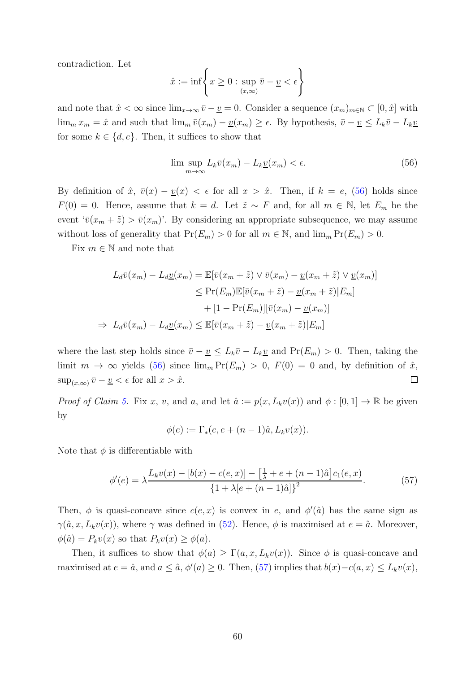contradiction. Let

$$
\hat{x} := \inf \left\{ x \ge 0 : \sup_{(x,\infty)} \bar{v} - \underline{v} < \epsilon \right\}
$$

and note that  $\hat{x} < \infty$  since  $\lim_{x\to\infty} \bar{v} - \underline{v} = 0$ . Consider a sequence  $(x_m)_{m\in\mathbb{N}} \subset [0, \hat{x}]$  with  $\lim_m x_m = \hat{x}$  and such that  $\lim_m \bar{v}(x_m) - \underline{v}(x_m) \ge \epsilon$ . By hypothesis,  $\bar{v} - \underline{v} \le L_k \bar{v} - L_k \underline{v}$ for some  $k \in \{d, e\}$ . Then, it suffices to show that

<span id="page-59-0"></span>
$$
\limsup_{m \to \infty} L_k \bar{v}(x_m) - L_k \underline{v}(x_m) < \epsilon. \tag{56}
$$

By definition of  $\hat{x}$ ,  $\bar{v}(x) - \underline{v}(x) < \epsilon$  for all  $x > \hat{x}$ . Then, if  $k = e$ , [\(56\)](#page-59-0) holds since  $F(0) = 0$ . Hence, assume that  $k = d$ . Let  $\tilde{z} \sim F$  and, for all  $m \in \mathbb{N}$ , let  $E_m$  be the event  $\bar{v}(x_m + \tilde{z}) > \bar{v}(x_m)$ . By considering an appropriate subsequence, we may assume without loss of generality that  $Pr(E_m) > 0$  for all  $m \in \mathbb{N}$ , and  $\lim_m Pr(E_m) > 0$ .

Fix  $m \in \mathbb{N}$  and note that

$$
L_d\bar{v}(x_m) - L_d\underline{v}(x_m) = \mathbb{E}[\bar{v}(x_m + \tilde{z}) \vee \bar{v}(x_m) - \underline{v}(x_m + \tilde{z}) \vee \underline{v}(x_m)]
$$
  
\n
$$
\leq \Pr(E_m)\mathbb{E}[\bar{v}(x_m + \tilde{z}) - \underline{v}(x_m + \tilde{z})|E_m]
$$
  
\n
$$
+ [1 - \Pr(E_m)][\bar{v}(x_m) - \underline{v}(x_m)]
$$
  
\n
$$
\Rightarrow L_d\bar{v}(x_m) - L_d\underline{v}(x_m) \leq \mathbb{E}[\bar{v}(x_m + \tilde{z}) - \underline{v}(x_m + \tilde{z})|E_m]
$$

where the last step holds since  $\bar{v} - \underline{v} \leq L_k \bar{v} - L_k \underline{v}$  and  $Pr(E_m) > 0$ . Then, taking the limit  $m \to \infty$  yields [\(56\)](#page-59-0) since  $\lim_{m} Pr(E_m) > 0$ ,  $F(0) = 0$  and, by definition of  $\hat{x}$ ,  $\sup_{(x,\infty)} \overline{v} - \underline{v} < \epsilon$  for all  $x > \hat{x}$ .  $\Box$ 

*Proof of Claim [5.](#page-52-2)* Fix x, v, and a, and let  $\hat{a} := p(x, L_k v(x))$  and  $\phi : [0, 1] \to \mathbb{R}$  be given by

$$
\phi(e) := \Gamma_*(e, e + (n-1)\hat{a}, L_k v(x)).
$$

Note that  $\phi$  is differentiable with

<span id="page-59-1"></span>
$$
\phi'(e) = \lambda \frac{L_k v(x) - [b(x) - c(e, x)] - \left[\frac{1}{\lambda} + e + (n - 1)\hat{a}\right] c_1(e, x)}{\left\{1 + \lambda [e + (n - 1)\hat{a}]\right\}^2}.
$$
\n(57)

Then,  $\phi$  is quasi-concave since  $c(e, x)$  is convex in e, and  $\phi'(\hat{a})$  has the same sign as  $\gamma(\hat{a}, x, L_kv(x))$ , where  $\gamma$  was defined in [\(52\)](#page-52-5). Hence,  $\phi$  is maximised at  $e = \hat{a}$ . Moreover,  $\phi(\hat{a}) = P_k v(x)$  so that  $P_k v(x) \geq \phi(a)$ .

Then, it suffices to show that  $\phi(a) \geq \Gamma(a, x, L_k v(x))$ . Since  $\phi$  is quasi-concave and maximised at  $e = \hat{a}$ , and  $a \leq \hat{a}$ ,  $\phi'(a) \geq 0$ . Then, [\(57\)](#page-59-1) implies that  $b(x) - c(a, x) \leq L_k v(x)$ ,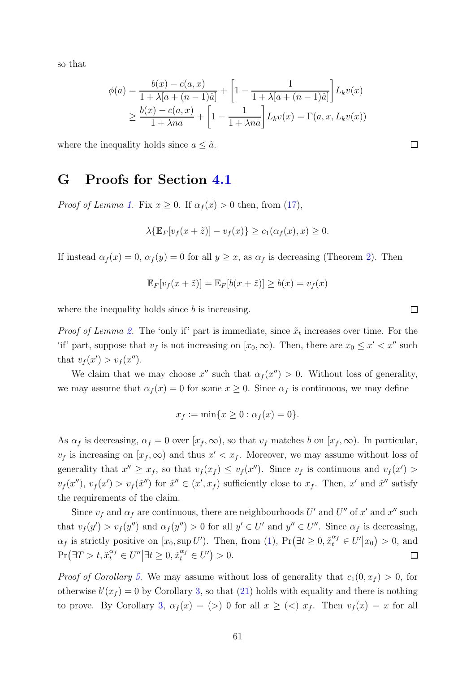so that

$$
\phi(a) = \frac{b(x) - c(a, x)}{1 + \lambda[a + (n - 1)\hat{a}]} + \left[1 - \frac{1}{1 + \lambda[a + (n - 1)\hat{a}]} \right] L_k v(x)
$$
  
\n
$$
\geq \frac{b(x) - c(a, x)}{1 + \lambda na} + \left[1 - \frac{1}{1 + \lambda na} \right] L_k v(x) = \Gamma(a, x, L_k v(x))
$$

where the inequality holds since  $a \leq \hat{a}$ .

## G Proofs for Section [4.1](#page-15-0)

*Proof of Lemma [1.](#page-15-1)* Fix  $x \geq 0$ . If  $\alpha_f(x) > 0$  then, from [\(17\)](#page-12-2),

$$
\lambda \{\mathbb{E}_F[v_f(x+\tilde{z})] - v_f(x)\} \ge c_1(\alpha_f(x), x) \ge 0.
$$

If instead  $\alpha_f(x) = 0$ ,  $\alpha_f(y) = 0$  for all  $y \geq x$ , as  $\alpha_f$  is decreasing (Theorem [2\)](#page-12-0). Then

$$
\mathbb{E}_{F}[v_f(x+\tilde{z})] = \mathbb{E}_{F}[b(x+\tilde{z})] \ge b(x) = v_f(x)
$$

where the inequality holds since  $b$  is increasing.

*Proof of Lemma [2.](#page-15-2)* The 'only if' part is immediate, since  $\tilde{x}_t$  increases over time. For the 'if' part, suppose that  $v_f$  is not increasing on  $[x_0, \infty)$ . Then, there are  $x_0 \leq x' < x''$  such that  $v_f(x') > v_f(x'')$ .

We claim that we may choose  $x''$  such that  $\alpha_f(x'') > 0$ . Without loss of generality, we may assume that  $\alpha_f(x) = 0$  for some  $x \geq 0$ . Since  $\alpha_f$  is continuous, we may define

$$
x_f := \min\{x \ge 0 : \alpha_f(x) = 0\}.
$$

As  $\alpha_f$  is decreasing,  $\alpha_f = 0$  over  $[x_f, \infty)$ , so that  $v_f$  matches b on  $[x_f, \infty)$ . In particular,  $v_f$  is increasing on  $[x_f, \infty)$  and thus  $x' < x_f$ . Moreover, we may assume without loss of generality that  $x'' \ge x_f$ , so that  $v_f(x_f) \le v_f(x'')$ . Since  $v_f$  is continuous and  $v_f(x') >$  $v_f(x'')$ ,  $v_f(x') > v_f(\hat{x}'')$  for  $\hat{x}'' \in (x', x_f)$  sufficiently close to  $x_f$ . Then, x' and  $\hat{x}''$  satisfy the requirements of the claim.

Since  $v_f$  and  $\alpha_f$  are continuous, there are neighbourhoods U' and U'' of x' and x'' such that  $v_f(y') > v_f(y'')$  and  $\alpha_f(y'') > 0$  for all  $y' \in U'$  and  $y'' \in U''$ . Since  $\alpha_f$  is decreasing,  $\alpha_f$  is strictly positive on  $[x_0, \sup U')$ . Then, from [\(1\)](#page-5-1),  $\Pr(\exists t \geq 0, \tilde{x}_t^{\alpha_f} \in U'|x_0) > 0$ , and  $\Pr\left(\exists T > t, \tilde{x}_t^{\alpha_f} \in U'' \middle| \exists t \geq 0, \tilde{x}_t^{\alpha_f} \in U'\right) > 0.$  $\Box$ 

*Proof of Corollary [5.](#page-15-3)* We may assume without loss of generality that  $c_1(0, x_f) > 0$ , for otherwise  $b'(x_f) = 0$  by Corollary [3,](#page-12-3) so that [\(21\)](#page-16-0) holds with equality and there is nothing to prove. By Corollary [3,](#page-12-3)  $\alpha_f(x) = (>) 0$  for all  $x \ge (>) x_f$ . Then  $v_f(x) = x$  for all

 $\Box$ 

 $\Box$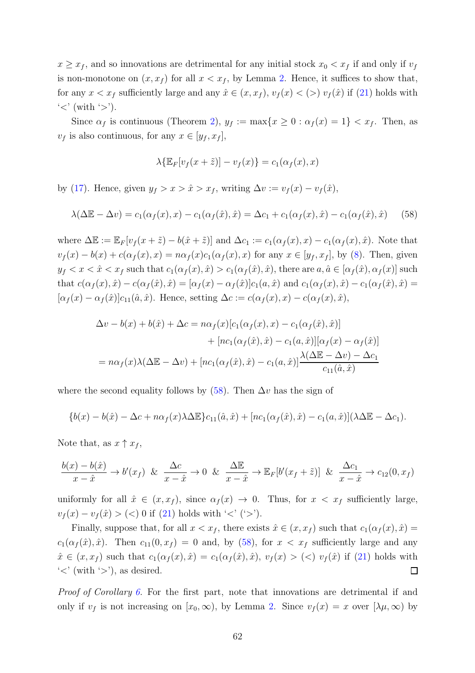$x \geq x_f$ , and so innovations are detrimental for any initial stock  $x_0 < x_f$  if and only if  $v_f$ is non-monotone on  $(x, x_f)$  for all  $x < x_f$ , by Lemma [2.](#page-15-2) Hence, it suffices to show that, for any  $x < x_f$  sufficiently large and any  $\hat{x} \in (x, x_f)$ ,  $v_f(x) < (x_f, y_f(x))$  if [\(21\)](#page-16-0) holds with  $\leq$  (with  $\leq$ ).

Since  $\alpha_f$  is continuous (Theorem [2\)](#page-12-0),  $y_f := \max\{x \geq 0 : \alpha_f(x) = 1\} < x_f$ . Then, as  $v_f$  is also continuous, for any  $x \in [y_f, x_f],$ 

$$
\lambda \{\mathbb{E}_{F}[v_f(x+\tilde{z})] - v_f(x)\} = c_1(\alpha_f(x), x)
$$

by [\(17\)](#page-12-2). Hence, given  $y_f > x > \hat{x} > x_f$ , writing  $\Delta v := v_f(x) - v_f(\hat{x})$ ,

<span id="page-61-0"></span>
$$
\lambda(\Delta \mathbb{E} - \Delta v) = c_1(\alpha_f(x), x) - c_1(\alpha_f(\hat{x}), \hat{x}) = \Delta c_1 + c_1(\alpha_f(x), \hat{x}) - c_1(\alpha_f(\hat{x}), \hat{x}) \tag{58}
$$

where  $\Delta \mathbb{E} := \mathbb{E}_F[v_f(x+\tilde{z}) - b(\hat{x}+\tilde{z})]$  and  $\Delta c_1 := c_1(\alpha_f(x), x) - c_1(\alpha_f(x), \hat{x})$ . Note that  $v_f(x) - b(x) + c(\alpha_f(x), x) = n\alpha_f(x)c_1(\alpha_f(x), x)$  for any  $x \in [y_f, x_f]$ , by [\(8\)](#page-8-1). Then, given  $y_f < x < \hat{x} < x_f$  such that  $c_1(\alpha_f(x), \hat{x}) > c_1(\alpha_f(\hat{x}), \hat{x})$ , there are  $a, \hat{a} \in [\alpha_f(\hat{x}), \alpha_f(x)]$  such that  $c(\alpha_f(x), \hat{x}) - c(\alpha_f(\hat{x}), \hat{x}) = [\alpha_f(x) - \alpha_f(\hat{x})]c_1(a, \hat{x})$  and  $c_1(\alpha_f(x), \hat{x}) - c_1(\alpha_f(\hat{x}), \hat{x}) =$  $[\alpha_f(x) - \alpha_f(\hat{x})]c_{11}(\hat{a}, \hat{x})$ . Hence, setting  $\Delta c := c(\alpha_f(x), x) - c(\alpha_f(x), \hat{x})$ ,

$$
\Delta v - b(x) + b(\hat{x}) + \Delta c = n\alpha_f(x)[c_1(\alpha_f(x), x) - c_1(\alpha_f(\hat{x}), \hat{x})]
$$
  
+ 
$$
[nc_1(\alpha_f(\hat{x}), \hat{x}) - c_1(a, \hat{x})][\alpha_f(x) - \alpha_f(\hat{x})]
$$
  
= 
$$
n\alpha_f(x)\lambda(\Delta \mathbb{E} - \Delta v) + [nc_1(\alpha_f(\hat{x}), \hat{x}) - c_1(a, \hat{x})]\frac{\lambda(\Delta \mathbb{E} - \Delta v) - \Delta c_1}{c_{11}(\hat{a}, \hat{x})}
$$

where the second equality follows by [\(58\)](#page-61-0). Then  $\Delta v$  has the sign of

$$
\{b(x) - b(\hat{x}) - \Delta c + n\alpha_f(x)\lambda \Delta \mathbb{E}\}c_{11}(\hat{a}, \hat{x}) + [nc_1(\alpha_f(\hat{x}), \hat{x}) - c_1(a, \hat{x})](\lambda \Delta \mathbb{E} - \Delta c_1).
$$

Note that, as  $x \uparrow x_f$ ,

$$
\frac{b(x) - b(\hat{x})}{x - \hat{x}} \to b'(x_f) \& \frac{\Delta c}{x - \hat{x}} \to 0 \& \frac{\Delta \mathbb{E}}{x - \hat{x}} \to \mathbb{E}_F[b'(x_f + \tilde{z})] \& \frac{\Delta c_1}{x - \hat{x}} \to c_{12}(0, x_f)
$$

uniformly for all  $\hat{x} \in (x, x_f)$ , since  $\alpha_f(x) \to 0$ . Thus, for  $x < x_f$  sufficiently large,  $v_f(x) - v_f(\hat{x}) > (<) 0$  if [\(21\)](#page-16-0) holds with '<' ('>').

Finally, suppose that, for all  $x < x_f$ , there exists  $\hat{x} \in (x, x_f)$  such that  $c_1(\alpha_f(x), \hat{x}) =$  $c_1(\alpha_f(\hat{x}), \hat{x})$ . Then  $c_{11}(0, x_f) = 0$  and, by [\(58\)](#page-61-0), for  $x < x_f$  sufficiently large and any  $\hat{x} \in (x, x_f)$  such that  $c_1(\alpha_f(x), \hat{x}) = c_1(\alpha_f(\hat{x}), \hat{x})$ ,  $v_f(x) > (<) v_f(\hat{x})$  if [\(21\)](#page-16-0) holds with  $\langle \langle \rangle$  (with  $\langle \rangle$ ), as desired.  $\Box$ 

Proof of Corollary [6.](#page-16-1) For the first part, note that innovations are detrimental if and only if  $v_f$  is not increasing on  $[x_0, \infty)$ , by Lemma [2.](#page-15-2) Since  $v_f(x) = x$  over  $[\lambda \mu, \infty)$  by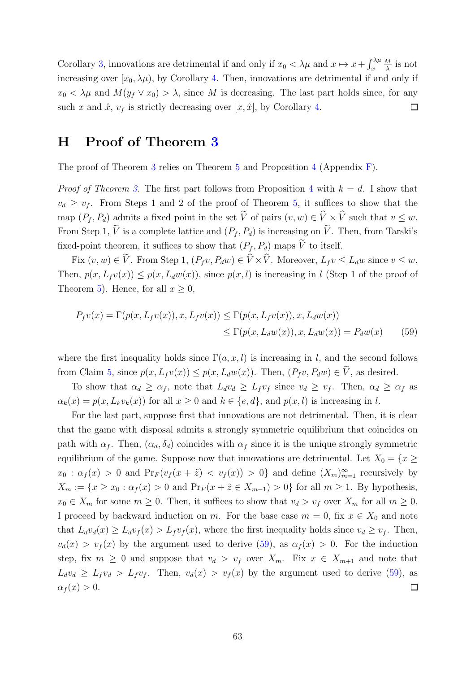Corollary [3,](#page-12-3) innovations are detrimental if and only if  $x_0 < \lambda \mu$  and  $x \mapsto x + \int_x^{\lambda \mu}$ M  $\frac{M}{\lambda}$  is not increasing over  $[x_0, \lambda \mu)$ , by Corollary [4.](#page-13-0) Then, innovations are detrimental if and only if  $x_0 < \lambda \mu$  and  $M(y_f \vee x_0) > \lambda$ , since M is decreasing. The last part holds since, for any such x and  $\hat{x}$ ,  $v_f$  is strictly decreasing over  $[x, \hat{x}]$ , by Corollary [4.](#page-13-0)  $\Box$ 

# H Proof of Theorem [3](#page-21-2)

The proof of Theorem [3](#page-21-2) relies on Theorem [5](#page-50-0) and Proposition [4](#page-50-1) (Appendix [F\)](#page-49-1).

*Proof of Theorem [3.](#page-21-2)* The first part follows from Proposition [4](#page-50-1) with  $k = d$ . I show that  $v_d \geq v_f$ . From Steps 1 and 2 of the proof of Theorem [5,](#page-50-0) it suffices to show that the map  $(P_f, P_d)$  admits a fixed point in the set  $\widetilde{V}$  of pairs  $(v, w) \in \widehat{V} \times \widehat{V}$  such that  $v \leq w$ . From Step 1,  $\tilde{V}$  is a complete lattice and  $(P_f, P_d)$  is increasing on  $\tilde{V}$ . Then, from Tarski's fixed-point theorem, it suffices to show that  $(P_f, P_d)$  maps  $\widetilde{V}$  to itself.

Fix  $(v, w) \in \tilde{V}$ . From Step 1,  $(P_f v, P_d w) \in \hat{V} \times \hat{V}$ . Moreover,  $L_f v \leq L_d w$  since  $v \leq w$ . Then,  $p(x, L_f v(x)) \leq p(x, L_d w(x))$ , since  $p(x, l)$  is increasing in l (Step 1 of the proof of Theorem [5\)](#page-50-0). Hence, for all  $x \geq 0$ ,

<span id="page-62-0"></span>
$$
P_f v(x) = \Gamma(p(x, L_f v(x)), x, L_f v(x)) \leq \Gamma(p(x, L_f v(x)), x, L_d w(x))
$$
  

$$
\leq \Gamma(p(x, L_d w(x)), x, L_d w(x)) = P_d w(x) \qquad (59)
$$

where the first inequality holds since  $\Gamma(a, x, l)$  is increasing in l, and the second follows from Claim [5,](#page-52-2) since  $p(x, L_f v(x)) \leq p(x, L_d w(x))$ . Then,  $(P_f v, P_d w) \in \tilde{V}$ , as desired.

To show that  $\alpha_d \geq \alpha_f$ , note that  $L_d v_d \geq L_f v_f$  since  $v_d \geq v_f$ . Then,  $\alpha_d \geq \alpha_f$  as  $\alpha_k(x) = p(x, L_k v_k(x))$  for all  $x \ge 0$  and  $k \in \{e, d\}$ , and  $p(x, l)$  is increasing in l.

For the last part, suppose first that innovations are not detrimental. Then, it is clear that the game with disposal admits a strongly symmetric equilibrium that coincides on path with  $\alpha_f$ . Then,  $(\alpha_d, \delta_d)$  coincides with  $\alpha_f$  since it is the unique strongly symmetric equilibrium of the game. Suppose now that innovations are detrimental. Let  $X_0 = \{x \geq 0\}$  $x_0: \alpha_f(x) > 0$  and  $\Pr_F(v_f(x + \tilde{z}) < v_f(x)) > 0$  and define  $(X_m)_{m=1}^{\infty}$  recursively by  $X_m := \{x \ge x_0 : \alpha_f(x) > 0 \text{ and } Pr_F(x + \tilde{z} \in X_{m-1}) > 0\}$  for all  $m \ge 1$ . By hypothesis,  $x_0 \in X_m$  for some  $m \geq 0$ . Then, it suffices to show that  $v_d > v_f$  over  $X_m$  for all  $m \geq 0$ . I proceed by backward induction on m. For the base case  $m = 0$ , fix  $x \in X_0$  and note that  $L_d v_d(x) \geq L_d v_f(x) > L_f v_f(x)$ , where the first inequality holds since  $v_d \geq v_f$ . Then,  $v_d(x) > v_f(x)$  by the argument used to derive [\(59\)](#page-62-0), as  $\alpha_f(x) > 0$ . For the induction step, fix  $m \geq 0$  and suppose that  $v_d > v_f$  over  $X_m$ . Fix  $x \in X_{m+1}$  and note that  $L_d v_d \ge L_f v_d > L_f v_f$ . Then,  $v_d(x) > v_f(x)$  by the argument used to derive [\(59\)](#page-62-0), as  $\alpha_f(x) > 0.$  $\Box$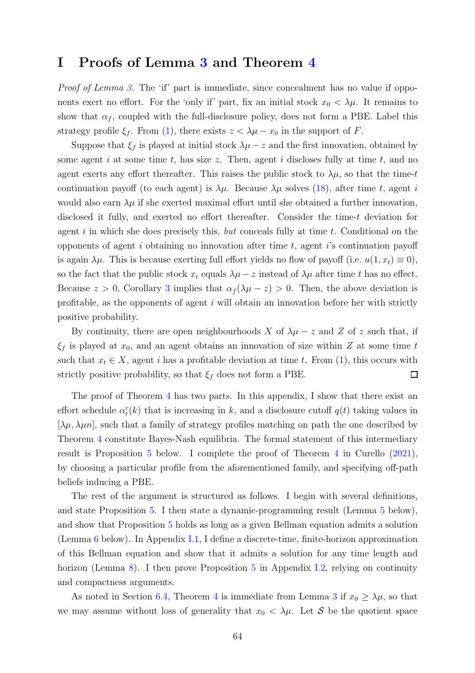### <span id="page-63-0"></span>I Proofs of Lemma [3](#page-27-0) and Theorem [4](#page-27-1)

Proof of Lemma [3.](#page-27-0) The 'if' part is immediate, since concealment has no value if opponents exert no effort. For the 'only if' part, fix an initial stock  $x_0 < \lambda \mu$ . It remains to show that  $\alpha_f$ , coupled with the full-disclosure policy, does not form a PBE. Label this strategy profile  $\xi_f$ . From [\(1\)](#page-5-1), there exists  $z < \lambda \mu - x_0$  in the support of F.

Suppose that  $\xi_f$  is played at initial stock  $\lambda \mu - z$  and the first innovation, obtained by some agent i at some time t, has size z. Then, agent i discloses fully at time t, and no agent exerts any effort thereafter. This raises the public stock to  $\lambda \mu$ , so that the time-t continuation payoff (to each agent) is  $\lambda \mu$ . Because  $\lambda \mu$  solves [\(18\)](#page-12-4), after time t, agent i would also earn  $\lambda \mu$  if she exerted maximal effort until she obtained a further innovation, disclosed it fully, and exerted no effort thereafter. Consider the time-t deviation for agent i in which she does precisely this, but conceals fully at time  $t$ . Conditional on the opponents of agent i obtaining no innovation after time  $t$ , agent i's continuation payoff is again  $\lambda\mu$ . This is because exerting full effort yields no flow of payoff (i.e.  $u(1, x_t) \equiv 0$ ), so the fact that the public stock  $x_t$  equals  $\lambda \mu - z$  instead of  $\lambda \mu$  after time t has no effect. Because  $z > 0$ , Corollary [3](#page-12-3) implies that  $\alpha_f(\lambda \mu - z) > 0$ . Then, the above deviation is profitable, as the opponents of agent  $i$  will obtain an innovation before her with strictly positive probability.

By continuity, there are open neighbourhoods X of  $\lambda \mu - z$  and Z of z such that, if  $\xi_f$  is played at  $x_0$ , and an agent obtains an innovation of size within Z at some time t such that  $x_t \in X$ , agent i has a profitable deviation at time t. From [\(1\)](#page-5-1), this occurs with strictly positive probability, so that  $\xi_f$  does not form a PBE.  $\Box$ 

The proof of Theorem [4](#page-27-1) has two parts. In this appendix, I show that there exist an effort schedule  $\alpha_t^c(k)$  that is increasing in k, and a disclosure cutoff  $q(t)$  taking values in  $[\lambda \mu, \lambda \mu n]$ , such that a family of strategy profiles matching on path the one described by Theorem [4](#page-27-1) constitute Bayes-Nash equilibria. The formal statement of this intermediary result is Proposition [5](#page-64-0) below. I complete the proof of Theorem [4](#page-27-1) in Curello [\(2021\)](#page-31-1), by choosing a particular profile from the aforementioned family, and specifying off-path beliefs inducing a PBE.

The rest of the argument is structured as follows. I begin with several definitions, and state Proposition [5.](#page-64-0) I then state a dynamic-programming result (Lemma [5](#page-65-0) below), and show that Proposition [5](#page-64-0) holds as long as a given Bellman equation admits a solution (Lemma [6](#page-66-0) below). In Appendix [I.1,](#page-67-0) I define a discrete-time, finite-horizon approximation of this Bellman equation and show that it admits a solution for any time length and horizon (Lemma [8\)](#page-68-0). I then prove Proposition [5](#page-64-0) in Appendix [I.2,](#page-69-0) relying on continuity and compactness arguments.

As noted in Section [6.4,](#page-26-0) Theorem [4](#page-27-1) is immediate from Lemma [3](#page-27-0) if  $x_0 \ge \lambda \mu$ , so that we may assume without loss of generality that  $x_0 < \lambda \mu$ . Let S be the quotient space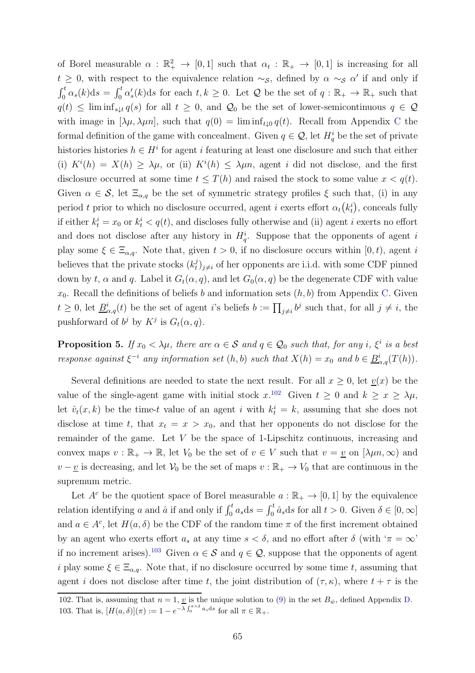of Borel measurable  $\alpha : \mathbb{R}_+^2 \to [0,1]$  such that  $\alpha_t : \mathbb{R}_+ \to [0,1]$  is increasing for all t ≥ 0, with respect to the equivalence relation  $\sim_{\mathcal{S}}$ , defined by  $\alpha \sim_{\mathcal{S}} \alpha'$  if and only if  $\int_0^t \alpha_s(k) ds = \int_0^t \alpha'_s(k) ds$  for each  $t, k \geq 0$ . Let Q be the set of  $q : \mathbb{R}_+ \to \mathbb{R}_+$  such that  $q(t) \leq \liminf_{s \downarrow t} q(s)$  for all  $t \geq 0$ , and  $\mathcal{Q}_0$  be the set of lower-semicontinuous  $q \in \mathcal{Q}$ with image in  $[\lambda \mu, \lambda \mu n]$ , such that  $q(0) = \liminf_{t \downarrow 0} q(t)$ . Recall from Appendix [C](#page-43-3) the formal definition of the game with concealment. Given  $q \in \mathcal{Q}$ , let  $H_q^i$  be the set of private histories histories  $h \in H^i$  for agent i featuring at least one disclosure and such that either (i)  $K^{i}(h) = X(h) \geq \lambda \mu$ , or (ii)  $K^{i}(h) \leq \lambda \mu n$ , agent i did not disclose, and the first disclosure occurred at some time  $t \leq T(h)$  and raised the stock to some value  $x < q(t)$ . Given  $\alpha \in \mathcal{S}$ , let  $\Xi_{\alpha,q}$  be the set of symmetric strategy profiles  $\xi$  such that, (i) in any period t prior to which no disclosure occurred, agent i exerts effort  $\alpha_t(k_t^i)$ , conceals fully if either  $k_t^i = x_0$  or  $k_t^i < q(t)$ , and discloses fully otherwise and (ii) agent i exerts no effort and does not disclose after any history in  $H_q^i$ . Suppose that the opponents of agent i play some  $\xi \in \Xi_{\alpha,q}$ . Note that, given  $t > 0$ , if no disclosure occurs within [0, t], agent i believes that the private stocks  $(k_t^j)$  $_{t}^{j})_{j\neq i}$  of her opponents are i.i.d. with some CDF pinned down by t,  $\alpha$  and q. Label it  $G_t(\alpha, q)$ , and let  $G_0(\alpha, q)$  be the degenerate CDF with value  $x_0$ . Recall the definitions of beliefs b and information sets  $(h, b)$  from Appendix [C.](#page-43-3) Given  $t \geq 0$ , let  $\underline{B}_{\alpha,q}^i(t)$  be the set of agent i's beliefs  $b := \prod_{j \neq i} b^j$  such that, for all  $j \neq i$ , the pushforward of  $b^j$  by  $K^j$  is  $G_t(\alpha, q)$ .

<span id="page-64-0"></span>**Proposition 5.** If  $x_0 < \lambda \mu$ , there are  $\alpha \in S$  and  $q \in \mathcal{Q}_0$  such that, for any i,  $\xi^i$  is a best response against  $\xi^{-i}$  any information set  $(h, b)$  such that  $X(h) = x_0$  and  $b \in \underline{B}^i_{\alpha,q}(T(h))$ .

Several definitions are needed to state the next result. For all  $x \geq 0$ , let  $\underline{v}(x)$  be the value of the single-agent game with initial stock  $x^{102}$  $x^{102}$  $x^{102}$  Given  $t \geq 0$  and  $k \geq x \geq \lambda \mu$ , let  $\hat{v}_t(x, k)$  be the time-t value of an agent i with  $k_t^i = k$ , assuming that she does not disclose at time t, that  $x_t = x > x_0$ , and that her opponents do not disclose for the remainder of the game. Let  $V$  be the space of 1-Lipschitz continuous, increasing and convex maps  $v : \mathbb{R}_+ \to \mathbb{R}$ , let  $V_0$  be the set of  $v \in V$  such that  $v = v$  on  $(\lambda \mu n, \infty)$  and  $v - \underline{v}$  is decreasing, and let  $V_0$  be the set of maps  $v : \mathbb{R}_+ \to V_0$  that are continuous in the supremum metric.

Let  $A^c$  be the quotient space of Borel measurable  $a : \mathbb{R}_+ \to [0, 1]$  by the equivalence relation identifying a and  $\hat{a}$  if and only if  $\int_0^t a_s ds = \int_0^t \hat{a}_s ds$  for all  $t > 0$ . Given  $\delta \in [0, \infty]$ and  $a \in A^c$ , let  $H(a, \delta)$  be the CDF of the random time  $\pi$  of the first increment obtained by an agent who exerts effort  $a_s$  at any time  $s < \delta$ , and no effort after  $\delta$  (with ' $\pi = \infty$ ' if no increment arises).<sup>[103](#page-64-2)</sup> Given  $\alpha \in \mathcal{S}$  and  $q \in \mathcal{Q}$ , suppose that the opponents of agent i play some  $\xi \in \Xi_{\alpha,q}$ . Note that, if no disclosure occurred by some time t, assuming that agent i does not disclose after time t, the joint distribution of  $(\tau, \kappa)$ , where  $t + \tau$  is the

<span id="page-64-2"></span><span id="page-64-1"></span><sup>102.</sup> That is, assuming that  $n = 1$ ,  $\underline{v}$  is the unique solution to [\(9\)](#page-8-0) in the set  $B_{\overline{w}}$ , defined Appendix [D.](#page-46-0) 103. That is,  $[H(a, \delta)](\pi) := 1 - e^{-\lambda \int_0^{\pi \wedge \delta} a_s ds}$  for all  $\pi \in \mathbb{R}_+$ .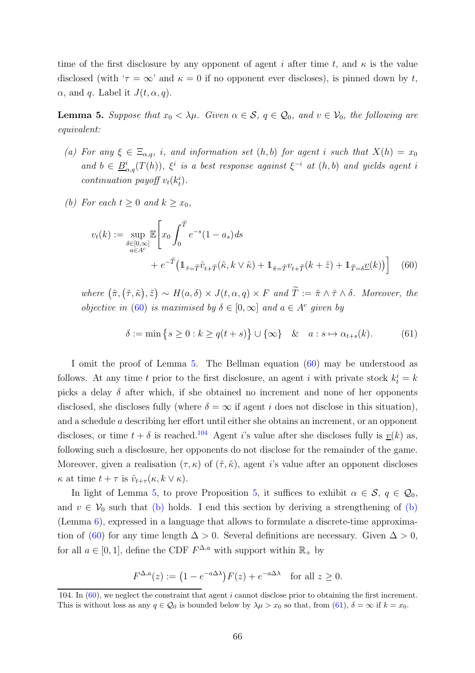<span id="page-65-0"></span>time of the first disclosure by any opponent of agent i after time t, and  $\kappa$  is the value disclosed (with ' $\tau = \infty$ ' and  $\kappa = 0$  if no opponent ever discloses), is pinned down by t,  $\alpha$ , and q. Label it  $J(t, \alpha, q)$ .

**Lemma 5.** Suppose that  $x_0 < \lambda \mu$ . Given  $\alpha \in \mathcal{S}$ ,  $q \in \mathcal{Q}_0$ , and  $v \in \mathcal{V}_0$ , the following are equivalent:

- (a) For any  $\xi \in \Xi_{\alpha,q}$ , i, and information set  $(h, b)$  for agent i such that  $X(h) = x_0$ and  $b \in \underline{B}_{\alpha,q}^i(T(h))$ ,  $\xi^i$  is a best response against  $\xi^{-i}$  at  $(h, b)$  and yields agent i continuation payoff  $v_t(k_t^i)$ .
- <span id="page-65-3"></span>(b) For each  $t \geq 0$  and  $k \geq x_0$ ,

$$
v_t(k) := \sup_{\substack{\delta \in [0,\infty] \\ a \in A^c}} \mathbb{E} \left[ x_0 \int_0^{\widetilde{T}} e^{-s} (1 - a_s) ds \right. \\ + e^{-\widetilde{T}} \left( \mathbb{1}_{\tilde{\tau} = \tilde{T}} \hat{v}_{t + \tilde{T}}(\tilde{\kappa}, k \vee \tilde{\kappa}) + \mathbb{1}_{\tilde{\pi} = \tilde{T}} v_{t + \tilde{T}}(k + \tilde{z}) + \mathbb{1}_{\tilde{T} = \delta} \underline{v}(k) \right) \right] \tag{60}
$$

where  $(\tilde{\pi}, (\tilde{\tau}, \tilde{\kappa}), \tilde{z}) \sim H(a, \delta) \times J(t, \alpha, q) \times F$  and  $\tilde{T} := \tilde{\pi} \wedge \tilde{\tau} \wedge \delta$ . Moreover, the *objective in* [\(60\)](#page-65-1) is maximised by  $\delta \in [0, \infty]$  and  $a \in A^c$  given by

<span id="page-65-4"></span><span id="page-65-1"></span>
$$
\delta := \min\left\{ s \ge 0 : k \ge q(t+s) \right\} \cup \{\infty\} \quad \& \quad a : s \mapsto \alpha_{t+s}(k). \tag{61}
$$

I omit the proof of Lemma [5.](#page-65-0) The Bellman equation [\(60\)](#page-65-1) may be understood as follows. At any time t prior to the first disclosure, an agent i with private stock  $k_t^i = k$ picks a delay  $\delta$  after which, if she obtained no increment and none of her opponents disclosed, she discloses fully (where  $\delta = \infty$  if agent i does not disclose in this situation), and a schedule a describing her effort until either she obtains an increment, or an opponent discloses, or time  $t + \delta$  is reached.<sup>[104](#page-65-2)</sup> Agent i's value after she discloses fully is  $v(k)$  as, following such a disclosure, her opponents do not disclose for the remainder of the game. Moreover, given a realisation  $(\tau, \kappa)$  of  $(\tilde{\tau}, \tilde{\kappa})$ , agent *i*'s value after an opponent discloses  $\kappa$  at time  $t + \tau$  is  $\hat{v}_{t+\tau}(\kappa, k \vee \kappa)$ .

In light of Lemma [5,](#page-64-0) to prove Proposition 5, it suffices to exhibit  $\alpha \in \mathcal{S}, q \in \mathcal{Q}_0$ , and  $v \in V_0$  such that [\(b\)](#page-65-3) holds. I end this section by deriving a strengthening of (b) (Lemma [6\)](#page-66-0), expressed in a language that allows to formulate a discrete-time approxima-tion of [\(60\)](#page-65-1) for any time length  $\Delta > 0$ . Several definitions are necessary. Given  $\Delta > 0$ , for all  $a \in [0, 1]$ , define the CDF  $F^{\Delta, a}$  with support within  $\mathbb{R}_+$  by

$$
F^{\Delta,a}(z) := \left(1 - e^{-a\Delta\lambda}\right) F(z) + e^{-a\Delta\lambda} \quad \text{for all } z \ge 0.
$$

<span id="page-65-2"></span><sup>104.</sup> In  $(60)$ , we neglect the constraint that agent i cannot disclose prior to obtaining the first increment. This is without loss as any  $q \in \mathcal{Q}_0$  is bounded below by  $\lambda \mu > x_0$  so that, from [\(61\)](#page-65-4),  $\delta = \infty$  if  $k = x_0$ .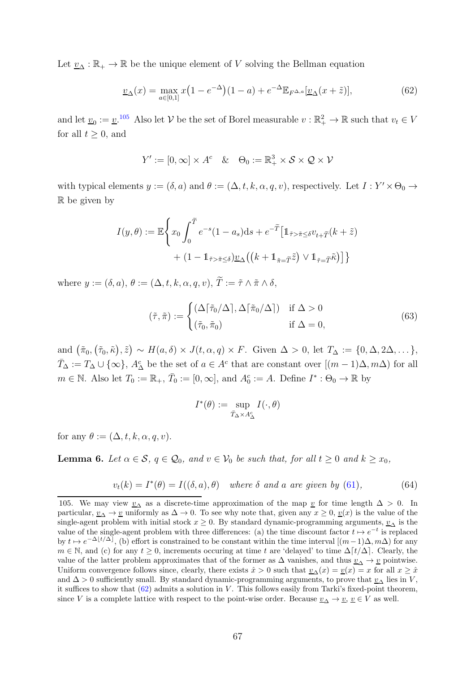Let  $\underline{v}_{\Delta} : \mathbb{R}_+ \to \mathbb{R}$  be the unique element of V solving the Bellman equation

<span id="page-66-2"></span>
$$
\underline{v}_{\Delta}(x) = \max_{a \in [0,1]} x \left( 1 - e^{-\Delta} \right) (1 - a) + e^{-\Delta} \mathbb{E}_{F^{\Delta,a}} [\underline{v}_{\Delta}(x + \tilde{z})],\tag{62}
$$

and let  $\underline{v}_0 := \underline{v}^{105}$  $\underline{v}_0 := \underline{v}^{105}$  $\underline{v}_0 := \underline{v}^{105}$  Also let V be the set of Borel measurable  $v : \mathbb{R}_+^2 \to \mathbb{R}$  such that  $v_t \in V$ for all  $t \geq 0$ , and

$$
Y':=[0,\infty]\times A^c\quad\&\quad \Theta_0:=\mathbb{R}^3_+\times\mathcal{S}\times\mathcal{Q}\times\mathcal{V}
$$

with typical elements  $y := (\delta, a)$  and  $\theta := (\Delta, t, k, \alpha, q, v)$ , respectively. Let  $I: Y' \times \Theta_0 \to$  $\mathbb R$  be given by

$$
I(y,\theta) := \mathbb{E}\Bigg\{x_0 \int_0^{\widetilde{T}} e^{-s} (1-a_s)ds + e^{-\widetilde{T}} \Big[1_{\tilde{\tau} > \tilde{\pi} \le \delta} v_{t+\tilde{T}}(k+\tilde{z}) + (1-1_{\tilde{\tau} > \tilde{\pi} \le \delta}) \underline{v}_{\Delta}\Big(\big(k+1_{\tilde{\pi} = \tilde{T}} \tilde{z}\big) \vee 1_{\tilde{\tau} = \tilde{T}} \tilde{\kappa}\Big)\Big]\Bigg\}
$$

where  $y := (\delta, a), \theta := (\Delta, t, k, \alpha, a, v), \widetilde{T} := \widetilde{\tau} \wedge \widetilde{\pi} \wedge \delta,$ 

$$
(\tilde{\tau}, \tilde{\pi}) := \begin{cases} (\Delta \lceil \tilde{\tau}_0 / \Delta \rceil, \Delta \lceil \tilde{\pi}_0 / \Delta \rceil) & \text{if } \Delta > 0 \\ (\tilde{\tau}_0, \tilde{\pi}_0) & \text{if } \Delta = 0, \end{cases}
$$
 (63)

and  $(\tilde{\pi}_0, (\tilde{\tau}_0, \tilde{\kappa}), \tilde{z}) \sim H(a, \delta) \times J(t, \alpha, q) \times F$ . Given  $\Delta > 0$ , let  $T_{\Delta} := \{0, \Delta, 2\Delta, \dots\},\$  $\overline{T}_{\Delta} := T_{\Delta} \cup \{\infty\}, A_{\Delta}^c$  be the set of  $a \in A^c$  that are constant over  $[(m-1)\Delta, m\Delta)$  for all  $m \in \mathbb{N}$ . Also let  $T_0 := \mathbb{R}_+$ ,  $\bar{T}_0 := [0, \infty]$ , and  $A_0^c := A$ . Define  $I^* : \Theta_0 \to \mathbb{R}$  by

$$
I^*(\theta):=\sup_{\bar{T}_{\Delta}\times A_{\Delta}^c}I(\cdot,\theta)
$$

<span id="page-66-0"></span>for any  $\theta := (\Delta, t, k, \alpha, q, v).$ 

**Lemma 6.** Let  $\alpha \in \mathcal{S}$ ,  $q \in \mathcal{Q}_0$ , and  $v \in \mathcal{V}_0$  be such that, for all  $t \geq 0$  and  $k \geq x_0$ ,

<span id="page-66-3"></span>
$$
v_t(k) = I^*(\theta) = I((\delta, a), \theta) \quad \text{where } \delta \text{ and a are given by (61),} \tag{64}
$$

<span id="page-66-1"></span><sup>105.</sup> We may view  $\underline{v}_{\Delta}$  as a discrete-time approximation of the map  $\underline{v}$  for time length  $\Delta > 0$ . In particular,  $v_\Delta \to v$  uniformly as  $\Delta \to 0$ . To see why note that, given any  $x \geq 0$ ,  $v(x)$  is the value of the single-agent problem with initial stock  $x \ge 0$ . By standard dynamic-programming arguments,  $v_{\Lambda}$  is the value of the single-agent problem with three differences: (a) the time discount factor  $t \mapsto e^{-t}$  is replaced by  $t \mapsto e^{-\Delta \lfloor t/\Delta \rfloor}$ , (b) effort is constrained to be constant within the time interval  $[(m-1)\Delta, m\Delta)$  for any  $m \in \mathbb{N}$ , and (c) for any  $t \geq 0$ , increments occuring at time t are 'delayed' to time  $\Delta[t/\Delta]$ . Clearly, the value of the latter problem approximates that of the former as  $\Delta$  vanishes, and thus  $\underline{v}_{\Delta} \to \underline{v}$  pointwise. Uniform convergence follows since, clearly, there exists  $\hat{x} > 0$  such that  $\underline{v}_{\Delta}(x) = \underline{v}(x) = x$  for all  $x \geq \hat{x}$ and  $\Delta > 0$  sufficiently small. By standard dynamic-programming arguments, to prove that  $\underline{v}_{\Delta}$  lies in V, it suffices to show that  $(62)$  admits a solution in V. This follows easily from Tarki's fixed-point theorem, since V is a complete lattice with respect to the point-wise order. Because  $\underline{v}_{\Delta} \to \underline{v}$ ,  $\underline{v} \in V$  as well.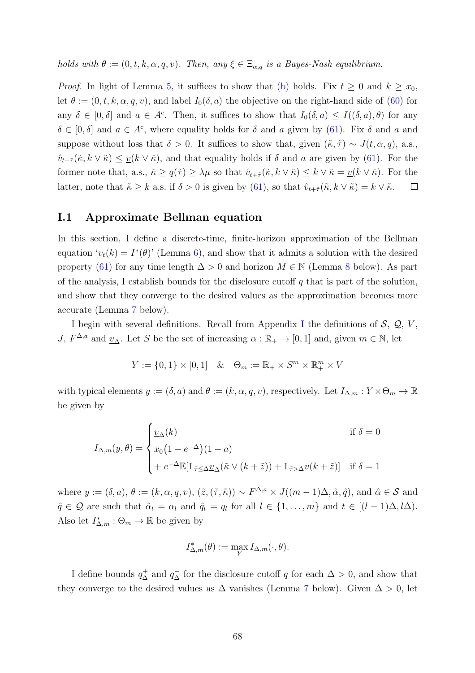holds with  $\theta := (0, t, k, \alpha, q, v)$ . Then, any  $\xi \in \Xi_{\alpha,q}$  is a Bayes-Nash equilibrium.

*Proof.* In light of Lemma [5,](#page-65-0) it suffices to show that [\(b\)](#page-65-3) holds. Fix  $t \geq 0$  and  $k \geq x_0$ , let  $\theta := (0, t, k, \alpha, q, v)$ , and label  $I_0(\delta, a)$  the objective on the right-hand side of [\(60\)](#page-65-1) for any  $\delta \in [0, \delta]$  and  $a \in A^c$ . Then, it suffices to show that  $I_0(\delta, a) \leq I((\delta, a), \theta)$  for any  $\delta \in [0,\delta]$  and  $a \in A^c$ , where equality holds for  $\delta$  and  $a$  given by [\(61\)](#page-65-4). Fix  $\delta$  and  $a$  and suppose without loss that  $\delta > 0$ . It suffices to show that, given  $(\tilde{\kappa}, \tilde{\tau}) \sim J(t, \alpha, q)$ , a.s.,  $\hat{v}_{t+\tilde{\tau}}(\tilde{\kappa}, k \vee \tilde{\kappa}) \leq \underline{v}(k \vee \tilde{\kappa})$ , and that equality holds if  $\delta$  and  $a$  are given by [\(61\)](#page-65-4). For the former note that, a.s.,  $\tilde{\kappa} \ge q(\tilde{\tau}) \ge \lambda \mu$  so that  $\hat{v}_{t+\tilde{\tau}}(\tilde{\kappa}, k \vee \tilde{\kappa}) \le k \vee \tilde{\kappa} = \underline{v}(k \vee \tilde{\kappa})$ . For the latter, note that  $\tilde{\kappa} \geq k$  a.s. if  $\delta > 0$  is given by [\(61\)](#page-65-4), so that  $\hat{v}_{t+\tilde{\tau}}(\tilde{\kappa}, k \vee \tilde{\kappa}) = k \vee \tilde{\kappa}$ .  $\Box$ 

#### <span id="page-67-0"></span>I.1 Approximate Bellman equation

In this section, I define a discrete-time, finite-horizon approximation of the Bellman equation ' $v_t(k) = I^*(\theta)$ ' (Lemma [6\)](#page-66-0), and show that it admits a solution with the desired property [\(61\)](#page-65-4) for any time length  $\Delta > 0$  and horizon  $M \in \mathbb{N}$  (Lemma [8](#page-68-0) below). As part of the analysis, I establish bounds for the disclosure cutoff  $q$  that is part of the solution, and show that they converge to the desired values as the approximation becomes more accurate (Lemma [7](#page-68-1) below).

[I](#page-63-0) begin with several definitions. Recall from Appendix I the definitions of  $S$ ,  $Q$ ,  $V$ , J,  $F^{\Delta,a}$  and  $\underline{v}_{\Delta}$ . Let S be the set of increasing  $\alpha : \mathbb{R}_+ \to [0,1]$  and, given  $m \in \mathbb{N}$ , let

$$
Y:=\{0,1\}\times[0,1]\quad\&\quad \Theta_m:=\mathbb{R}_+\times S^m\times\mathbb{R}^m_+\times V
$$

with typical elements  $y := (\delta, a)$  and  $\theta := (k, \alpha, q, v)$ , respectively. Let  $I_{\Delta,m}: Y \times \Theta_m \to \mathbb{R}$ be given by

$$
I_{\Delta,m}(y,\theta) = \begin{cases} \underline{v}_{\Delta}(k) & \text{if } \delta = 0 \\ x_0 \left(1 - e^{-\Delta}\right) (1 - a) \\ + e^{-\Delta} \mathbb{E}[\mathbb{1}_{\tilde{\tau} \leq \Delta} \underline{v}_{\Delta}(\tilde{\kappa} \vee (k + \tilde{z})) + \mathbb{1}_{\tilde{\tau} > \Delta} v(k + \tilde{z})] & \text{if } \delta = 1 \end{cases}
$$

where  $y := (\delta, a), \theta := (k, \alpha, q, v), (\tilde{z}, (\tilde{\tau}, \tilde{\kappa})) \sim F^{\Delta, a} \times J((m-1)\Delta, \hat{\alpha}, \hat{q}),$  and  $\hat{\alpha} \in \mathcal{S}$  and  $\hat{q} \in \mathcal{Q}$  are such that  $\hat{\alpha}_t = \alpha_l$  and  $\hat{q}_t = q_l$  for all  $l \in \{1, \ldots, m\}$  and  $t \in [(l-1)\Delta, l\Delta)$ . Also let  $I_{\Delta,m}^* : \Theta_m \to \mathbb{R}$  be given by

$$
I^*_{\Delta,m}(\theta):=\max_{Y}I_{\Delta,m}(\cdot,\theta).
$$

I define bounds  $q^+$  and  $q^-$  for the disclosure cutoff q for each  $\Delta > 0$ , and show that they converge to the desired values as  $\Delta$  vanishes (Lemma [7](#page-68-1) below). Given  $\Delta > 0$ , let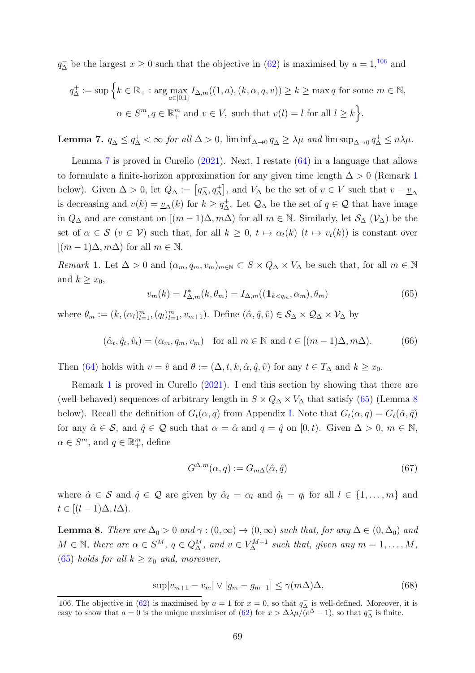$q_{\Delta}^-$  be the largest  $x \geq 0$  such that the objective in [\(62\)](#page-66-2) is maximised by  $a = 1,^{106}$  $a = 1,^{106}$  $a = 1,^{106}$  and

$$
q_{\Delta}^{+} := \sup \Big\{ k \in \mathbb{R}_{+} : \arg \max_{a \in [0,1]} I_{\Delta,m}((1,a),(k,\alpha,q,v)) \geq k \geq \max q \text{ for some } m \in \mathbb{N},
$$
  

$$
\alpha \in S^{m}, q \in \mathbb{R}_{+}^{m} \text{ and } v \in V, \text{ such that } v(l) = l \text{ for all } l \geq k \Big\}.
$$

<span id="page-68-1"></span>**Lemma 7.**  $q_{\Delta}^- \leq q_{\Delta}^+ < \infty$  for all  $\Delta > 0$ ,  $\liminf_{\Delta \to 0} q_{\Delta}^- \geq \lambda \mu$  and  $\limsup_{\Delta \to 0} q_{\Delta}^+ \leq n \lambda \mu$ .

Lemma [7](#page-68-1) is proved in Curello [\(2021](#page-31-1)). Next, I restate [\(64\)](#page-66-3) in a language that allows to formulate a finite-horizon approximation for any given time length  $\Delta > 0$  (Remark [1](#page-68-3) below). Given  $\Delta > 0$ , let  $Q_{\Delta} := [q_{\Delta}^-, q_{\Delta}^+]$ , and  $V_{\Delta}$  be the set of  $v \in V$  such that  $v - \underline{v}_{\Delta}$ is decreasing and  $v(k) = \underline{v}_{\Delta}(k)$  for  $k \geq q^+_{\Delta}$ . Let  $\mathcal{Q}_{\Delta}$  be the set of  $q \in \mathcal{Q}$  that have image in  $Q_{\Delta}$  and are constant on  $[(m-1)\Delta, m\Delta)$  for all  $m \in \mathbb{N}$ . Similarly, let  $\mathcal{S}_{\Delta}(\mathcal{V}_{\Delta})$  be the set of  $\alpha \in \mathcal{S}$   $(v \in \mathcal{V})$  such that, for all  $k \geq 0$ ,  $t \mapsto \alpha_t(k)$   $(t \mapsto v_t(k))$  is constant over  $[(m-1)\Delta, m\Delta)$  for all  $m \in \mathbb{N}$ .

<span id="page-68-3"></span>Remark 1. Let  $\Delta > 0$  and  $(\alpha_m, q_m, v_m)_{m \in \mathbb{N}} \subset S \times Q_{\Delta} \times V_{\Delta}$  be such that, for all  $m \in \mathbb{N}$ and  $k \geq x_0$ ,

<span id="page-68-4"></span>
$$
v_m(k) = I_{\Delta,m}^*(k, \theta_m) = I_{\Delta,m}((1_{k < q_m}, \alpha_m), \theta_m) \tag{65}
$$

where  $\theta_m := (k, (\alpha_l)_{l=1}^m, (q_l)_{l=1}^m, v_{m+1})$ . Define  $(\hat{\alpha}, \hat{q}, \hat{v}) \in \mathcal{S}_{\Delta} \times \mathcal{Q}_{\Delta} \times \mathcal{V}_{\Delta}$  by

<span id="page-68-6"></span>
$$
(\hat{\alpha}_t, \hat{q}_t, \hat{v}_t) = (\alpha_m, q_m, v_m) \quad \text{for all } m \in \mathbb{N} \text{ and } t \in [(m-1)\Delta, m\Delta). \tag{66}
$$

Then [\(64\)](#page-66-3) holds with  $v = \hat{v}$  and  $\theta := (\Delta, t, k, \hat{\alpha}, \hat{q}, \hat{v})$  for any  $t \in T_{\Delta}$  and  $k \geq x_0$ .

Remark [1](#page-68-3) is proved in Curello [\(2021\)](#page-31-1). I end this section by showing that there are (well-behaved) sequences of arbitrary length in  $S \times Q_{\Delta} \times V_{\Delta}$  that satisfy [\(65\)](#page-68-4) (Lemma [8](#page-68-0) below). Recall the definition of  $G_t(\alpha, q)$  from Appendix [I.](#page-63-0) Note that  $G_t(\alpha, q) = G_t(\hat{\alpha}, \hat{q})$ for any  $\hat{\alpha} \in \mathcal{S}$ , and  $\hat{q} \in \mathcal{Q}$  such that  $\alpha = \hat{\alpha}$  and  $q = \hat{q}$  on [0, t). Given  $\Delta > 0$ ,  $m \in \mathbb{N}$ ,  $\alpha \in S^m$ , and  $q \in \mathbb{R}^m_+$ , define

$$
G^{\Delta,m}(\alpha, q) := G_{m\Delta}(\hat{\alpha}, \hat{q}) \tag{67}
$$

<span id="page-68-0"></span>where  $\hat{\alpha} \in \mathcal{S}$  and  $\hat{q} \in \mathcal{Q}$  are given by  $\hat{\alpha}_t = \alpha_l$  and  $\hat{q}_t = q_l$  for all  $l \in \{1, \ldots, m\}$  and  $t \in [(l-1)\Delta, l\Delta).$ 

**Lemma 8.** There are  $\Delta_0 > 0$  and  $\gamma : (0, \infty) \to (0, \infty)$  such that, for any  $\Delta \in (0, \Delta_0)$  and  $M \in \mathbb{N}$ , there are  $\alpha \in S^M$ ,  $q \in Q^M_{\Delta}$ , and  $v \in V^{M+1}_{\Delta}$  such that, given any  $m = 1, ..., M$ , [\(65\)](#page-68-4) holds for all  $k \geq x_0$  and, moreover,

<span id="page-68-5"></span>
$$
\sup |v_{m+1} - v_m| \vee |g_m - g_{m-1}| \le \gamma(m\Delta)\Delta,\tag{68}
$$

<span id="page-68-2"></span><sup>106.</sup> The objective in [\(62\)](#page-66-2) is maximised by  $a = 1$  for  $x = 0$ , so that  $q_{\Delta}^-$  is well-defined. Moreover, it is easy to show that  $a = 0$  is the unique maximiser of [\(62\)](#page-66-2) for  $x > \Delta\lambda\mu/\overline{(e^{\Delta}-1)}$ , so that  $q_{\Delta}^-$  is finite.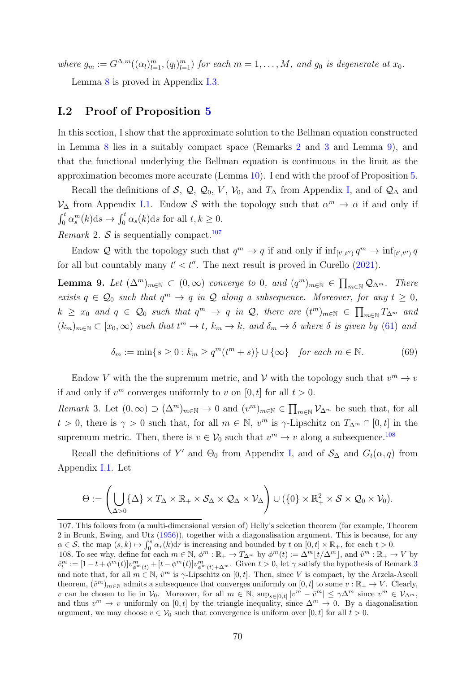where  $g_m := G^{\Delta,m}((\alpha_l)_{l=1}^m, (q_l)_{l=1}^m)$  for each  $m = 1, \ldots, M$ , and  $g_0$  is degenerate at  $x_0$ .

<span id="page-69-0"></span>Lemma [8](#page-68-0) is proved in Appendix [I.3.](#page-71-0)

#### I.2 Proof of Proposition [5](#page-64-0)

In this section, I show that the approximate solution to the Bellman equation constructed in Lemma [8](#page-68-0) lies in a suitably compact space (Remarks [2](#page-69-1) and [3](#page-69-2) and Lemma [9\)](#page-69-3), and that the functional underlying the Bellman equation is continuous in the limit as the approximation becomes more accurate (Lemma [10\)](#page-70-0). I end with the proof of Proposition [5.](#page-64-0)

Recall the definitions of S, Q, Q<sub>0</sub>, V, V<sub>0</sub>, and T<sub>△</sub> from Appendix [I,](#page-63-0) and of  $\mathcal{Q}_\Delta$  and  $\mathcal{V}_{\Delta}$  from Appendix [I.1.](#page-67-0) Endow S with the topology such that  $\alpha^m \to \alpha$  if and only if  $\int_0^t \alpha_s^m(k) \, ds \to \int_0^t \alpha_s(k) \, ds$  for all  $t, k \geq 0$ .

<span id="page-69-1"></span>*Remark 2.*  $S$  is sequentially compact.<sup>[107](#page-69-4)</sup>

<span id="page-69-3"></span>Endow Q with the topology such that  $q^m \to q$  if and only if  $\inf_{[t',t'')} q^m \to \inf_{[t',t'')} q$ for all but countably many  $t' < t''$ . The next result is proved in Curello [\(2021](#page-31-1)).

**Lemma 9.** Let  $(\Delta^m)_{m \in \mathbb{N}} \subset (0, \infty)$  converge to 0, and  $(q^m)_{m \in \mathbb{N}} \in \prod_{m \in \mathbb{N}} \mathcal{Q}_{\Delta^m}$ . There exists  $q \in \mathcal{Q}_0$  such that  $q^m \to q$  in  $\mathcal Q$  along a subsequence. Moreover, for any  $t \geq 0$ ,  $k \geq x_0$  and  $q \in \mathcal{Q}_0$  such that  $q^m \to q$  in  $\mathcal{Q}$ , there are  $(t^m)_{m \in \mathbb{N}} \in \prod_{m \in \mathbb{N}} T_{\Delta^m}$  and  $(k_m)_{m\in\mathbb{N}}\subset [x_0,\infty)$  such that  $t^m\to t$ ,  $k_m\to k$ , and  $\delta_m\to\delta$  where  $\delta$  is given by [\(61\)](#page-65-4) and

<span id="page-69-6"></span>
$$
\delta_m := \min\{s \ge 0 : k_m \ge q^m(t^m + s)\} \cup \{\infty\} \quad \text{for each } m \in \mathbb{N}.
$$
 (69)

<span id="page-69-2"></span>Endow V with the the supremum metric, and V with the topology such that  $v^m \to v$ if and only if  $v^m$  converges uniformly to v on  $[0, t]$  for all  $t > 0$ .

Remark 3. Let  $(0, \infty) \supset (\Delta^m)_{m \in \mathbb{N}} \to 0$  and  $(v^m)_{m \in \mathbb{N}} \in \prod_{m \in \mathbb{N}} \mathcal{V}_{\Delta^m}$  be such that, for all  $t > 0$ , there is  $\gamma > 0$  such that, for all  $m \in \mathbb{N}$ ,  $v^m$  is  $\gamma$ -Lipschitz on  $T_{\Delta^m} \cap [0, t]$  in the supremum metric. Then, there is  $v \in V_0$  such that  $v^m \to v$  along a subsequence.<sup>[108](#page-69-5)</sup>

Recall the definitions of Y' and  $\Theta_0$  from Appendix [I,](#page-63-0) and of  $\mathcal{S}_\Delta$  and  $G_t(\alpha, q)$  from Appendix [I.1.](#page-67-0) Let

$$
\Theta:=\left(\bigcup_{\Delta>0}\{\Delta\}\times T_\Delta\times \mathbb{R}_+\times \mathcal{S}_\Delta\times \mathcal{Q}_\Delta\times \mathcal{V}_\Delta\right)\cup \big(\{0\}\times \mathbb{R}_+^2\times \mathcal{S}\times \mathcal{Q}_0\times \mathcal{V}_0\big).
$$

<span id="page-69-5"></span><span id="page-69-4"></span>107. This follows from (a multi-dimensional version of) Helly's selection theorem (for example, Theorem 2 in Brunk, Ewing, and Utz [\(1956](#page-31-3))), together with a diagonalisation argument. This is because, for any  $\alpha \in \mathcal{S}$ , the map  $(s, k) \mapsto \int_0^s \alpha_r(k) dr$  is increasing and bounded by t on  $[0, t] \times \mathbb{R}_+$ , for each  $t > 0$ . 108. To see why, define for each  $m \in \mathbb{N}$ ,  $\phi^m : \mathbb{R}_+ \to T_{\Delta^m}$  by  $\phi^m(t) := \Delta^m \lfloor t/\Delta^m \rfloor$ , and  $\hat{v}^m : \mathbb{R}_+ \to V$  by  $\hat{v}_t^m := [1 - t + \phi^m(t)]v_{\phi^m(t)}^m + [t - \phi^m(t)]v_{\phi^m(t)+\Delta^m}^m$ . Given  $t > 0$ , let  $\gamma$  satisfy the hypothesis of Remark [3](#page-69-2) and note that, for all  $m \in \mathbb{N}$ ,  $\hat{v}^m$  is  $\gamma$ -Lipschitz on [0, t]. Then, since V is compact, by the Arzela-Ascoli theorem,  $(\hat{v}^m)_{m\in\mathbb{N}}$  admits a subsequence that converges uniformly on  $[0,t]$  to some  $v:\mathbb{R}_+\to V$ . Clearly, v can be chosen to lie in  $V_0$ . Moreover, for all  $m \in \mathbb{N}$ ,  $\sup_{s \in [0,t]} |v^m - \hat{v}^m| \leq \gamma \Delta^m$  since  $v^m \in V_{\Delta^m}$ , and thus  $v^m \to v$  uniformly on [0, t] by the triangle inequality, since  $\Delta^m \to 0$ . By a diagonalisation argument, we may choose  $v \in V_0$  such that convergence is uniform over  $[0, t]$  for all  $t > 0$ .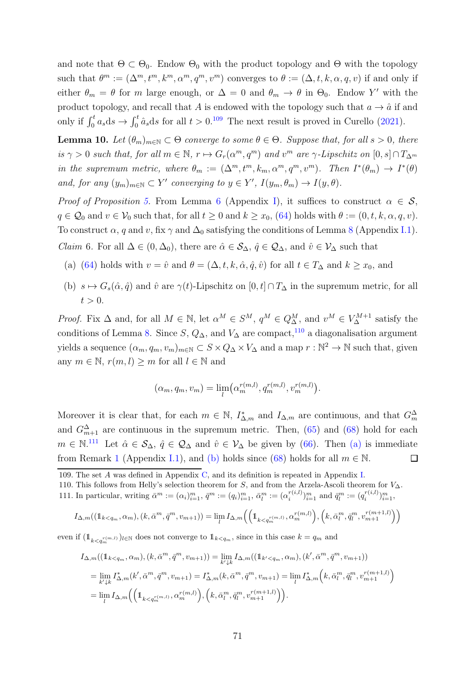and note that  $\Theta \subset \Theta_0$ . Endow  $\Theta_0$  with the product topology and  $\Theta$  with the topology such that  $\theta^m := (\Delta^m, t^m, k^m, \alpha^m, q^m, v^m)$  converges to  $\theta := (\Delta, t, k, \alpha, q, v)$  if and only if either  $\theta_m = \theta$  for m large enough, or  $\Delta = 0$  and  $\theta_m \to \theta$  in  $\Theta_0$ . Endow Y' with the product topology, and recall that  $A$  is endowed with the topology such that  $a \to \hat{a}$  if and only if  $\int_0^t a_s ds \to \int_0^t \hat{a}_s ds$  for all  $t > 0.109$  $t > 0.109$  The next result is proved in Curello [\(2021](#page-31-1)).

<span id="page-70-0"></span>**Lemma 10.** Let  $(\theta_m)_{m\in\mathbb{N}} \subset \Theta$  converge to some  $\theta \in \Theta$ . Suppose that, for all  $s > 0$ , there is  $\gamma > 0$  such that, for all  $m \in \mathbb{N}$ ,  $r \mapsto G_r(\alpha^m, q^m)$  and  $v^m$  are  $\gamma$ -Lipschitz on  $[0, s] \cap T_{\Delta^m}$ in the supremum metric, where  $\theta_m := (\Delta^m, t^m, k_m, \alpha^m, q^m, v^m)$ . Then  $I^*(\theta_m) \to I^*(\theta)$ and, for any  $(y_m)_{m\in\mathbb{N}} \subset Y'$  converging to  $y \in Y'$ ,  $I(y_m, \theta_m) \to I(y, \theta)$ .

<span id="page-70-6"></span>*Proof of Proposition [5.](#page-64-0)* From Lemma [6](#page-66-0) (Appendix [I\)](#page-63-0), it suffices to construct  $\alpha \in \mathcal{S}$ ,  $q \in \mathcal{Q}_0$  and  $v \in \mathcal{V}_0$  such that, for all  $t \geq 0$  and  $k \geq x_0$ , [\(64\)](#page-66-3) holds with  $\theta := (0, t, k, \alpha, q, v)$ . To construct  $\alpha$ , q and v, fix  $\gamma$  and  $\Delta_0$  satisfying the conditions of Lemma [8](#page-68-0) (Appendix [I.1\)](#page-67-0). *Claim* 6. For all  $\Delta \in (0, \Delta_0)$ , there are  $\hat{\alpha} \in \mathcal{S}_{\Delta}$ ,  $\hat{q} \in \mathcal{Q}_{\Delta}$ , and  $\hat{v} \in \mathcal{V}_{\Delta}$  such that

- <span id="page-70-5"></span><span id="page-70-4"></span>(a) [\(64\)](#page-66-3) holds with  $v = \hat{v}$  and  $\theta = (\Delta, t, k, \hat{\alpha}, \hat{q}, \hat{v})$  for all  $t \in T_{\Delta}$  and  $k \geq x_0$ , and
- (b)  $s \mapsto G_s(\hat{\alpha}, \hat{q})$  and  $\hat{v}$  are  $\gamma(t)$ -Lipschitz on  $[0, t] \cap T_{\Delta}$  in the supremum metric, for all  $t > 0$ .

*Proof.* Fix  $\Delta$  and, for all  $M \in \mathbb{N}$ , let  $\alpha^M \in S^M$ ,  $q^M \in Q^M_{\Delta}$ , and  $v^M \in V_{\Delta}^{M+1}$  satisfy the conditions of Lemma [8.](#page-68-0) Since  $S$ ,  $Q_{\Delta}$ , and  $V_{\Delta}$  are compact,<sup>[110](#page-70-2)</sup> a diagonalisation argument yields a sequence  $(\alpha_m, q_m, v_m)_{m \in \mathbb{N}} \subset S \times Q_{\Delta} \times V_{\Delta}$  and a map  $r : \mathbb{N}^2 \to \mathbb{N}$  such that, given any  $m \in \mathbb{N}$ ,  $r(m, l) \geq m$  for all  $l \in \mathbb{N}$  and

$$
(\alpha_m, q_m, v_m) = \lim_{l} (\alpha_m^{r(m,l)}, q_m^{r(m,l)}, v_m^{r(m,l)}).
$$

Moreover it is clear that, for each  $m \in \mathbb{N}$ ,  $I_{\Delta,m}^*$  and  $I_{\Delta,m}$  are continuous, and that  $G_m^{\Delta}$ and  $G_{m+1}^{\Delta}$  are continuous in the supremum metric. Then, [\(65\)](#page-68-4) and [\(68\)](#page-68-5) hold for each  $m \in \mathbb{N}$ .<sup>[111](#page-70-3)</sup> Let  $\hat{\alpha} \in \mathcal{S}_{\Delta}$ ,  $\hat{q} \in \mathcal{Q}_{\Delta}$  and  $\hat{v} \in \mathcal{V}_{\Delta}$  be given by [\(66\)](#page-68-6). Then [\(a\)](#page-70-4) is immediate from Remark [1](#page-68-3) (Appendix [I.1\)](#page-67-0), and [\(b\)](#page-70-5) holds since [\(68\)](#page-68-5) holds for all  $m \in \mathbb{N}$ .  $\Box$ 

<span id="page-70-3"></span><span id="page-70-2"></span>
$$
I_{\Delta,m}((1_{k
$$

even if  $(\mathbb{1}_{k \leq q_m^{r(m,l)}})_{l \in \mathbb{N}}$  does not converge to  $\mathbb{1}_{k \leq q_m}$ , since in this case  $k = q_m$  and

$$
I_{\Delta,m}((1_{k < q_m}, \alpha_m), (k, \bar{\alpha}^m, \bar{q}^m, v_{m+1})) = \lim_{k' \downarrow k} I_{\Delta,m}((1_{k' < q_m}, \alpha_m), (k', \bar{\alpha}^m, \bar{q}^m, v_{m+1}))
$$
  
\n
$$
= \lim_{k' \downarrow k} I_{\Delta,m}^*(k', \bar{\alpha}^m, \bar{q}^m, v_{m+1}) = I_{\Delta,m}^*(k, \bar{\alpha}^m, \bar{q}^m, v_{m+1}) = \lim_{l} I_{\Delta,m}^*(k, \bar{\alpha}_l^m, \bar{q}_l^m, v_{m+1}^{r(m+1,l)})
$$
  
\n
$$
= \lim_{l} I_{\Delta,m}((1_{k < q_m^{r(m,l)}}, \alpha_m^{r(m,l)}), (k, \bar{\alpha}_l^m, \bar{q}_l^m, v_{m+1}^{r(m+1,l)})).
$$

<sup>109.</sup> The set A was defined in Appendix [C,](#page-43-3) and its definition is repeated in Appendix [I.](#page-63-0)

<span id="page-70-1"></span><sup>110.</sup> This follows from Helly's selection theorem for S, and from the Arzela-Ascoli theorem for  $V_{\Delta}$ . 111. In particular, writing  $\bar{\alpha}^m := (\alpha_i)_{i=1}^m$ ,  $\bar{q}^m := (q_i)_{i=1}^m$ ,  $\bar{\alpha}_l^m := (\alpha_i^{r(i,l)})$  $\binom{r(i,l)}{i}$ <sub>i<sup>m</sup></sup> and  $\bar{q}_l^m := (q_i^{r(i,l)})$ </sub>  $\binom{r(i,l)}{i}$  $\binom{m}{i=1}$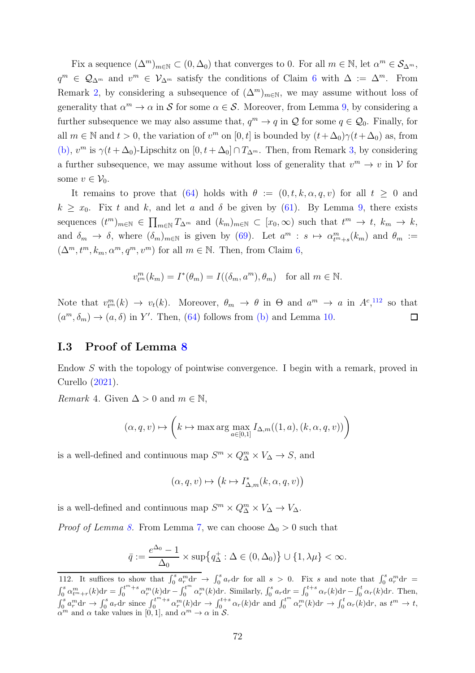Fix a sequence  $(\Delta^m)_{m\in\mathbb{N}}\subset(0,\Delta_0)$  that converges to 0. For all  $m\in\mathbb{N}$ , let  $\alpha^m\in\mathcal{S}_{\Delta^m}$ ,  $q^m \in \mathcal{Q}_{\Delta^m}$  and  $v^m \in \mathcal{V}_{\Delta^m}$  satisfy the conditions of Claim [6](#page-70-6) with  $\Delta := \Delta^m$ . From Remark [2,](#page-69-1) by considering a subsequence of  $(\Delta^m)_{m\in\mathbb{N}}$ , we may assume without loss of generality that  $\alpha^m \to \alpha$  in S for some  $\alpha \in S$ . Moreover, from Lemma [9,](#page-69-3) by considering a further subsequence we may also assume that,  $q^m \to q$  in  $\mathcal Q$  for some  $q \in \mathcal Q_0$ . Finally, for all  $m \in \mathbb{N}$  and  $t > 0$ , the variation of  $v^m$  on  $[0, t]$  is bounded by  $(t + \Delta_0)\gamma(t + \Delta_0)$  as, from [\(b\),](#page-70-5)  $v^m$  is  $\gamma(t + \Delta_0)$ -Lipschitz on  $[0, t + \Delta_0] \cap T_{\Delta^m}$ . Then, from Remark [3,](#page-69-2) by considering a further subsequence, we may assume without loss of generality that  $v^m \to v$  in V for some  $v \in \mathcal{V}_0$ .

It remains to prove that [\(64\)](#page-66-3) holds with  $\theta := (0, t, k, \alpha, q, v)$  for all  $t \geq 0$  and  $k \geq x_0$ . Fix t and k, and let a and  $\delta$  be given by [\(61\)](#page-65-4). By Lemma [9,](#page-69-3) there exists sequences  $(t^m)_{m\in\mathbb{N}}\in \prod_{m\in\mathbb{N}}T_{\Delta^m}$  and  $(k_m)_{m\in\mathbb{N}}\subset [x_0,\infty)$  such that  $t^m\to t$ ,  $k_m\to k$ , and  $\delta_m \to \delta$ , where  $(\delta_m)_{m \in \mathbb{N}}$  is given by [\(69\)](#page-69-6). Let  $a^m : s \mapsto \alpha_{t^m+s}^m(k_m)$  and  $\theta_m :=$  $(\Delta^m, t^m, k_m, \alpha^m, q^m, v^m)$  for all  $m \in \mathbb{N}$ . Then, from Claim [6,](#page-70-6)

$$
v_{t^m}^m(k_m) = I^*(\theta_m) = I((\delta_m, a^m), \theta_m) \text{ for all } m \in \mathbb{N}.
$$

Note that  $v_{t}^{m}(k) \to v_{t}(k)$ . Moreover,  $\theta_{m} \to \theta$  in  $\Theta$  and  $a^{m} \to a$  in  $A^{c}$ , <sup>[112](#page-71-1)</sup> so that  $(a^m, \delta_m) \to (a, \delta)$  in Y'. Then, [\(64\)](#page-66-3) follows from [\(b\)](#page-70-5) and Lemma [10.](#page-70-0)  $\Box$ 

#### <span id="page-71-0"></span>I.3 Proof of Lemma [8](#page-68-0)

Endow S with the topology of pointwise convergence. I begin with a remark, proved in Curello [\(2021\)](#page-31-1).

*Remark* 4. Given  $\Delta > 0$  and  $m \in \mathbb{N}$ ,

$$
(\alpha, q, v) \mapsto \left( k \mapsto \max \arg \max_{a \in [0,1]} I_{\Delta, m}((1,a), (k, \alpha, q, v)) \right)
$$

is a well-defined and continuous map  $S^m \times Q^m_{\Delta} \times V_{\Delta} \to S$ , and

$$
(\alpha, q, v) \mapsto \left( k \mapsto I_{\Delta, m}^*(k, \alpha, q, v) \right)
$$

is a well-defined and continuous map  $S^m \times Q^m_{\Delta} \times V_{\Delta} \to V_{\Delta}$ .

*Proof of Lemma [8.](#page-68-0)* From Lemma [7,](#page-68-1) we can choose  $\Delta_0 > 0$  such that

$$
\bar{q} := \frac{e^{\Delta_0} - 1}{\Delta_0} \times \sup \{ q^+_{\Delta} : \Delta \in (0, \Delta_0) \} \cup \{ 1, \lambda \mu \} < \infty.
$$

<span id="page-71-1"></span><sup>112.</sup> It suffices to show that  $\int_0^s a_r^m dr \to \int_0^s a_r dr$  for all  $s > 0$ . Fix s and note that  $\int_0^s a_r^m dr =$ 112. It saints to show that  $f_0^{(n)} a_r^{(n)} a_r^{(n)}$  or  $f_0^{(n)} a_r^{(n)}$  for an  $s > 0$ . It is said note that  $f_0^{(n)} a_r^{(n)} = \int_0^s a_r^m r^m$ ,  $f_0^{(n)} a_r^{(n)} a_r^{(n)} a_r^{(n)} a_r^{(n)} a_r^{(n)} a_r^{(n)} a_r^{(n)} a_r^{(n)} a_r^{(n)} a_r^{(n)} a_r^{(n)} a_r^{(n)} a_r^{(n$  $\int_0^s a_r^m dr \to \int_0^s a_r dr$  since  $\int_0^{t^m+s} \alpha_r^m(k) dr \to \int_0^{t+s} \alpha_r(k) dr$  and  $\int_0^{t^m} \alpha_r^m(k) dr \to \int_0^t \alpha_r(k) dr$ , as  $t^m \to t$ ,  $\alpha^m$  and  $\alpha$  take values in [0,1], and  $\alpha^m \to \alpha$  in S.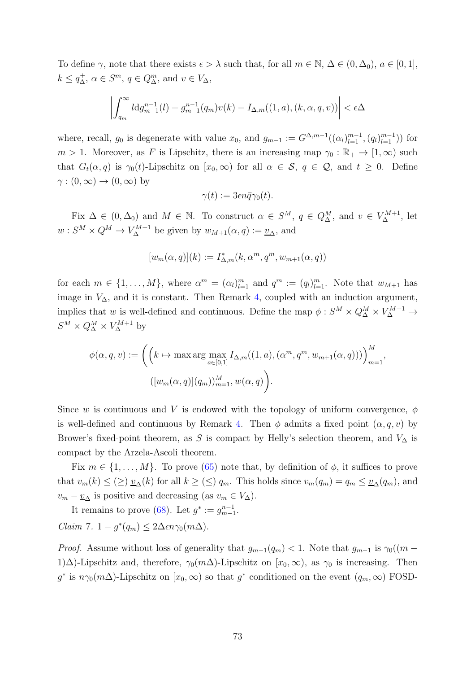To define  $\gamma$ , note that there exists  $\epsilon > \lambda$  such that, for all  $m \in \mathbb{N}, \Delta \in (0, \Delta_0), a \in [0, 1],$  $k \leq q^{\dagger}_{\Delta}, \ \alpha \in S^m, \ q \in Q^m_{\Delta}, \text{ and } v \in V_{\Delta},$ 

$$
\left| \int_{q_m}^{\infty} l \mathrm{d}g_{m-1}^{n-1}(l) + g_{m-1}^{n-1}(q_m)v(k) - I_{\Delta,m}((1, a), (k, \alpha, q, v)) \right| < \epsilon \Delta
$$

where, recall,  $g_0$  is degenerate with value  $x_0$ , and  $g_{m-1} := G^{\Delta, m-1}((\alpha_l)_{l=1}^{m-1}, (q_l)_{l=1}^{m-1})$  for  $m > 1$ . Moreover, as F is Lipschitz, there is an increasing map  $\gamma_0 : \mathbb{R}_+ \to [1, \infty)$  such that  $G_t(\alpha, q)$  is  $\gamma_0(t)$ -Lipschitz on  $[x_0, \infty)$  for all  $\alpha \in \mathcal{S}$ ,  $q \in \mathcal{Q}$ , and  $t \geq 0$ . Define  $\gamma:(0,\infty)\to(0,\infty)$  by

$$
\gamma(t):=3\epsilon n\bar{q}\gamma_0(t).
$$

Fix  $\Delta \in (0, \Delta_0)$  and  $M \in \mathbb{N}$ . To construct  $\alpha \in S^M$ ,  $q \in Q^M_{\Delta}$ , and  $v \in V_{\Delta}^{M+1}$ , let  $w: S^M \times Q^M \to V_{\Delta}^{M+1}$  be given by  $w_{M+1}(\alpha, q) := \underline{v}_{\Delta}$ , and

$$
[w_m(\alpha,q)](k):=I^*_{\Delta,m}(k,\alpha^m,q^m,w_{m+1}(\alpha,q))
$$

for each  $m \in \{1, ..., M\}$ , where  $\alpha^m = (\alpha_l)_{l=1}^m$  and  $q^m := (q_l)_{l=1}^m$ . Note that  $w_{M+1}$  has image in  $V_{\Delta}$ , and it is constant. Then Remark [4,](#page-71-0) coupled with an induction argument, implies that w is well-defined and continuous. Define the map  $\phi: S^M \times Q^M_{\Delta} \times V^{M+1}_{\Delta} \to$  $S^M \times Q^M_{\Delta} \times V^{M+1}_{\Delta}$  by

$$
\phi(\alpha, q, v) := \left( \left( k \mapsto \max \arg \max_{a \in [0, 1]} I_{\Delta, m}((1, a), (\alpha^m, q^m, w_{m+1}(\alpha, q))) \right)_{m=1}^M, \left( [w_m(\alpha, q)](q_m) \right)_{m=1}^M, w(\alpha, q) \right).
$$

Since w is continuous and V is endowed with the topology of uniform convergence,  $\phi$ is well-defined and continuous by Remark [4.](#page-71-0) Then  $\phi$  admits a fixed point  $(\alpha, q, v)$  by Brower's fixed-point theorem, as S is compact by Helly's selection theorem, and  $V_{\Delta}$  is compact by the Arzela-Ascoli theorem.

Fix  $m \in \{1, \ldots, M\}$ . To prove [\(65\)](#page-68-0) note that, by definition of  $\phi$ , it suffices to prove that  $v_m(k) \leq (\geq)$   $\underline{v}_{\Delta}(k)$  for all  $k \geq (\leq)$   $q_m$ . This holds since  $v_m(q_m) = q_m \leq \underline{v}_{\Delta}(q_m)$ , and  $v_m - \underline{v}_{\Delta}$  is positive and decreasing (as  $v_m \in V_{\Delta}$ ).

<span id="page-72-0"></span>It remains to prove [\(68\)](#page-68-1). Let  $g^* := g_{m-1}^{n-1}$ . Claim 7.  $1 - g^*(q_m) \leq 2\Delta \epsilon n \gamma_0(m\Delta)$ .

*Proof.* Assume without loss of generality that  $g_{m-1}(q_m) < 1$ . Note that  $g_{m-1}$  is  $\gamma_0((m -$ 1)∆)-Lipschitz and, therefore,  $\gamma_0(m\Delta)$ -Lipschitz on  $[x_0,\infty)$ , as  $\gamma_0$  is increasing. Then  $g^*$  is  $n\gamma_0(m\Delta)$ -Lipschitz on  $[x_0,\infty)$  so that  $g^*$  conditioned on the event  $(q_m,\infty)$  FOSD-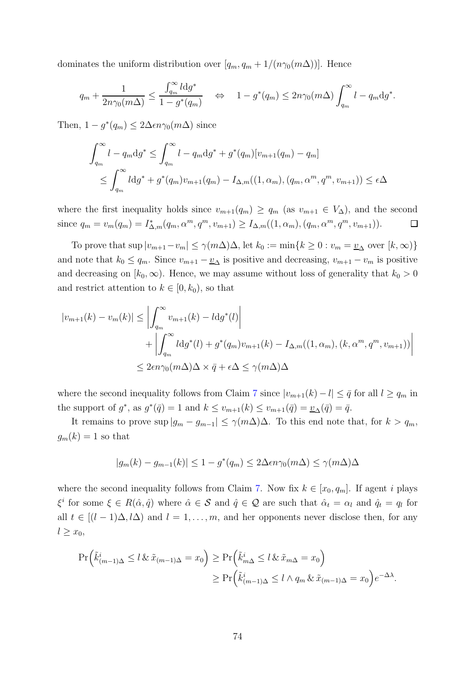dominates the uniform distribution over  $[q_m, q_m + 1/(n\gamma_0(m\Delta))]$ . Hence

$$
q_m + \frac{1}{2n\gamma_0(m\Delta)} \le \frac{\int_{q_m}^{\infty} l \mathrm{d}g^*}{1 - g^*(q_m)} \quad \Leftrightarrow \quad 1 - g^*(q_m) \le 2n\gamma_0(m\Delta) \int_{q_m}^{\infty} l - q_m \mathrm{d}g^*.
$$

Then,  $1 - g^*(q_m) \leq 2\Delta \epsilon n \gamma_0(m\Delta)$  since

$$
\int_{q_m}^{\infty} l - q_m \mathrm{d}g^* \le \int_{q_m}^{\infty} l - q_m \mathrm{d}g^* + g^*(q_m)[v_{m+1}(q_m) - q_m]
$$
  

$$
\le \int_{q_m}^{\infty} l \mathrm{d}g^* + g^*(q_m)v_{m+1}(q_m) - I_{\Delta,m}((1, \alpha_m), (q_m, \alpha^m, q^m, v_{m+1})) \le \epsilon \Delta
$$

where the first inequality holds since  $v_{m+1}(q_m) \ge q_m$  (as  $v_{m+1} \in V_\Delta$ ), and the second since  $q_m = v_m(q_m) = I_{\Delta,m}^*(q_m, \alpha^m, q^m, v_{m+1}) \ge I_{\Delta,m}((1, \alpha_m), (q_m, \alpha^m, q^m, v_{m+1})).$  $\Box$ 

To prove that  $\sup |v_{m+1}-v_m| \leq \gamma(m\Delta)\Delta$ , let  $k_0 := \min\{k \geq 0 : v_m = \underline{v}_{\Delta} \text{ over } [k, \infty)\}$ and note that  $k_0 \le q_m$ . Since  $v_{m+1} - v_{\Delta}$  is positive and decreasing,  $v_{m+1} - v_m$  is positive and decreasing on  $[k_0, \infty)$ . Hence, we may assume without loss of generality that  $k_0 > 0$ and restrict attention to  $k \in [0, k_0)$ , so that

$$
|v_{m+1}(k) - v_m(k)| \le \left| \int_{q_m}^{\infty} v_{m+1}(k) - \log^*(l) \right|
$$
  
+ 
$$
\left| \int_{q_m}^{\infty} \log^*(l) + g^*(q_m) v_{m+1}(k) - I_{\Delta,m}((1, \alpha_m), (k, \alpha^m, q^m, v_{m+1})) \right|
$$
  

$$
\le 2\epsilon n \gamma_0(m\Delta)\Delta \times \bar{q} + \epsilon \Delta \le \gamma(m\Delta)\Delta
$$

where the second inequality follows from Claim [7](#page-72-0) since  $|v_{m+1}(k) - l| \leq \bar{q}$  for all  $l \geq q_m$  in the support of  $g^*$ , as  $g^*(\bar{q}) = 1$  and  $k \leq v_{m+1}(k) \leq v_{m+1}(\bar{q}) = v_{\Delta}(\bar{q}) = \bar{q}$ .

It remains to prove sup  $|g_m - g_{m-1}| \leq \gamma(m\Delta)\Delta$ . To this end note that, for  $k > q_m$ ,  $g_m(k) = 1$  so that

$$
|g_m(k) - g_{m-1}(k)| \le 1 - g^*(q_m) \le 2\Delta \epsilon n \gamma_0(m\Delta) \le \gamma(m\Delta)\Delta
$$

where the second inequality follows from Claim [7.](#page-72-0) Now fix  $k \in [x_0, q_m]$ . If agent i plays  $\xi^i$  for some  $\xi \in R(\hat{\alpha}, \hat{q})$  where  $\hat{\alpha} \in \mathcal{S}$  and  $\hat{q} \in \mathcal{Q}$  are such that  $\hat{\alpha}_t = \alpha_l$  and  $\hat{q}_t = q_l$  for all  $t \in [(l-1)\Delta, l\Delta)$  and  $l = 1, \ldots, m$ , and her opponents never disclose then, for any  $l \geq x_0$ ,

$$
\Pr\left(\tilde{k}_{(m-1)\Delta}^i \le l \& \tilde{x}_{(m-1)\Delta} = x_0\right) \ge \Pr\left(\tilde{k}_{m\Delta}^i \le l \& \tilde{x}_{m\Delta} = x_0\right)
$$

$$
\ge \Pr\left(\tilde{k}_{(m-1)\Delta}^i \le l \wedge q_m \& \tilde{x}_{(m-1)\Delta} = x_0\right) e^{-\Delta\lambda}.
$$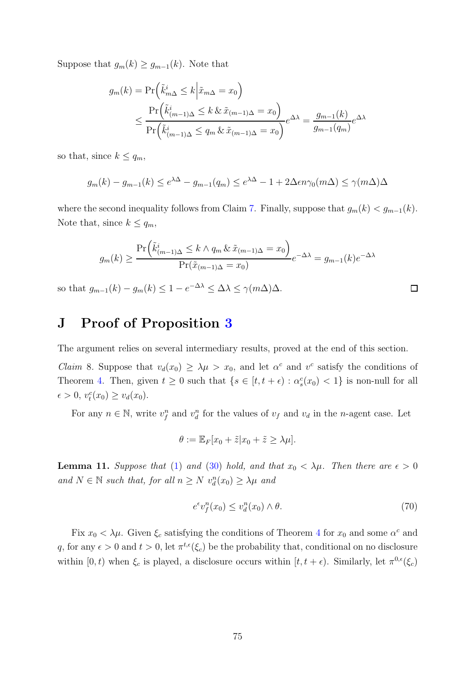Suppose that  $g_m(k) \geq g_{m-1}(k)$ . Note that

$$
g_m(k) = \Pr\left(\tilde{k}_{m\Delta}^i \le k \middle| \tilde{x}_{m\Delta} = x_0\right)
$$
  

$$
\le \frac{\Pr\left(\tilde{k}_{(m-1)\Delta}^i \le k \& \tilde{x}_{(m-1)\Delta} = x_0\right)}{\Pr\left(\tilde{k}_{(m-1)\Delta}^i \le q_m \& \tilde{x}_{(m-1)\Delta} = x_0\right)} e^{\Delta\lambda} = \frac{g_{m-1}(k)}{g_{m-1}(q_m)} e^{\Delta\lambda}
$$

so that, since  $k \leq q_m$ ,

$$
g_m(k) - g_{m-1}(k) \le e^{\lambda \Delta} - g_{m-1}(q_m) \le e^{\lambda \Delta} - 1 + 2\Delta \epsilon n \gamma_0(m\Delta) \le \gamma(m\Delta)\Delta
$$

where the second inequality follows from Claim [7.](#page-72-0) Finally, suppose that  $g_m(k) < g_{m-1}(k)$ . Note that, since  $k \leq q_m$ ,

$$
g_m(k) \ge \frac{\Pr\left(\tilde{k}_{(m-1)\Delta}^i \le k \wedge q_m \& \tilde{x}_{(m-1)\Delta} = x_0\right)}{\Pr(\tilde{x}_{(m-1)\Delta} = x_0)} e^{-\Delta\lambda} = g_{m-1}(k) e^{-\Delta\lambda}
$$

so that  $g_{m-1}(k) - g_m(k) \leq 1 - e^{-\Delta\lambda} \leq \Delta\lambda \leq \gamma(m\Delta)\Delta$ .

# J Proof of Proposition [3](#page-29-0)

<span id="page-74-2"></span>The argument relies on several intermediary results, proved at the end of this section.

*Claim* 8. Suppose that  $v_d(x_0) \geq \lambda \mu > x_0$ , and let  $\alpha^c$  and  $v^c$  satisfy the conditions of Theorem [4.](#page-27-0) Then, given  $t \geq 0$  such that  $\{s \in [t, t + \epsilon) : \alpha_s^c(x_0) < 1\}$  is non-null for all  $\epsilon > 0, v_t^c(x_0) \ge v_d(x_0).$ 

For any  $n \in \mathbb{N}$ , write  $v_f^n$  and  $v_d^n$  for the values of  $v_f$  and  $v_d$  in the *n*-agent case. Let

$$
\theta := \mathbb{E}_F[x_0 + \tilde{z}|x_0 + \tilde{z} \ge \lambda \mu].
$$

<span id="page-74-0"></span>**Lemma 11.** Suppose that [\(1\)](#page-5-0) and [\(30\)](#page-29-1) hold, and that  $x_0 < \lambda \mu$ . Then there are  $\epsilon > 0$ and  $N \in \mathbb{N}$  such that, for all  $n \geq N v_d^n(x_0) \geq \lambda \mu$  and

<span id="page-74-1"></span>
$$
e^{\epsilon}v_f^n(x_0) \le v_d^n(x_0) \wedge \theta. \tag{70}
$$

 $\Box$ 

Fix  $x_0 < \lambda \mu$ . Given  $\xi_c$  satisfying the conditions of Theorem [4](#page-27-0) for  $x_0$  and some  $\alpha^c$  and q, for any  $\epsilon > 0$  and  $t > 0$ , let  $\pi^{t,\epsilon}(\xi_c)$  be the probability that, conditional on no disclosure within  $[0, t)$  when  $\xi_c$  is played, a disclosure occurs within  $[t, t + \epsilon)$ . Similarly, let  $\pi^{0,\epsilon}(\xi_c)$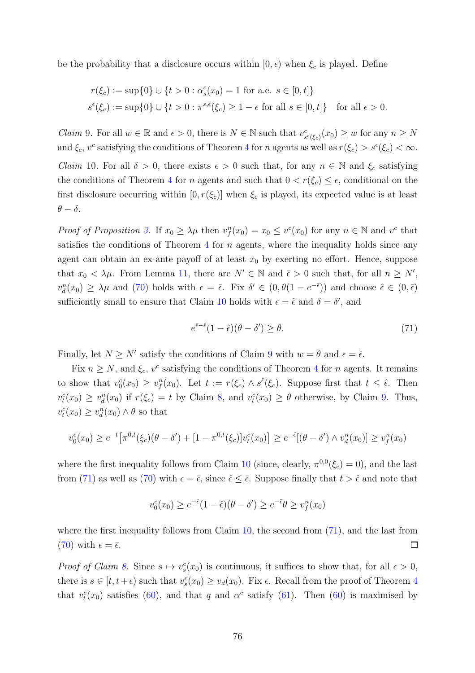be the probability that a disclosure occurs within  $[0, \epsilon)$  when  $\xi_c$  is played. Define

$$
r(\xi_c) := \sup\{0\} \cup \{t > 0 : \alpha_s^c(x_0) = 1 \text{ for a.e. } s \in [0, t]\}
$$
  

$$
s^{\epsilon}(\xi_c) := \sup\{0\} \cup \{t > 0 : \pi^{s,\epsilon}(\xi_c) \ge 1 - \epsilon \text{ for all } s \in [0, t]\}
$$
 for all  $\epsilon > 0$ .

<span id="page-75-1"></span><span id="page-75-0"></span>*Claim* 9. For all  $w \in \mathbb{R}$  and  $\epsilon > 0$ , there is  $N \in \mathbb{N}$  such that  $v_{s^{\epsilon}(\xi_c)}^c(x_0) \geq w$  for any  $n \geq N$ and  $\xi_c$ ,  $v^c$  satisfying the conditions of Theorem [4](#page-27-0) for *n* agents as well as  $r(\xi_c) > s^{\epsilon}(\xi_c) < \infty$ . *Claim* 10. For all  $\delta > 0$ , there exists  $\epsilon > 0$  such that, for any  $n \in \mathbb{N}$  and  $\xi_c$  satisfying the conditions of Theorem [4](#page-27-0) for n agents and such that  $0 < r(\xi_c) \leq \epsilon$ , conditional on the first disclosure occurring within  $[0, r(\xi_c)]$  when  $\xi_c$  is played, its expected value is at least  $\theta - \delta$ .

Proof of Proposition [3.](#page-29-0) If  $x_0 \geq \lambda \mu$  then  $v_f^n(x_0) = x_0 \leq v^c(x_0)$  for any  $n \in \mathbb{N}$  and  $v^c$  that satisfies the conditions of Theorem  $4$  for n agents, where the inequality holds since any agent can obtain an ex-ante payoff of at least  $x_0$  by exerting no effort. Hence, suppose that  $x_0 < \lambda \mu$ . From Lemma [11,](#page-74-0) there are  $N' \in \mathbb{N}$  and  $\bar{\epsilon} > 0$  such that, for all  $n \ge N'$ ,  $v_d^n(x_0) \geq \lambda \mu$  and [\(70\)](#page-74-1) holds with  $\epsilon = \bar{\epsilon}$ . Fix  $\delta' \in (0, \theta(1 - e^{-\bar{\epsilon}}))$  and choose  $\hat{\epsilon} \in (0, \bar{\epsilon})$ sufficiently small to ensure that Claim [10](#page-75-0) holds with  $\epsilon = \hat{\epsilon}$  and  $\delta = \delta'$ , and

<span id="page-75-2"></span>
$$
e^{\bar{\epsilon}-\hat{\epsilon}}(1-\hat{\epsilon})(\theta-\delta') \ge \theta. \tag{71}
$$

Finally, let  $N \geq N'$  satisfy the conditions of Claim [9](#page-75-1) with  $w = \theta$  and  $\epsilon = \hat{\epsilon}$ .

Fix  $n \geq N$ , and  $\xi_c$ ,  $v^c$  satisfying the conditions of Theorem [4](#page-27-0) for *n* agents. It remains to show that  $v_0^c(x_0) \geq v_f^n(x_0)$ . Let  $t := r(\xi_c) \wedge s^{\hat{\epsilon}}(\xi_c)$ . Suppose first that  $t \leq \hat{\epsilon}$ . Then  $v_t^c(x_0) \ge v_d^n(x_0)$  if  $r(\xi_c) = t$  by Claim [8,](#page-74-2) and  $v_t^c(x_0) \ge \theta$  otherwise, by Claim [9.](#page-75-1) Thus,  $v_t^c(x_0) \ge v_d^n(x_0) \wedge \theta$  so that

$$
v_0^c(x_0) \ge e^{-t} \left[ \pi^{0,t}(\xi_c)(\theta - \delta') + [1 - \pi^{0,t}(\xi_c)] v_t^c(x_0) \right] \ge e^{-\hat{\epsilon}} [(\theta - \delta') \wedge v_d^n(x_0)] \ge v_f^n(x_0)
$$

where the first inequality follows from Claim [10](#page-75-0) (since, clearly,  $\pi^{0,0}(\xi_c) = 0$ ), and the last from [\(71\)](#page-75-2) as well as [\(70\)](#page-74-1) with  $\epsilon = \bar{\epsilon}$ , since  $\hat{\epsilon} \leq \bar{\epsilon}$ . Suppose finally that  $t > \hat{\epsilon}$  and note that

$$
v_0^c(x_0) \ge e^{-\hat{\epsilon}} (1 - \hat{\epsilon})(\theta - \delta') \ge e^{-\bar{\epsilon}} \theta \ge v_f^n(x_0)
$$

where the first inequality follows from Claim [10,](#page-75-0) the second from  $(71)$ , and the last from [\(70\)](#page-74-1) with  $\epsilon = \bar{\epsilon}$ .  $\Box$ 

*Proof of Claim [8.](#page-74-2)* Since  $s \mapsto v_s^c(x_0)$  is continuous, it suffices to show that, for all  $\epsilon > 0$ , there is  $s \in [t, t + \epsilon)$  such that  $v_s^c(x_0) \ge v_d(x_0)$ . Fix  $\epsilon$ . Recall from the proof of Theorem [4](#page-27-0) that  $v_t^c(x_0)$  satisfies [\(60\)](#page-65-0), and that q and  $\alpha^c$  satisfy [\(61\)](#page-65-1). Then (60) is maximised by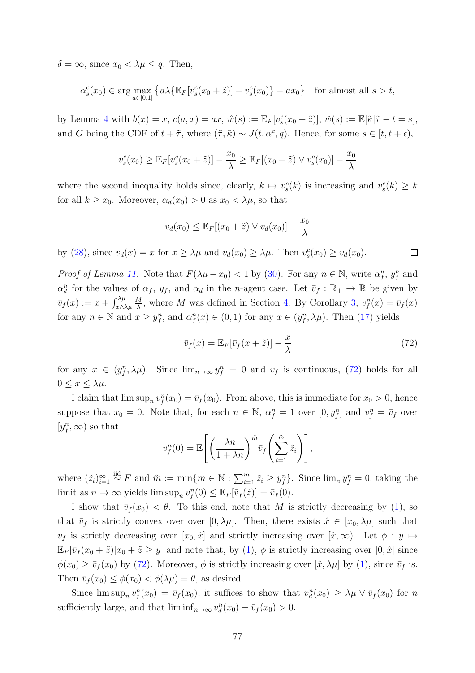$\delta = \infty$ , since  $x_0 < \lambda \mu \leq q$ . Then,

$$
\alpha_s^c(x_0) \in \arg\max_{a \in [0,1]} \left\{ a\lambda \{\mathbb{E}_F[v_s^c(x_0 + \tilde{z})] - v_s^c(x_0) \} - ax_0 \right\} \text{ for almost all } s > t,
$$

by Lemma [4](#page-38-0) with  $b(x) = x, c(a, x) = ax, \hat{w}(s) := \mathbb{E}_F[v_s^c(x_0 + \tilde{z})], \check{w}(s) := \mathbb{E}[\tilde{\kappa}|\tilde{\tau} - t = s],$ and G being the CDF of  $t + \tilde{\tau}$ , where  $(\tilde{\tau}, \tilde{\kappa}) \sim J(t, \alpha^c, q)$ . Hence, for some  $s \in [t, t + \epsilon)$ ,

$$
v_s^c(x_0) \geq \mathbb{E}_F[v_s^c(x_0 + \tilde{z})] - \frac{x_0}{\lambda} \geq \mathbb{E}_F[(x_0 + \tilde{z}) \vee v_s^c(x_0)] - \frac{x_0}{\lambda}
$$

where the second inequality holds since, clearly,  $k \mapsto v_s^c(k)$  is increasing and  $v_s^c(k) \geq k$ for all  $k \geq x_0$ . Moreover,  $\alpha_d(x_0) > 0$  as  $x_0 < \lambda \mu$ , so that

$$
v_d(x_0) \le \mathbb{E}_F[(x_0 + \tilde{z}) \vee v_d(x_0)] - \frac{x_0}{\lambda}
$$

by [\(28\)](#page-21-0), since  $v_d(x) = x$  for  $x \ge \lambda \mu$  and  $v_d(x_0) \ge \lambda \mu$ . Then  $v_s^c(x_0) \ge v_d(x_0)$ .

*Proof of Lemma [11.](#page-74-0)* Note that  $F(\lambda\mu - x_0) < 1$  by [\(30\)](#page-29-1). For any  $n \in \mathbb{N}$ , write  $\alpha_f^n$ ,  $y_f^n$  and  $\alpha_d^n$  for the values of  $\alpha_f$ ,  $y_f$ , and  $\alpha_d$  in the *n*-agent case. Let  $\bar{v}_f : \mathbb{R}_+ \to \mathbb{R}$  be given by  $\bar{v}_f(x) := x + \int_{x \wedge \lambda \mu}^{\lambda \mu}$ M  $\frac{M}{\lambda}$ , where M was defined in Section [4.](#page-10-0) By Corollary [3,](#page-12-0)  $v_f^n(x) = \bar{v}_f(x)$ for any  $n \in \mathbb{N}$  and  $x \geq y_f^n$ , and  $\alpha_f^n(x) \in (0, 1)$  for any  $x \in (y_f^n, \lambda \mu)$ . Then [\(17\)](#page-12-1) yields

<span id="page-76-0"></span>
$$
\bar{v}_f(x) = \mathbb{E}_F[\bar{v}_f(x+\tilde{z})] - \frac{x}{\lambda} \tag{72}
$$

 $\Box$ 

for any  $x \in (y_f^n, \lambda \mu)$ . Since  $\lim_{n \to \infty} y_f^n = 0$  and  $\bar{v}_f$  is continuous, [\(72\)](#page-76-0) holds for all  $0 \leq x \leq \lambda \mu$ .

I claim that  $\limsup_n v_f^n(x_0) = \overline{v}_f(x_0)$ . From above, this is immediate for  $x_0 > 0$ , hence suppose that  $x_0 = 0$ . Note that, for each  $n \in \mathbb{N}$ ,  $\alpha_f^n = 1$  over  $[0, y_f^n]$  and  $v_f^n = \overline{v}_f$  over  $[y_f^n, \infty)$  so that

$$
v_f^n(0) = \mathbb{E}\Bigg[\bigg(\frac{\lambda n}{1+\lambda n}\bigg)^{\tilde{m}}\bar{v}_f\Bigg(\sum_{i=1}^{\tilde{m}}\tilde{z}_i\Bigg)\Bigg],
$$

where  $(\tilde{z}_i)_{i=1}^{\infty} \stackrel{iid}{\sim} F$  and  $\tilde{m} := \min\{m \in \mathbb{N} : \sum_{i=1}^m \tilde{z}_i \geq y_f^n\}$ . Since  $\lim_n y_f^n = 0$ , taking the limit as  $n \to \infty$  yields  $\limsup_n v_f^n(0) \leq \mathbb{E}_F[\bar{v}_f(\tilde{z})] = \bar{v}_f(0)$ .

I show that  $\bar{v}_f(x_0) < \theta$ . To this end, note that M is strictly decreasing by [\(1\)](#page-5-0), so that  $\bar{v}_f$  is strictly convex over over  $[0, \lambda \mu]$ . Then, there exists  $\hat{x} \in [x_0, \lambda \mu]$  such that  $\bar{v}_f$  is strictly decreasing over  $[x_0, \hat{x}]$  and strictly increasing over  $[\hat{x}, \infty)$ . Let  $\phi : y \mapsto$  $\mathbb{E}_F[\bar{v}_f(x_0+\tilde{z})|x_0+\tilde{z}\geq y]$  and note that, by [\(1\)](#page-5-0),  $\phi$  is strictly increasing over  $[0,\hat{x}]$  since  $\phi(x_0) \ge \bar{v}_f(x_0)$  by [\(72\)](#page-76-0). Moreover,  $\phi$  is strictly increasing over  $[\hat{x}, \lambda \mu]$  by [\(1\)](#page-5-0), since  $\bar{v}_f$  is. Then  $\bar{v}_f(x_0) \leq \phi(x_0) < \phi(\lambda \mu) = \theta$ , as desired.

Since  $\limsup_n v_f^n(x_0) = \overline{v}_f(x_0)$ , it suffices to show that  $v_d^n(x_0) \geq \lambda \mu \vee \overline{v}_f(x_0)$  for n sufficiently large, and that  $\liminf_{n\to\infty} v_d^n(x_0) - \bar{v}_f(x_0) > 0$ .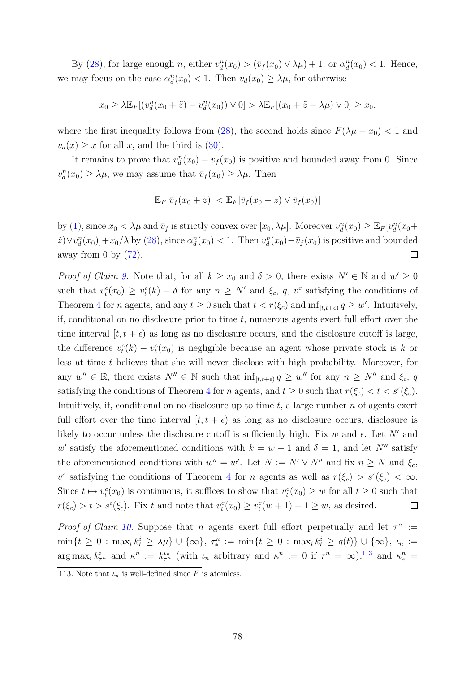By [\(28\)](#page-21-0), for large enough n, either  $v_d^n(x_0) > (\bar{v}_f(x_0) \vee \lambda \mu) + 1$ , or  $\alpha_d^n(x_0) < 1$ . Hence, we may focus on the case  $\alpha_d^n(x_0) < 1$ . Then  $v_d(x_0) \geq \lambda \mu$ , for otherwise

$$
x_0 \geq \lambda \mathbb{E}_F[(v_d^n(x_0 + \tilde{z}) - v_d^n(x_0)) \vee 0] > \lambda \mathbb{E}_F[(x_0 + \tilde{z} - \lambda \mu) \vee 0] \geq x_0,
$$

where the first inequality follows from [\(28\)](#page-21-0), the second holds since  $F(\lambda \mu - x_0) < 1$  and  $v_d(x) \geq x$  for all x, and the third is [\(30\)](#page-29-1).

It remains to prove that  $v_d^n(x_0) - \bar{v}_f(x_0)$  is positive and bounded away from 0. Since  $v_d^n(x_0) \geq \lambda \mu$ , we may assume that  $\bar{v}_f(x_0) \geq \lambda \mu$ . Then

$$
\mathbb{E}_{F}[\bar{v}_f(x_0+\tilde{z})] < \mathbb{E}_{F}[\bar{v}_f(x_0+\tilde{z}) \vee \bar{v}_f(x_0)]
$$

by [\(1\)](#page-5-0), since  $x_0 < \lambda \mu$  and  $\bar{v}_f$  is strictly convex over  $[x_0, \lambda \mu]$ . Moreover  $v_d^n(x_0) \geq \mathbb{E}_F[v_d^n(x_0+\lambda \mu)]$  $(\tilde{z}) \vee v_d^n(x_0)] + x_0/\lambda$  by [\(28\)](#page-21-0), since  $\alpha_d^n(x_0) < 1$ . Then  $v_d^n(x_0) - \bar{v}_f(x_0)$  is positive and bounded away from 0 by  $(72)$ .  $\Box$ 

*Proof of Claim [9.](#page-75-1)* Note that, for all  $k \geq x_0$  and  $\delta > 0$ , there exists  $N' \in \mathbb{N}$  and  $w' \geq 0$ such that  $v_t^c(x_0) \ge v_t^c(k) - \delta$  for any  $n \ge N'$  and  $\xi_c$ , q,  $v^c$  satisfying the conditions of Theorem [4](#page-27-0) for *n* agents, and any  $t \geq 0$  such that  $t < r(\xi_c)$  and  $\inf_{[t,t+\epsilon)} q \geq w'$ . Intuitively, if, conditional on no disclosure prior to time  $t$ , numerous agents exert full effort over the time interval  $[t, t + \epsilon)$  as long as no disclosure occurs, and the disclosure cutoff is large, the difference  $v_t^c(k) - v_t^c(x_0)$  is negligible because an agent whose private stock is k or less at time t believes that she will never disclose with high probability. Moreover, for any  $w'' \in \mathbb{R}$ , there exists  $N'' \in \mathbb{N}$  such that  $\inf_{[t,t+\epsilon)} q \geq w''$  for any  $n \geq N''$  and  $\xi_c$ , q satisfying the conditions of Theorem [4](#page-27-0) for n agents, and  $t \geq 0$  such that  $r(\xi_c) < t < s^{\epsilon}(\xi_c)$ . Intuitively, if, conditional on no disclosure up to time  $t$ , a large number  $n$  of agents exert full effort over the time interval  $[t, t + \epsilon)$  as long as no disclosure occurs, disclosure is likely to occur unless the disclosure cutoff is sufficiently high. Fix w and  $\epsilon$ . Let N' and w' satisfy the aforementioned conditions with  $k = w + 1$  and  $\delta = 1$ , and let N'' satisfy the aforementioned conditions with  $w'' = w'$ . Let  $N := N' \vee N''$  and fix  $n \geq N$  and  $\xi_c$ ,  $v^c$  satisfying the conditions of Theorem [4](#page-27-0) for *n* agents as well as  $r(\xi_c) > s^{\epsilon}(\xi_c) < \infty$ . Since  $t \mapsto v_t^c(x_0)$  is continuous, it suffices to show that  $v_t^c(x_0) \geq w$  for all  $t \geq 0$  such that  $r(\xi_c) > t > s^{\epsilon}(\xi_c)$ . Fix t and note that  $v_t^c(x_0) \ge v_t^c(w+1) - 1 \ge w$ , as desired.  $\Box$ 

*Proof of Claim [10.](#page-75-0)* Suppose that *n* agents exert full effort perpetually and let  $\tau^n :=$  $\min\{t \geq 0 : \max_i k_t^i \geq \lambda \mu\} \cup \{\infty\}, \tau_*^n := \min\{t \geq 0 : \max_i k_t^i \geq q(t)\} \cup \{\infty\}, \iota_n :=$  $\arg \max_i k_{\tau^n}^i$  and  $\kappa^n := k_{\tau^n}^{t_n}$  (with  $t_n$  arbitrary and  $\kappa^n := 0$  if  $\tau^n = \infty$ ), <sup>[113](#page-77-0)</sup> and  $\kappa^n_* =$ 

<span id="page-77-0"></span><sup>113.</sup> Note that  $\iota_n$  is well-defined since F is atomless.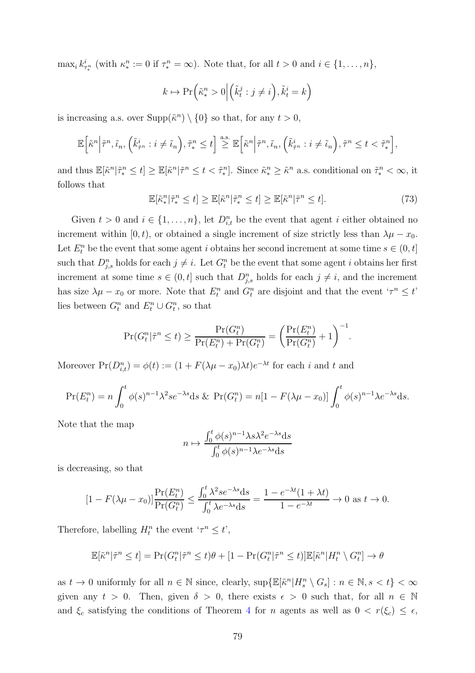$\max_i k_{\tau^n_*}^i$  (with  $\kappa^n_* := 0$  if  $\tau^n_* = \infty$ ). Note that, for all  $t > 0$  and  $i \in \{1, \ldots, n\}$ ,

$$
k \mapsto \Pr\left(\tilde{k}_*^n > 0 \middle| \left(\tilde{k}_t^j : j \neq i\right), \tilde{k}_t^i = k\right)
$$

is increasing a.s. over  $\text{Supp}(\tilde{\kappa}^n) \setminus \{0\}$  so that, for any  $t > 0$ ,

$$
\mathbb{E}\Big[\tilde{\kappa}^n \Big|\tilde{\tau}^n, \tilde{\iota}_n, \Big(\tilde{k}^i_{\tilde{\tau}^n}: i \neq \tilde{\iota}_n\Big), \tilde{\tau}^n_* \leq t\Big] \stackrel{\text{a.s.}}{\geq} \mathbb{E}\Big[\tilde{\kappa}^n \Big|\tilde{\tau}^n, \tilde{\iota}_n, \Big(\tilde{k}^i_{\tilde{\tau}^n}: i \neq \tilde{\iota}_n\Big), \tilde{\tau}^n \leq t < \tilde{\tau}^n_*\Big],
$$

and thus  $\mathbb{E}[\tilde{\kappa}^n | \tilde{\tau}_*^n \leq t] \geq \mathbb{E}[\tilde{\kappa}^n | \tilde{\tau}^n \leq t < \tilde{\tau}_*^n]$ . Since  $\tilde{\kappa}_*^n \geq \tilde{\kappa}^n$  a.s. conditional on  $\tilde{\tau}_*^n < \infty$ , it follows that

<span id="page-78-0"></span>
$$
\mathbb{E}[\tilde{\kappa}_*^n|\tilde{\tau}_*^n \le t] \ge \mathbb{E}[\tilde{\kappa}^n|\tilde{\tau}_*^n \le t] \ge \mathbb{E}[\tilde{\kappa}^n|\tilde{\tau}^n \le t].\tag{73}
$$

Given  $t > 0$  and  $i \in \{1, ..., n\}$ , let  $D_{i,t}^n$  be the event that agent i either obtained no increment within [0, t), or obtained a single increment of size strictly less than  $\lambda \mu - x_0$ . Let  $E_t^n$  be the event that some agent i obtains her second increment at some time  $s \in (0, t]$ such that  $D_{j,s}^n$  holds for each  $j \neq i$ . Let  $G_t^n$  be the event that some agent i obtains her first increment at some time  $s \in (0, t]$  such that  $D_{j,s}^n$  holds for each  $j \neq i$ , and the increment has size  $\lambda \mu - x_0$  or more. Note that  $E_t^n$  and  $G_t^n$  are disjoint and that the event ' $\tau^n \leq t$ ' lies between  $G_t^n$  and  $E_t^n \cup G_t^n$ , so that

$$
\Pr(G_t^n | \tilde{\tau}^n \le t) \ge \frac{\Pr(G_t^n)}{\Pr(E_t^n) + \Pr(G_t^n)} = \left(\frac{\Pr(E_t^n)}{\Pr(G_t^n)} + 1\right)^{-1}.
$$

Moreover  $Pr(D_{i,t}^n) = \phi(t) := (1 + F(\lambda\mu - x_0)\lambda t)e^{-\lambda t}$  for each i and t and

$$
\Pr(E_t^n) = n \int_0^t \phi(s)^{n-1} \lambda^2 s e^{-\lambda s} ds \& \Pr(G_t^n) = n[1 - F(\lambda \mu - x_0)] \int_0^t \phi(s)^{n-1} \lambda e^{-\lambda s} ds.
$$

Note that the map

$$
n \mapsto \frac{\int_0^t \phi(s)^{n-1} \lambda s \lambda^2 e^{-\lambda s} ds}{\int_0^t \phi(s)^{n-1} \lambda e^{-\lambda s} ds}
$$

is decreasing, so that

$$
[1 - F(\lambda \mu - x_0)] \frac{\Pr(E_t^n)}{\Pr(G_t^n)} \le \frac{\int_0^t \lambda^2 s e^{-\lambda s} ds}{\int_0^t \lambda e^{-\lambda s} ds} = \frac{1 - e^{-\lambda t} (1 + \lambda t)}{1 - e^{-\lambda t}} \to 0 \text{ as } t \to 0.
$$

Therefore, labelling  $H_t^n$  the event ' $\tau^n \leq t$ ',

$$
\mathbb{E}[\tilde{\kappa}^n|\tilde{\tau}^n \leq t] = \Pr(G^n_t|\tilde{\tau}^n \leq t)\theta + [1 - \Pr(G^n_t|\tilde{\tau}^n \leq t)]\mathbb{E}[\tilde{\kappa}^n|H^n_t \setminus G^n_t] \to \theta
$$

as  $t \to 0$  uniformly for all  $n \in \mathbb{N}$  since, clearly,  $\sup\{\mathbb{E}[\tilde{\kappa}^n|H_s^n \setminus G_s] : n \in \mathbb{N}, s < t\} < \infty$ given any  $t > 0$ . Then, given  $\delta > 0$ , there exists  $\epsilon > 0$  such that, for all  $n \in \mathbb{N}$ and  $\xi_c$  satisfying the conditions of Theorem [4](#page-27-0) for *n* agents as well as  $0 < r(\xi_c) \leq \epsilon$ ,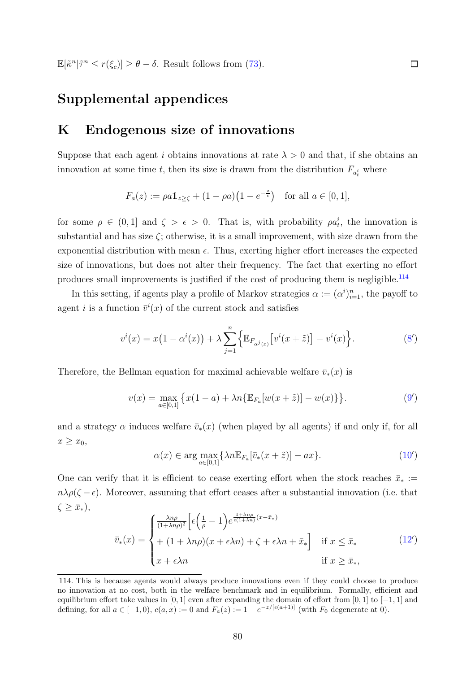## Supplemental appendices

### K Endogenous size of innovations

Suppose that each agent i obtains innovations at rate  $\lambda > 0$  and that, if she obtains an innovation at some time t, then its size is drawn from the distribution  $F_{a_t^i}$  where

$$
F_a(z) := \rho a \mathbb{1}_{z \ge \zeta} + (1 - \rho a) \left( 1 - e^{-\frac{z}{\epsilon}} \right) \text{ for all } a \in [0, 1],
$$

for some  $\rho \in (0,1]$  and  $\zeta > \epsilon > 0$ . That is, with probability  $\rho a_t^i$ , the innovation is substantial and has size  $\zeta$ ; otherwise, it is a small improvement, with size drawn from the exponential distribution with mean  $\epsilon$ . Thus, exerting higher effort increases the expected size of innovations, but does not alter their frequency. The fact that exerting no effort produces small improvements is justified if the cost of producing them is negligible.<sup>[114](#page-79-0)</sup>

In this setting, if agents play a profile of Markov strategies  $\alpha := (\alpha^i)_{i=1}^n$ , the payoff to agent *i* is a function  $\bar{v}^i(x)$  of the current stock and satisfies

$$
v^{i}(x) = x(1 - \alpha^{i}(x)) + \lambda \sum_{j=1}^{n} \Big\{ \mathbb{E}_{F_{\alpha^{j}(x)}} \big[ v^{i}(x + \tilde{z}) \big] - v^{i}(x) \Big\}.
$$
 (8')

Therefore, the Bellman equation for maximal achievable welfare  $\bar{v}_*(x)$  is

$$
v(x) = \max_{a \in [0,1]} \left\{ x(1-a) + \lambda n \{ \mathbb{E}_{F_a}[w(x+\tilde{z})] - w(x) \} \right\}.
$$
 (9')

and a strategy  $\alpha$  induces welfare  $\bar{v}_*(x)$  (when played by all agents) if and only if, for all  $x \geq x_0$ 

<span id="page-79-1"></span>
$$
\alpha(x) \in \arg\max_{a \in [0,1]} \{ \lambda n \mathbb{E}_{F_a} [\bar{v}_*(x+\tilde{z})] - ax \}. \tag{10'}
$$

One can verify that it is efficient to cease exerting effort when the stock reaches  $\bar{x}_* :=$  $n\lambda \rho(\zeta - \epsilon)$ . Moreover, assuming that effort ceases after a substantial innovation (i.e. that  $\zeta \geq \bar{x}_{*}$ ),

$$
\bar{v}_{*}(x) = \begin{cases}\n\frac{\lambda n \rho}{(1 + \lambda n \rho)^{2}} \left[ \epsilon \left( \frac{1}{\rho} - 1 \right) e^{\frac{1 + \lambda n \rho}{\epsilon (1 + \lambda n)} (x - \bar{x}_{*})} + (1 + \lambda n \rho)(x + \epsilon \lambda n) + \zeta + \epsilon \lambda n + \bar{x}_{*} \right] & \text{if } x \le \bar{x}_{*} \\
x + \epsilon \lambda n & \text{if } x \ge \bar{x}_{*},\n\end{cases}
$$
\n(12')

<span id="page-79-0"></span><sup>114.</sup> This is because agents would always produce innovations even if they could choose to produce no innovation at no cost, both in the welfare benchmark and in equilibrium. Formally, efficient and equilibrium effort take values in [0, 1] even after expanding the domain of effort from [0, 1] to  $[-1, 1]$  and defining, for all  $a \in [-1,0)$ ,  $c(a,x) := 0$  and  $F_a(z) := 1 - e^{-z/[\epsilon(a+1)]}$  (with  $F_0$  degenerate at 0).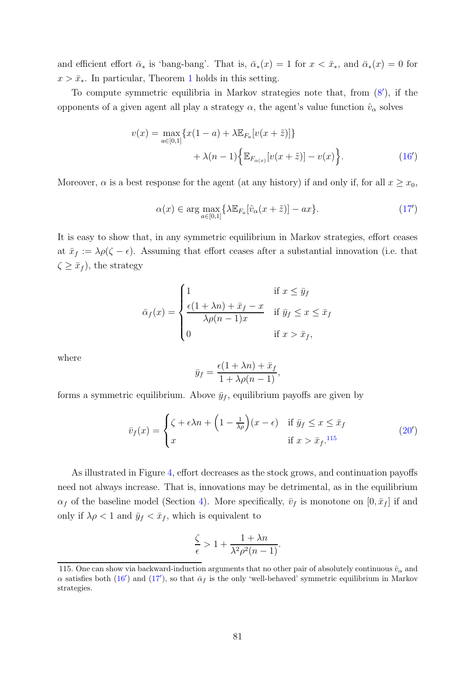and efficient effort  $\bar{\alpha}_*$  is 'bang-bang'. That is,  $\bar{\alpha}_*(x) = 1$  for  $x < \bar{x}_*$ , and  $\bar{\alpha}_*(x) = 0$  for  $x > \bar{x}_*$ . In particular, Theorem [1](#page-9-1) holds in this setting.

To compute symmetric equilibria in Markov strategies note that, from [\(8](#page-79-1) ′ ), if the opponents of a given agent all play a strategy  $\alpha$ , the agent's value function  $\hat{v}_{\alpha}$  solves

$$
v(x) = \max_{a \in [0,1]} \{x(1-a) + \lambda \mathbb{E}_{F_a}[v(x+\tilde{z})]\} + \lambda(n-1)\Big\{\mathbb{E}_{F_{\alpha(x)}}[v(x+\tilde{z})] - v(x)\Big\}.
$$
 (16')

Moreover,  $\alpha$  is a best response for the agent (at any history) if and only if, for all  $x \ge x_0$ ,

<span id="page-80-2"></span><span id="page-80-1"></span>
$$
\alpha(x) \in \arg\max_{a \in [0,1]} \{ \lambda \mathbb{E}_{F_a}[\hat{v}_\alpha(x+\tilde{z})] - ax \}.
$$
 (17')

It is easy to show that, in any symmetric equilibrium in Markov strategies, effort ceases at  $\bar{x}_f := \lambda \rho(\zeta - \epsilon)$ . Assuming that effort ceases after a substantial innovation (i.e. that  $\zeta \geq \bar{x}_f$ , the strategy

$$
\bar{\alpha}_f(x) = \begin{cases}\n1 & \text{if } x \leq \bar{y}_f \\
\frac{\epsilon(1+\lambda n) + \bar{x}_f - x}{\lambda \rho (n-1)x} & \text{if } \bar{y}_f \leq x \leq \bar{x}_f \\
0 & \text{if } x > \bar{x}_f,\n\end{cases}
$$

where

$$
\bar{y}_f = \frac{\epsilon (1 + \lambda n) + \bar{x}_f}{1 + \lambda \rho (n - 1)},
$$

forms a symmetric equilibrium. Above  $\bar{y}_f$ , equilibrium payoffs are given by

$$
\bar{v}_f(x) = \begin{cases} \zeta + \epsilon \lambda n + \left(1 - \frac{1}{\lambda \rho}\right)(x - \epsilon) & \text{if } \bar{y}_f \le x \le \bar{x}_f \\ x & \text{if } x > \bar{x}_f. \end{cases}
$$
(20')

As illustrated in Figure [4,](#page-81-0) effort decreases as the stock grows, and continuation payoffs need not always increase. That is, innovations may be detrimental, as in the equilibrium  $\alpha_f$  of the baseline model (Section [4\)](#page-10-0). More specifically,  $\bar{v}_f$  is monotone on  $[0, \bar{x}_f]$  if and only if  $\lambda \rho < 1$  and  $\bar{y}_f < \bar{x}_f$ , which is equivalent to

$$
\frac{\zeta}{\epsilon} > 1 + \frac{1 + \lambda n}{\lambda^2 \rho^2 (n-1)}.
$$

<span id="page-80-0"></span><sup>115.</sup> One can show via backward-induction arguments that no other pair of absolutely continuous  $\hat{v}_{\alpha}$  and  $\alpha$  satisfies both [\(16](#page-11-0)<sup>'</sup>) and [\(17](#page-12-1)'), so that  $\bar{\alpha}_f$  is the only 'well-behaved' symmetric equilibrium in Markov strategies.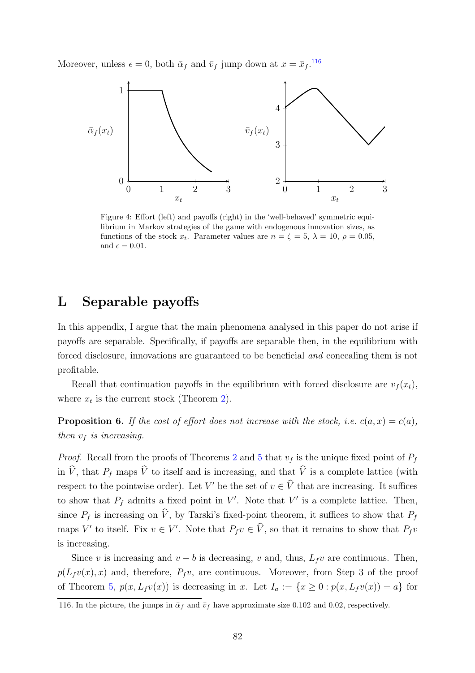<span id="page-81-0"></span>Moreover, unless  $\epsilon = 0$ , both  $\bar{\alpha}_f$  and  $\bar{v}_f$  jump down at  $x = \bar{x}_f$ .<sup>[116](#page-81-1)</sup>



Figure 4: Effort (left) and payoffs (right) in the 'well-behaved' symmetric equilibrium in Markov strategies of the game with endogenous innovation sizes, as functions of the stock  $x_t$ . Parameter values are  $n = \zeta = 5$ ,  $\lambda = 10$ ,  $\rho = 0.05$ , and  $\epsilon = 0.01$ .

## L Separable payoffs

In this appendix, I argue that the main phenomena analysed in this paper do not arise if payoffs are separable. Specifically, if payoffs are separable then, in the equilibrium with forced disclosure, innovations are guaranteed to be beneficial and concealing them is not profitable.

<span id="page-81-2"></span>Recall that continuation payoffs in the equilibrium with forced disclosure are  $v_f(x_t)$ , where  $x_t$  is the current stock (Theorem [2\)](#page-12-2).

**Proposition 6.** If the cost of effort does not increase with the stock, i.e.  $c(a, x) = c(a)$ , then  $v_f$  is increasing.

*Proof.* Recall from the proofs of Theorems [2](#page-12-2) and [5](#page-50-0) that  $v_f$  is the unique fixed point of  $P_f$ in  $\hat{V}$ , that  $P_f$  maps  $\hat{V}$  to itself and is increasing, and that  $\hat{V}$  is a complete lattice (with respect to the pointwise order). Let V' be the set of  $v \in V$  that are increasing. It suffices to show that  $P_f$  admits a fixed point in V'. Note that V' is a complete lattice. Then, since  $P_f$  is increasing on  $\hat{V}$ , by Tarski's fixed-point theorem, it suffices to show that  $P_f$ maps V' to itself. Fix  $v \in V'$ . Note that  $P_f v \in V$ , so that it remains to show that  $P_f v$ is increasing.

Since v is increasing and  $v - b$  is decreasing, v and, thus,  $L_f v$  are continuous. Then,  $p(L_f v(x), x)$  and, therefore,  $P_f v$ , are continuous. Moreover, from Step 3 of the proof of Theorem [5,](#page-50-0)  $p(x, L_f v(x))$  is decreasing in x. Let  $I_a := \{x \geq 0 : p(x, L_f v(x)) = a\}$  for

<span id="page-81-1"></span><sup>116.</sup> In the picture, the jumps in  $\bar{\alpha}_f$  and  $\bar{v}_f$  have approximate size 0.102 and 0.02, respectively.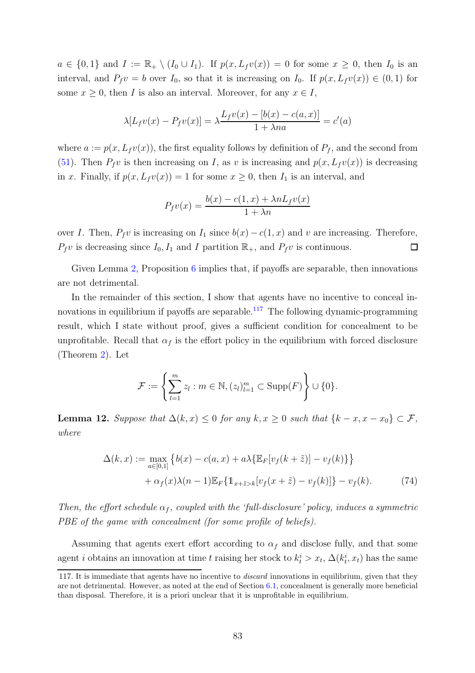$a \in \{0,1\}$  and  $I := \mathbb{R}_+ \setminus (I_0 \cup I_1)$ . If  $p(x, L_f v(x)) = 0$  for some  $x \geq 0$ , then  $I_0$  is an interval, and  $P_f v = b$  over  $I_0$ , so that it is increasing on  $I_0$ . If  $p(x, L_f v(x)) \in (0, 1)$  for some  $x \geq 0$ , then I is also an interval. Moreover, for any  $x \in I$ ,

$$
\lambda [L_f v(x) - P_f v(x)] = \lambda \frac{L_f v(x) - [b(x) - c(a, x)]}{1 + \lambda na} = c'(a)
$$

where  $a := p(x, L_f v(x))$ , the first equality follows by definition of  $P_f$ , and the second from [\(51\)](#page-51-0). Then  $P_f v$  is then increasing on I, as v is increasing and  $p(x, L_f v(x))$  is decreasing in x. Finally, if  $p(x, L_f v(x)) = 1$  for some  $x \geq 0$ , then  $I_1$  is an interval, and

$$
P_f v(x) = \frac{b(x) - c(1, x) + \lambda n L_f v(x)}{1 + \lambda n}
$$

over I. Then,  $P_f v$  is increasing on  $I_1$  since  $b(x) - c(1, x)$  and v are increasing. Therefore,  $P_f v$  is decreasing since  $I_0, I_1$  and I partition  $\mathbb{R}_+$ , and  $P_f v$  is continuous.  $\Box$ 

Given Lemma [2,](#page-15-1) Proposition [6](#page-81-2) implies that, if payoffs are separable, then innovations are not detrimental.

In the remainder of this section, I show that agents have no incentive to conceal in-novations in equilibrium if payoffs are separable.<sup>[117](#page-82-0)</sup> The following dynamic-programming result, which I state without proof, gives a sufficient condition for concealment to be unprofitable. Recall that  $\alpha_f$  is the effort policy in the equilibrium with forced disclosure (Theorem [2\)](#page-12-2). Let

<span id="page-82-2"></span>
$$
\mathcal{F} := \left\{ \sum_{l=1}^m z_l : m \in \mathbb{N}, (z_l)_{l=1}^m \subset \text{Supp}(F) \right\} \cup \{0\}.
$$

<span id="page-82-1"></span>**Lemma 12.** Suppose that  $\Delta(k, x) \leq 0$  for any  $k, x \geq 0$  such that  $\{k - x, x - x_0\} \subset \mathcal{F}$ , where

$$
\Delta(k, x) := \max_{a \in [0,1]} \left\{ b(x) - c(a, x) + a\lambda \{\mathbb{E}_F[v_f(k + \tilde{z})] - v_f(k)\} \right\} + \alpha_f(x)\lambda(n-1)\mathbb{E}_F\{\mathbb{1}_{x+\tilde{z}>k}[v_f(x+\tilde{z}) - v_f(k)]\} - v_f(k).
$$
 (74)

Then, the effort schedule  $\alpha_f$ , coupled with the 'full-disclosure' policy, induces a symmetric PBE of the game with concealment (for some profile of beliefs).

Assuming that agents exert effort according to  $\alpha_f$  and disclose fully, and that some agent *i* obtains an innovation at time *t* raising her stock to  $k_t^i > x_t$ ,  $\Delta(k_t^i, x_t)$  has the same

<span id="page-82-0"></span><sup>117.</sup> It is immediate that agents have no incentive to *discard* innovations in equilibrium, given that they are not detrimental. However, as noted at the end of Section [6.1,](#page-24-0) concealment is generally more beneficial than disposal. Therefore, it is a priori unclear that it is unprofitable in equilibrium.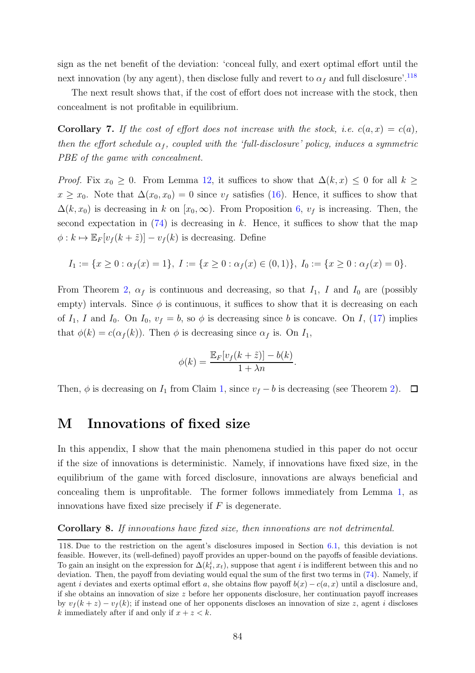sign as the net benefit of the deviation: 'conceal fully, and exert optimal effort until the next innovation (by any agent), then disclose fully and revert to  $\alpha_f$  and full disclosure'.<sup>[118](#page-83-0)</sup>

The next result shows that, if the cost of effort does not increase with the stock, then concealment is not profitable in equilibrium.

**Corollary 7.** If the cost of effort does not increase with the stock, i.e.  $c(a, x) = c(a)$ , then the effort schedule  $\alpha_f$ , coupled with the 'full-disclosure' policy, induces a symmetric PBE of the game with concealment.

*Proof.* Fix  $x_0 \geq 0$ . From Lemma [12,](#page-82-1) it suffices to show that  $\Delta(k, x) \leq 0$  for all  $k \geq$  $x \geq x_0$ . Note that  $\Delta(x_0, x_0) = 0$  since  $v_f$  satisfies [\(16\)](#page-11-0). Hence, it suffices to show that  $\Delta(k, x_0)$  is decreasing in k on  $[x_0, \infty)$ . From Proposition [6,](#page-81-2)  $v_f$  is increasing. Then, the second expectation in  $(74)$  is decreasing in k. Hence, it suffices to show that the map  $\phi: k \mapsto \mathbb{E}_{F} [v_f (k + \tilde{z})] - v_f (k)$  is decreasing. Define

$$
I_1 := \{x \ge 0 : \alpha_f(x) = 1\}, \ I := \{x \ge 0 : \alpha_f(x) \in (0,1)\}, \ I_0 := \{x \ge 0 : \alpha_f(x) = 0\}.
$$

From Theorem [2,](#page-12-2)  $\alpha_f$  is continuous and decreasing, so that  $I_1$ , I and  $I_0$  are (possibly empty) intervals. Since  $\phi$  is continuous, it suffices to show that it is decreasing on each of  $I_1$ , I and  $I_0$ . On  $I_0$ ,  $v_f = b$ , so  $\phi$  is decreasing since b is concave. On I, [\(17\)](#page-12-1) implies that  $\phi(k) = c(\alpha_f(k))$ . Then  $\phi$  is decreasing since  $\alpha_f$  is. On  $I_1$ ,

$$
\phi(k) = \frac{\mathbb{E}_F[v_f(k+\tilde{z})] - b(k)}{1 + \lambda n}.
$$

Then,  $\phi$  is decreasing on  $I_1$  from Claim [1,](#page-46-0) since  $v_f - b$  is decreasing (see Theorem [2\)](#page-12-2).  $\Box$ 

#### M Innovations of fixed size

In this appendix, I show that the main phenomena studied in this paper do not occur if the size of innovations is deterministic. Namely, if innovations have fixed size, in the equilibrium of the game with forced disclosure, innovations are always beneficial and concealing them is unprofitable. The former follows immediately from Lemma [1,](#page-15-2) as innovations have fixed size precisely if  $F$  is degenerate.

Corollary 8. If innovations have fixed size, then innovations are not detrimental.

<span id="page-83-0"></span><sup>118.</sup> Due to the restriction on the agent's disclosures imposed in Section [6.1,](#page-24-0) this deviation is not feasible. However, its (well-defined) payoff provides an upper-bound on the payoffs of feasible deviations. To gain an insight on the expression for  $\Delta(k_t^i, x_t)$ , suppose that agent i is indifferent between this and no deviation. Then, the payoff from deviating would equal the sum of the first two terms in [\(74\)](#page-82-2). Namely, if agent i deviates and exerts optimal effort a, she obtains flow payoff  $b(x) - c(a, x)$  until a disclosure and, if she obtains an innovation of size  $z$  before her opponents disclosure, her continuation payoff increases by  $v_f(k + z) - v_f(k)$ ; if instead one of her opponents discloses an innovation of size z, agent i discloses k immediately after if and only if  $x + z < k$ .